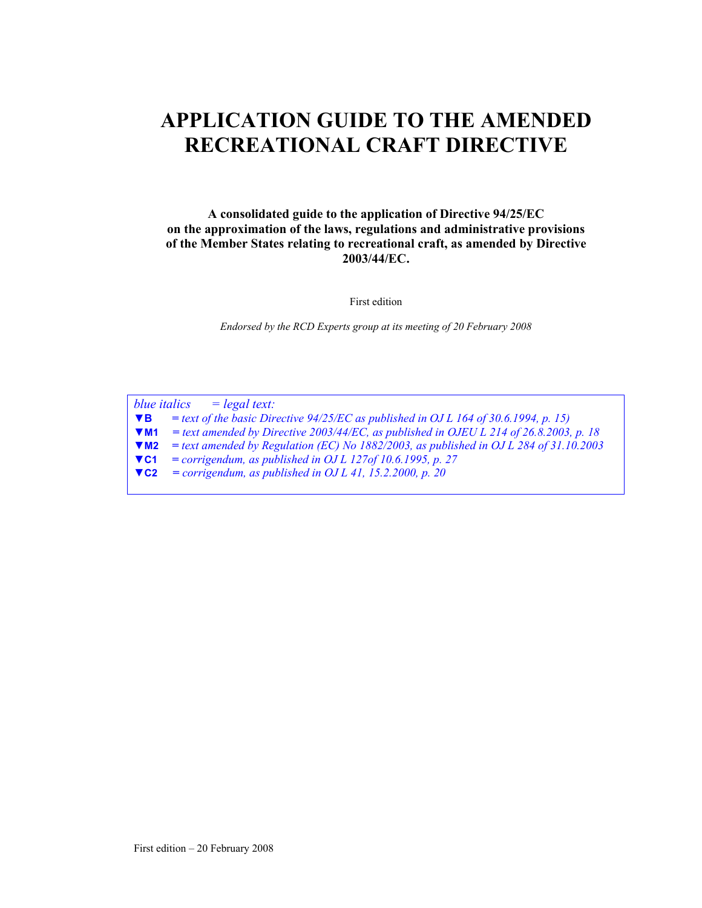# **APPLICATION GUIDE TO THE AMENDED RECREATIONAL CRAFT DIRECTIVE**

**A consolidated guide to the application of Directive 94/25/EC on the approximation of the laws, regulations and administrative provisions of the Member States relating to recreational craft, as amended by Directive 2003/44/EC.** 

First edition

*Endorsed by the RCD Experts group at its meeting of 20 February 2008*

*blue italics = legal text:*  **▼B** *= text of the basic Directive 94/25/EC as published in OJ L 164 of 30.6.1994, p. 15)*  **▼M1** *= text amended by Directive 2003/44/EC, as published in OJEU L 214 of 26.8.2003, p. 18*  **▼M2** *= text amended by Regulation (EC) No 1882/2003, as published in OJ L 284 of 31.10.2003*  **▼C1** *= corrigendum, as published in OJ L 127of 10.6.1995, p. 27*  **▼C2** *= corrigendum, as published in OJ L 41, 15.2.2000, p. 20*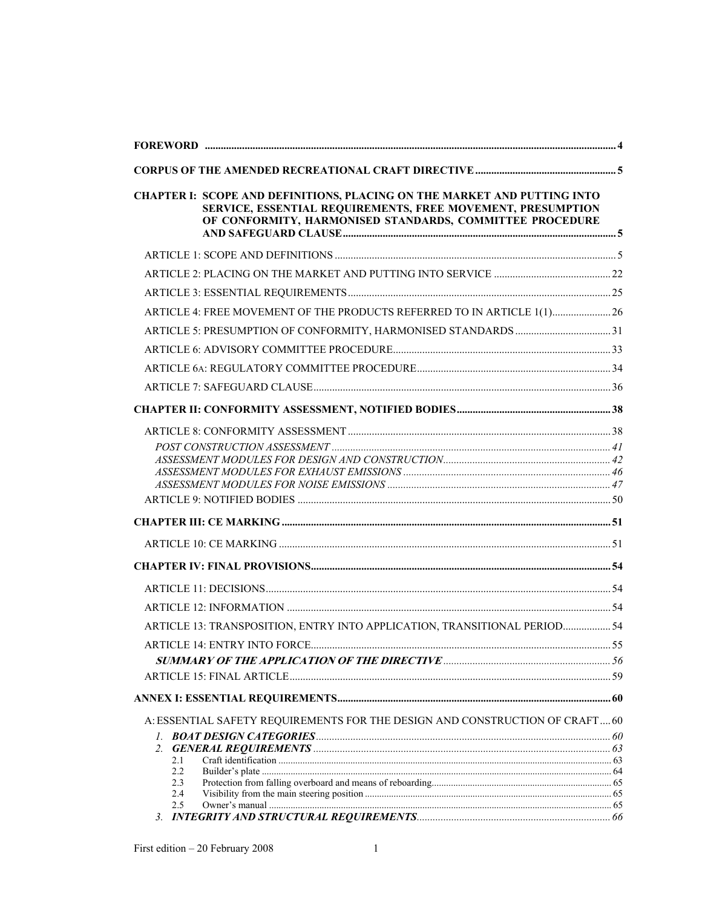| CHAPTER I: SCOPE AND DEFINITIONS, PLACING ON THE MARKET AND PUTTING INTO<br>SERVICE, ESSENTIAL REQUIREMENTS, FREE MOVEMENT, PRESUMPTION<br>OF CONFORMITY, HARMONISED STANDARDS, COMMITTEE PROCEDURE |  |
|-----------------------------------------------------------------------------------------------------------------------------------------------------------------------------------------------------|--|
|                                                                                                                                                                                                     |  |
|                                                                                                                                                                                                     |  |
|                                                                                                                                                                                                     |  |
| ARTICLE 4: FREE MOVEMENT OF THE PRODUCTS REFERRED TO IN ARTICLE 1(1) 26                                                                                                                             |  |
|                                                                                                                                                                                                     |  |
|                                                                                                                                                                                                     |  |
|                                                                                                                                                                                                     |  |
|                                                                                                                                                                                                     |  |
|                                                                                                                                                                                                     |  |
|                                                                                                                                                                                                     |  |
|                                                                                                                                                                                                     |  |
|                                                                                                                                                                                                     |  |
|                                                                                                                                                                                                     |  |
|                                                                                                                                                                                                     |  |
|                                                                                                                                                                                                     |  |
|                                                                                                                                                                                                     |  |
|                                                                                                                                                                                                     |  |
|                                                                                                                                                                                                     |  |
|                                                                                                                                                                                                     |  |
| ARTICLE 13: TRANSPOSITION, ENTRY INTO APPLICATION, TRANSITIONAL PERIOD 54                                                                                                                           |  |
|                                                                                                                                                                                                     |  |
|                                                                                                                                                                                                     |  |
|                                                                                                                                                                                                     |  |
|                                                                                                                                                                                                     |  |
| A: ESSENTIAL SAFETY REQUIREMENTS FOR THE DESIGN AND CONSTRUCTION OF CRAFT 60                                                                                                                        |  |
|                                                                                                                                                                                                     |  |
| 2.1                                                                                                                                                                                                 |  |
| 2.2<br>2.3                                                                                                                                                                                          |  |
| 2.4                                                                                                                                                                                                 |  |
| 2.5                                                                                                                                                                                                 |  |
|                                                                                                                                                                                                     |  |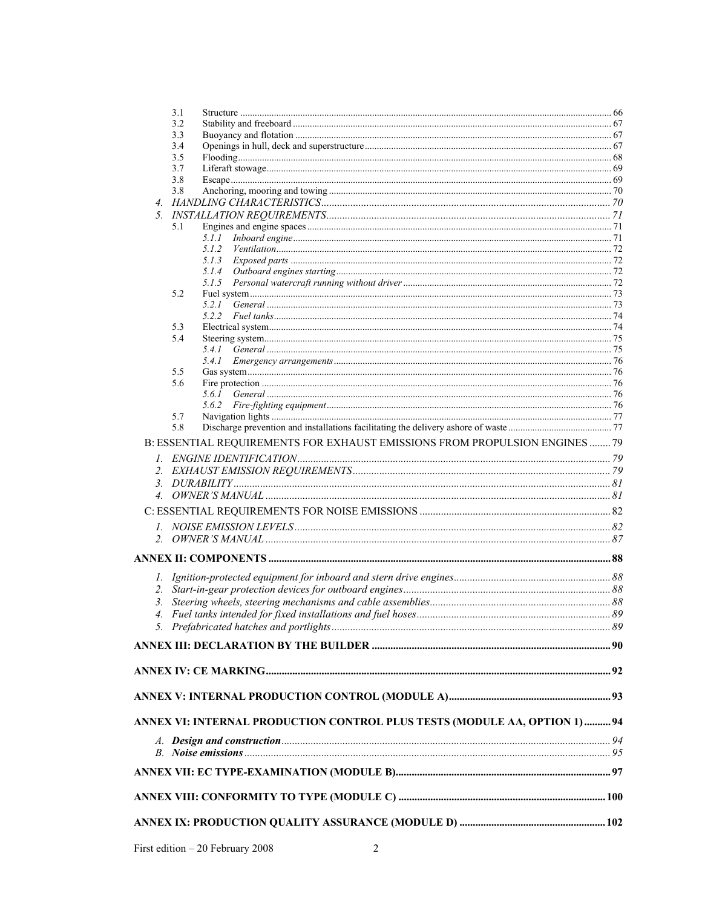|               |            | ANNEX VI: INTERNAL PRODUCTION CONTROL PLUS TESTS (MODULE AA, OPTION 1)  94  |  |
|---------------|------------|-----------------------------------------------------------------------------|--|
|               |            |                                                                             |  |
|               |            |                                                                             |  |
|               |            |                                                                             |  |
|               |            |                                                                             |  |
|               |            |                                                                             |  |
|               |            |                                                                             |  |
| 3.            |            |                                                                             |  |
|               |            |                                                                             |  |
|               |            |                                                                             |  |
|               |            |                                                                             |  |
| $\mathcal{I}$ |            |                                                                             |  |
|               |            |                                                                             |  |
|               |            |                                                                             |  |
|               |            |                                                                             |  |
|               |            |                                                                             |  |
|               |            |                                                                             |  |
|               |            | B: ESSENTIAL REQUIREMENTS FOR EXHAUST EMISSIONS FROM PROPULSION ENGINES  79 |  |
|               | 5.8        |                                                                             |  |
|               | 5.7        |                                                                             |  |
|               |            | 5.6.1                                                                       |  |
|               | 5.6        |                                                                             |  |
|               | 5.5        | 5.4.1                                                                       |  |
|               |            |                                                                             |  |
|               | 5.4        |                                                                             |  |
|               | 5.3        |                                                                             |  |
|               |            | 5.2.1                                                                       |  |
|               | 5.2        |                                                                             |  |
|               |            |                                                                             |  |
|               |            |                                                                             |  |
|               |            | 5.1.2                                                                       |  |
|               | 5.1        | 5.1.1                                                                       |  |
|               |            |                                                                             |  |
|               |            |                                                                             |  |
|               | 3.8        |                                                                             |  |
|               | 3.7<br>3.8 |                                                                             |  |
|               | 3.5        |                                                                             |  |
|               | 3.4        |                                                                             |  |
|               | 3.2<br>3.3 |                                                                             |  |
|               | 3.1        |                                                                             |  |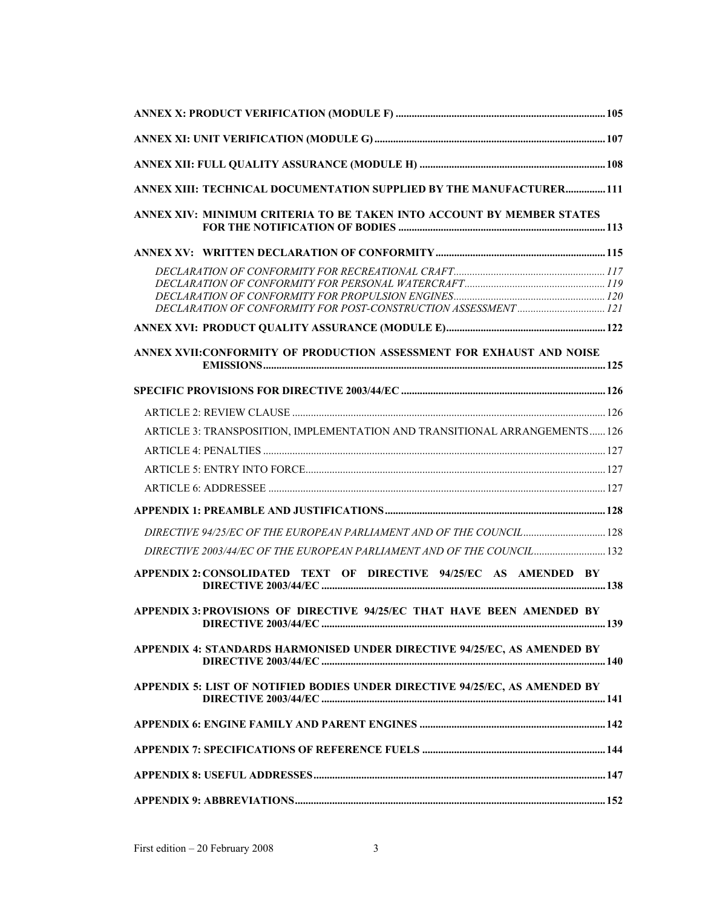| ANNEX XIII: TECHNICAL DOCUMENTATION SUPPLIED BY THE MANUFACTURER 111        |  |
|-----------------------------------------------------------------------------|--|
| ANNEX XIV: MINIMUM CRITERIA TO BE TAKEN INTO ACCOUNT BY MEMBER STATES       |  |
|                                                                             |  |
|                                                                             |  |
|                                                                             |  |
|                                                                             |  |
|                                                                             |  |
| ANNEX XVII: CONFORMITY OF PRODUCTION ASSESSMENT FOR EXHAUST AND NOISE       |  |
|                                                                             |  |
|                                                                             |  |
| ARTICLE 3: TRANSPOSITION, IMPLEMENTATION AND TRANSITIONAL ARRANGEMENTS 126  |  |
|                                                                             |  |
|                                                                             |  |
|                                                                             |  |
|                                                                             |  |
| DIRECTIVE 94/25/EC OF THE EUROPEAN PARLIAMENT AND OF THE COUNCIL  128       |  |
| DIRECTIVE 2003/44/EC OF THE EUROPEAN PARLIAMENT AND OF THE COUNCIL 132      |  |
| APPENDIX 2: CONSOLIDATED TEXT OF DIRECTIVE 94/25/EC AS AMENDED BY           |  |
| APPENDIX 3: PROVISIONS OF DIRECTIVE 94/25/EC THAT HAVE BEEN AMENDED BY      |  |
| APPENDIX 4: STANDARDS HARMONISED UNDER DIRECTIVE 94/25/EC, AS AMENDED BY    |  |
| APPENDIX 5: LIST OF NOTIFIED BODIES UNDER DIRECTIVE 94/25/EC, AS AMENDED BY |  |
|                                                                             |  |
|                                                                             |  |
|                                                                             |  |
|                                                                             |  |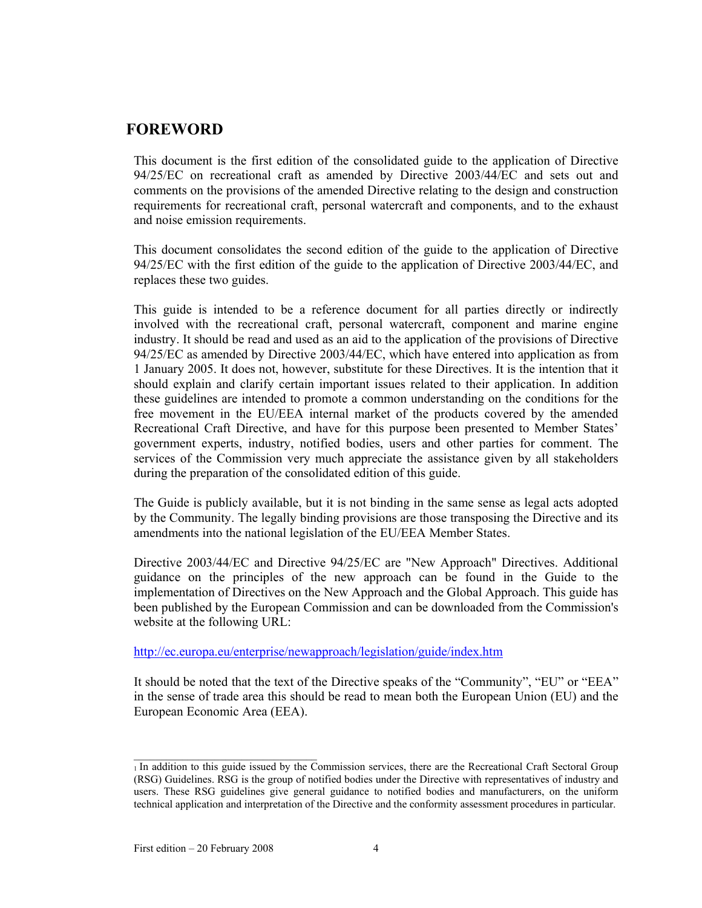## **FOREWORD**

This document is the first edition of the consolidated guide to the application of Directive 94/25/EC on recreational craft as amended by Directive 2003/44/EC and sets out and comments on the provisions of the amended Directive relating to the design and construction requirements for recreational craft, personal watercraft and components, and to the exhaust and noise emission requirements.

This document consolidates the second edition of the guide to the application of Directive 94/25/EC with the first edition of the guide to the application of Directive 2003/44/EC, and replaces these two guides.

This guide is intended to be a reference document for all parties directly or indirectly involved with the recreational craft, personal watercraft, component and marine engine industry. It should be read and used as an aid to the application of the provisions of Directive 94/25/EC as amended by Directive 2003/44/EC, which have entered into application as from 1 January 2005. It does not, however, substitute for these Directives. It is the intention that it should explain and clarify certain important issues related to their application. In addition these guidelines are intended to promote a common understanding on the conditions for the free movement in the EU/EEA internal market of the products covered by the amended Recreational Craft Directive, and have for this purpose been presented to Member States' government experts, industry, notified bodies, users and other parties for comment. The services of the Commission very much appreciate the assistance given by all stakeholders during the preparation of the consolidated edition of this guide.

The Guide is publicly available, but it is not binding in the same sense as legal acts adopted by the Community. The legally binding provisions are those transposing the Directive and its amendments into the national legislation of the EU/EEA Member States.

Directive 2003/44/EC and Directive 94/25/EC are "New Approach" Directives. Additional guidance on the principles of the new approach can be found in the Guide to the implementation of Directives on the New Approach and the Global Approach. This guide has been published by the European Commission and can be downloaded from the Commission's website at the following URL:

http://ec.europa.eu/enterprise/newapproach/legislation/guide/index.htm

It should be noted that the text of the Directive speaks of the "Community", "EU" or "EEA" in the sense of trade area this should be read to mean both the European Union (EU) and the European Economic Area (EEA).

<sup>1</sup> In addition to this guide issued by the Commission services, there are the Recreational Craft Sectoral Group (RSG) Guidelines. RSG is the group of notified bodies under the Directive with representatives of industry and users. These RSG guidelines give general guidance to notified bodies and manufacturers, on the uniform technical application and interpretation of the Directive and the conformity assessment procedures in particular.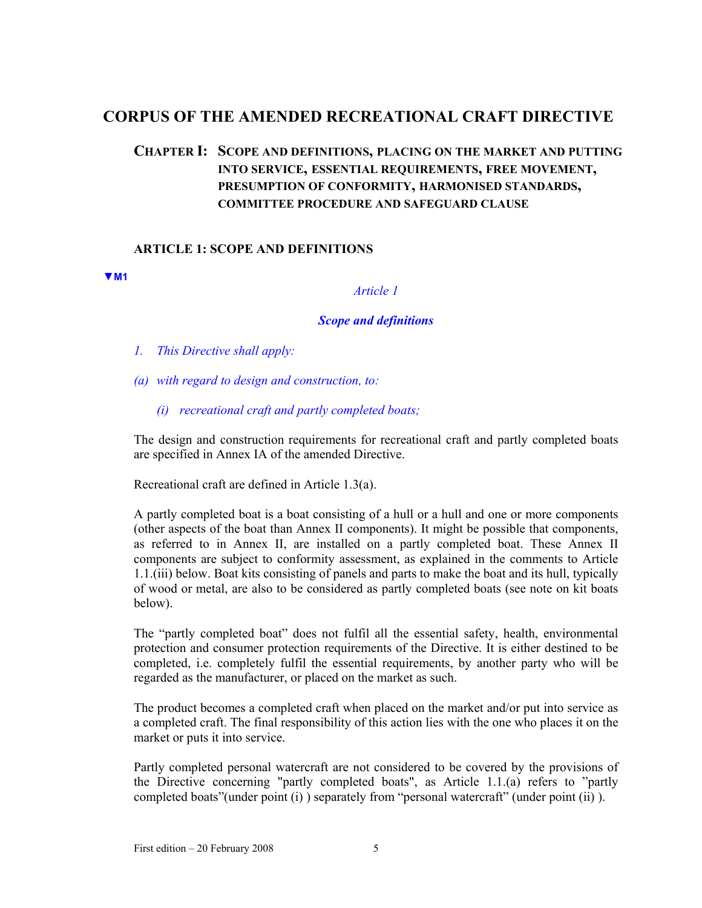# **CORPUS OF THE AMENDED RECREATIONAL CRAFT DIRECTIVE**

# **CHAPTER I: SCOPE AND DEFINITIONS, PLACING ON THE MARKET AND PUTTING INTO SERVICE, ESSENTIAL REQUIREMENTS, FREE MOVEMENT, PRESUMPTION OF CONFORMITY, HARMONISED STANDARDS, COMMITTEE PROCEDURE AND SAFEGUARD CLAUSE**

## **ARTICLE 1: SCOPE AND DEFINITIONS**

**▼M1**

*Article 1* 

#### *Scope and definitions*

- *1. This Directive shall apply:*
- *(a) with regard to design and construction, to:* 
	- *(i) recreational craft and partly completed boats;*

The design and construction requirements for recreational craft and partly completed boats are specified in Annex IA of the amended Directive.

Recreational craft are defined in Article 1.3(a).

A partly completed boat is a boat consisting of a hull or a hull and one or more components (other aspects of the boat than Annex II components). It might be possible that components, as referred to in Annex II, are installed on a partly completed boat. These Annex II components are subject to conformity assessment, as explained in the comments to Article 1.1.(iii) below. Boat kits consisting of panels and parts to make the boat and its hull, typically of wood or metal, are also to be considered as partly completed boats (see note on kit boats below).

The "partly completed boat" does not fulfil all the essential safety, health, environmental protection and consumer protection requirements of the Directive. It is either destined to be completed, i.e. completely fulfil the essential requirements, by another party who will be regarded as the manufacturer, or placed on the market as such.

The product becomes a completed craft when placed on the market and/or put into service as a completed craft. The final responsibility of this action lies with the one who places it on the market or puts it into service.

Partly completed personal watercraft are not considered to be covered by the provisions of the Directive concerning "partly completed boats", as Article 1.1.(a) refers to "partly completed boats"(under point (i) ) separately from "personal watercraft" (under point (ii) ).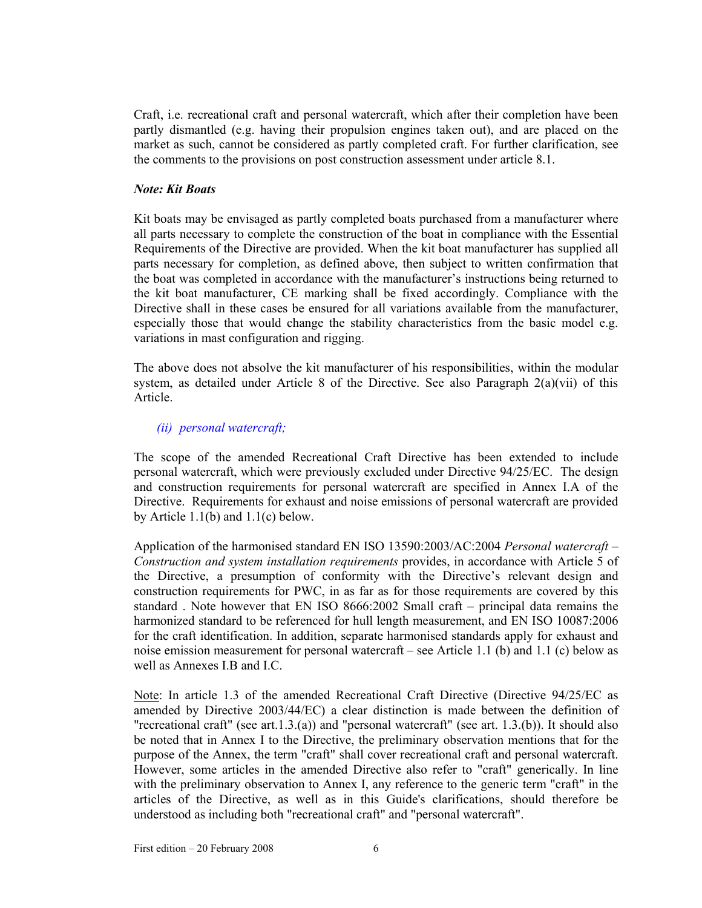Craft, i.e. recreational craft and personal watercraft, which after their completion have been partly dismantled (e.g. having their propulsion engines taken out), and are placed on the market as such, cannot be considered as partly completed craft. For further clarification, see the comments to the provisions on post construction assessment under article 8.1.

## *Note: Kit Boats*

Kit boats may be envisaged as partly completed boats purchased from a manufacturer where all parts necessary to complete the construction of the boat in compliance with the Essential Requirements of the Directive are provided. When the kit boat manufacturer has supplied all parts necessary for completion, as defined above, then subject to written confirmation that the boat was completed in accordance with the manufacturer's instructions being returned to the kit boat manufacturer, CE marking shall be fixed accordingly. Compliance with the Directive shall in these cases be ensured for all variations available from the manufacturer, especially those that would change the stability characteristics from the basic model e.g. variations in mast configuration and rigging.

The above does not absolve the kit manufacturer of his responsibilities, within the modular system, as detailed under Article 8 of the Directive. See also Paragraph 2(a)(vii) of this Article.

## *(ii) personal watercraft;*

The scope of the amended Recreational Craft Directive has been extended to include personal watercraft, which were previously excluded under Directive 94/25/EC. The design and construction requirements for personal watercraft are specified in Annex I.A of the Directive. Requirements for exhaust and noise emissions of personal watercraft are provided by Article 1.1(b) and 1.1(c) below.

Application of the harmonised standard EN ISO 13590:2003/AC:2004 *Personal watercraft – Construction and system installation requirements* provides, in accordance with Article 5 of the Directive, a presumption of conformity with the Directive's relevant design and construction requirements for PWC, in as far as for those requirements are covered by this standard . Note however that EN ISO 8666:2002 Small craft – principal data remains the harmonized standard to be referenced for hull length measurement, and EN ISO 10087:2006 for the craft identification. In addition, separate harmonised standards apply for exhaust and noise emission measurement for personal watercraft – see Article 1.1 (b) and 1.1 (c) below as well as Annexes I.B and I.C.

Note: In article 1.3 of the amended Recreational Craft Directive (Directive 94/25/EC as amended by Directive 2003/44/EC) a clear distinction is made between the definition of "recreational craft" (see art.1.3.(a)) and "personal watercraft" (see art. 1.3.(b)). It should also be noted that in Annex I to the Directive, the preliminary observation mentions that for the purpose of the Annex, the term "craft" shall cover recreational craft and personal watercraft. However, some articles in the amended Directive also refer to "craft" generically. In line with the preliminary observation to Annex I, any reference to the generic term "craft" in the articles of the Directive, as well as in this Guide's clarifications, should therefore be understood as including both "recreational craft" and "personal watercraft".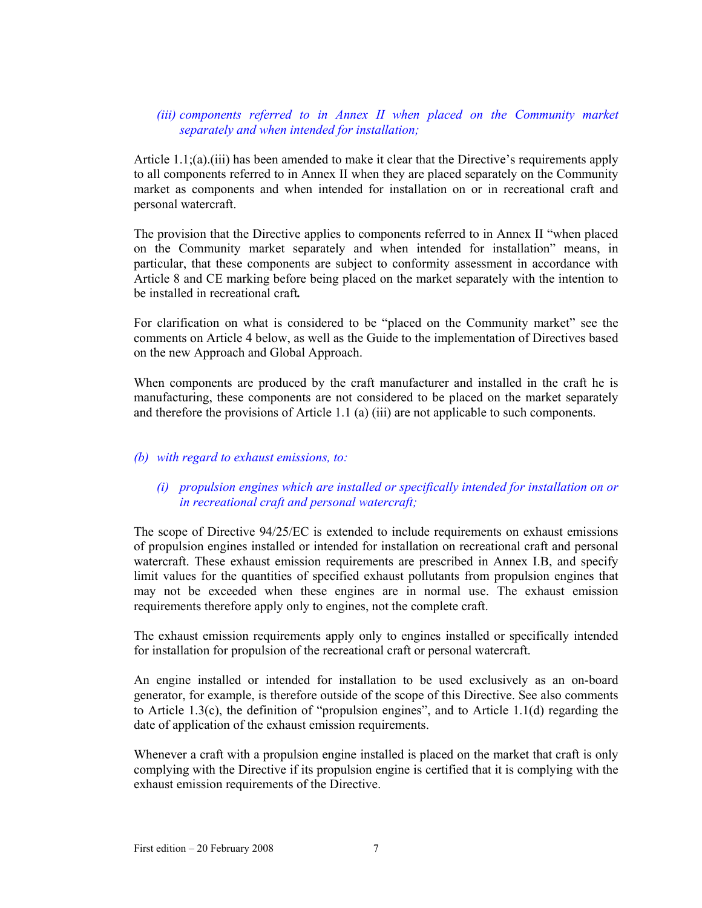## *(iii)* components referred to in Annex II when placed on the Community market *separately and when intended for installation;*

Article 1.1;(a).(iii) has been amended to make it clear that the Directive's requirements apply to all components referred to in Annex II when they are placed separately on the Community market as components and when intended for installation on or in recreational craft and personal watercraft.

The provision that the Directive applies to components referred to in Annex II "when placed on the Community market separately and when intended for installation" means, in particular, that these components are subject to conformity assessment in accordance with Article 8 and CE marking before being placed on the market separately with the intention to be installed in recreational craft*.* 

For clarification on what is considered to be "placed on the Community market" see the comments on Article 4 below, as well as the Guide to the implementation of Directives based on the new Approach and Global Approach.

When components are produced by the craft manufacturer and installed in the craft he is manufacturing, these components are not considered to be placed on the market separately and therefore the provisions of Article 1.1 (a) (iii) are not applicable to such components.

## *(b) with regard to exhaust emissions, to:*

## *(i) propulsion engines which are installed or specifically intended for installation on or in recreational craft and personal watercraft;*

The scope of Directive 94/25/EC is extended to include requirements on exhaust emissions of propulsion engines installed or intended for installation on recreational craft and personal watercraft. These exhaust emission requirements are prescribed in Annex I.B, and specify limit values for the quantities of specified exhaust pollutants from propulsion engines that may not be exceeded when these engines are in normal use. The exhaust emission requirements therefore apply only to engines, not the complete craft.

The exhaust emission requirements apply only to engines installed or specifically intended for installation for propulsion of the recreational craft or personal watercraft.

An engine installed or intended for installation to be used exclusively as an on-board generator, for example, is therefore outside of the scope of this Directive. See also comments to Article 1.3(c), the definition of "propulsion engines", and to Article 1.1(d) regarding the date of application of the exhaust emission requirements.

Whenever a craft with a propulsion engine installed is placed on the market that craft is only complying with the Directive if its propulsion engine is certified that it is complying with the exhaust emission requirements of the Directive.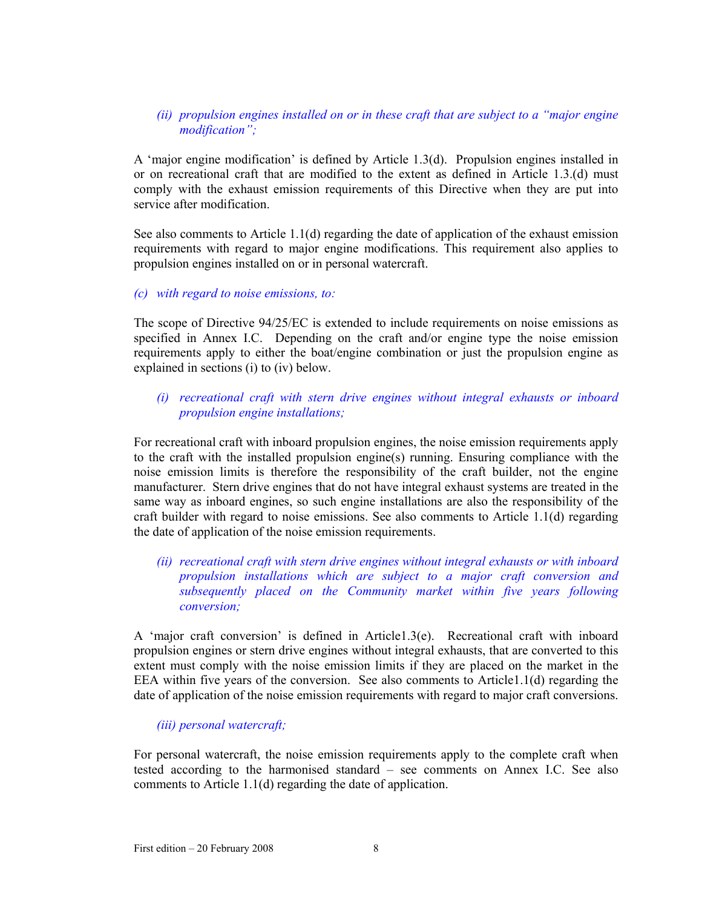## *(ii) propulsion engines installed on or in these craft that are subject to a "major engine modification";*

A 'major engine modification' is defined by Article 1.3(d). Propulsion engines installed in or on recreational craft that are modified to the extent as defined in Article 1.3.(d) must comply with the exhaust emission requirements of this Directive when they are put into service after modification.

See also comments to Article 1.1(d) regarding the date of application of the exhaust emission requirements with regard to major engine modifications. This requirement also applies to propulsion engines installed on or in personal watercraft.

#### *(c) with regard to noise emissions, to:*

The scope of Directive 94/25/EC is extended to include requirements on noise emissions as specified in Annex I.C. Depending on the craft and/or engine type the noise emission requirements apply to either the boat/engine combination or just the propulsion engine as explained in sections (i) to (iv) below.

## *(i) recreational craft with stern drive engines without integral exhausts or inboard propulsion engine installations;*

For recreational craft with inboard propulsion engines, the noise emission requirements apply to the craft with the installed propulsion engine(s) running. Ensuring compliance with the noise emission limits is therefore the responsibility of the craft builder, not the engine manufacturer. Stern drive engines that do not have integral exhaust systems are treated in the same way as inboard engines, so such engine installations are also the responsibility of the craft builder with regard to noise emissions. See also comments to Article 1.1(d) regarding the date of application of the noise emission requirements.

## *(ii) recreational craft with stern drive engines without integral exhausts or with inboard propulsion installations which are subject to a major craft conversion and subsequently placed on the Community market within five years following conversion;*

A 'major craft conversion' is defined in Article1.3(e). Recreational craft with inboard propulsion engines or stern drive engines without integral exhausts, that are converted to this extent must comply with the noise emission limits if they are placed on the market in the EEA within five years of the conversion. See also comments to Article1.1(d) regarding the date of application of the noise emission requirements with regard to major craft conversions.

## *(iii) personal watercraft;*

For personal watercraft, the noise emission requirements apply to the complete craft when tested according to the harmonised standard – see comments on Annex I.C. See also comments to Article 1.1(d) regarding the date of application.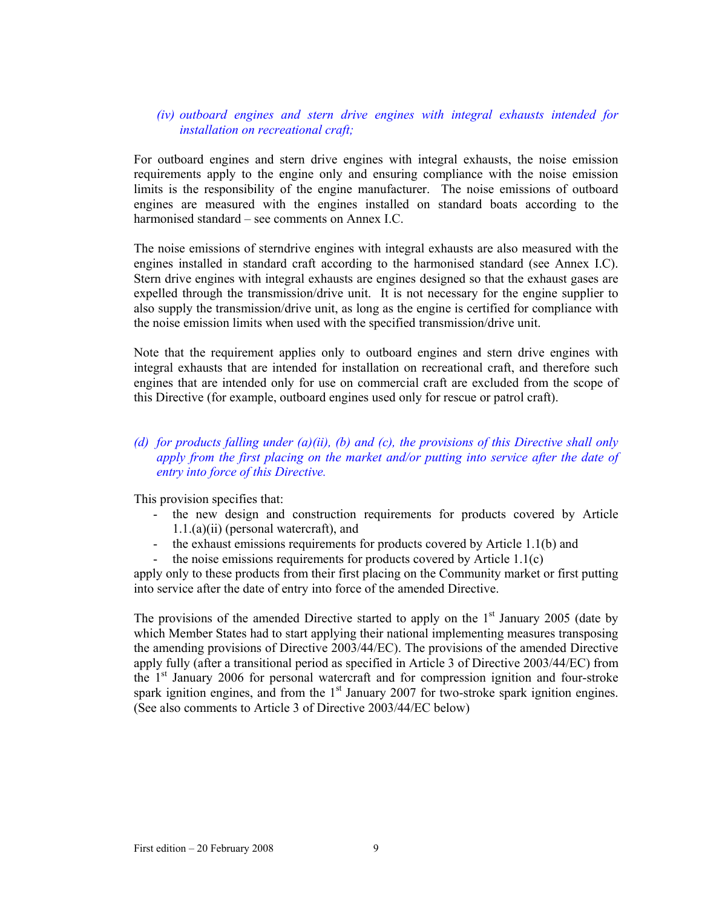## *(iv) outboard engines and stern drive engines with integral exhausts intended for installation on recreational craft;*

For outboard engines and stern drive engines with integral exhausts, the noise emission requirements apply to the engine only and ensuring compliance with the noise emission limits is the responsibility of the engine manufacturer. The noise emissions of outboard engines are measured with the engines installed on standard boats according to the harmonised standard – see comments on Annex I.C.

The noise emissions of sterndrive engines with integral exhausts are also measured with the engines installed in standard craft according to the harmonised standard (see Annex I.C). Stern drive engines with integral exhausts are engines designed so that the exhaust gases are expelled through the transmission/drive unit. It is not necessary for the engine supplier to also supply the transmission/drive unit, as long as the engine is certified for compliance with the noise emission limits when used with the specified transmission/drive unit.

Note that the requirement applies only to outboard engines and stern drive engines with integral exhausts that are intended for installation on recreational craft, and therefore such engines that are intended only for use on commercial craft are excluded from the scope of this Directive (for example, outboard engines used only for rescue or patrol craft).

## *(d) for products falling under (a)(ii), (b) and (c), the provisions of this Directive shall only apply from the first placing on the market and/or putting into service after the date of entry into force of this Directive.*

This provision specifies that:

- the new design and construction requirements for products covered by Article 1.1.(a)(ii) (personal watercraft), and
- the exhaust emissions requirements for products covered by Article 1.1(b) and
- the noise emissions requirements for products covered by Article  $1.1(c)$

apply only to these products from their first placing on the Community market or first putting into service after the date of entry into force of the amended Directive.

The provisions of the amended Directive started to apply on the  $1<sup>st</sup>$  January 2005 (date by which Member States had to start applying their national implementing measures transposing the amending provisions of Directive 2003/44/EC). The provisions of the amended Directive apply fully (after a transitional period as specified in Article 3 of Directive 2003/44/EC) from the  $1<sup>st</sup>$  January 2006 for personal watercraft and for compression ignition and four-stroke spark ignition engines, and from the  $1<sup>st</sup>$  January 2007 for two-stroke spark ignition engines. (See also comments to Article 3 of Directive 2003/44/EC below)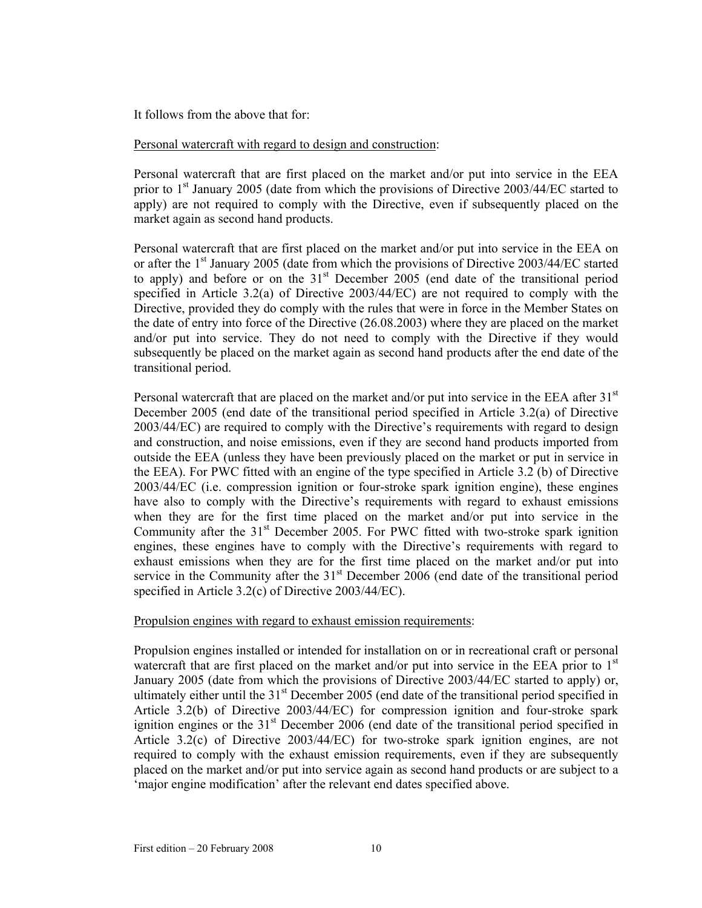It follows from the above that for:

## Personal watercraft with regard to design and construction:

Personal watercraft that are first placed on the market and/or put into service in the EEA prior to 1<sup>st</sup> January 2005 (date from which the provisions of Directive 2003/44/EC started to apply) are not required to comply with the Directive, even if subsequently placed on the market again as second hand products.

Personal watercraft that are first placed on the market and/or put into service in the EEA on or after the  $1<sup>st</sup>$  January 2005 (date from which the provisions of Directive 2003/44/EC started to apply) and before or on the  $31<sup>st</sup>$  December 2005 (end date of the transitional period specified in Article 3.2(a) of Directive 2003/44/EC) are not required to comply with the Directive, provided they do comply with the rules that were in force in the Member States on the date of entry into force of the Directive (26.08.2003) where they are placed on the market and/or put into service. They do not need to comply with the Directive if they would subsequently be placed on the market again as second hand products after the end date of the transitional period.

Personal watercraft that are placed on the market and/or put into service in the EEA after  $31<sup>st</sup>$ December 2005 (end date of the transitional period specified in Article 3.2(a) of Directive 2003/44/EC) are required to comply with the Directive's requirements with regard to design and construction, and noise emissions, even if they are second hand products imported from outside the EEA (unless they have been previously placed on the market or put in service in the EEA). For PWC fitted with an engine of the type specified in Article 3.2 (b) of Directive 2003/44/EC (i.e. compression ignition or four-stroke spark ignition engine), these engines have also to comply with the Directive's requirements with regard to exhaust emissions when they are for the first time placed on the market and/or put into service in the Community after the  $31<sup>st</sup>$  December 2005. For PWC fitted with two-stroke spark ignition engines, these engines have to comply with the Directive's requirements with regard to exhaust emissions when they are for the first time placed on the market and/or put into service in the Community after the  $31<sup>st</sup>$  December 2006 (end date of the transitional period specified in Article 3.2(c) of Directive 2003/44/EC).

## Propulsion engines with regard to exhaust emission requirements:

Propulsion engines installed or intended for installation on or in recreational craft or personal watercraft that are first placed on the market and/or put into service in the EEA prior to  $1<sup>st</sup>$ January 2005 (date from which the provisions of Directive 2003/44/EC started to apply) or, ultimately either until the  $31<sup>st</sup>$  December 2005 (end date of the transitional period specified in Article 3.2(b) of Directive 2003/44/EC) for compression ignition and four-stroke spark ignition engines or the  $31<sup>st</sup>$  December 2006 (end date of the transitional period specified in Article 3.2(c) of Directive 2003/44/EC) for two-stroke spark ignition engines, are not required to comply with the exhaust emission requirements, even if they are subsequently placed on the market and/or put into service again as second hand products or are subject to a 'major engine modification' after the relevant end dates specified above.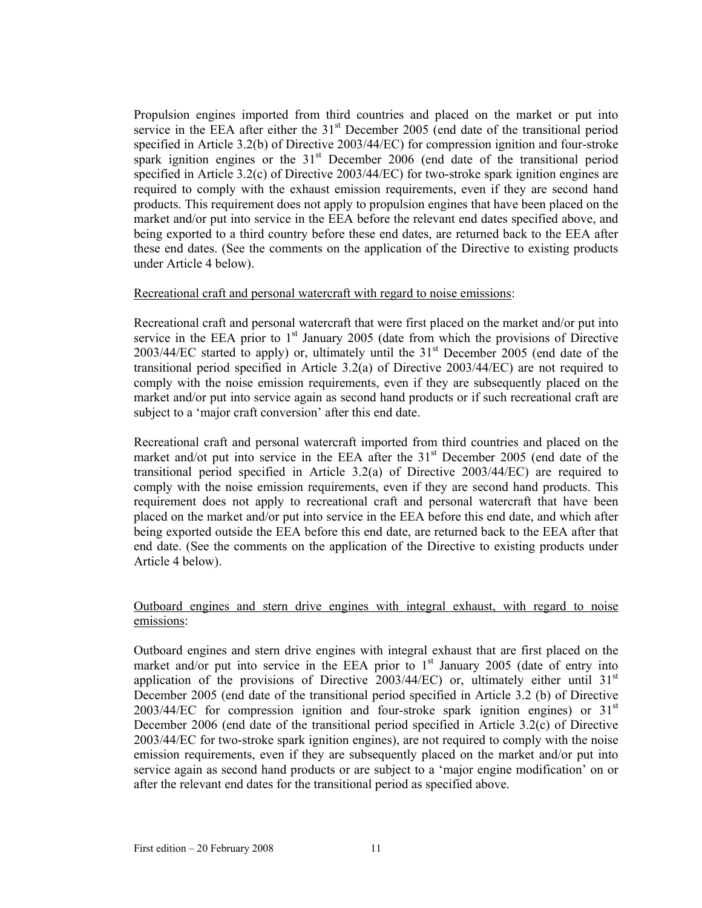Propulsion engines imported from third countries and placed on the market or put into service in the EEA after either the  $31<sup>st</sup>$  December 2005 (end date of the transitional period specified in Article 3.2(b) of Directive 2003/44/EC) for compression ignition and four-stroke spark ignition engines or the  $31<sup>st</sup>$  December 2006 (end date of the transitional period specified in Article 3.2(c) of Directive 2003/44/EC) for two-stroke spark ignition engines are required to comply with the exhaust emission requirements, even if they are second hand products. This requirement does not apply to propulsion engines that have been placed on the market and/or put into service in the EEA before the relevant end dates specified above, and being exported to a third country before these end dates, are returned back to the EEA after these end dates. (See the comments on the application of the Directive to existing products under Article 4 below).

#### Recreational craft and personal watercraft with regard to noise emissions:

Recreational craft and personal watercraft that were first placed on the market and/or put into service in the EEA prior to  $1<sup>st</sup>$  January 2005 (date from which the provisions of Directive  $2003/44/EC$  started to apply) or, ultimately until the  $31<sup>st</sup>$  December 2005 (end date of the transitional period specified in Article 3.2(a) of Directive 2003/44/EC) are not required to comply with the noise emission requirements, even if they are subsequently placed on the market and/or put into service again as second hand products or if such recreational craft are subject to a 'major craft conversion' after this end date.

Recreational craft and personal watercraft imported from third countries and placed on the market and/ot put into service in the EEA after the  $31<sup>st</sup>$  December 2005 (end date of the transitional period specified in Article 3.2(a) of Directive 2003/44/EC) are required to comply with the noise emission requirements, even if they are second hand products. This requirement does not apply to recreational craft and personal watercraft that have been placed on the market and/or put into service in the EEA before this end date, and which after being exported outside the EEA before this end date, are returned back to the EEA after that end date. (See the comments on the application of the Directive to existing products under Article 4 below).

## Outboard engines and stern drive engines with integral exhaust, with regard to noise emissions:

Outboard engines and stern drive engines with integral exhaust that are first placed on the market and/or put into service in the EEA prior to  $1<sup>st</sup>$  January 2005 (date of entry into application of the provisions of Directive 2003/44/EC) or, ultimately either until  $31<sup>st</sup>$ December 2005 (end date of the transitional period specified in Article 3.2 (b) of Directive  $2003/44/EC$  for compression ignition and four-stroke spark ignition engines) or  $31<sup>st</sup>$ December 2006 (end date of the transitional period specified in Article 3.2(c) of Directive 2003/44/EC for two-stroke spark ignition engines), are not required to comply with the noise emission requirements, even if they are subsequently placed on the market and/or put into service again as second hand products or are subject to a 'major engine modification' on or after the relevant end dates for the transitional period as specified above.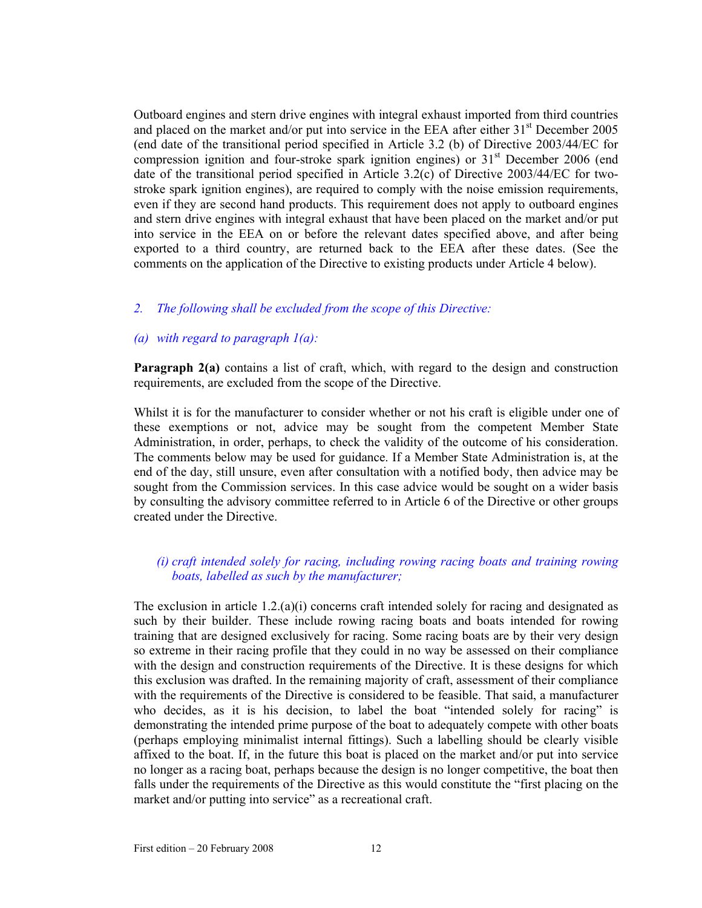Outboard engines and stern drive engines with integral exhaust imported from third countries and placed on the market and/or put into service in the EEA after either  $31<sup>st</sup>$  December 2005 (end date of the transitional period specified in Article 3.2 (b) of Directive 2003/44/EC for compression ignition and four-stroke spark ignition engines) or  $31<sup>st</sup>$  December 2006 (end date of the transitional period specified in Article 3.2(c) of Directive 2003/44/EC for twostroke spark ignition engines), are required to comply with the noise emission requirements, even if they are second hand products. This requirement does not apply to outboard engines and stern drive engines with integral exhaust that have been placed on the market and/or put into service in the EEA on or before the relevant dates specified above, and after being exported to a third country, are returned back to the EEA after these dates. (See the comments on the application of the Directive to existing products under Article 4 below).

#### *2. The following shall be excluded from the scope of this Directive:*

#### *(a) with regard to paragraph 1(a):*

**Paragraph 2(a)** contains a list of craft, which, with regard to the design and construction requirements, are excluded from the scope of the Directive.

Whilst it is for the manufacturer to consider whether or not his craft is eligible under one of these exemptions or not, advice may be sought from the competent Member State Administration, in order, perhaps, to check the validity of the outcome of his consideration. The comments below may be used for guidance. If a Member State Administration is, at the end of the day, still unsure, even after consultation with a notified body, then advice may be sought from the Commission services. In this case advice would be sought on a wider basis by consulting the advisory committee referred to in Article 6 of the Directive or other groups created under the Directive.

## *(i) craft intended solely for racing, including rowing racing boats and training rowing boats, labelled as such by the manufacturer;*

The exclusion in article  $1.2(a)(i)$  concerns craft intended solely for racing and designated as such by their builder. These include rowing racing boats and boats intended for rowing training that are designed exclusively for racing. Some racing boats are by their very design so extreme in their racing profile that they could in no way be assessed on their compliance with the design and construction requirements of the Directive. It is these designs for which this exclusion was drafted. In the remaining majority of craft, assessment of their compliance with the requirements of the Directive is considered to be feasible. That said, a manufacturer who decides, as it is his decision, to label the boat "intended solely for racing" is demonstrating the intended prime purpose of the boat to adequately compete with other boats (perhaps employing minimalist internal fittings). Such a labelling should be clearly visible affixed to the boat. If, in the future this boat is placed on the market and/or put into service no longer as a racing boat, perhaps because the design is no longer competitive, the boat then falls under the requirements of the Directive as this would constitute the "first placing on the market and/or putting into service" as a recreational craft.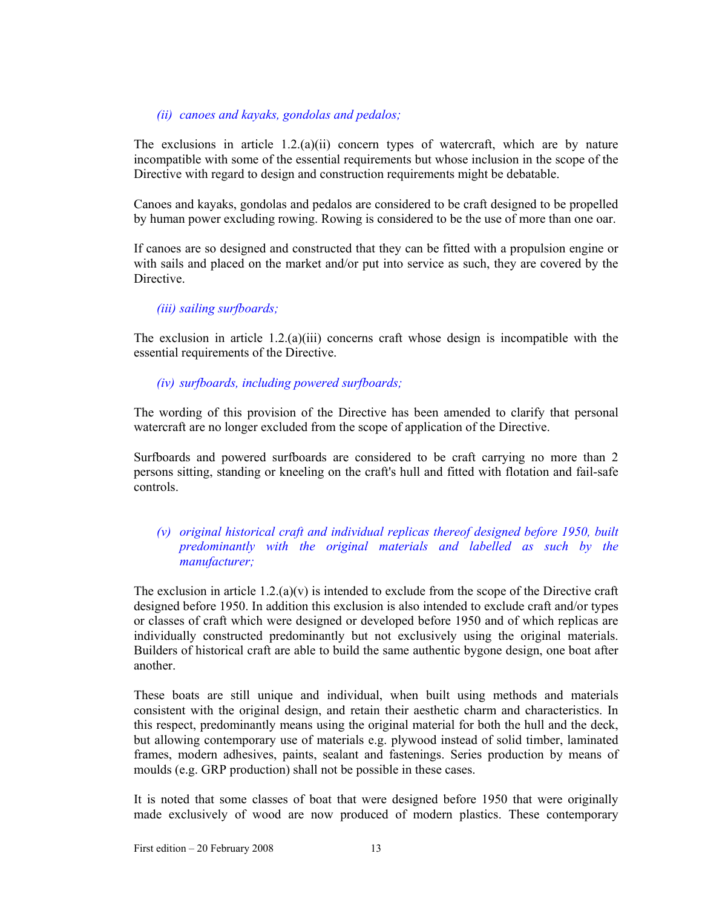## *(ii) canoes and kayaks, gondolas and pedalos;*

The exclusions in article 1.2.(a)(ii) concern types of watercraft, which are by nature incompatible with some of the essential requirements but whose inclusion in the scope of the Directive with regard to design and construction requirements might be debatable.

Canoes and kayaks, gondolas and pedalos are considered to be craft designed to be propelled by human power excluding rowing. Rowing is considered to be the use of more than one oar.

If canoes are so designed and constructed that they can be fitted with a propulsion engine or with sails and placed on the market and/or put into service as such, they are covered by the Directive.

## *(iii) sailing surfboards;*

The exclusion in article 1.2.(a)(iii) concerns craft whose design is incompatible with the essential requirements of the Directive.

## *(iv) surfboards, including powered surfboards;*

The wording of this provision of the Directive has been amended to clarify that personal watercraft are no longer excluded from the scope of application of the Directive.

Surfboards and powered surfboards are considered to be craft carrying no more than 2 persons sitting, standing or kneeling on the craft's hull and fitted with flotation and fail-safe controls.

## *(v) original historical craft and individual replicas thereof designed before 1950, built predominantly with the original materials and labelled as such by the manufacturer;*

The exclusion in article 1.2.(a)(v) is intended to exclude from the scope of the Directive craft designed before 1950. In addition this exclusion is also intended to exclude craft and/or types or classes of craft which were designed or developed before 1950 and of which replicas are individually constructed predominantly but not exclusively using the original materials. Builders of historical craft are able to build the same authentic bygone design, one boat after another.

These boats are still unique and individual, when built using methods and materials consistent with the original design, and retain their aesthetic charm and characteristics. In this respect, predominantly means using the original material for both the hull and the deck, but allowing contemporary use of materials e.g. plywood instead of solid timber, laminated frames, modern adhesives, paints, sealant and fastenings. Series production by means of moulds (e.g. GRP production) shall not be possible in these cases.

It is noted that some classes of boat that were designed before 1950 that were originally made exclusively of wood are now produced of modern plastics. These contemporary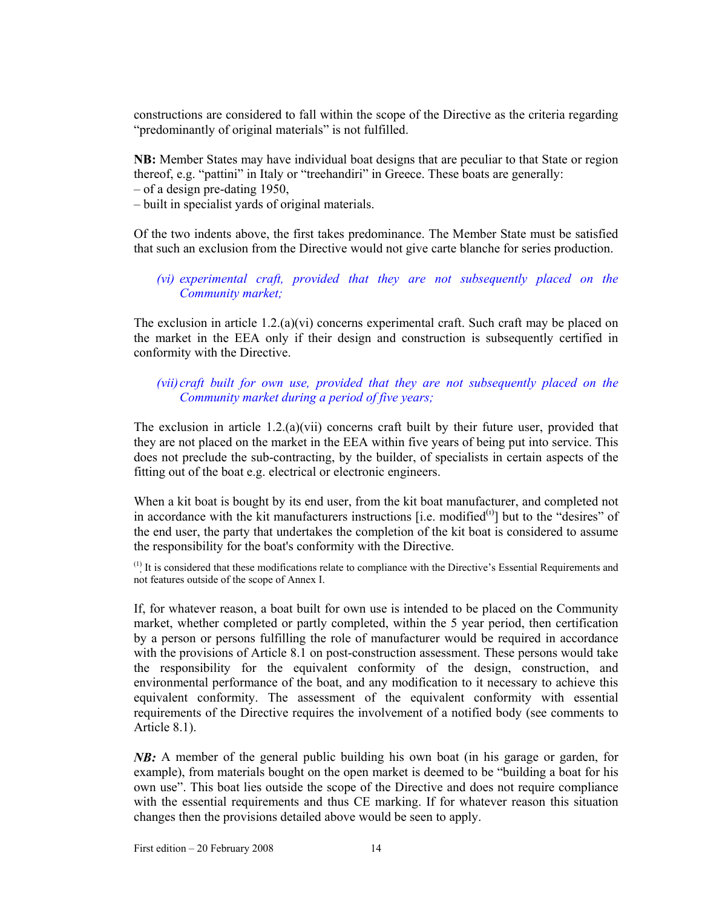constructions are considered to fall within the scope of the Directive as the criteria regarding "predominantly of original materials" is not fulfilled.

**NB:** Member States may have individual boat designs that are peculiar to that State or region thereof, e.g. "pattini" in Italy or "treehandiri" in Greece. These boats are generally:

– of a design pre-dating 1950,

– built in specialist yards of original materials.

Of the two indents above, the first takes predominance. The Member State must be satisfied that such an exclusion from the Directive would not give carte blanche for series production.

*(vi) experimental craft, provided that they are not subsequently placed on the Community market;* 

The exclusion in article  $1.2(a)(vi)$  concerns experimental craft. Such craft may be placed on the market in the EEA only if their design and construction is subsequently certified in conformity with the Directive.

*(vii) craft built for own use, provided that they are not subsequently placed on the Community market during a period of five years;* 

The exclusion in article  $1.2(a)(vii)$  concerns craft built by their future user, provided that they are not placed on the market in the EEA within five years of being put into service. This does not preclude the sub-contracting, by the builder, of specialists in certain aspects of the fitting out of the boat e.g. electrical or electronic engineers.

When a kit boat is bought by its end user, from the kit boat manufacturer, and completed not in accordance with the kit manufacturers instructions [i.e. modified $(0)$ ] but to the "desires" of the end user, the party that undertakes the completion of the kit boat is considered to assume the responsibility for the boat's conformity with the Directive.

 $<sup>(1)</sup>$  It is considered that these modifications relate to compliance with the Directive's Essential Requirements and</sup> not features outside of the scope of Annex I.

If, for whatever reason, a boat built for own use is intended to be placed on the Community market, whether completed or partly completed, within the 5 year period, then certification by a person or persons fulfilling the role of manufacturer would be required in accordance with the provisions of Article 8.1 on post-construction assessment. These persons would take the responsibility for the equivalent conformity of the design, construction, and environmental performance of the boat, and any modification to it necessary to achieve this equivalent conformity. The assessment of the equivalent conformity with essential requirements of the Directive requires the involvement of a notified body (see comments to Article 8.1).

*NB:* A member of the general public building his own boat (in his garage or garden, for example), from materials bought on the open market is deemed to be "building a boat for his own use". This boat lies outside the scope of the Directive and does not require compliance with the essential requirements and thus CE marking. If for whatever reason this situation changes then the provisions detailed above would be seen to apply.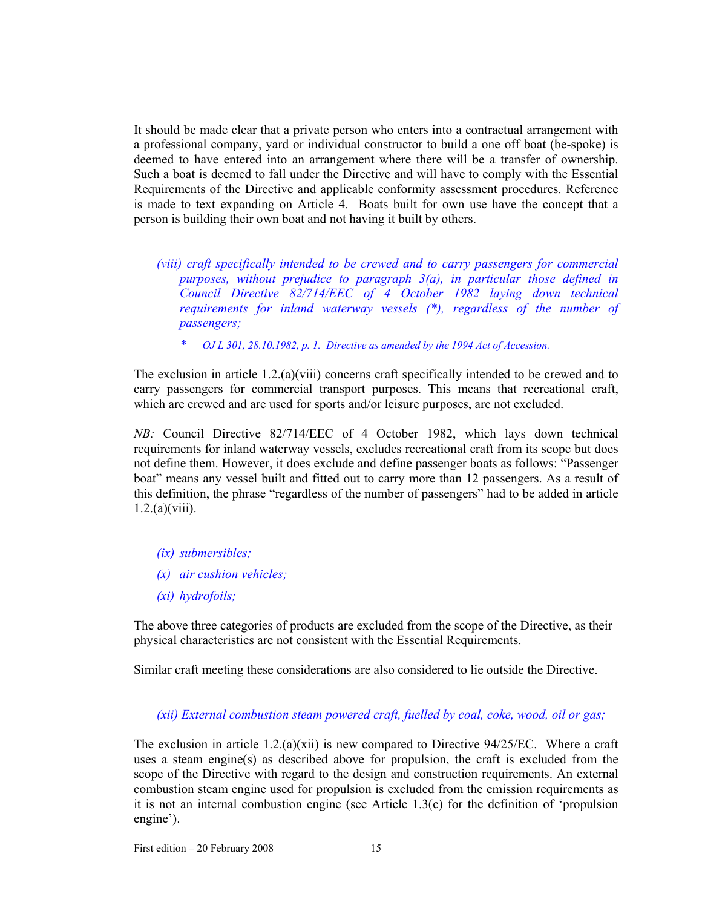It should be made clear that a private person who enters into a contractual arrangement with a professional company, yard or individual constructor to build a one off boat (be-spoke) is deemed to have entered into an arrangement where there will be a transfer of ownership. Such a boat is deemed to fall under the Directive and will have to comply with the Essential Requirements of the Directive and applicable conformity assessment procedures. Reference is made to text expanding on Article 4. Boats built for own use have the concept that a person is building their own boat and not having it built by others.

*(viii) craft specifically intended to be crewed and to carry passengers for commercial purposes, without prejudice to paragraph 3(a), in particular those defined in Council Directive 82/714/EEC of 4 October 1982 laying down technical requirements for inland waterway vessels (\*), regardless of the number of passengers;* 

*\* OJ L 301, 28.10.1982, p. 1. Directive as amended by the 1994 Act of Accession.*

The exclusion in article 1.2.(a)(viii) concerns craft specifically intended to be crewed and to carry passengers for commercial transport purposes. This means that recreational craft, which are crewed and are used for sports and/or leisure purposes, are not excluded.

*NB:* Council Directive 82/714/EEC of 4 October 1982, which lays down technical requirements for inland waterway vessels, excludes recreational craft from its scope but does not define them. However, it does exclude and define passenger boats as follows: "Passenger boat" means any vessel built and fitted out to carry more than 12 passengers. As a result of this definition, the phrase "regardless of the number of passengers" had to be added in article  $1.2(a)(viii)$ .

- *(ix) submersibles;*
- *(x) air cushion vehicles;*
- *(xi) hydrofoils;*

The above three categories of products are excluded from the scope of the Directive, as their physical characteristics are not consistent with the Essential Requirements.

Similar craft meeting these considerations are also considered to lie outside the Directive.

## *(xii) External combustion steam powered craft, fuelled by coal, coke, wood, oil or gas;*

The exclusion in article 1.2.(a)(xii) is new compared to Directive  $94/25$ /EC. Where a craft uses a steam engine(s) as described above for propulsion, the craft is excluded from the scope of the Directive with regard to the design and construction requirements. An external combustion steam engine used for propulsion is excluded from the emission requirements as it is not an internal combustion engine (see Article 1.3(c) for the definition of 'propulsion engine').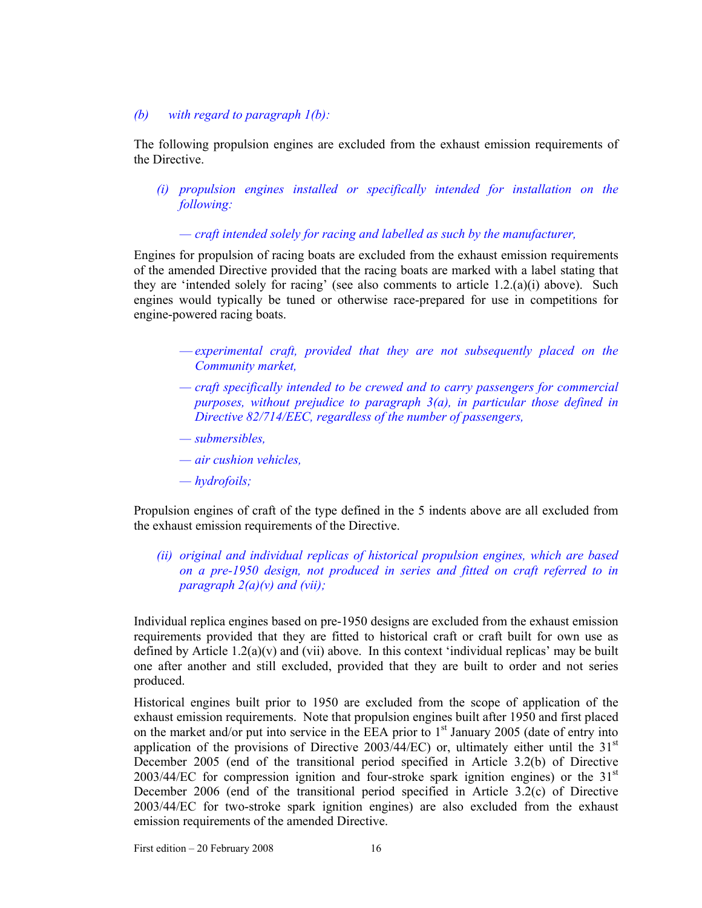## *(b) with regard to paragraph 1(b):*

The following propulsion engines are excluded from the exhaust emission requirements of the Directive.

*(i) propulsion engines installed or specifically intended for installation on the following:* 

*— craft intended solely for racing and labelled as such by the manufacturer,* 

Engines for propulsion of racing boats are excluded from the exhaust emission requirements of the amended Directive provided that the racing boats are marked with a label stating that they are 'intended solely for racing' (see also comments to article 1.2.(a)(i) above). Such engines would typically be tuned or otherwise race-prepared for use in competitions for engine-powered racing boats.

- *experimental craft, provided that they are not subsequently placed on the Community market,*
- *craft specifically intended to be crewed and to carry passengers for commercial purposes, without prejudice to paragraph 3(a), in particular those defined in Directive 82/714/EEC, regardless of the number of passengers,*
- *submersibles,*
- *air cushion vehicles,*
- *hydrofoils;*

Propulsion engines of craft of the type defined in the 5 indents above are all excluded from the exhaust emission requirements of the Directive.

*(ii) original and individual replicas of historical propulsion engines, which are based on a pre-1950 design, not produced in series and fitted on craft referred to in paragraph 2(a)(v) and (vii);* 

Individual replica engines based on pre-1950 designs are excluded from the exhaust emission requirements provided that they are fitted to historical craft or craft built for own use as defined by Article  $1.2(a)(v)$  and (vii) above. In this context 'individual replicas' may be built one after another and still excluded, provided that they are built to order and not series produced.

Historical engines built prior to 1950 are excluded from the scope of application of the exhaust emission requirements. Note that propulsion engines built after 1950 and first placed on the market and/or put into service in the EEA prior to  $1<sup>st</sup>$  January 2005 (date of entry into application of the provisions of Directive 2003/44/EC) or, ultimately either until the  $31<sup>st</sup>$ December 2005 (end of the transitional period specified in Article 3.2(b) of Directive  $2003/44/EC$  for compression ignition and four-stroke spark ignition engines) or the  $31<sup>st</sup>$ December 2006 (end of the transitional period specified in Article 3.2(c) of Directive 2003/44/EC for two-stroke spark ignition engines) are also excluded from the exhaust emission requirements of the amended Directive.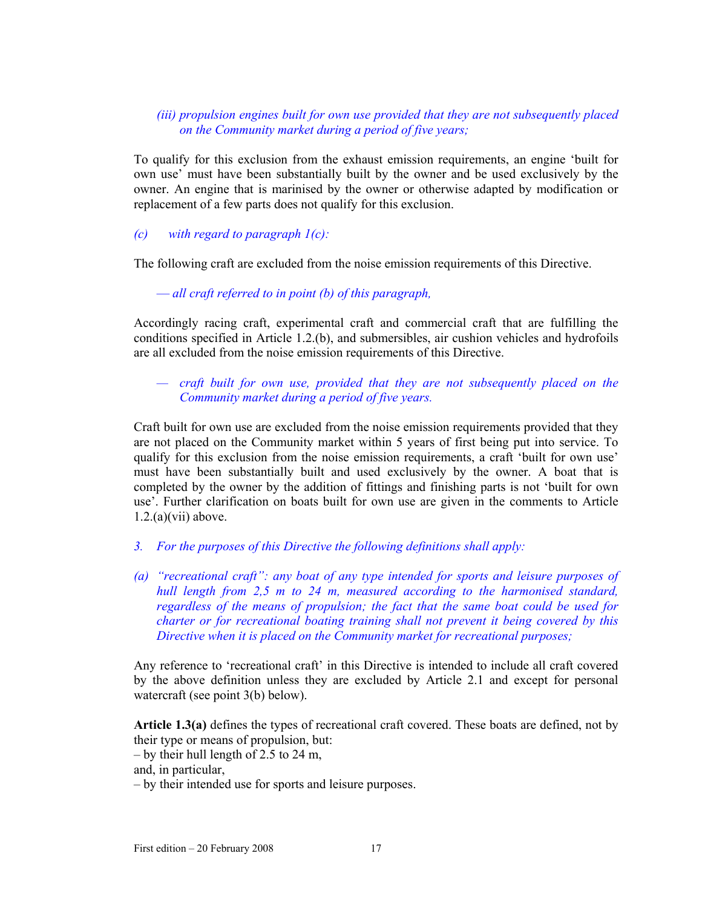## *(iii) propulsion engines built for own use provided that they are not subsequently placed on the Community market during a period of five years;*

To qualify for this exclusion from the exhaust emission requirements, an engine 'built for own use' must have been substantially built by the owner and be used exclusively by the owner. An engine that is marinised by the owner or otherwise adapted by modification or replacement of a few parts does not qualify for this exclusion.

## *(c) with regard to paragraph 1(c):*

The following craft are excluded from the noise emission requirements of this Directive.

— *all craft referred to in point (b) of this paragraph,* 

Accordingly racing craft, experimental craft and commercial craft that are fulfilling the conditions specified in Article 1.2.(b), and submersibles, air cushion vehicles and hydrofoils are all excluded from the noise emission requirements of this Directive.

## *— craft built for own use, provided that they are not subsequently placed on the Community market during a period of five years.*

Craft built for own use are excluded from the noise emission requirements provided that they are not placed on the Community market within 5 years of first being put into service. To qualify for this exclusion from the noise emission requirements, a craft 'built for own use' must have been substantially built and used exclusively by the owner. A boat that is completed by the owner by the addition of fittings and finishing parts is not 'built for own use'. Further clarification on boats built for own use are given in the comments to Article  $1.2(a)(vii)$  above.

- *3. For the purposes of this Directive the following definitions shall apply:*
- *(a) "recreational craft": any boat of any type intended for sports and leisure purposes of hull length from 2,5 m to 24 m, measured according to the harmonised standard, regardless of the means of propulsion; the fact that the same boat could be used for charter or for recreational boating training shall not prevent it being covered by this Directive when it is placed on the Community market for recreational purposes;*

Any reference to 'recreational craft' in this Directive is intended to include all craft covered by the above definition unless they are excluded by Article 2.1 and except for personal watercraft (see point 3(b) below).

**Article 1.3(a)** defines the types of recreational craft covered. These boats are defined, not by their type or means of propulsion, but:

– by their hull length of 2.5 to 24 m,

and, in particular,

– by their intended use for sports and leisure purposes.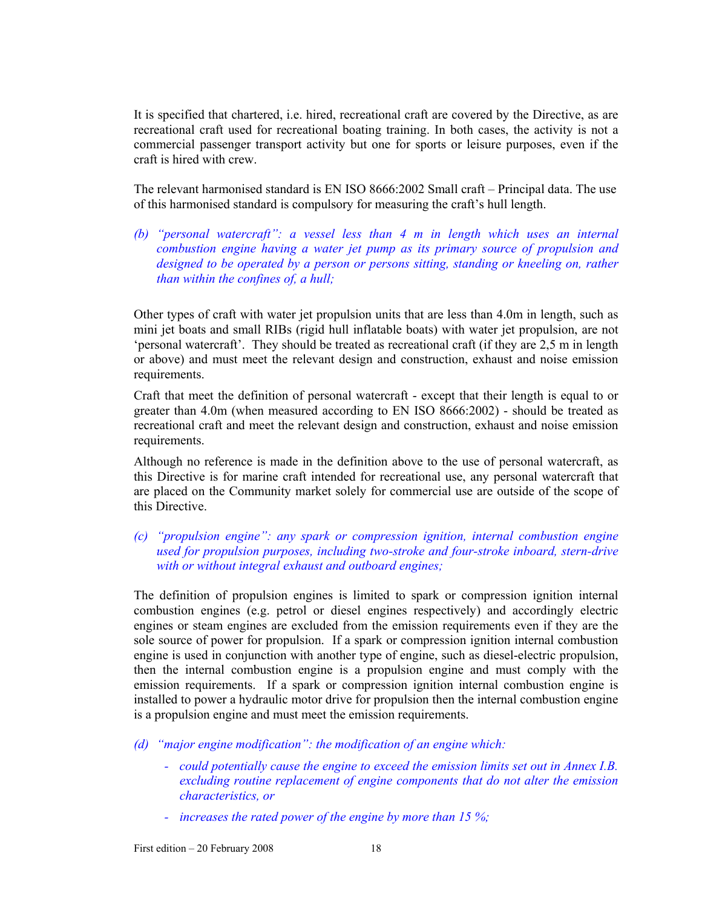It is specified that chartered, i.e. hired, recreational craft are covered by the Directive, as are recreational craft used for recreational boating training. In both cases, the activity is not a commercial passenger transport activity but one for sports or leisure purposes, even if the craft is hired with crew.

The relevant harmonised standard is EN ISO 8666:2002 Small craft – Principal data. The use of this harmonised standard is compulsory for measuring the craft's hull length.

*(b) "personal watercraft": a vessel less than 4 m in length which uses an internal combustion engine having a water jet pump as its primary source of propulsion and designed to be operated by a person or persons sitting, standing or kneeling on, rather than within the confines of, a hull;* 

Other types of craft with water jet propulsion units that are less than 4.0m in length, such as mini jet boats and small RIBs (rigid hull inflatable boats) with water jet propulsion, are not 'personal watercraft'. They should be treated as recreational craft (if they are 2,5 m in length or above) and must meet the relevant design and construction, exhaust and noise emission requirements.

Craft that meet the definition of personal watercraft - except that their length is equal to or greater than 4.0m (when measured according to EN ISO 8666:2002) - should be treated as recreational craft and meet the relevant design and construction, exhaust and noise emission requirements.

Although no reference is made in the definition above to the use of personal watercraft, as this Directive is for marine craft intended for recreational use, any personal watercraft that are placed on the Community market solely for commercial use are outside of the scope of this Directive.

## *(c) "propulsion engine": any spark or compression ignition, internal combustion engine used for propulsion purposes, including two-stroke and four-stroke inboard, stern-drive with or without integral exhaust and outboard engines;*

The definition of propulsion engines is limited to spark or compression ignition internal combustion engines (e.g. petrol or diesel engines respectively) and accordingly electric engines or steam engines are excluded from the emission requirements even if they are the sole source of power for propulsion. If a spark or compression ignition internal combustion engine is used in conjunction with another type of engine, such as diesel-electric propulsion, then the internal combustion engine is a propulsion engine and must comply with the emission requirements. If a spark or compression ignition internal combustion engine is installed to power a hydraulic motor drive for propulsion then the internal combustion engine is a propulsion engine and must meet the emission requirements.

*(d) "major engine modification": the modification of an engine which:* 

- *could potentially cause the engine to exceed the emission limits set out in Annex I.B. excluding routine replacement of engine components that do not alter the emission characteristics, or*
- *increases the rated power of the engine by more than 15 %;*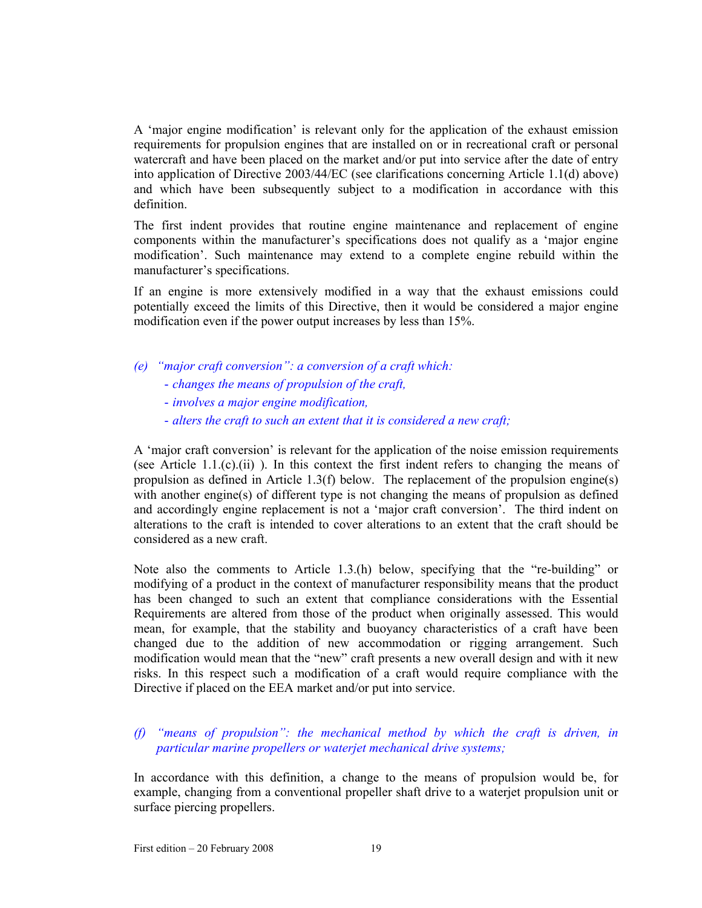A 'major engine modification' is relevant only for the application of the exhaust emission requirements for propulsion engines that are installed on or in recreational craft or personal watercraft and have been placed on the market and/or put into service after the date of entry into application of Directive 2003/44/EC (see clarifications concerning Article 1.1(d) above) and which have been subsequently subject to a modification in accordance with this definition.

The first indent provides that routine engine maintenance and replacement of engine components within the manufacturer's specifications does not qualify as a 'major engine modification'. Such maintenance may extend to a complete engine rebuild within the manufacturer's specifications.

If an engine is more extensively modified in a way that the exhaust emissions could potentially exceed the limits of this Directive, then it would be considered a major engine modification even if the power output increases by less than 15%.

- *(e) "major craft conversion": a conversion of a craft which:* 
	- *changes the means of propulsion of the craft,*
	- *involves a major engine modification,*
	- *alters the craft to such an extent that it is considered a new craft;*

A 'major craft conversion' is relevant for the application of the noise emission requirements (see Article 1.1.(c).(ii)). In this context the first indent refers to changing the means of propulsion as defined in Article 1.3(f) below. The replacement of the propulsion engine(s) with another engine(s) of different type is not changing the means of propulsion as defined and accordingly engine replacement is not a 'major craft conversion'. The third indent on alterations to the craft is intended to cover alterations to an extent that the craft should be considered as a new craft.

Note also the comments to Article 1.3.(h) below, specifying that the "re-building" or modifying of a product in the context of manufacturer responsibility means that the product has been changed to such an extent that compliance considerations with the Essential Requirements are altered from those of the product when originally assessed. This would mean, for example, that the stability and buoyancy characteristics of a craft have been changed due to the addition of new accommodation or rigging arrangement. Such modification would mean that the "new" craft presents a new overall design and with it new risks. In this respect such a modification of a craft would require compliance with the Directive if placed on the EEA market and/or put into service.

*(f) "means of propulsion": the mechanical method by which the craft is driven, in particular marine propellers or waterjet mechanical drive systems;* 

In accordance with this definition, a change to the means of propulsion would be, for example, changing from a conventional propeller shaft drive to a waterjet propulsion unit or surface piercing propellers.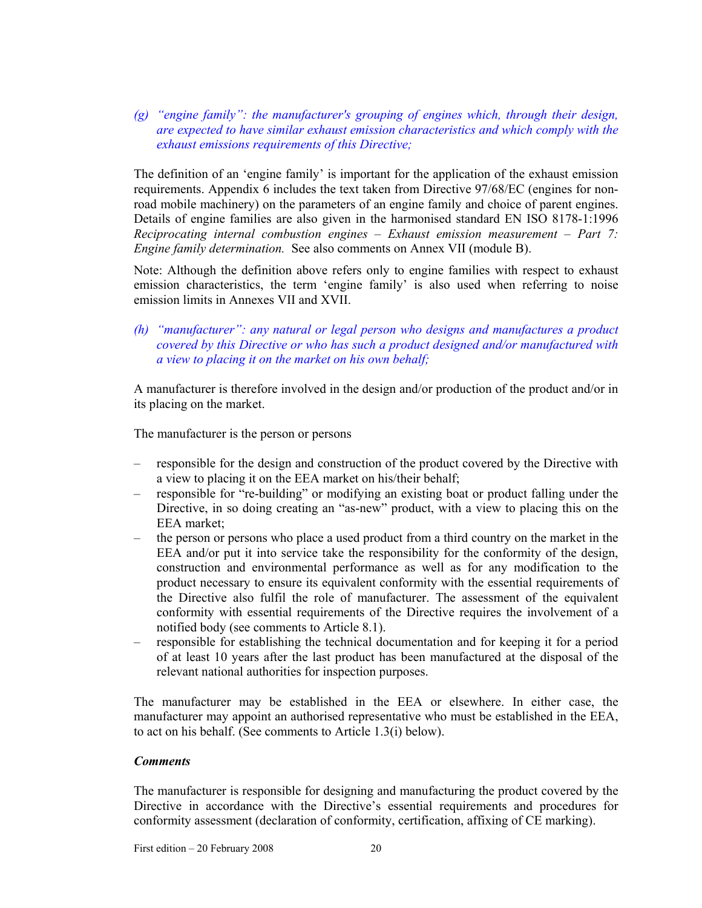*(g) "engine family": the manufacturer's grouping of engines which, through their design, are expected to have similar exhaust emission characteristics and which comply with the exhaust emissions requirements of this Directive;* 

The definition of an 'engine family' is important for the application of the exhaust emission requirements. Appendix 6 includes the text taken from Directive 97/68/EC (engines for nonroad mobile machinery) on the parameters of an engine family and choice of parent engines. Details of engine families are also given in the harmonised standard EN ISO 8178-1:1996 *Reciprocating internal combustion engines – Exhaust emission measurement – Part 7: Engine family determination.* See also comments on Annex VII (module B).

Note: Although the definition above refers only to engine families with respect to exhaust emission characteristics, the term 'engine family' is also used when referring to noise emission limits in Annexes VII and XVII.

*(h) "manufacturer": any natural or legal person who designs and manufactures a product covered by this Directive or who has such a product designed and/or manufactured with a view to placing it on the market on his own behalf;* 

A manufacturer is therefore involved in the design and/or production of the product and/or in its placing on the market.

The manufacturer is the person or persons

- responsible for the design and construction of the product covered by the Directive with a view to placing it on the EEA market on his/their behalf;
- responsible for "re-building" or modifying an existing boat or product falling under the Directive, in so doing creating an "as-new" product, with a view to placing this on the EEA market;
- the person or persons who place a used product from a third country on the market in the EEA and/or put it into service take the responsibility for the conformity of the design, construction and environmental performance as well as for any modification to the product necessary to ensure its equivalent conformity with the essential requirements of the Directive also fulfil the role of manufacturer. The assessment of the equivalent conformity with essential requirements of the Directive requires the involvement of a notified body (see comments to Article 8.1).
- responsible for establishing the technical documentation and for keeping it for a period of at least 10 years after the last product has been manufactured at the disposal of the relevant national authorities for inspection purposes.

The manufacturer may be established in the EEA or elsewhere. In either case, the manufacturer may appoint an authorised representative who must be established in the EEA, to act on his behalf. (See comments to Article 1.3(i) below).

## *Comments*

The manufacturer is responsible for designing and manufacturing the product covered by the Directive in accordance with the Directive's essential requirements and procedures for conformity assessment (declaration of conformity, certification, affixing of CE marking).

First edition – 20 February 2008 20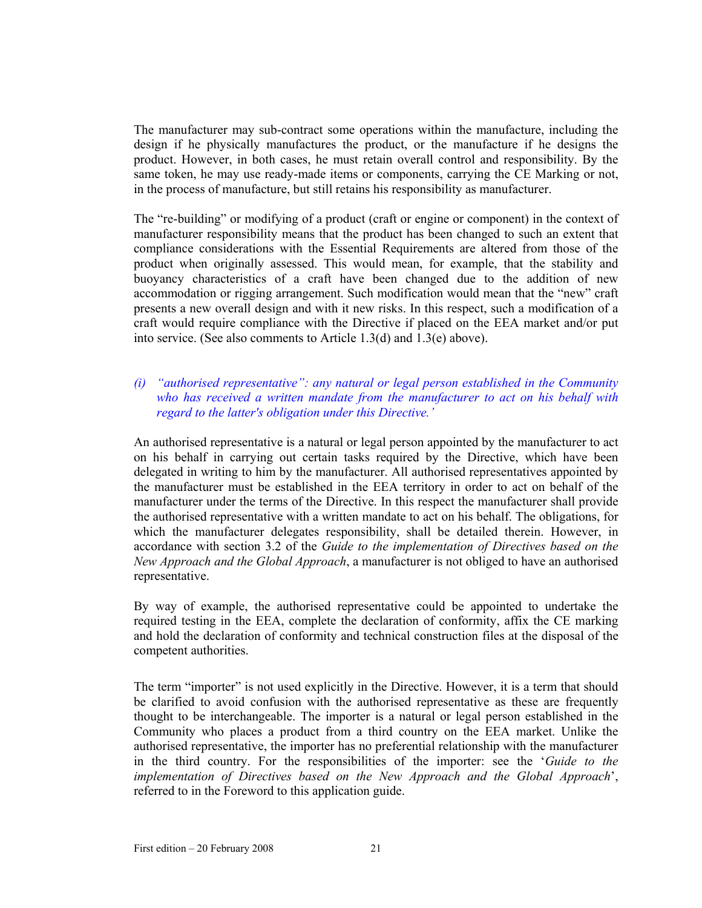The manufacturer may sub-contract some operations within the manufacture, including the design if he physically manufactures the product, or the manufacture if he designs the product. However, in both cases, he must retain overall control and responsibility. By the same token, he may use ready-made items or components, carrying the CE Marking or not, in the process of manufacture, but still retains his responsibility as manufacturer.

The "re-building" or modifying of a product (craft or engine or component) in the context of manufacturer responsibility means that the product has been changed to such an extent that compliance considerations with the Essential Requirements are altered from those of the product when originally assessed. This would mean, for example, that the stability and buoyancy characteristics of a craft have been changed due to the addition of new accommodation or rigging arrangement. Such modification would mean that the "new" craft presents a new overall design and with it new risks. In this respect, such a modification of a craft would require compliance with the Directive if placed on the EEA market and/or put into service. (See also comments to Article 1.3(d) and 1.3(e) above).

## *(i) "authorised representative": any natural or legal person established in the Community who has received a written mandate from the manufacturer to act on his behalf with regard to the latter's obligation under this Directive.'*

An authorised representative is a natural or legal person appointed by the manufacturer to act on his behalf in carrying out certain tasks required by the Directive, which have been delegated in writing to him by the manufacturer. All authorised representatives appointed by the manufacturer must be established in the EEA territory in order to act on behalf of the manufacturer under the terms of the Directive. In this respect the manufacturer shall provide the authorised representative with a written mandate to act on his behalf. The obligations, for which the manufacturer delegates responsibility, shall be detailed therein. However, in accordance with section 3.2 of the *Guide to the implementation of Directives based on the New Approach and the Global Approach*, a manufacturer is not obliged to have an authorised representative.

By way of example, the authorised representative could be appointed to undertake the required testing in the EEA, complete the declaration of conformity, affix the CE marking and hold the declaration of conformity and technical construction files at the disposal of the competent authorities.

The term "importer" is not used explicitly in the Directive. However, it is a term that should be clarified to avoid confusion with the authorised representative as these are frequently thought to be interchangeable. The importer is a natural or legal person established in the Community who places a product from a third country on the EEA market. Unlike the authorised representative, the importer has no preferential relationship with the manufacturer in the third country. For the responsibilities of the importer: see the '*Guide to the implementation of Directives based on the New Approach and the Global Approach*', referred to in the Foreword to this application guide.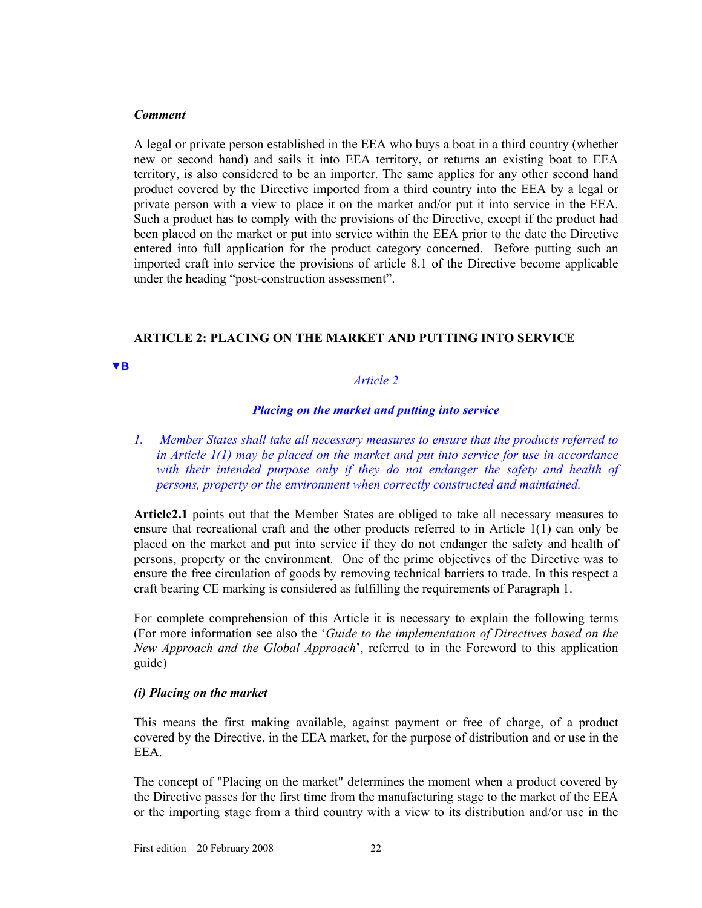#### *Comment*

A legal or private person established in the EEA who buys a boat in a third country (whether new or second hand) and sails it into EEA territory, or returns an existing boat to EEA territory, is also considered to be an importer. The same applies for any other second hand product covered by the Directive imported from a third country into the EEA by a legal or private person with a view to place it on the market and/or put it into service in the EEA. Such a product has to comply with the provisions of the Directive, except if the product had been placed on the market or put into service within the EEA prior to the date the Directive entered into full application for the product category concerned. Before putting such an imported craft into service the provisions of article 8.1 of the Directive become applicable under the heading "post-construction assessment".

## **ARTICLE 2: PLACING ON THE MARKET AND PUTTING INTO SERVICE**

#### **▼B**

## *Article 2*

## *Placing on the market and putting into service*

*1. Member States shall take all necessary measures to ensure that the products referred to in Article 1(1) may be placed on the market and put into service for use in accordance*  with their intended purpose only if they do not endanger the safety and health of *persons, property or the environment when correctly constructed and maintained.* 

**Article2.1** points out that the Member States are obliged to take all necessary measures to ensure that recreational craft and the other products referred to in Article 1(1) can only be placed on the market and put into service if they do not endanger the safety and health of persons, property or the environment. One of the prime objectives of the Directive was to ensure the free circulation of goods by removing technical barriers to trade. In this respect a craft bearing CE marking is considered as fulfilling the requirements of Paragraph 1.

For complete comprehension of this Article it is necessary to explain the following terms (For more information see also the '*Guide to the implementation of Directives based on the New Approach and the Global Approach*', referred to in the Foreword to this application guide)

## *(i) Placing on the market*

This means the first making available, against payment or free of charge, of a product covered by the Directive, in the EEA market, for the purpose of distribution and or use in the EEA.

The concept of "Placing on the market" determines the moment when a product covered by the Directive passes for the first time from the manufacturing stage to the market of the EEA or the importing stage from a third country with a view to its distribution and/or use in the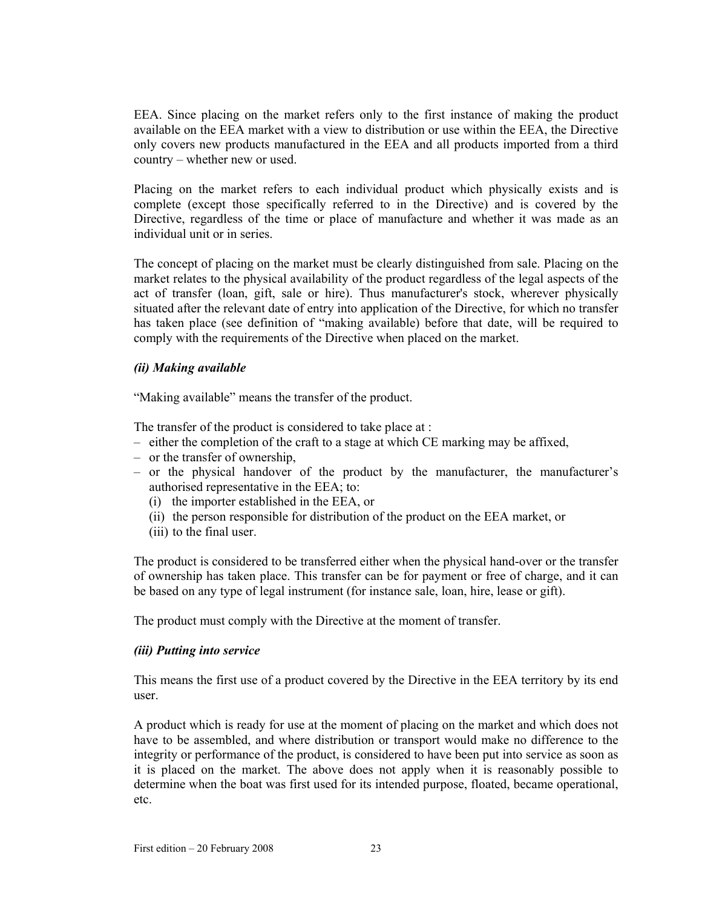EEA. Since placing on the market refers only to the first instance of making the product available on the EEA market with a view to distribution or use within the EEA, the Directive only covers new products manufactured in the EEA and all products imported from a third country – whether new or used.

Placing on the market refers to each individual product which physically exists and is complete (except those specifically referred to in the Directive) and is covered by the Directive, regardless of the time or place of manufacture and whether it was made as an individual unit or in series.

The concept of placing on the market must be clearly distinguished from sale. Placing on the market relates to the physical availability of the product regardless of the legal aspects of the act of transfer (loan, gift, sale or hire). Thus manufacturer's stock, wherever physically situated after the relevant date of entry into application of the Directive, for which no transfer has taken place (see definition of "making available) before that date, will be required to comply with the requirements of the Directive when placed on the market.

## *(ii) Making available*

"Making available" means the transfer of the product.

The transfer of the product is considered to take place at :

- either the completion of the craft to a stage at which CE marking may be affixed,
- or the transfer of ownership,
- or the physical handover of the product by the manufacturer, the manufacturer's authorised representative in the EEA; to:
	- (i) the importer established in the EEA, or
	- (ii) the person responsible for distribution of the product on the EEA market, or
	- (iii) to the final user.

The product is considered to be transferred either when the physical hand-over or the transfer of ownership has taken place. This transfer can be for payment or free of charge, and it can be based on any type of legal instrument (for instance sale, loan, hire, lease or gift).

The product must comply with the Directive at the moment of transfer.

## *(iii) Putting into service*

This means the first use of a product covered by the Directive in the EEA territory by its end user.

A product which is ready for use at the moment of placing on the market and which does not have to be assembled, and where distribution or transport would make no difference to the integrity or performance of the product, is considered to have been put into service as soon as it is placed on the market. The above does not apply when it is reasonably possible to determine when the boat was first used for its intended purpose, floated, became operational, etc.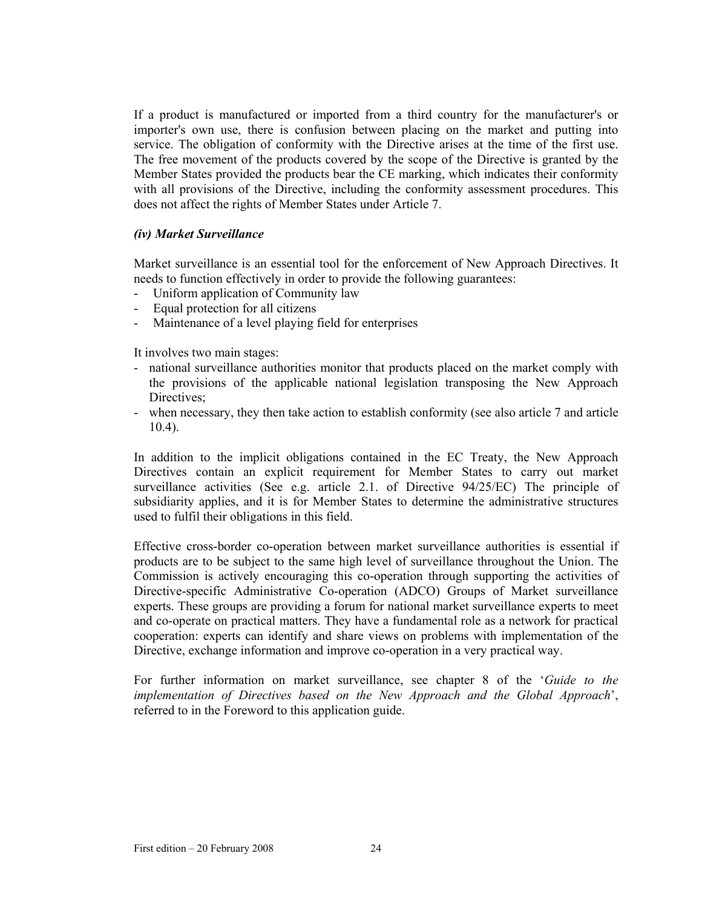If a product is manufactured or imported from a third country for the manufacturer's or importer's own use, there is confusion between placing on the market and putting into service. The obligation of conformity with the Directive arises at the time of the first use. The free movement of the products covered by the scope of the Directive is granted by the Member States provided the products bear the CE marking, which indicates their conformity with all provisions of the Directive, including the conformity assessment procedures. This does not affect the rights of Member States under Article 7.

#### *(iv) Market Surveillance*

Market surveillance is an essential tool for the enforcement of New Approach Directives. It needs to function effectively in order to provide the following guarantees:

- Uniform application of Community law
- Equal protection for all citizens
- Maintenance of a level playing field for enterprises

It involves two main stages:

- national surveillance authorities monitor that products placed on the market comply with the provisions of the applicable national legislation transposing the New Approach Directives;
- when necessary, they then take action to establish conformity (see also article 7 and article 10.4).

In addition to the implicit obligations contained in the EC Treaty, the New Approach Directives contain an explicit requirement for Member States to carry out market surveillance activities (See e.g. article 2.1. of Directive 94/25/EC) The principle of subsidiarity applies, and it is for Member States to determine the administrative structures used to fulfil their obligations in this field.

Effective cross-border co-operation between market surveillance authorities is essential if products are to be subject to the same high level of surveillance throughout the Union. The Commission is actively encouraging this co-operation through supporting the activities of Directive-specific Administrative Co-operation (ADCO) Groups of Market surveillance experts. These groups are providing a forum for national market surveillance experts to meet and co-operate on practical matters. They have a fundamental role as a network for practical cooperation: experts can identify and share views on problems with implementation of the Directive, exchange information and improve co-operation in a very practical way.

For further information on market surveillance, see chapter 8 of the '*Guide to the implementation of Directives based on the New Approach and the Global Approach*', referred to in the Foreword to this application guide.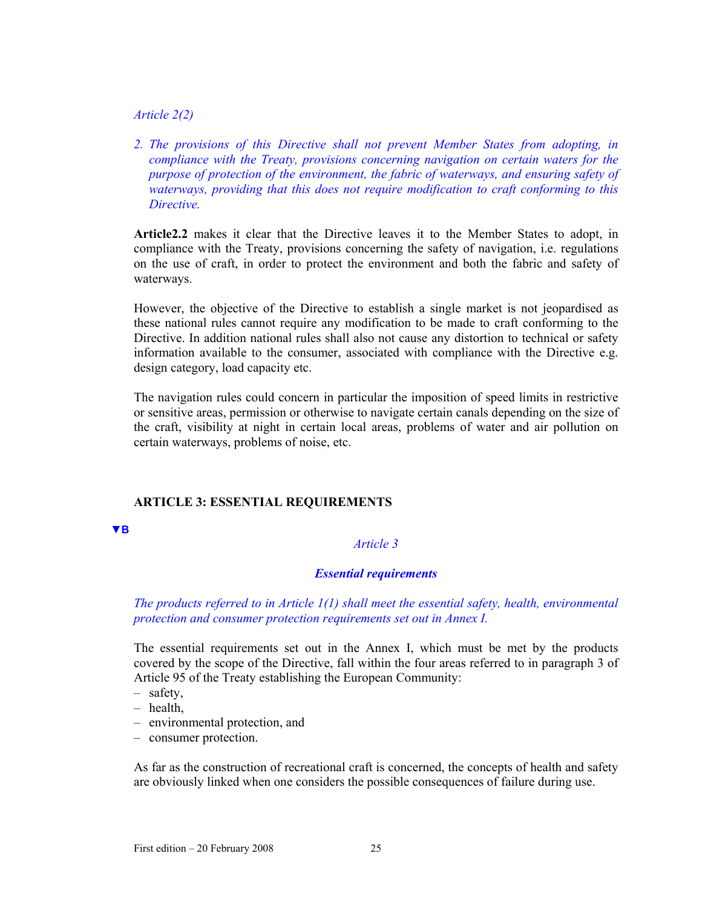#### *Article 2(2)*

*2. The provisions of this Directive shall not prevent Member States from adopting, in compliance with the Treaty, provisions concerning navigation on certain waters for the purpose of protection of the environment, the fabric of waterways, and ensuring safety of waterways, providing that this does not require modification to craft conforming to this Directive.* 

**Article2.2** makes it clear that the Directive leaves it to the Member States to adopt, in compliance with the Treaty, provisions concerning the safety of navigation, i.e. regulations on the use of craft, in order to protect the environment and both the fabric and safety of waterways.

However, the objective of the Directive to establish a single market is not jeopardised as these national rules cannot require any modification to be made to craft conforming to the Directive. In addition national rules shall also not cause any distortion to technical or safety information available to the consumer, associated with compliance with the Directive e.g. design category, load capacity etc.

The navigation rules could concern in particular the imposition of speed limits in restrictive or sensitive areas, permission or otherwise to navigate certain canals depending on the size of the craft, visibility at night in certain local areas, problems of water and air pollution on certain waterways, problems of noise, etc.

## **ARTICLE 3: ESSENTIAL REQUIREMENTS**

**▼B**

## *Article 3*

### *Essential requirements*

## *The products referred to in Article 1(1) shall meet the essential safety, health, environmental protection and consumer protection requirements set out in Annex I.*

The essential requirements set out in the Annex I, which must be met by the products covered by the scope of the Directive, fall within the four areas referred to in paragraph 3 of Article 95 of the Treaty establishing the European Community:

- safety,
- health,
- environmental protection, and
- consumer protection.

As far as the construction of recreational craft is concerned, the concepts of health and safety are obviously linked when one considers the possible consequences of failure during use.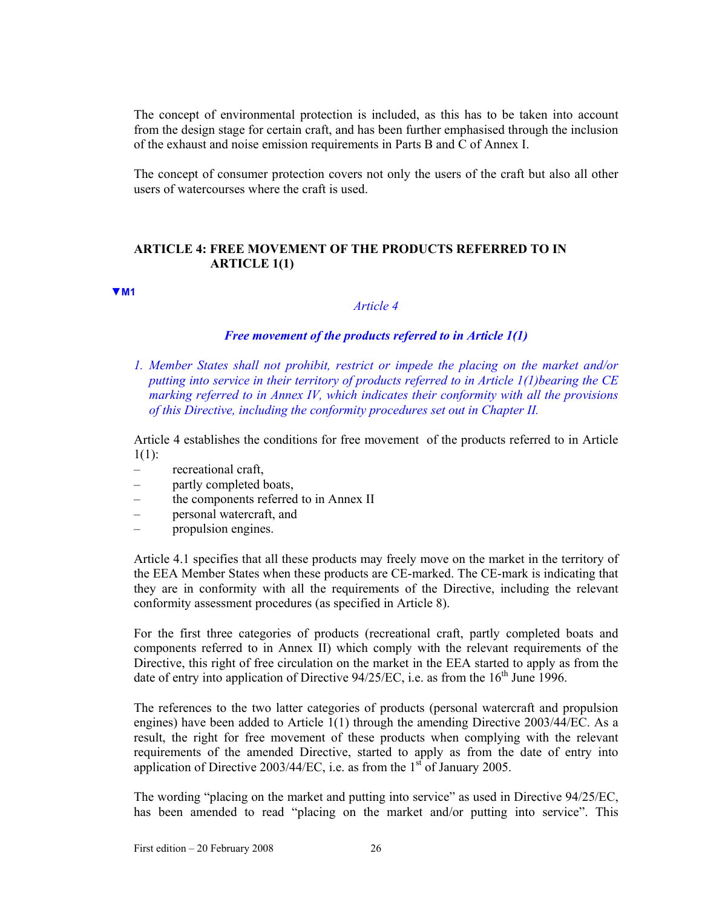The concept of environmental protection is included, as this has to be taken into account from the design stage for certain craft, and has been further emphasised through the inclusion of the exhaust and noise emission requirements in Parts B and C of Annex I.

The concept of consumer protection covers not only the users of the craft but also all other users of watercourses where the craft is used.

## **ARTICLE 4: FREE MOVEMENT OF THE PRODUCTS REFERRED TO IN ARTICLE 1(1)**

#### **▼M1**

#### *Article 4*

#### *Free movement of the products referred to in Article 1(1)*

*1. Member States shall not prohibit, restrict or impede the placing on the market and/or putting into service in their territory of products referred to in Article 1(1)bearing the CE marking referred to in Annex IV, which indicates their conformity with all the provisions of this Directive, including the conformity procedures set out in Chapter II.* 

Article 4 establishes the conditions for free movement of the products referred to in Article  $1(1)$ :

- recreational craft,
- partly completed boats,
- the components referred to in Annex II
- personal watercraft, and
- propulsion engines.

Article 4.1 specifies that all these products may freely move on the market in the territory of the EEA Member States when these products are CE-marked. The CE-mark is indicating that they are in conformity with all the requirements of the Directive, including the relevant conformity assessment procedures (as specified in Article 8).

For the first three categories of products (recreational craft, partly completed boats and components referred to in Annex II) which comply with the relevant requirements of the Directive, this right of free circulation on the market in the EEA started to apply as from the date of entry into application of Directive  $94/25$ /EC, i.e. as from the  $16<sup>th</sup>$  June 1996.

The references to the two latter categories of products (personal watercraft and propulsion engines) have been added to Article 1(1) through the amending Directive 2003/44/EC. As a result, the right for free movement of these products when complying with the relevant requirements of the amended Directive, started to apply as from the date of entry into application of Directive 2003/44/EC, i.e. as from the  $1<sup>st</sup>$  of January 2005.

The wording "placing on the market and putting into service" as used in Directive 94/25/EC, has been amended to read "placing on the market and/or putting into service". This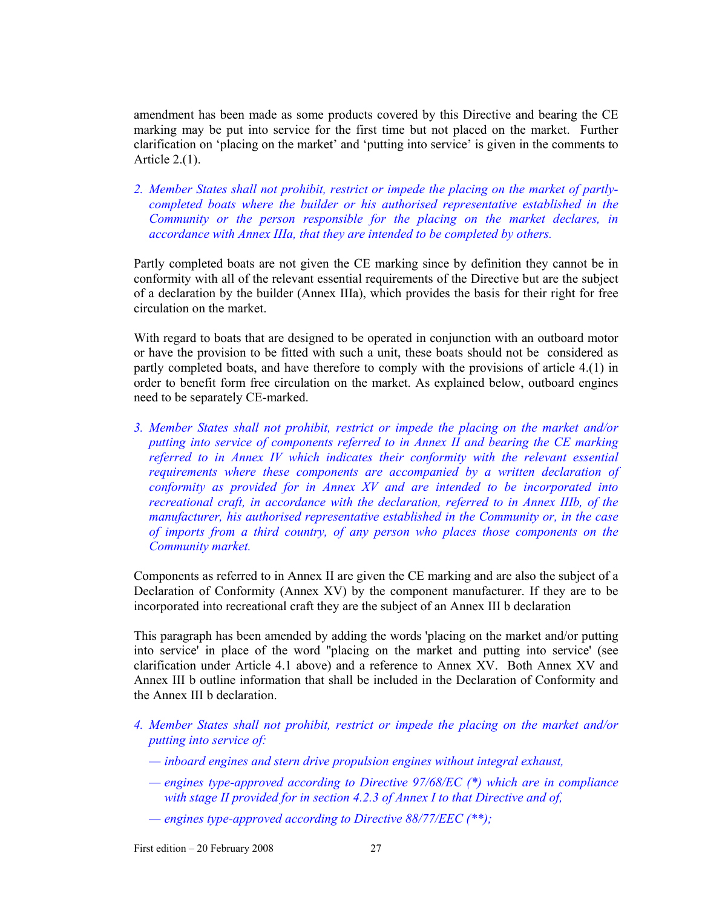amendment has been made as some products covered by this Directive and bearing the CE marking may be put into service for the first time but not placed on the market. Further clarification on 'placing on the market' and 'putting into service' is given in the comments to Article 2.(1).

*2. Member States shall not prohibit, restrict or impede the placing on the market of partlycompleted boats where the builder or his authorised representative established in the Community or the person responsible for the placing on the market declares, in accordance with Annex IIIa, that they are intended to be completed by others.* 

Partly completed boats are not given the CE marking since by definition they cannot be in conformity with all of the relevant essential requirements of the Directive but are the subject of a declaration by the builder (Annex IIIa), which provides the basis for their right for free circulation on the market.

With regard to boats that are designed to be operated in conjunction with an outboard motor or have the provision to be fitted with such a unit, these boats should not be considered as partly completed boats, and have therefore to comply with the provisions of article 4.(1) in order to benefit form free circulation on the market. As explained below, outboard engines need to be separately CE-marked.

*3. Member States shall not prohibit, restrict or impede the placing on the market and/or putting into service of components referred to in Annex II and bearing the CE marking referred to in Annex IV which indicates their conformity with the relevant essential requirements where these components are accompanied by a written declaration of conformity as provided for in Annex XV and are intended to be incorporated into recreational craft, in accordance with the declaration, referred to in Annex IIIb, of the manufacturer, his authorised representative established in the Community or, in the case of imports from a third country, of any person who places those components on the Community market.* 

Components as referred to in Annex II are given the CE marking and are also the subject of a Declaration of Conformity (Annex XV) by the component manufacturer. If they are to be incorporated into recreational craft they are the subject of an Annex III b declaration

This paragraph has been amended by adding the words 'placing on the market and/or putting into service' in place of the word ''placing on the market and putting into service' (see clarification under Article 4.1 above) and a reference to Annex XV. Both Annex XV and Annex III b outline information that shall be included in the Declaration of Conformity and the Annex III b declaration.

- *4. Member States shall not prohibit, restrict or impede the placing on the market and/or putting into service of:* 
	- *inboard engines and stern drive propulsion engines without integral exhaust,*
	- *engines type-approved according to Directive 97/68/EC (\*) which are in compliance with stage II provided for in section 4.2.3 of Annex I to that Directive and of,*
	- *engines type-approved according to Directive 88/77/EEC (\*\*);*

First edition – 20 February 2008 27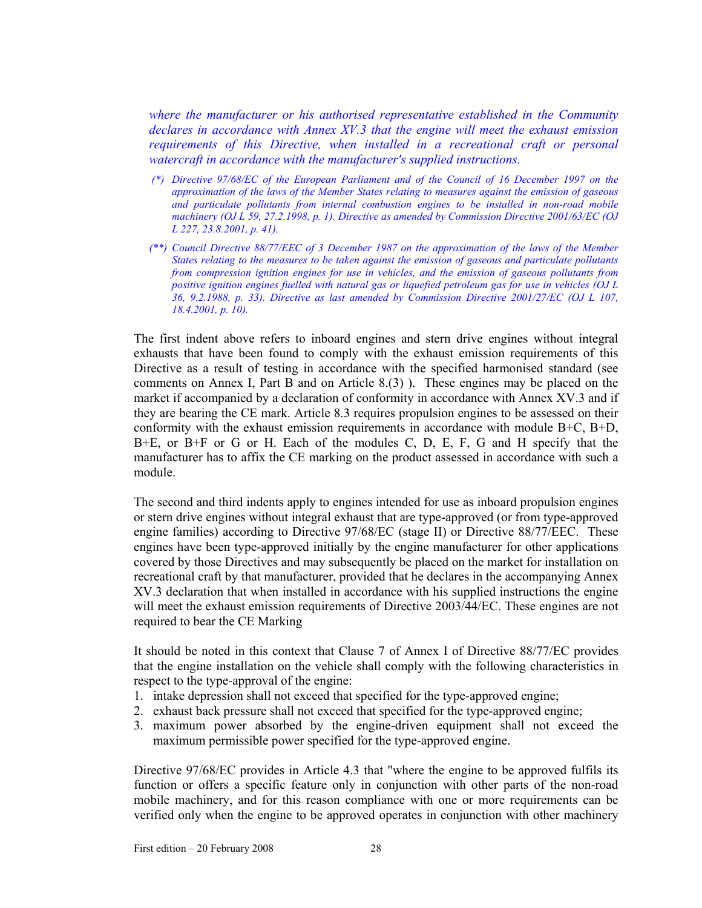*where the manufacturer or his authorised representative established in the Community declares in accordance with Annex XV.3 that the engine will meet the exhaust emission requirements of this Directive, when installed in a recreational craft or personal watercraft in accordance with the manufacturer's supplied instructions.* 

- *(\*) Directive 97/68/EC of the European Parliament and of the Council of 16 December 1997 on the approximation of the laws of the Member States relating to measures against the emission of gaseous and particulate pollutants from internal combustion engines to be installed in non-road mobile machinery (OJ L 59, 27.2.1998, p. 1). Directive as amended by Commission Directive 2001/63/EC (OJ L 227, 23.8.2001, p. 41).*
- *(\*\*) Council Directive 88/77/EEC of 3 December 1987 on the approximation of the laws of the Member States relating to the measures to be taken against the emission of gaseous and particulate pollutants from compression ignition engines for use in vehicles, and the emission of gaseous pollutants from positive ignition engines fuelled with natural gas or liquefied petroleum gas for use in vehicles (OJ L 36, 9.2.1988, p. 33). Directive as last amended by Commission Directive 2001/27/EC (OJ L 107, 18.4.2001, p. 10).*

The first indent above refers to inboard engines and stern drive engines without integral exhausts that have been found to comply with the exhaust emission requirements of this Directive as a result of testing in accordance with the specified harmonised standard (see comments on Annex I, Part B and on Article 8.(3) ). These engines may be placed on the market if accompanied by a declaration of conformity in accordance with Annex XV.3 and if they are bearing the CE mark. Article 8.3 requires propulsion engines to be assessed on their conformity with the exhaust emission requirements in accordance with module  $B+C$ ,  $B+D$ , B+E, or B+F or G or H. Each of the modules C, D, E, F, G and H specify that the manufacturer has to affix the CE marking on the product assessed in accordance with such a module.

The second and third indents apply to engines intended for use as inboard propulsion engines or stern drive engines without integral exhaust that are type-approved (or from type-approved engine families) according to Directive 97/68/EC (stage II) or Directive 88/77/EEC. These engines have been type-approved initially by the engine manufacturer for other applications covered by those Directives and may subsequently be placed on the market for installation on recreational craft by that manufacturer, provided that he declares in the accompanying Annex XV.3 declaration that when installed in accordance with his supplied instructions the engine will meet the exhaust emission requirements of Directive 2003/44/EC. These engines are not required to bear the CE Marking

It should be noted in this context that Clause 7 of Annex I of Directive 88/77/EC provides that the engine installation on the vehicle shall comply with the following characteristics in respect to the type-approval of the engine:

- 1. intake depression shall not exceed that specified for the type-approved engine;
- 2. exhaust back pressure shall not exceed that specified for the type-approved engine;
- 3. maximum power absorbed by the engine-driven equipment shall not exceed the maximum permissible power specified for the type-approved engine.

Directive 97/68/EC provides in Article 4.3 that "where the engine to be approved fulfils its function or offers a specific feature only in conjunction with other parts of the non-road mobile machinery, and for this reason compliance with one or more requirements can be verified only when the engine to be approved operates in conjunction with other machinery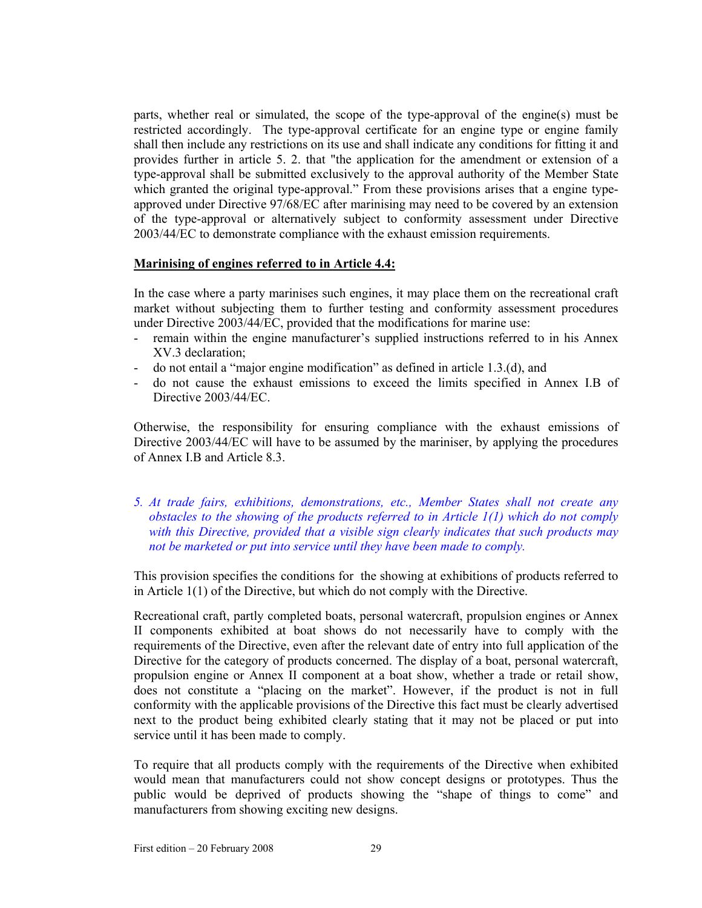parts, whether real or simulated, the scope of the type-approval of the engine(s) must be restricted accordingly. The type-approval certificate for an engine type or engine family shall then include any restrictions on its use and shall indicate any conditions for fitting it and provides further in article 5. 2. that "the application for the amendment or extension of a type-approval shall be submitted exclusively to the approval authority of the Member State which granted the original type-approval." From these provisions arises that a engine typeapproved under Directive 97/68/EC after marinising may need to be covered by an extension of the type-approval or alternatively subject to conformity assessment under Directive 2003/44/EC to demonstrate compliance with the exhaust emission requirements.

## **Marinising of engines referred to in Article 4.4:**

In the case where a party marinises such engines, it may place them on the recreational craft market without subjecting them to further testing and conformity assessment procedures under Directive 2003/44/EC, provided that the modifications for marine use:

- remain within the engine manufacturer's supplied instructions referred to in his Annex XV.3 declaration;
- do not entail a "major engine modification" as defined in article 1.3.(d), and
- do not cause the exhaust emissions to exceed the limits specified in Annex I.B of Directive 2003/44/EC.

Otherwise, the responsibility for ensuring compliance with the exhaust emissions of Directive 2003/44/EC will have to be assumed by the mariniser, by applying the procedures of Annex I.B and Article 8.3.

## *5. At trade fairs, exhibitions, demonstrations, etc., Member States shall not create any obstacles to the showing of the products referred to in Article 1(1) which do not comply with this Directive, provided that a visible sign clearly indicates that such products may not be marketed or put into service until they have been made to comply.*

This provision specifies the conditions for the showing at exhibitions of products referred to in Article 1(1) of the Directive, but which do not comply with the Directive.

Recreational craft, partly completed boats, personal watercraft, propulsion engines or Annex II components exhibited at boat shows do not necessarily have to comply with the requirements of the Directive, even after the relevant date of entry into full application of the Directive for the category of products concerned. The display of a boat, personal watercraft, propulsion engine or Annex II component at a boat show, whether a trade or retail show, does not constitute a "placing on the market". However, if the product is not in full conformity with the applicable provisions of the Directive this fact must be clearly advertised next to the product being exhibited clearly stating that it may not be placed or put into service until it has been made to comply.

To require that all products comply with the requirements of the Directive when exhibited would mean that manufacturers could not show concept designs or prototypes. Thus the public would be deprived of products showing the "shape of things to come" and manufacturers from showing exciting new designs.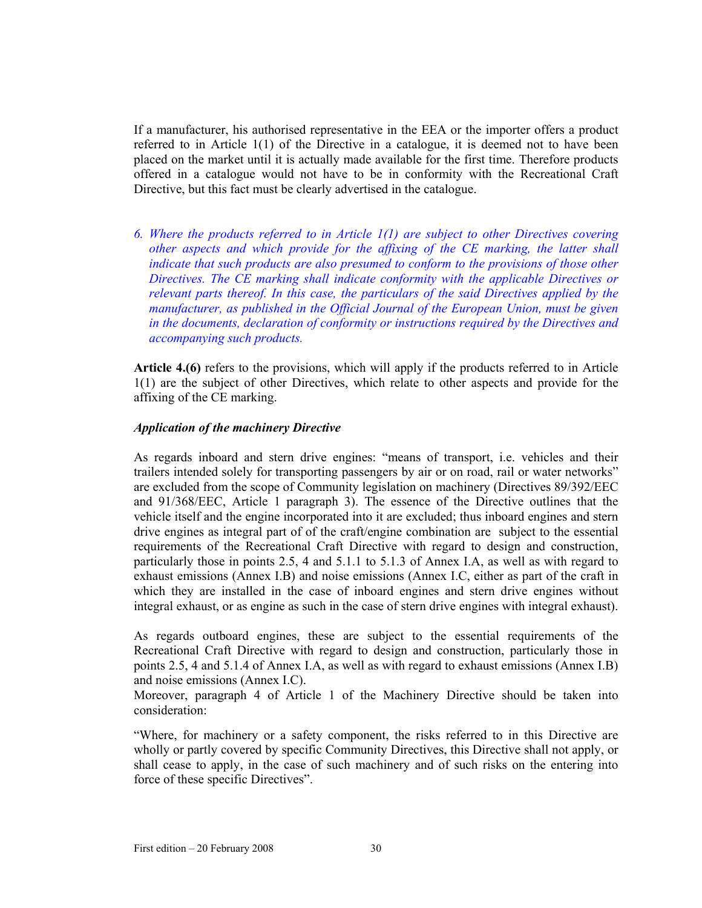If a manufacturer, his authorised representative in the EEA or the importer offers a product referred to in Article 1(1) of the Directive in a catalogue, it is deemed not to have been placed on the market until it is actually made available for the first time. Therefore products offered in a catalogue would not have to be in conformity with the Recreational Craft Directive, but this fact must be clearly advertised in the catalogue.

*6. Where the products referred to in Article 1(1) are subject to other Directives covering other aspects and which provide for the affixing of the CE marking, the latter shall indicate that such products are also presumed to conform to the provisions of those other Directives. The CE marking shall indicate conformity with the applicable Directives or relevant parts thereof. In this case, the particulars of the said Directives applied by the manufacturer, as published in the Official Journal of the European Union, must be given in the documents, declaration of conformity or instructions required by the Directives and accompanying such products.* 

**Article 4.(6)** refers to the provisions, which will apply if the products referred to in Article 1(1) are the subject of other Directives, which relate to other aspects and provide for the affixing of the CE marking.

## *Application of the machinery Directive*

As regards inboard and stern drive engines: "means of transport, i.e. vehicles and their trailers intended solely for transporting passengers by air or on road, rail or water networks" are excluded from the scope of Community legislation on machinery (Directives 89/392/EEC and 91/368/EEC, Article 1 paragraph 3). The essence of the Directive outlines that the vehicle itself and the engine incorporated into it are excluded; thus inboard engines and stern drive engines as integral part of of the craft/engine combination are subject to the essential requirements of the Recreational Craft Directive with regard to design and construction, particularly those in points 2.5, 4 and 5.1.1 to 5.1.3 of Annex I.A, as well as with regard to exhaust emissions (Annex I.B) and noise emissions (Annex I.C, either as part of the craft in which they are installed in the case of inboard engines and stern drive engines without integral exhaust, or as engine as such in the case of stern drive engines with integral exhaust).

As regards outboard engines, these are subject to the essential requirements of the Recreational Craft Directive with regard to design and construction, particularly those in points 2.5, 4 and 5.1.4 of Annex I.A, as well as with regard to exhaust emissions (Annex I.B) and noise emissions (Annex I.C).

Moreover, paragraph 4 of Article 1 of the Machinery Directive should be taken into consideration:

"Where, for machinery or a safety component, the risks referred to in this Directive are wholly or partly covered by specific Community Directives, this Directive shall not apply, or shall cease to apply, in the case of such machinery and of such risks on the entering into force of these specific Directives".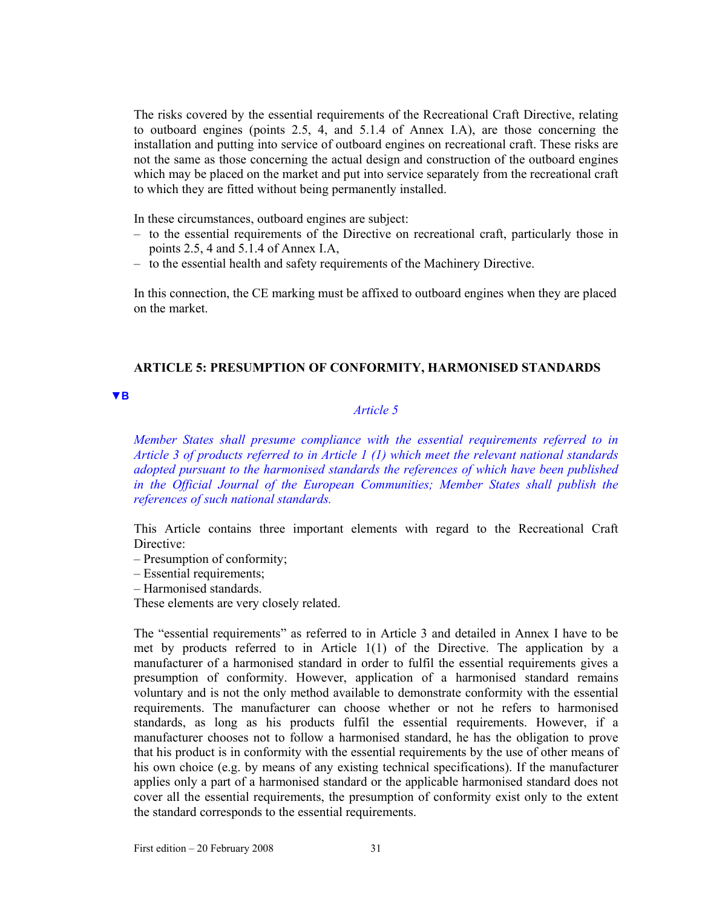The risks covered by the essential requirements of the Recreational Craft Directive, relating to outboard engines (points 2.5, 4, and 5.1.4 of Annex I.A), are those concerning the installation and putting into service of outboard engines on recreational craft. These risks are not the same as those concerning the actual design and construction of the outboard engines which may be placed on the market and put into service separately from the recreational craft to which they are fitted without being permanently installed.

In these circumstances, outboard engines are subject:

- to the essential requirements of the Directive on recreational craft, particularly those in points 2.5, 4 and 5.1.4 of Annex I.A,
- to the essential health and safety requirements of the Machinery Directive.

In this connection, the CE marking must be affixed to outboard engines when they are placed on the market.

## **ARTICLE 5: PRESUMPTION OF CONFORMITY, HARMONISED STANDARDS**

#### **▼B**

## *Article 5*

*Member States shall presume compliance with the essential requirements referred to in Article 3 of products referred to in Article 1 (1) which meet the relevant national standards adopted pursuant to the harmonised standards the references of which have been published in the Official Journal of the European Communities; Member States shall publish the references of such national standards.* 

This Article contains three important elements with regard to the Recreational Craft Directive:

- Presumption of conformity;
- Essential requirements;
- Harmonised standards.

These elements are very closely related.

The "essential requirements" as referred to in Article 3 and detailed in Annex I have to be met by products referred to in Article 1(1) of the Directive. The application by a manufacturer of a harmonised standard in order to fulfil the essential requirements gives a presumption of conformity. However, application of a harmonised standard remains voluntary and is not the only method available to demonstrate conformity with the essential requirements. The manufacturer can choose whether or not he refers to harmonised standards, as long as his products fulfil the essential requirements. However, if a manufacturer chooses not to follow a harmonised standard, he has the obligation to prove that his product is in conformity with the essential requirements by the use of other means of his own choice (e.g. by means of any existing technical specifications). If the manufacturer applies only a part of a harmonised standard or the applicable harmonised standard does not cover all the essential requirements, the presumption of conformity exist only to the extent the standard corresponds to the essential requirements.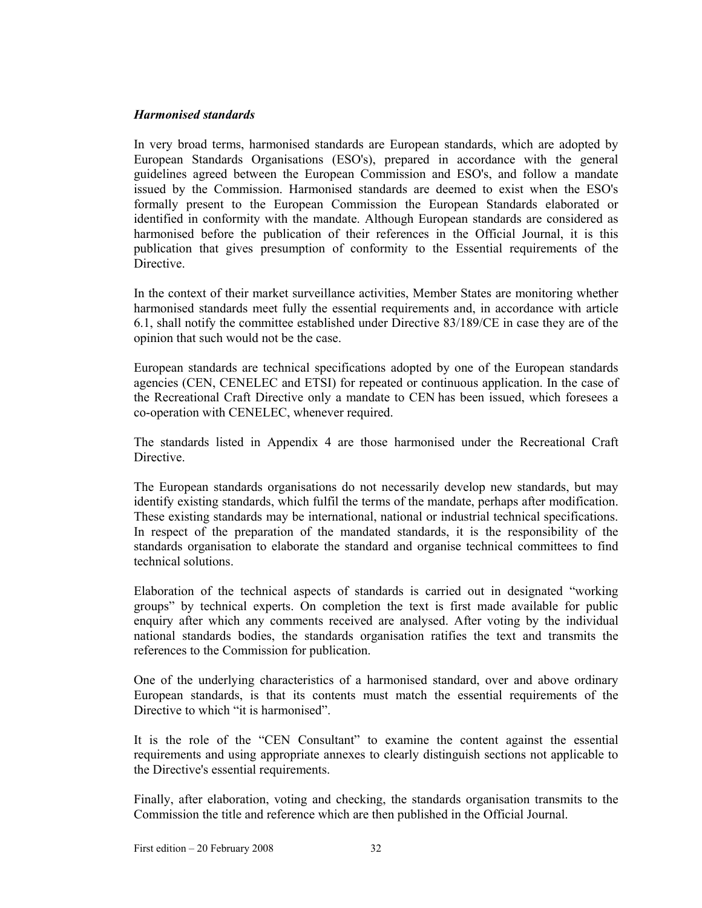#### *Harmonised standards*

In very broad terms, harmonised standards are European standards, which are adopted by European Standards Organisations (ESO's), prepared in accordance with the general guidelines agreed between the European Commission and ESO's, and follow a mandate issued by the Commission. Harmonised standards are deemed to exist when the ESO's formally present to the European Commission the European Standards elaborated or identified in conformity with the mandate. Although European standards are considered as harmonised before the publication of their references in the Official Journal, it is this publication that gives presumption of conformity to the Essential requirements of the Directive.

In the context of their market surveillance activities, Member States are monitoring whether harmonised standards meet fully the essential requirements and, in accordance with article 6.1, shall notify the committee established under Directive 83/189/CE in case they are of the opinion that such would not be the case.

European standards are technical specifications adopted by one of the European standards agencies (CEN, CENELEC and ETSI) for repeated or continuous application. In the case of the Recreational Craft Directive only a mandate to CEN has been issued, which foresees a co-operation with CENELEC, whenever required.

The standards listed in Appendix 4 are those harmonised under the Recreational Craft Directive.

The European standards organisations do not necessarily develop new standards, but may identify existing standards, which fulfil the terms of the mandate, perhaps after modification. These existing standards may be international, national or industrial technical specifications. In respect of the preparation of the mandated standards, it is the responsibility of the standards organisation to elaborate the standard and organise technical committees to find technical solutions.

Elaboration of the technical aspects of standards is carried out in designated "working groups" by technical experts. On completion the text is first made available for public enquiry after which any comments received are analysed. After voting by the individual national standards bodies, the standards organisation ratifies the text and transmits the references to the Commission for publication.

One of the underlying characteristics of a harmonised standard, over and above ordinary European standards, is that its contents must match the essential requirements of the Directive to which "it is harmonised".

It is the role of the "CEN Consultant" to examine the content against the essential requirements and using appropriate annexes to clearly distinguish sections not applicable to the Directive's essential requirements.

Finally, after elaboration, voting and checking, the standards organisation transmits to the Commission the title and reference which are then published in the Official Journal.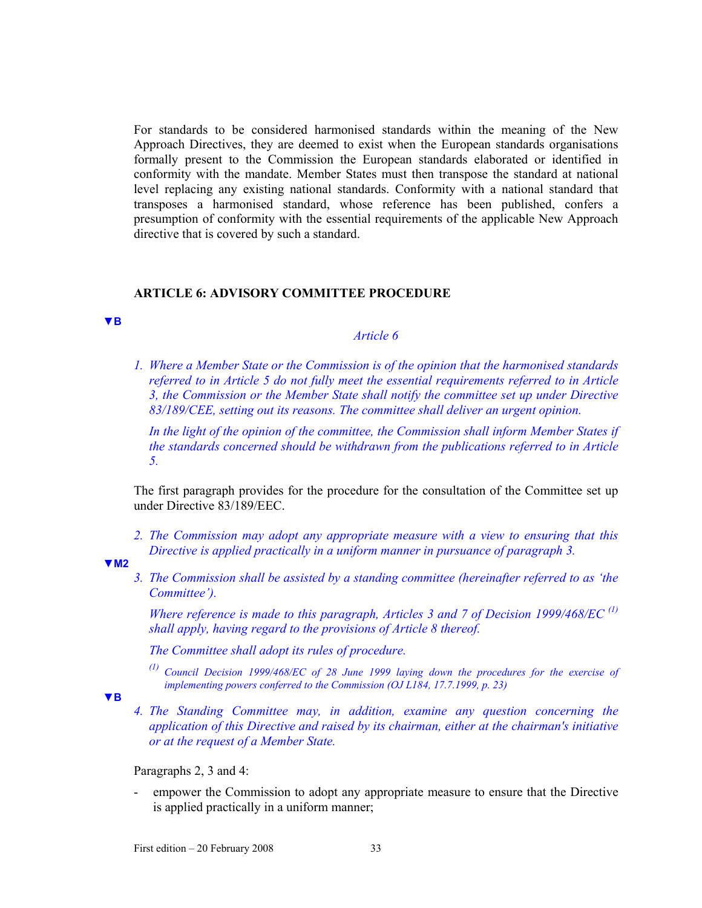For standards to be considered harmonised standards within the meaning of the New Approach Directives, they are deemed to exist when the European standards organisations formally present to the Commission the European standards elaborated or identified in conformity with the mandate. Member States must then transpose the standard at national level replacing any existing national standards. Conformity with a national standard that transposes a harmonised standard, whose reference has been published, confers a presumption of conformity with the essential requirements of the applicable New Approach directive that is covered by such a standard.

#### **ARTICLE 6: ADVISORY COMMITTEE PROCEDURE**

**▼B**

## *Article 6*

*1. Where a Member State or the Commission is of the opinion that the harmonised standards referred to in Article 5 do not fully meet the essential requirements referred to in Article 3, the Commission or the Member State shall notify the committee set up under Directive 83/189/CEE, setting out its reasons. The committee shall deliver an urgent opinion.* 

*In the light of the opinion of the committee, the Commission shall inform Member States if the standards concerned should be withdrawn from the publications referred to in Article 5.* 

The first paragraph provides for the procedure for the consultation of the Committee set up under Directive 83/189/EEC.

*2. The Commission may adopt any appropriate measure with a view to ensuring that this Directive is applied practically in a uniform manner in pursuance of paragraph 3.* 

#### **▼M2**

*3. The Commission shall be assisted by a standing committee (hereinafter referred to as 'the Committee').* 

 *Where reference is made to this paragraph, Articles 3 and 7 of Decision 1999/468/EC (1) shall apply, having regard to the provisions of Article 8 thereof.* 

*The Committee shall adopt its rules of procedure.* 

*(1) Council Decision 1999/468/EC of 28 June 1999 laying down the procedures for the exercise of implementing powers conferred to the Commission (OJ L184, 17.7.1999, p. 23)* 

**▼B**

*4. The Standing Committee may, in addition, examine any question concerning the application of this Directive and raised by its chairman, either at the chairman's initiative or at the request of a Member State.* 

Paragraphs 2, 3 and 4:

- empower the Commission to adopt any appropriate measure to ensure that the Directive is applied practically in a uniform manner;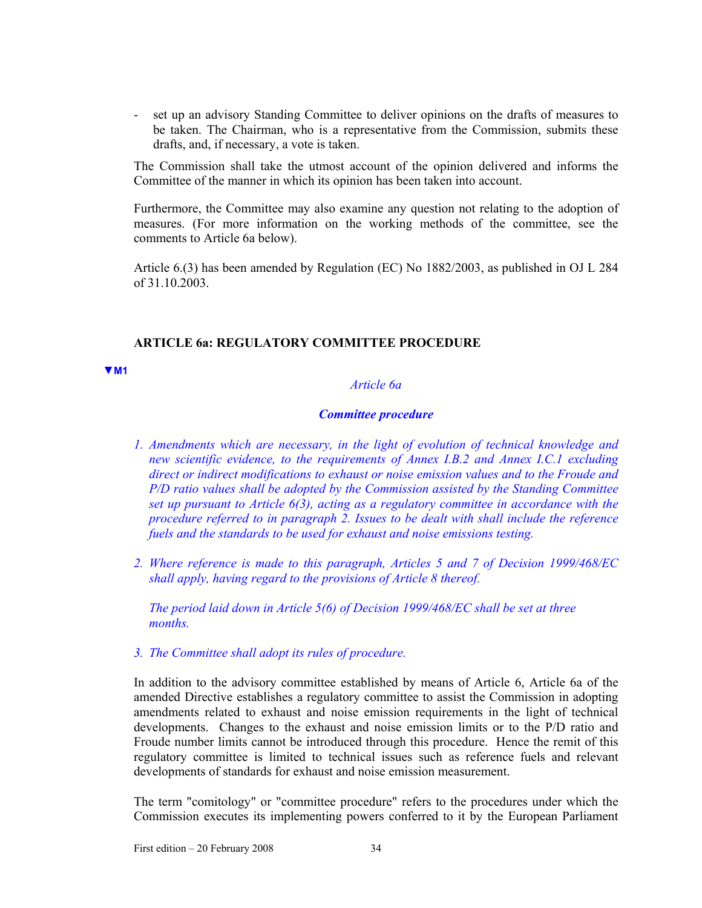- set up an advisory Standing Committee to deliver opinions on the drafts of measures to be taken. The Chairman, who is a representative from the Commission, submits these drafts, and, if necessary, a vote is taken.

The Commission shall take the utmost account of the opinion delivered and informs the Committee of the manner in which its opinion has been taken into account.

Furthermore, the Committee may also examine any question not relating to the adoption of measures. (For more information on the working methods of the committee, see the comments to Article 6a below).

Article 6.(3) has been amended by Regulation (EC) No 1882/2003, as published in OJ L 284 of 31.10.2003.

#### **ARTICLE 6a: REGULATORY COMMITTEE PROCEDURE**

**▼M1**

## *Article 6a*

#### *Committee procedure*

- *1. Amendments which are necessary, in the light of evolution of technical knowledge and new scientific evidence, to the requirements of Annex I.B.2 and Annex I.C.1 excluding direct or indirect modifications to exhaust or noise emission values and to the Froude and P/D ratio values shall be adopted by the Commission assisted by the Standing Committee set up pursuant to Article 6(3), acting as a regulatory committee in accordance with the procedure referred to in paragraph 2. Issues to be dealt with shall include the reference fuels and the standards to be used for exhaust and noise emissions testing.*
- *2. Where reference is made to this paragraph, Articles 5 and 7 of Decision 1999/468/EC shall apply, having regard to the provisions of Article 8 thereof.*

*The period laid down in Article 5(6) of Decision 1999/468/EC shall be set at three months.* 

## *3. The Committee shall adopt its rules of procedure.*

In addition to the advisory committee established by means of Article 6, Article 6a of the amended Directive establishes a regulatory committee to assist the Commission in adopting amendments related to exhaust and noise emission requirements in the light of technical developments. Changes to the exhaust and noise emission limits or to the P/D ratio and Froude number limits cannot be introduced through this procedure. Hence the remit of this regulatory committee is limited to technical issues such as reference fuels and relevant developments of standards for exhaust and noise emission measurement.

The term "comitology" or "committee procedure" refers to the procedures under which the Commission executes its implementing powers conferred to it by the European Parliament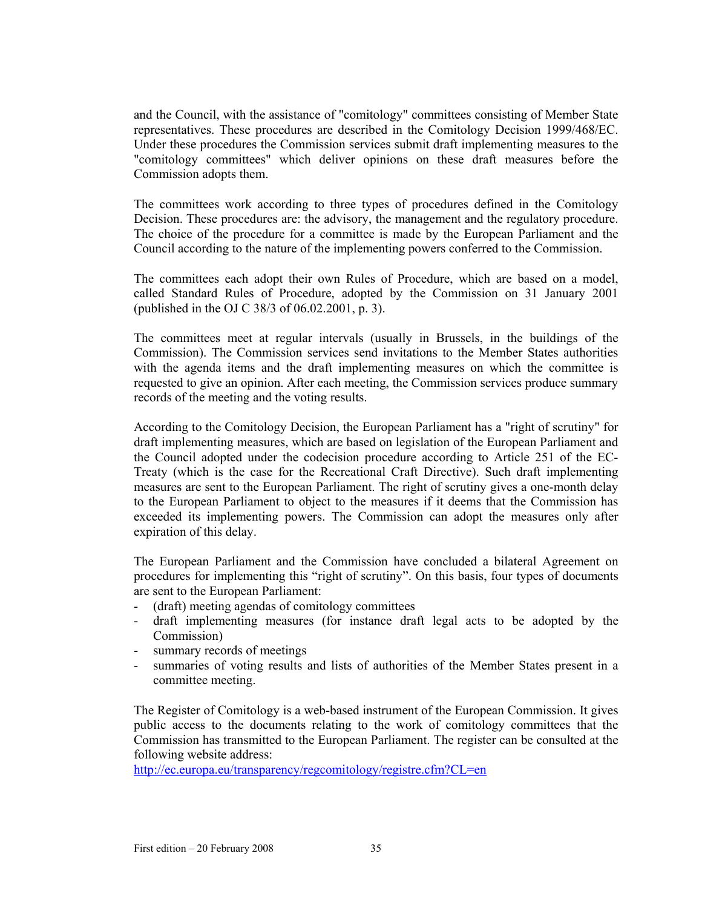and the Council, with the assistance of "comitology" committees consisting of Member State representatives. These procedures are described in the Comitology Decision 1999/468/EC. Under these procedures the Commission services submit draft implementing measures to the "comitology committees" which deliver opinions on these draft measures before the Commission adopts them.

The committees work according to three types of procedures defined in the Comitology Decision. These procedures are: the advisory, the management and the regulatory procedure. The choice of the procedure for a committee is made by the European Parliament and the Council according to the nature of the implementing powers conferred to the Commission.

The committees each adopt their own Rules of Procedure, which are based on a model, called Standard Rules of Procedure, adopted by the Commission on 31 January 2001 (published in the OJ C 38/3 of 06.02.2001, p. 3).

The committees meet at regular intervals (usually in Brussels, in the buildings of the Commission). The Commission services send invitations to the Member States authorities with the agenda items and the draft implementing measures on which the committee is requested to give an opinion. After each meeting, the Commission services produce summary records of the meeting and the voting results.

According to the Comitology Decision, the European Parliament has a "right of scrutiny" for draft implementing measures, which are based on legislation of the European Parliament and the Council adopted under the codecision procedure according to Article 251 of the EC-Treaty (which is the case for the Recreational Craft Directive). Such draft implementing measures are sent to the European Parliament. The right of scrutiny gives a one-month delay to the European Parliament to object to the measures if it deems that the Commission has exceeded its implementing powers. The Commission can adopt the measures only after expiration of this delay.

The European Parliament and the Commission have concluded a bilateral Agreement on procedures for implementing this "right of scrutiny". On this basis, four types of documents are sent to the European Parliament:

- (draft) meeting agendas of comitology committees
- draft implementing measures (for instance draft legal acts to be adopted by the Commission)
- summary records of meetings
- summaries of voting results and lists of authorities of the Member States present in a committee meeting.

The Register of Comitology is a web-based instrument of the European Commission. It gives public access to the documents relating to the work of comitology committees that the Commission has transmitted to the European Parliament. The register can be consulted at the following website address:

http://ec.europa.eu/transparency/regcomitology/registre.cfm?CL=en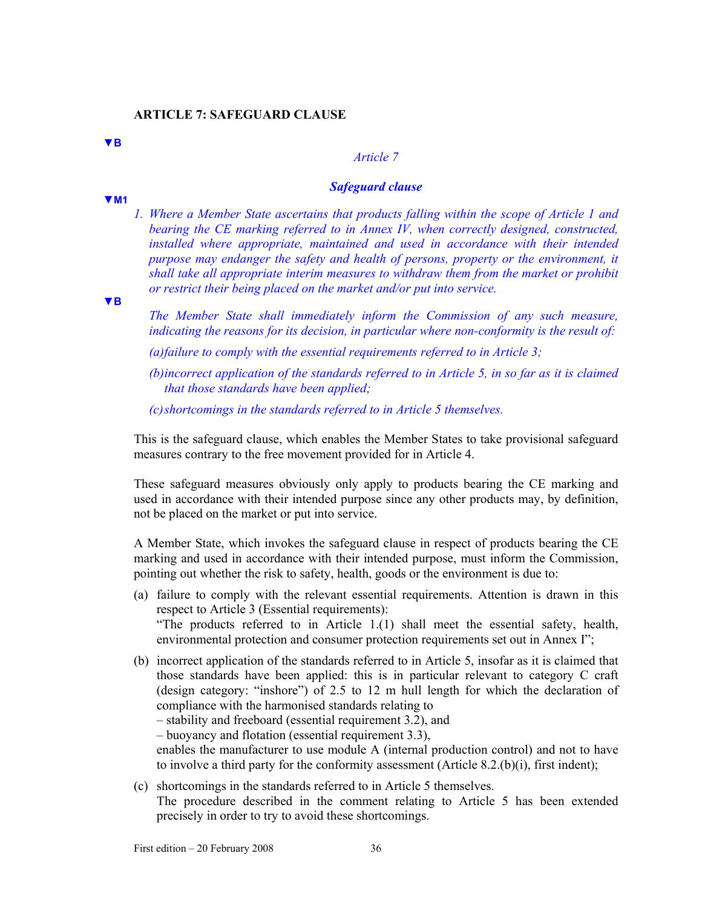**▼B**

**▼M1**

#### *Article 7*

#### *Safeguard clause*

*1. Where a Member State ascertains that products falling within the scope of Article 1 and bearing the CE marking referred to in Annex IV, when correctly designed, constructed, installed where appropriate, maintained and used in accordance with their intended purpose may endanger the safety and health of persons, property or the environment, it shall take all appropriate interim measures to withdraw them from the market or prohibit or restrict their being placed on the market and/or put into service.* 

**▼B**

*The Member State shall immediately inform the Commission of any such measure, indicating the reasons for its decision, in particular where non-conformity is the result of:* 

*(a) failure to comply with the essential requirements referred to in Article 3;* 

*(b) incorrect application of the standards referred to in Article 5, in so far as it is claimed that those standards have been applied;* 

*(c) shortcomings in the standards referred to in Article 5 themselves.* 

This is the safeguard clause, which enables the Member States to take provisional safeguard measures contrary to the free movement provided for in Article 4.

These safeguard measures obviously only apply to products bearing the CE marking and used in accordance with their intended purpose since any other products may, by definition, not be placed on the market or put into service.

A Member State, which invokes the safeguard clause in respect of products bearing the CE marking and used in accordance with their intended purpose, must inform the Commission, pointing out whether the risk to safety, health, goods or the environment is due to:

- (a) failure to comply with the relevant essential requirements. Attention is drawn in this respect to Article 3 (Essential requirements): "The products referred to in Article 1.(1) shall meet the essential safety, health, environmental protection and consumer protection requirements set out in Annex I";
- (b) incorrect application of the standards referred to in Article 5, insofar as it is claimed that those standards have been applied: this is in particular relevant to category C craft (design category: "inshore") of 2.5 to 12 m hull length for which the declaration of compliance with the harmonised standards relating to

– stability and freeboard (essential requirement 3.2), and

– buoyancy and flotation (essential requirement 3.3),

enables the manufacturer to use module A (internal production control) and not to have to involve a third party for the conformity assessment (Article 8.2.(b)(i), first indent);

(c) shortcomings in the standards referred to in Article 5 themselves. The procedure described in the comment relating to Article 5 has been extended precisely in order to try to avoid these shortcomings.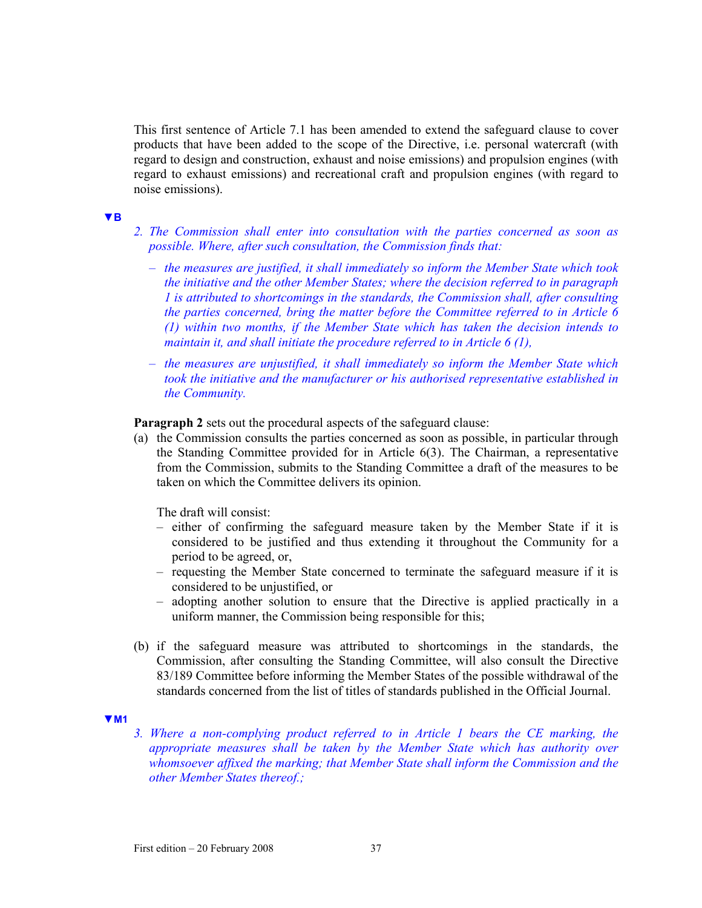This first sentence of Article 7.1 has been amended to extend the safeguard clause to cover products that have been added to the scope of the Directive, i.e. personal watercraft (with regard to design and construction, exhaust and noise emissions) and propulsion engines (with regard to exhaust emissions) and recreational craft and propulsion engines (with regard to noise emissions).

#### **▼B**

- *2. The Commission shall enter into consultation with the parties concerned as soon as possible. Where, after such consultation, the Commission finds that:* 
	- *the measures are justified, it shall immediately so inform the Member State which took the initiative and the other Member States; where the decision referred to in paragraph 1 is attributed to shortcomings in the standards, the Commission shall, after consulting the parties concerned, bring the matter before the Committee referred to in Article 6 (1) within two months, if the Member State which has taken the decision intends to maintain it, and shall initiate the procedure referred to in Article 6 (1),*
	- *the measures are unjustified, it shall immediately so inform the Member State which took the initiative and the manufacturer or his authorised representative established in the Community.*

**Paragraph 2** sets out the procedural aspects of the safeguard clause:

(a) the Commission consults the parties concerned as soon as possible, in particular through the Standing Committee provided for in Article 6(3). The Chairman, a representative from the Commission, submits to the Standing Committee a draft of the measures to be taken on which the Committee delivers its opinion.

The draft will consist:

- either of confirming the safeguard measure taken by the Member State if it is considered to be justified and thus extending it throughout the Community for a period to be agreed, or,
- requesting the Member State concerned to terminate the safeguard measure if it is considered to be unjustified, or
- adopting another solution to ensure that the Directive is applied practically in a uniform manner, the Commission being responsible for this;
- (b) if the safeguard measure was attributed to shortcomings in the standards, the Commission, after consulting the Standing Committee, will also consult the Directive 83/189 Committee before informing the Member States of the possible withdrawal of the standards concerned from the list of titles of standards published in the Official Journal.

#### **▼M1**

*3. Where a non-complying product referred to in Article 1 bears the CE marking, the appropriate measures shall be taken by the Member State which has authority over whomsoever affixed the marking; that Member State shall inform the Commission and the other Member States thereof.;*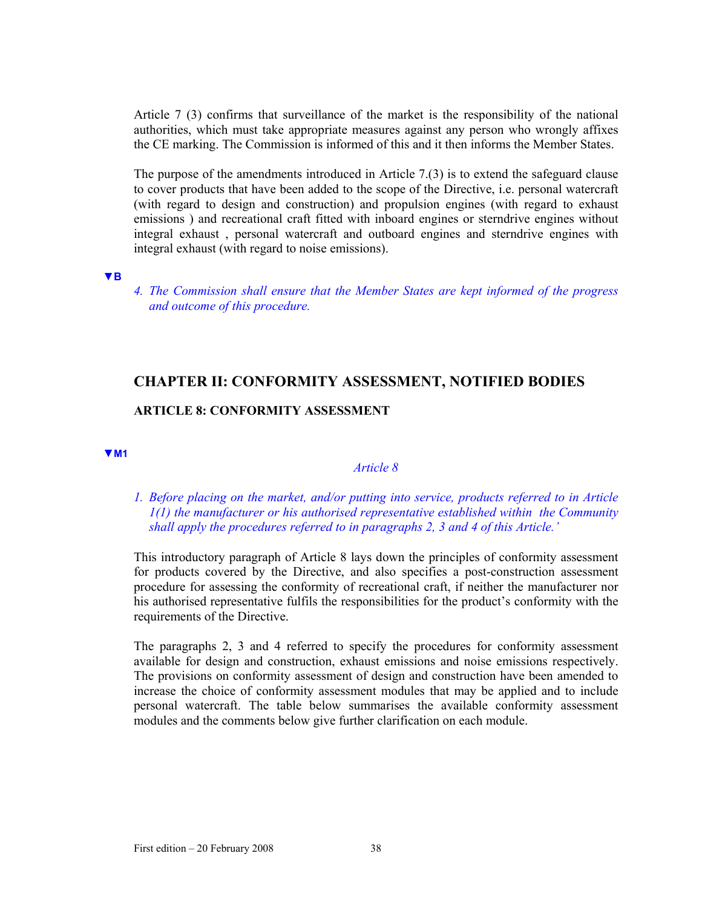Article 7 (3) confirms that surveillance of the market is the responsibility of the national authorities, which must take appropriate measures against any person who wrongly affixes the CE marking. The Commission is informed of this and it then informs the Member States.

The purpose of the amendments introduced in Article 7.(3) is to extend the safeguard clause to cover products that have been added to the scope of the Directive, i.e. personal watercraft (with regard to design and construction) and propulsion engines (with regard to exhaust emissions ) and recreational craft fitted with inboard engines or sterndrive engines without integral exhaust , personal watercraft and outboard engines and sterndrive engines with integral exhaust (with regard to noise emissions).

**▼B**

*4. The Commission shall ensure that the Member States are kept informed of the progress and outcome of this procedure.* 

# **CHAPTER II: CONFORMITY ASSESSMENT, NOTIFIED BODIES**

## **ARTICLE 8: CONFORMITY ASSESSMENT**

**▼M1**

## *Article 8*

## *1. Before placing on the market, and/or putting into service, products referred to in Article 1(1) the manufacturer or his authorised representative established within the Community shall apply the procedures referred to in paragraphs 2, 3 and 4 of this Article.'*

This introductory paragraph of Article 8 lays down the principles of conformity assessment for products covered by the Directive, and also specifies a post-construction assessment procedure for assessing the conformity of recreational craft, if neither the manufacturer nor his authorised representative fulfils the responsibilities for the product's conformity with the requirements of the Directive.

The paragraphs 2, 3 and 4 referred to specify the procedures for conformity assessment available for design and construction, exhaust emissions and noise emissions respectively. The provisions on conformity assessment of design and construction have been amended to increase the choice of conformity assessment modules that may be applied and to include personal watercraft. The table below summarises the available conformity assessment modules and the comments below give further clarification on each module.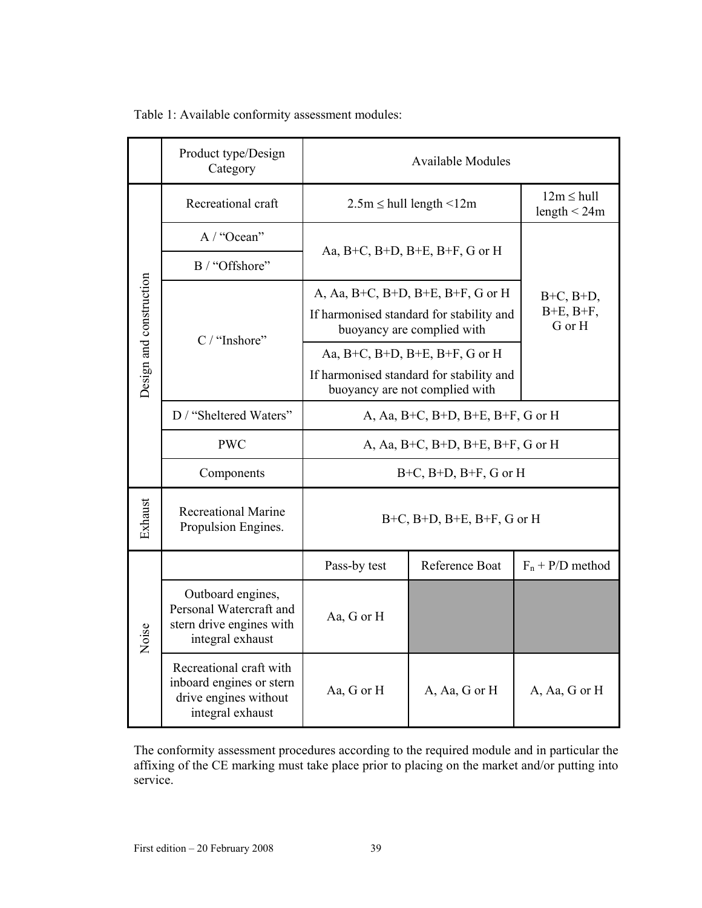|  |  | Table 1: Available conformity assessment modules: |  |
|--|--|---------------------------------------------------|--|
|  |  |                                                   |  |

|                         | Product type/Design<br>Category                                                                  | <b>Available Modules</b>                                                                                    |                                    |                                              |
|-------------------------|--------------------------------------------------------------------------------------------------|-------------------------------------------------------------------------------------------------------------|------------------------------------|----------------------------------------------|
|                         | Recreational craft                                                                               | $2.5m \leq hull$ length $\leq 12m$                                                                          |                                    | $12m \leq hull$<br>length $<$ 24m            |
|                         | A / "Ocean"                                                                                      | Aa, B+C, B+D, B+E, B+F, G or H                                                                              |                                    |                                              |
| Design and construction | B / "Offshore"                                                                                   |                                                                                                             |                                    | $B+C$ , $B+D$ ,<br>$B+E$ , $B+F$ ,<br>G or H |
|                         |                                                                                                  | A, Aa, B+C, B+D, B+E, B+F, G or H<br>If harmonised standard for stability and<br>buoyancy are complied with |                                    |                                              |
|                         | C / "Inshore"                                                                                    | Aa, B+C, B+D, B+E, B+F, G or H                                                                              |                                    |                                              |
|                         |                                                                                                  | If harmonised standard for stability and<br>buoyancy are not complied with                                  |                                    |                                              |
|                         | D / "Sheltered Waters"                                                                           | A, Aa, B+C, B+D, B+E, B+F, G or H                                                                           |                                    |                                              |
|                         | <b>PWC</b>                                                                                       | A, Aa, B+C, B+D, B+E, B+F, G or H                                                                           |                                    |                                              |
|                         | Components                                                                                       |                                                                                                             | $B+C$ , $B+D$ , $B+F$ , $G$ or $H$ |                                              |
| Exhaust                 | <b>Recreational Marine</b><br>Propulsion Engines.                                                | $B+C$ , $B+D$ , $B+E$ , $B+F$ , $G$ or $H$                                                                  |                                    |                                              |
|                         |                                                                                                  | Pass-by test                                                                                                | Reference Boat                     | $F_n$ + P/D method                           |
| Noise                   | Outboard engines,<br>Personal Watercraft and<br>stern drive engines with<br>integral exhaust     | Aa, G or H                                                                                                  |                                    |                                              |
|                         | Recreational craft with<br>inboard engines or stern<br>drive engines without<br>integral exhaust | Aa, G or H                                                                                                  | A, Aa, G or H                      | A, Aa, G or H                                |

The conformity assessment procedures according to the required module and in particular the affixing of the CE marking must take place prior to placing on the market and/or putting into service.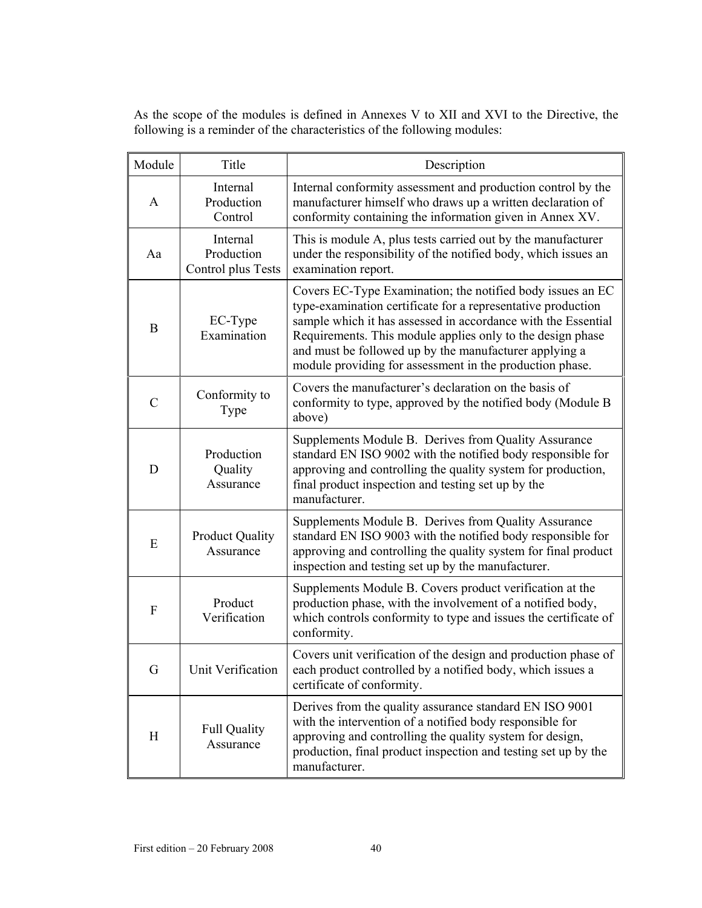As the scope of the modules is defined in Annexes V to XII and XVI to the Directive, the following is a reminder of the characteristics of the following modules:

| Module         | Title                                        | Description                                                                                                                                                                                                                                                                                                                                                                     |
|----------------|----------------------------------------------|---------------------------------------------------------------------------------------------------------------------------------------------------------------------------------------------------------------------------------------------------------------------------------------------------------------------------------------------------------------------------------|
| A              | Internal<br>Production<br>Control            | Internal conformity assessment and production control by the<br>manufacturer himself who draws up a written declaration of<br>conformity containing the information given in Annex XV.                                                                                                                                                                                          |
| Aa             | Internal<br>Production<br>Control plus Tests | This is module A, plus tests carried out by the manufacturer<br>under the responsibility of the notified body, which issues an<br>examination report.                                                                                                                                                                                                                           |
| B              | EC-Type<br>Examination                       | Covers EC-Type Examination; the notified body issues an EC<br>type-examination certificate for a representative production<br>sample which it has assessed in accordance with the Essential<br>Requirements. This module applies only to the design phase<br>and must be followed up by the manufacturer applying a<br>module providing for assessment in the production phase. |
| $\overline{C}$ | Conformity to<br>Type                        | Covers the manufacturer's declaration on the basis of<br>conformity to type, approved by the notified body (Module B<br>above)                                                                                                                                                                                                                                                  |
| D              | Production<br>Quality<br>Assurance           | Supplements Module B. Derives from Quality Assurance<br>standard EN ISO 9002 with the notified body responsible for<br>approving and controlling the quality system for production,<br>final product inspection and testing set up by the<br>manufacturer.                                                                                                                      |
| E              | <b>Product Quality</b><br>Assurance          | Supplements Module B. Derives from Quality Assurance<br>standard EN ISO 9003 with the notified body responsible for<br>approving and controlling the quality system for final product<br>inspection and testing set up by the manufacturer.                                                                                                                                     |
| F              | Product<br>Verification                      | Supplements Module B. Covers product verification at the<br>production phase, with the involvement of a notified body,<br>which controls conformity to type and issues the certificate of<br>conformity.                                                                                                                                                                        |
| G              | Unit Verification                            | Covers unit verification of the design and production phase of<br>each product controlled by a notified body, which issues a<br>certificate of conformity.                                                                                                                                                                                                                      |
| H              | <b>Full Quality</b><br>Assurance             | Derives from the quality assurance standard EN ISO 9001<br>with the intervention of a notified body responsible for<br>approving and controlling the quality system for design,<br>production, final product inspection and testing set up by the<br>manufacturer.                                                                                                              |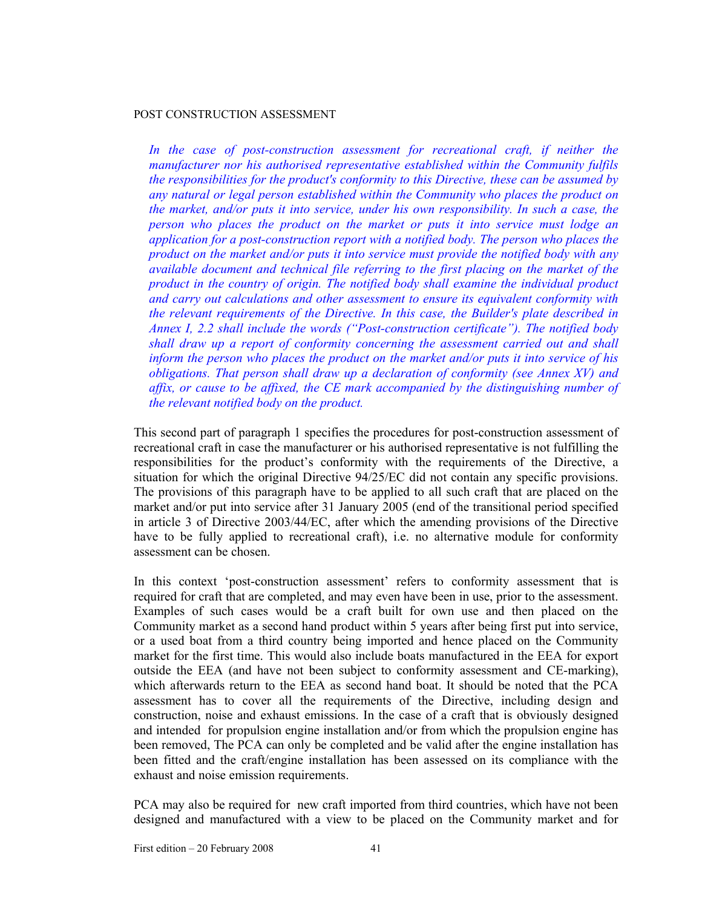### POST CONSTRUCTION ASSESSMENT

In the case of post-construction assessment for recreational craft, if neither the *manufacturer nor his authorised representative established within the Community fulfils the responsibilities for the product's conformity to this Directive, these can be assumed by any natural or legal person established within the Community who places the product on the market, and/or puts it into service, under his own responsibility. In such a case, the person who places the product on the market or puts it into service must lodge an application for a post-construction report with a notified body. The person who places the product on the market and/or puts it into service must provide the notified body with any available document and technical file referring to the first placing on the market of the product in the country of origin. The notified body shall examine the individual product and carry out calculations and other assessment to ensure its equivalent conformity with the relevant requirements of the Directive. In this case, the Builder's plate described in Annex I, 2.2 shall include the words ("Post-construction certificate"). The notified body shall draw up a report of conformity concerning the assessment carried out and shall inform the person who places the product on the market and/or puts it into service of his obligations. That person shall draw up a declaration of conformity (see Annex XV) and affix, or cause to be affixed, the CE mark accompanied by the distinguishing number of the relevant notified body on the product.* 

This second part of paragraph 1 specifies the procedures for post-construction assessment of recreational craft in case the manufacturer or his authorised representative is not fulfilling the responsibilities for the product's conformity with the requirements of the Directive, a situation for which the original Directive 94/25/EC did not contain any specific provisions. The provisions of this paragraph have to be applied to all such craft that are placed on the market and/or put into service after 31 January 2005 (end of the transitional period specified in article 3 of Directive 2003/44/EC, after which the amending provisions of the Directive have to be fully applied to recreational craft), i.e. no alternative module for conformity assessment can be chosen.

In this context 'post-construction assessment' refers to conformity assessment that is required for craft that are completed, and may even have been in use, prior to the assessment. Examples of such cases would be a craft built for own use and then placed on the Community market as a second hand product within 5 years after being first put into service, or a used boat from a third country being imported and hence placed on the Community market for the first time. This would also include boats manufactured in the EEA for export outside the EEA (and have not been subject to conformity assessment and CE-marking), which afterwards return to the EEA as second hand boat. It should be noted that the PCA assessment has to cover all the requirements of the Directive, including design and construction, noise and exhaust emissions. In the case of a craft that is obviously designed and intended for propulsion engine installation and/or from which the propulsion engine has been removed, The PCA can only be completed and be valid after the engine installation has been fitted and the craft/engine installation has been assessed on its compliance with the exhaust and noise emission requirements.

PCA may also be required for new craft imported from third countries, which have not been designed and manufactured with a view to be placed on the Community market and for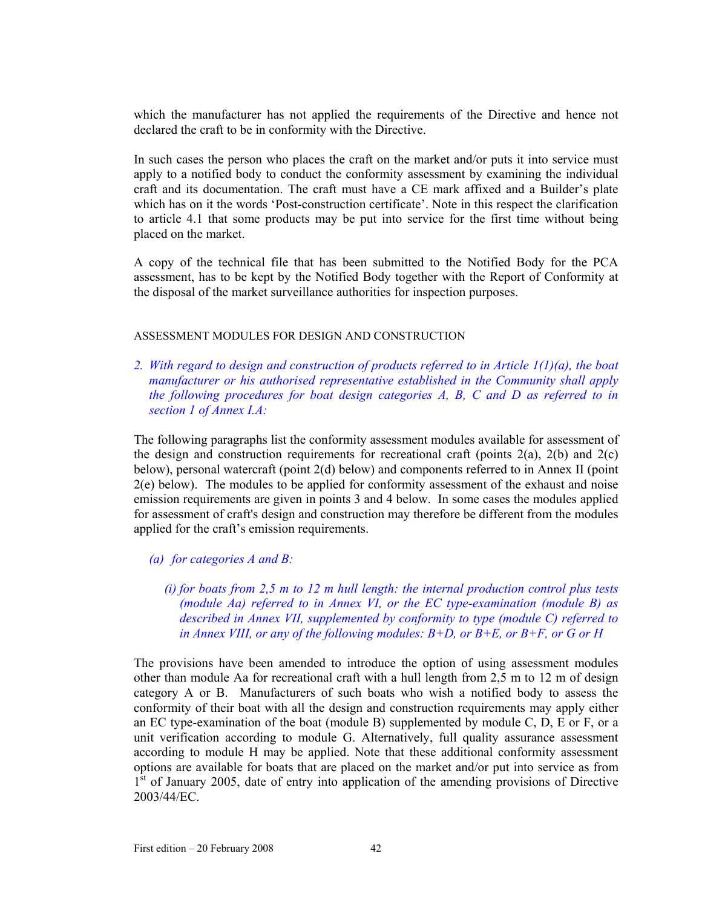which the manufacturer has not applied the requirements of the Directive and hence not declared the craft to be in conformity with the Directive.

In such cases the person who places the craft on the market and/or puts it into service must apply to a notified body to conduct the conformity assessment by examining the individual craft and its documentation. The craft must have a CE mark affixed and a Builder's plate which has on it the words 'Post-construction certificate'. Note in this respect the clarification to article 4.1 that some products may be put into service for the first time without being placed on the market.

A copy of the technical file that has been submitted to the Notified Body for the PCA assessment, has to be kept by the Notified Body together with the Report of Conformity at the disposal of the market surveillance authorities for inspection purposes.

### ASSESSMENT MODULES FOR DESIGN AND CONSTRUCTION

*2. With regard to design and construction of products referred to in Article 1(1)(a), the boat manufacturer or his authorised representative established in the Community shall apply the following procedures for boat design categories A, B, C and D as referred to in section 1 of Annex I.A:* 

The following paragraphs list the conformity assessment modules available for assessment of the design and construction requirements for recreational craft (points  $2(a)$ ,  $2(b)$  and  $2(c)$ ) below), personal watercraft (point 2(d) below) and components referred to in Annex II (point 2(e) below). The modules to be applied for conformity assessment of the exhaust and noise emission requirements are given in points 3 and 4 below. In some cases the modules applied for assessment of craft's design and construction may therefore be different from the modules applied for the craft's emission requirements.

### *(a) for categories A and B:*

*(i) for boats from 2,5 m to 12 m hull length: the internal production control plus tests (module Aa) referred to in Annex VI, or the EC type-examination (module B) as described in Annex VII, supplemented by conformity to type (module C) referred to in Annex VIII, or any of the following modules: B+D, or B+E, or B+F, or G or H* 

The provisions have been amended to introduce the option of using assessment modules other than module Aa for recreational craft with a hull length from 2,5 m to 12 m of design category A or B. Manufacturers of such boats who wish a notified body to assess the conformity of their boat with all the design and construction requirements may apply either an EC type-examination of the boat (module B) supplemented by module  $C$ ,  $D$ ,  $E$  or  $F$ , or a unit verification according to module G. Alternatively, full quality assurance assessment according to module H may be applied. Note that these additional conformity assessment options are available for boats that are placed on the market and/or put into service as from 1<sup>st</sup> of January 2005, date of entry into application of the amending provisions of Directive 2003/44/EC.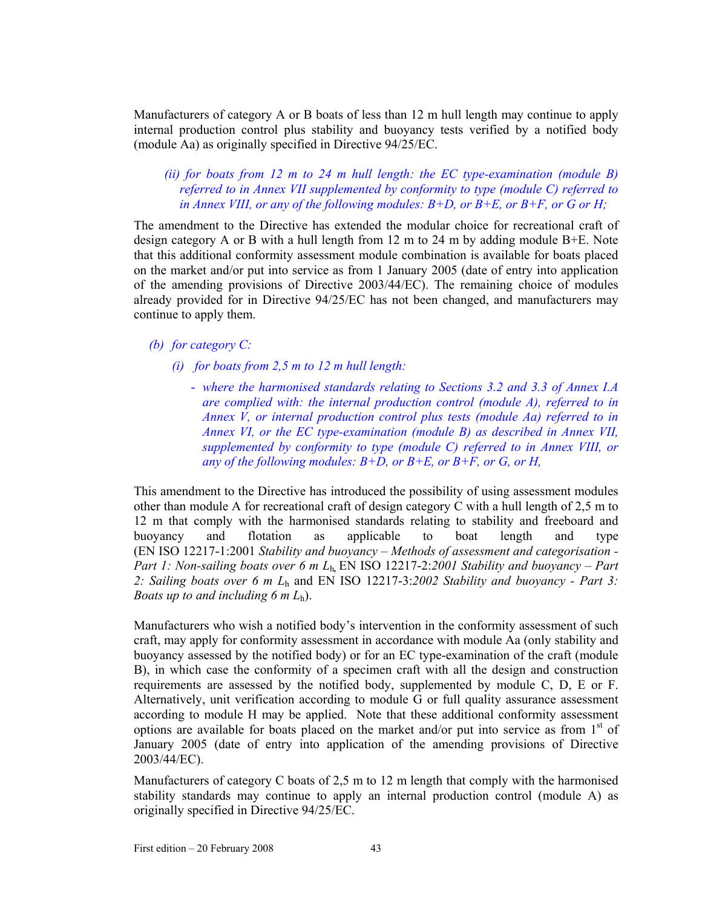Manufacturers of category A or B boats of less than 12 m hull length may continue to apply internal production control plus stability and buoyancy tests verified by a notified body (module Aa) as originally specified in Directive 94/25/EC.

*(ii) for boats from 12 m to 24 m hull length: the EC type-examination (module B) referred to in Annex VII supplemented by conformity to type (module C) referred to in Annex VIII, or any of the following modules:*  $B+D$ *, or*  $B+E$ *, or*  $B+F$ *, or G or H;* 

The amendment to the Directive has extended the modular choice for recreational craft of design category A or B with a hull length from 12 m to 24 m by adding module  $B+E$ . Note that this additional conformity assessment module combination is available for boats placed on the market and/or put into service as from 1 January 2005 (date of entry into application of the amending provisions of Directive 2003/44/EC). The remaining choice of modules already provided for in Directive 94/25/EC has not been changed, and manufacturers may continue to apply them.

- *(b) for category C:* 
	- *(i) for boats from 2,5 m to 12 m hull length:* 
		- *where the harmonised standards relating to Sections 3.2 and 3.3 of Annex I.A are complied with: the internal production control (module A), referred to in Annex V, or internal production control plus tests (module Aa) referred to in Annex VI, or the EC type-examination (module B) as described in Annex VII, supplemented by conformity to type (module C) referred to in Annex VIII, or any of the following modules: B+D, or B+E, or B+F, or G, or H,*

This amendment to the Directive has introduced the possibility of using assessment modules other than module A for recreational craft of design category C with a hull length of 2,5 m to 12 m that comply with the harmonised standards relating to stability and freeboard and buoyancy and flotation as applicable to boat length and type (EN ISO 12217-1:2001 *Stability and buoyancy – Methods of assessment and categorisation - Part 1: Non-sailing boats over 6 m L*h*,* EN ISO 12217-2:*2001 Stability and buoyancy – Part 2: Sailing boats over 6 m L*<sup>h</sup> and EN ISO 12217-3:*2002 Stability and buoyancy - Part 3: Boats up to and including 6 m L*h).

Manufacturers who wish a notified body's intervention in the conformity assessment of such craft, may apply for conformity assessment in accordance with module Aa (only stability and buoyancy assessed by the notified body) or for an EC type-examination of the craft (module B), in which case the conformity of a specimen craft with all the design and construction requirements are assessed by the notified body, supplemented by module C, D, E or F. Alternatively, unit verification according to module G or full quality assurance assessment according to module H may be applied. Note that these additional conformity assessment options are available for boats placed on the market and/or put into service as from  $1<sup>st</sup>$  of January 2005 (date of entry into application of the amending provisions of Directive 2003/44/EC).

Manufacturers of category C boats of 2,5 m to 12 m length that comply with the harmonised stability standards may continue to apply an internal production control (module A) as originally specified in Directive 94/25/EC.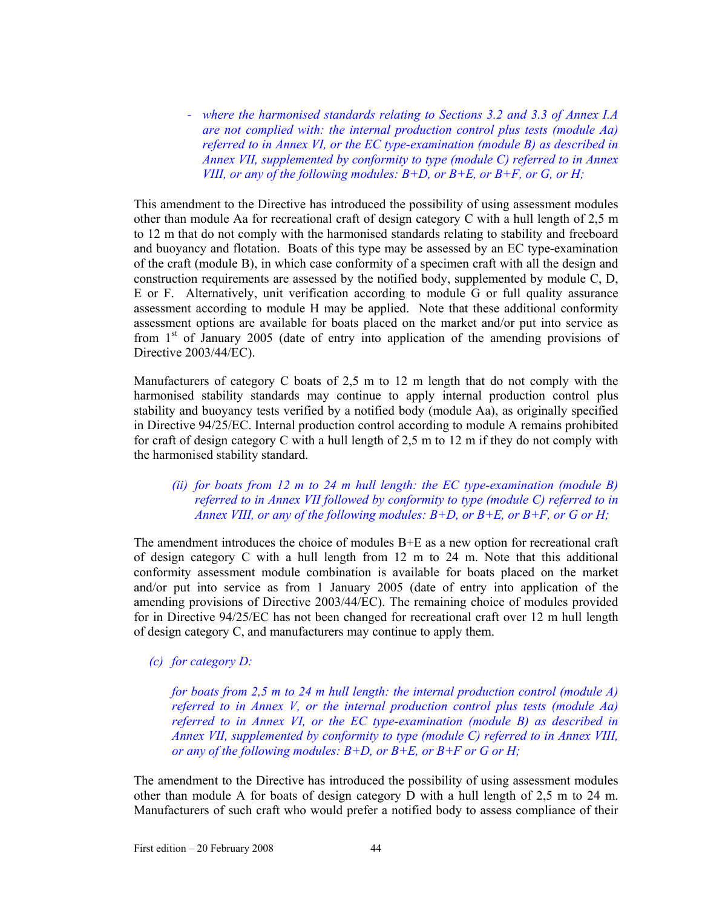- *where the harmonised standards relating to Sections 3.2 and 3.3 of Annex I.A are not complied with: the internal production control plus tests (module Aa) referred to in Annex VI, or the EC type-examination (module B) as described in Annex VII, supplemented by conformity to type (module C) referred to in Annex VIII, or any of the following modules: B+D, or B+E, or B+F, or G, or H;* 

This amendment to the Directive has introduced the possibility of using assessment modules other than module Aa for recreational craft of design category C with a hull length of 2,5 m to 12 m that do not comply with the harmonised standards relating to stability and freeboard and buoyancy and flotation. Boats of this type may be assessed by an EC type-examination of the craft (module B), in which case conformity of a specimen craft with all the design and construction requirements are assessed by the notified body, supplemented by module C, D, E or F. Alternatively, unit verification according to module G or full quality assurance assessment according to module H may be applied. Note that these additional conformity assessment options are available for boats placed on the market and/or put into service as from  $1<sup>st</sup>$  of January 2005 (date of entry into application of the amending provisions of Directive 2003/44/EC).

Manufacturers of category C boats of 2,5 m to 12 m length that do not comply with the harmonised stability standards may continue to apply internal production control plus stability and buoyancy tests verified by a notified body (module Aa), as originally specified in Directive 94/25/EC. Internal production control according to module A remains prohibited for craft of design category C with a hull length of 2,5 m to 12 m if they do not comply with the harmonised stability standard.

## *(ii) for boats from 12 m to 24 m hull length: the EC type-examination (module B) referred to in Annex VII followed by conformity to type (module C) referred to in Annex VIII, or any of the following modules: B+D, or B+E, or B+F, or G or H;*

The amendment introduces the choice of modules B+E as a new option for recreational craft of design category C with a hull length from 12 m to 24 m. Note that this additional conformity assessment module combination is available for boats placed on the market and/or put into service as from 1 January 2005 (date of entry into application of the amending provisions of Directive 2003/44/EC). The remaining choice of modules provided for in Directive 94/25/EC has not been changed for recreational craft over 12 m hull length of design category C, and manufacturers may continue to apply them.

## *(c) for category D:*

*for boats from 2,5 m to 24 m hull length: the internal production control (module A) referred to in Annex V, or the internal production control plus tests (module Aa) referred to in Annex VI, or the EC type-examination (module B) as described in Annex VII, supplemented by conformity to type (module C) referred to in Annex VIII, or any of the following modules: B+D, or B+E, or B+F or G or H;* 

The amendment to the Directive has introduced the possibility of using assessment modules other than module A for boats of design category D with a hull length of 2,5 m to 24 m. Manufacturers of such craft who would prefer a notified body to assess compliance of their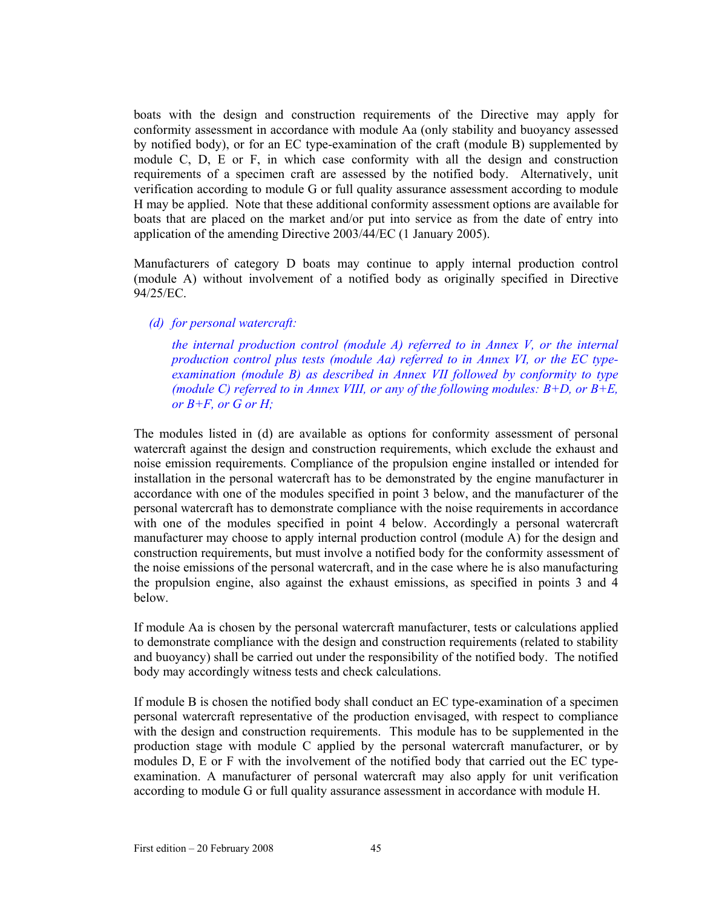boats with the design and construction requirements of the Directive may apply for conformity assessment in accordance with module Aa (only stability and buoyancy assessed by notified body), or for an EC type-examination of the craft (module B) supplemented by module C, D, E or F, in which case conformity with all the design and construction requirements of a specimen craft are assessed by the notified body. Alternatively, unit verification according to module G or full quality assurance assessment according to module H may be applied. Note that these additional conformity assessment options are available for boats that are placed on the market and/or put into service as from the date of entry into application of the amending Directive 2003/44/EC (1 January 2005).

Manufacturers of category D boats may continue to apply internal production control (module A) without involvement of a notified body as originally specified in Directive 94/25/EC.

*(d) for personal watercraft:* 

*the internal production control (module A) referred to in Annex V, or the internal production control plus tests (module Aa) referred to in Annex VI, or the EC typeexamination (module B) as described in Annex VII followed by conformity to type (module C) referred to in Annex VIII, or any of the following modules: B+D, or B+E, or B+F, or G or H;* 

The modules listed in (d) are available as options for conformity assessment of personal watercraft against the design and construction requirements, which exclude the exhaust and noise emission requirements. Compliance of the propulsion engine installed or intended for installation in the personal watercraft has to be demonstrated by the engine manufacturer in accordance with one of the modules specified in point 3 below, and the manufacturer of the personal watercraft has to demonstrate compliance with the noise requirements in accordance with one of the modules specified in point 4 below. Accordingly a personal watercraft manufacturer may choose to apply internal production control (module A) for the design and construction requirements, but must involve a notified body for the conformity assessment of the noise emissions of the personal watercraft, and in the case where he is also manufacturing the propulsion engine, also against the exhaust emissions, as specified in points 3 and 4 below.

If module Aa is chosen by the personal watercraft manufacturer, tests or calculations applied to demonstrate compliance with the design and construction requirements (related to stability and buoyancy) shall be carried out under the responsibility of the notified body. The notified body may accordingly witness tests and check calculations.

If module B is chosen the notified body shall conduct an EC type-examination of a specimen personal watercraft representative of the production envisaged, with respect to compliance with the design and construction requirements. This module has to be supplemented in the production stage with module C applied by the personal watercraft manufacturer, or by modules D, E or F with the involvement of the notified body that carried out the EC typeexamination. A manufacturer of personal watercraft may also apply for unit verification according to module G or full quality assurance assessment in accordance with module H.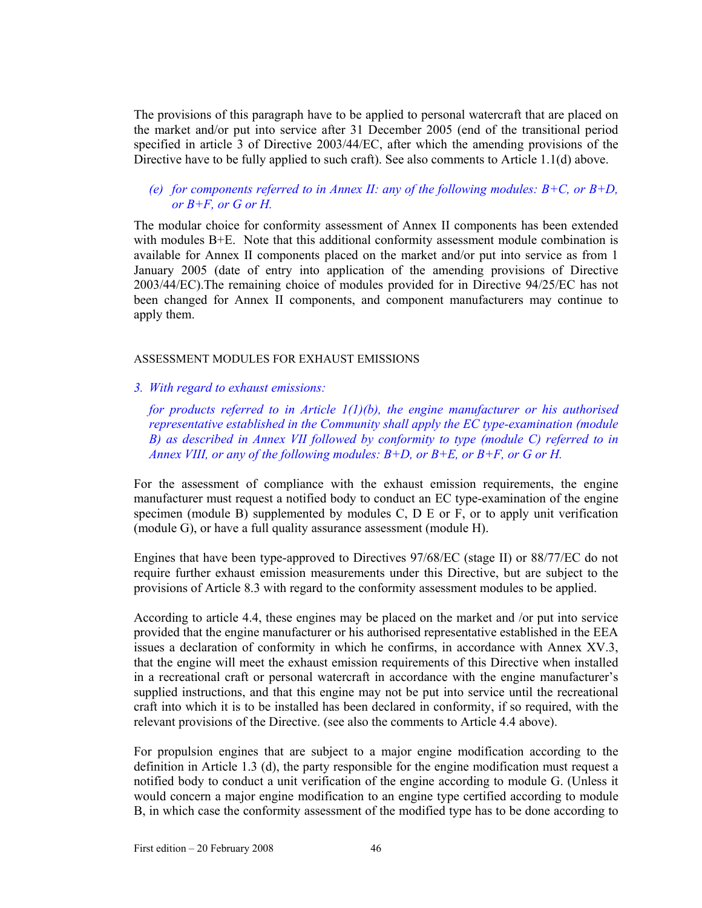The provisions of this paragraph have to be applied to personal watercraft that are placed on the market and/or put into service after 31 December 2005 (end of the transitional period specified in article 3 of Directive 2003/44/EC, after which the amending provisions of the Directive have to be fully applied to such craft). See also comments to Article 1.1(d) above.

### *(e) for components referred to in Annex II: any of the following modules: B+C, or B+D, or B+F, or G or H.*

The modular choice for conformity assessment of Annex II components has been extended with modules B+E. Note that this additional conformity assessment module combination is available for Annex II components placed on the market and/or put into service as from 1 January 2005 (date of entry into application of the amending provisions of Directive 2003/44/EC).The remaining choice of modules provided for in Directive 94/25/EC has not been changed for Annex II components, and component manufacturers may continue to apply them.

### ASSESSMENT MODULES FOR EXHAUST EMISSIONS

*3. With regard to exhaust emissions:* 

*for products referred to in Article 1(1)(b), the engine manufacturer or his authorised representative established in the Community shall apply the EC type-examination (module B) as described in Annex VII followed by conformity to type (module C) referred to in Annex VIII, or any of the following modules: B+D, or B+E, or B+F, or G or H.* 

For the assessment of compliance with the exhaust emission requirements, the engine manufacturer must request a notified body to conduct an EC type-examination of the engine specimen (module B) supplemented by modules C, D E or F, or to apply unit verification (module G), or have a full quality assurance assessment (module H).

Engines that have been type-approved to Directives 97/68/EC (stage II) or 88/77/EC do not require further exhaust emission measurements under this Directive, but are subject to the provisions of Article 8.3 with regard to the conformity assessment modules to be applied.

According to article 4.4, these engines may be placed on the market and /or put into service provided that the engine manufacturer or his authorised representative established in the EEA issues a declaration of conformity in which he confirms, in accordance with Annex XV.3, that the engine will meet the exhaust emission requirements of this Directive when installed in a recreational craft or personal watercraft in accordance with the engine manufacturer's supplied instructions, and that this engine may not be put into service until the recreational craft into which it is to be installed has been declared in conformity, if so required, with the relevant provisions of the Directive. (see also the comments to Article 4.4 above).

For propulsion engines that are subject to a major engine modification according to the definition in Article 1.3 (d), the party responsible for the engine modification must request a notified body to conduct a unit verification of the engine according to module G. (Unless it would concern a major engine modification to an engine type certified according to module B, in which case the conformity assessment of the modified type has to be done according to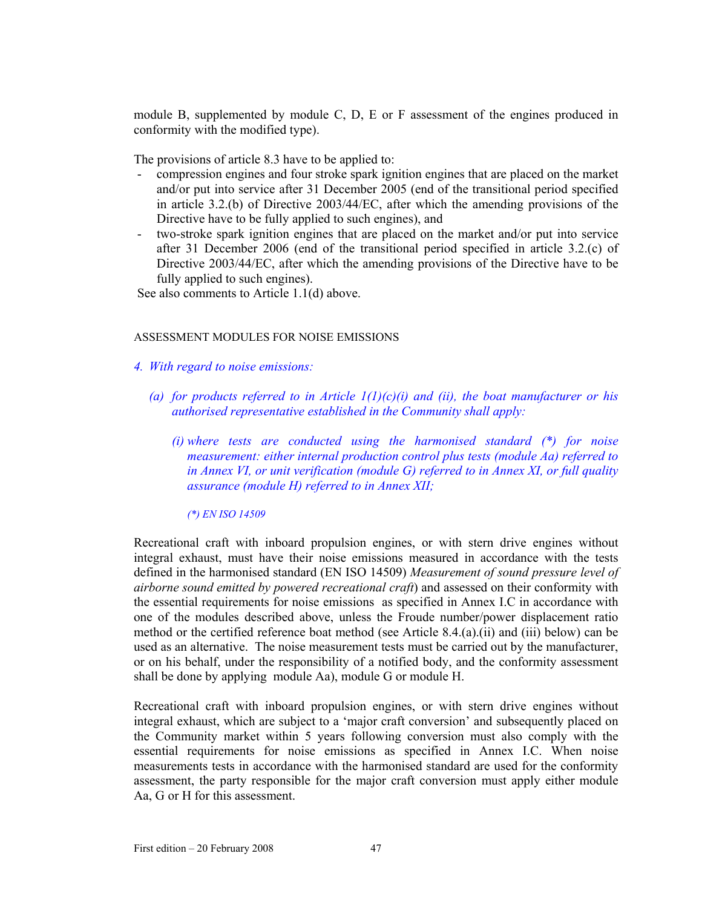module B, supplemented by module C, D, E or F assessment of the engines produced in conformity with the modified type).

The provisions of article 8.3 have to be applied to:

- compression engines and four stroke spark ignition engines that are placed on the market and/or put into service after 31 December 2005 (end of the transitional period specified in article 3.2.(b) of Directive 2003/44/EC, after which the amending provisions of the Directive have to be fully applied to such engines), and
- two-stroke spark ignition engines that are placed on the market and/or put into service after 31 December 2006 (end of the transitional period specified in article 3.2.(c) of Directive 2003/44/EC, after which the amending provisions of the Directive have to be fully applied to such engines).

See also comments to Article 1.1(d) above.

## ASSESSMENT MODULES FOR NOISE EMISSIONS

- *4. With regard to noise emissions:* 
	- *(a) for products referred to in Article 1(1)(c)(i) and (ii), the boat manufacturer or his authorised representative established in the Community shall apply:* 
		- *(i) where tests are conducted using the harmonised standard (\*) for noise measurement: either internal production control plus tests (module Aa) referred to in Annex VI, or unit verification (module G) referred to in Annex XI, or full quality assurance (module H) referred to in Annex XII;*

*(\*) EN ISO 14509* 

Recreational craft with inboard propulsion engines, or with stern drive engines without integral exhaust, must have their noise emissions measured in accordance with the tests defined in the harmonised standard (EN ISO 14509) *Measurement of sound pressure level of airborne sound emitted by powered recreational craft*) and assessed on their conformity with the essential requirements for noise emissions as specified in Annex I.C in accordance with one of the modules described above, unless the Froude number/power displacement ratio method or the certified reference boat method (see Article 8.4.(a).(ii) and (iii) below) can be used as an alternative. The noise measurement tests must be carried out by the manufacturer, or on his behalf, under the responsibility of a notified body, and the conformity assessment shall be done by applying module Aa), module G or module H.

Recreational craft with inboard propulsion engines, or with stern drive engines without integral exhaust, which are subject to a 'major craft conversion' and subsequently placed on the Community market within 5 years following conversion must also comply with the essential requirements for noise emissions as specified in Annex I.C. When noise measurements tests in accordance with the harmonised standard are used for the conformity assessment, the party responsible for the major craft conversion must apply either module Aa, G or H for this assessment.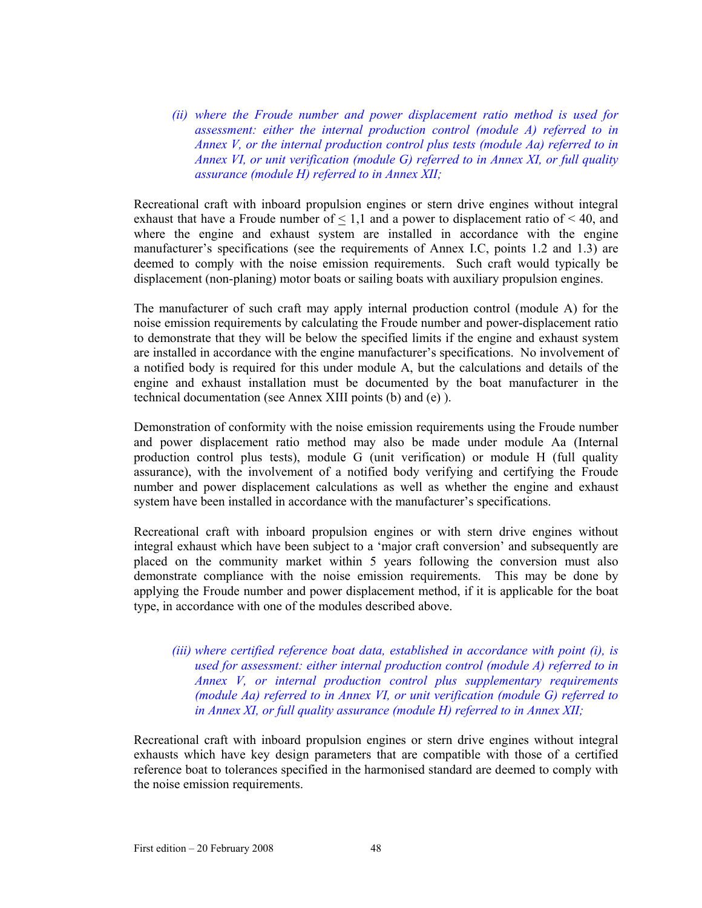*(ii) where the Froude number and power displacement ratio method is used for assessment: either the internal production control (module A) referred to in Annex V, or the internal production control plus tests (module Aa) referred to in Annex VI, or unit verification (module G) referred to in Annex XI, or full quality assurance (module H) referred to in Annex XII;* 

Recreational craft with inboard propulsion engines or stern drive engines without integral exhaust that have a Froude number of  $\leq 1,1$  and a power to displacement ratio of  $\leq 40$ , and where the engine and exhaust system are installed in accordance with the engine manufacturer's specifications (see the requirements of Annex I.C, points 1.2 and 1.3) are deemed to comply with the noise emission requirements. Such craft would typically be displacement (non-planing) motor boats or sailing boats with auxiliary propulsion engines.

The manufacturer of such craft may apply internal production control (module A) for the noise emission requirements by calculating the Froude number and power-displacement ratio to demonstrate that they will be below the specified limits if the engine and exhaust system are installed in accordance with the engine manufacturer's specifications. No involvement of a notified body is required for this under module A, but the calculations and details of the engine and exhaust installation must be documented by the boat manufacturer in the technical documentation (see Annex XIII points (b) and (e) ).

Demonstration of conformity with the noise emission requirements using the Froude number and power displacement ratio method may also be made under module Aa (Internal production control plus tests), module G (unit verification) or module H (full quality assurance), with the involvement of a notified body verifying and certifying the Froude number and power displacement calculations as well as whether the engine and exhaust system have been installed in accordance with the manufacturer's specifications.

Recreational craft with inboard propulsion engines or with stern drive engines without integral exhaust which have been subject to a 'major craft conversion' and subsequently are placed on the community market within 5 years following the conversion must also demonstrate compliance with the noise emission requirements. This may be done by applying the Froude number and power displacement method, if it is applicable for the boat type, in accordance with one of the modules described above.

*(iii) where certified reference boat data, established in accordance with point (i), is used for assessment: either internal production control (module A) referred to in Annex V, or internal production control plus supplementary requirements (module Aa) referred to in Annex VI, or unit verification (module G) referred to in Annex XI, or full quality assurance (module H) referred to in Annex XII;* 

Recreational craft with inboard propulsion engines or stern drive engines without integral exhausts which have key design parameters that are compatible with those of a certified reference boat to tolerances specified in the harmonised standard are deemed to comply with the noise emission requirements.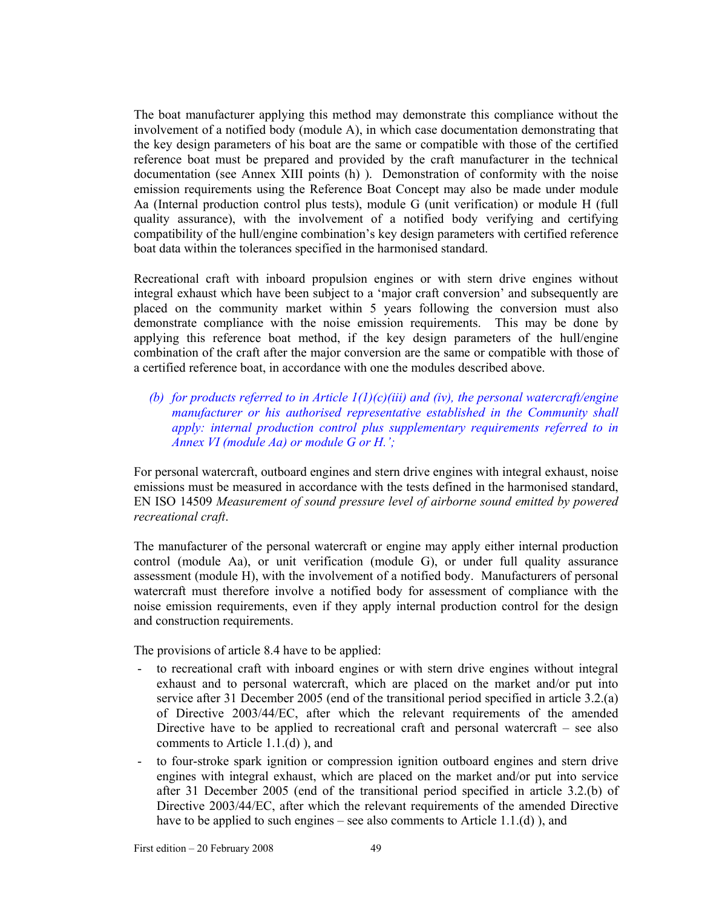The boat manufacturer applying this method may demonstrate this compliance without the involvement of a notified body (module A), in which case documentation demonstrating that the key design parameters of his boat are the same or compatible with those of the certified reference boat must be prepared and provided by the craft manufacturer in the technical documentation (see Annex XIII points (h) ). Demonstration of conformity with the noise emission requirements using the Reference Boat Concept may also be made under module Aa (Internal production control plus tests), module G (unit verification) or module H (full quality assurance), with the involvement of a notified body verifying and certifying compatibility of the hull/engine combination's key design parameters with certified reference boat data within the tolerances specified in the harmonised standard.

Recreational craft with inboard propulsion engines or with stern drive engines without integral exhaust which have been subject to a 'major craft conversion' and subsequently are placed on the community market within 5 years following the conversion must also demonstrate compliance with the noise emission requirements. This may be done by applying this reference boat method, if the key design parameters of the hull/engine combination of the craft after the major conversion are the same or compatible with those of a certified reference boat, in accordance with one the modules described above.

*(b) for products referred to in Article 1(1)(c)(iii) and (iv), the personal watercraft/engine manufacturer or his authorised representative established in the Community shall apply: internal production control plus supplementary requirements referred to in Annex VI (module Aa) or module G or H.';* 

For personal watercraft, outboard engines and stern drive engines with integral exhaust, noise emissions must be measured in accordance with the tests defined in the harmonised standard, EN ISO 14509 *Measurement of sound pressure level of airborne sound emitted by powered recreational craft*.

The manufacturer of the personal watercraft or engine may apply either internal production control (module Aa), or unit verification (module G), or under full quality assurance assessment (module H), with the involvement of a notified body. Manufacturers of personal watercraft must therefore involve a notified body for assessment of compliance with the noise emission requirements, even if they apply internal production control for the design and construction requirements.

The provisions of article 8.4 have to be applied:

- to recreational craft with inboard engines or with stern drive engines without integral exhaust and to personal watercraft, which are placed on the market and/or put into service after 31 December 2005 (end of the transitional period specified in article 3.2.(a) of Directive 2003/44/EC, after which the relevant requirements of the amended Directive have to be applied to recreational craft and personal watercraft – see also comments to Article 1.1.(d) ), and
- to four-stroke spark ignition or compression ignition outboard engines and stern drive engines with integral exhaust, which are placed on the market and/or put into service after 31 December 2005 (end of the transitional period specified in article 3.2.(b) of Directive 2003/44/EC, after which the relevant requirements of the amended Directive have to be applied to such engines – see also comments to Article 1.1.(d)), and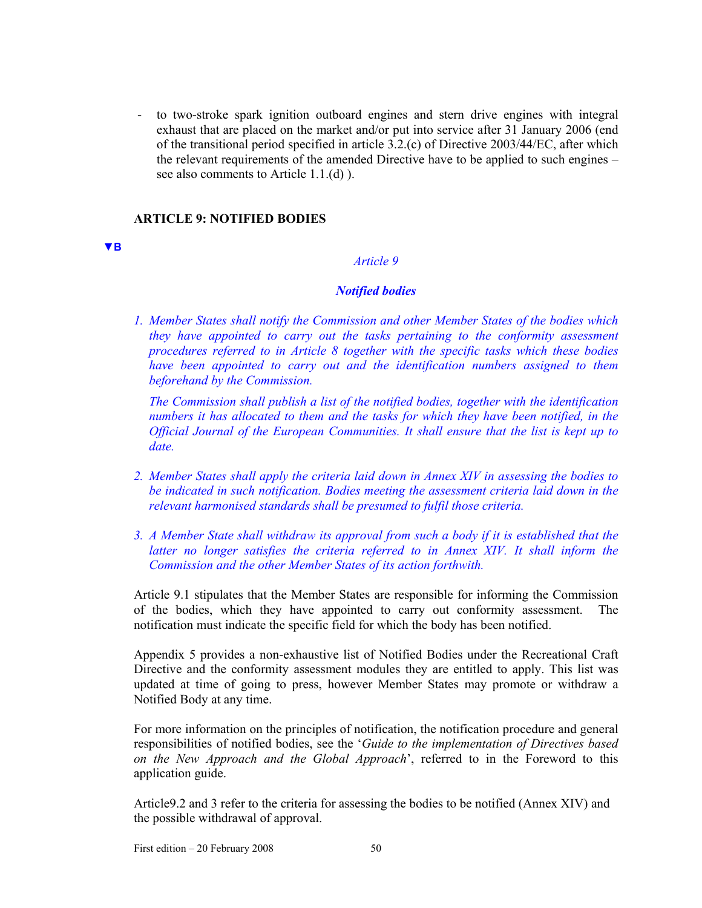- to two-stroke spark ignition outboard engines and stern drive engines with integral exhaust that are placed on the market and/or put into service after 31 January 2006 (end of the transitional period specified in article 3.2.(c) of Directive 2003/44/EC, after which the relevant requirements of the amended Directive have to be applied to such engines – see also comments to Article 1.1.(d) ).

### **ARTICLE 9: NOTIFIED BODIES**

#### **▼B**

## *Article 9*

### *Notified bodies*

*1. Member States shall notify the Commission and other Member States of the bodies which they have appointed to carry out the tasks pertaining to the conformity assessment procedures referred to in Article 8 together with the specific tasks which these bodies have been appointed to carry out and the identification numbers assigned to them beforehand by the Commission.* 

*The Commission shall publish a list of the notified bodies, together with the identification numbers it has allocated to them and the tasks for which they have been notified, in the Official Journal of the European Communities. It shall ensure that the list is kept up to date.* 

- *2. Member States shall apply the criteria laid down in Annex XIV in assessing the bodies to be indicated in such notification. Bodies meeting the assessment criteria laid down in the relevant harmonised standards shall be presumed to fulfil those criteria.*
- *3. A Member State shall withdraw its approval from such a body if it is established that the latter no longer satisfies the criteria referred to in Annex XIV. It shall inform the Commission and the other Member States of its action forthwith.*

Article 9.1 stipulates that the Member States are responsible for informing the Commission of the bodies, which they have appointed to carry out conformity assessment. The notification must indicate the specific field for which the body has been notified.

Appendix 5 provides a non-exhaustive list of Notified Bodies under the Recreational Craft Directive and the conformity assessment modules they are entitled to apply. This list was updated at time of going to press, however Member States may promote or withdraw a Notified Body at any time.

For more information on the principles of notification, the notification procedure and general responsibilities of notified bodies, see the '*Guide to the implementation of Directives based on the New Approach and the Global Approach*', referred to in the Foreword to this application guide.

Article9.2 and 3 refer to the criteria for assessing the bodies to be notified (Annex XIV) and the possible withdrawal of approval.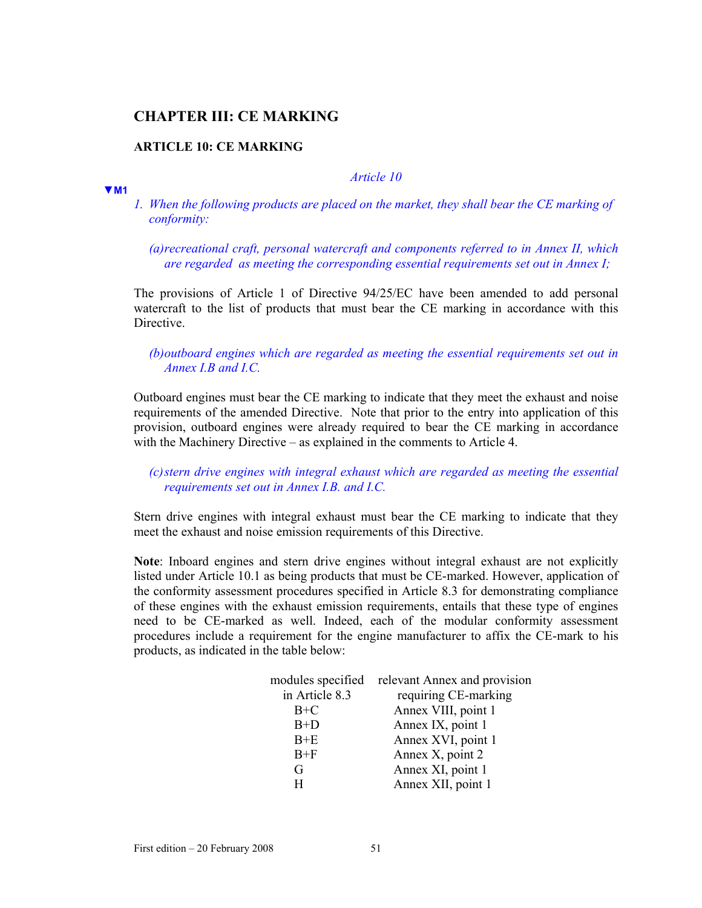## **CHAPTER III: CE MARKING**

## **ARTICLE 10: CE MARKING**

#### **▼M1**

*Article 10*

*1. When the following products are placed on the market, they shall bear the CE marking of conformity:* 

*(a) recreational craft, personal watercraft and components referred to in Annex II, which are regarded as meeting the corresponding essential requirements set out in Annex I;* 

The provisions of Article 1 of Directive 94/25/EC have been amended to add personal watercraft to the list of products that must bear the CE marking in accordance with this Directive.

*(b) outboard engines which are regarded as meeting the essential requirements set out in Annex I.B and I.C.* 

Outboard engines must bear the CE marking to indicate that they meet the exhaust and noise requirements of the amended Directive. Note that prior to the entry into application of this provision, outboard engines were already required to bear the CE marking in accordance with the Machinery Directive – as explained in the comments to Article 4.

## *(c) stern drive engines with integral exhaust which are regarded as meeting the essential requirements set out in Annex I.B. and I.C.*

Stern drive engines with integral exhaust must bear the CE marking to indicate that they meet the exhaust and noise emission requirements of this Directive.

**Note**: Inboard engines and stern drive engines without integral exhaust are not explicitly listed under Article 10.1 as being products that must be CE-marked. However, application of the conformity assessment procedures specified in Article 8.3 for demonstrating compliance of these engines with the exhaust emission requirements, entails that these type of engines need to be CE-marked as well. Indeed, each of the modular conformity assessment procedures include a requirement for the engine manufacturer to affix the CE-mark to his products, as indicated in the table below:

| modules specified | relevant Annex and provision |
|-------------------|------------------------------|
| in Article 8.3    | requiring CE-marking         |
| $B+C$             | Annex VIII, point 1          |
| $B+D$             | Annex IX, point 1            |
| $B+E$             | Annex XVI, point 1           |
| $B+F$             | Annex X, point 2             |
| G                 | Annex XI, point 1            |
| н                 | Annex XII, point 1           |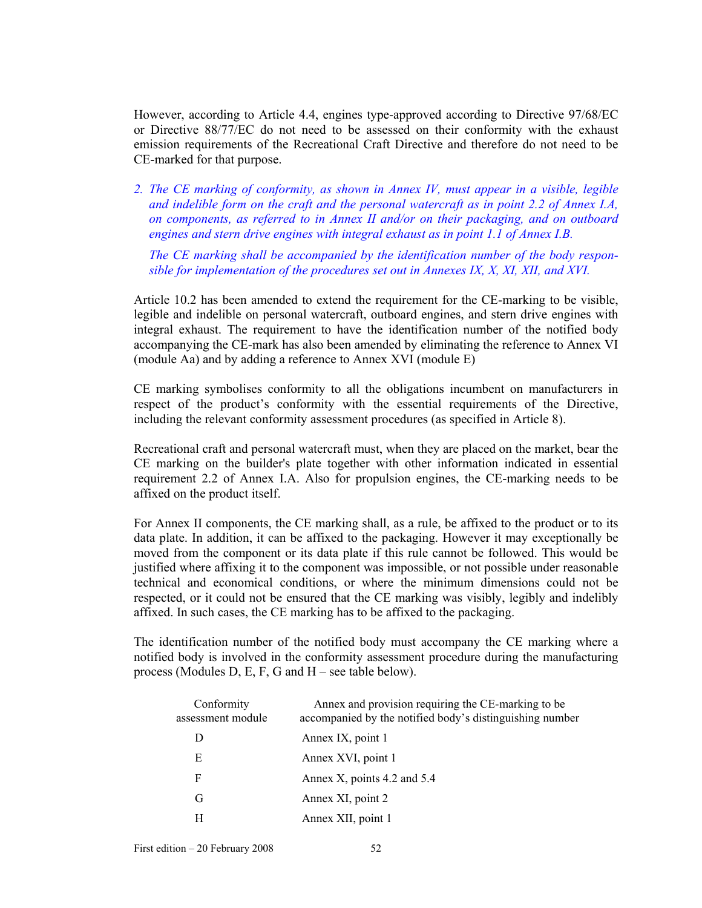However, according to Article 4.4, engines type-approved according to Directive 97/68/EC or Directive 88/77/EC do not need to be assessed on their conformity with the exhaust emission requirements of the Recreational Craft Directive and therefore do not need to be CE-marked for that purpose.

*2. The CE marking of conformity, as shown in Annex IV, must appear in a visible, legible and indelible form on the craft and the personal watercraft as in point 2.2 of Annex I.A, on components, as referred to in Annex II and/or on their packaging, and on outboard engines and stern drive engines with integral exhaust as in point 1.1 of Annex I.B.* 

*The CE marking shall be accompanied by the identification number of the body responsible for implementation of the procedures set out in Annexes IX, X, XI, XII, and XVI.* 

Article 10.2 has been amended to extend the requirement for the CE-marking to be visible, legible and indelible on personal watercraft, outboard engines, and stern drive engines with integral exhaust. The requirement to have the identification number of the notified body accompanying the CE-mark has also been amended by eliminating the reference to Annex VI (module Aa) and by adding a reference to Annex XVI (module E)

CE marking symbolises conformity to all the obligations incumbent on manufacturers in respect of the product's conformity with the essential requirements of the Directive, including the relevant conformity assessment procedures (as specified in Article 8).

Recreational craft and personal watercraft must, when they are placed on the market, bear the CE marking on the builder's plate together with other information indicated in essential requirement 2.2 of Annex I.A. Also for propulsion engines, the CE-marking needs to be affixed on the product itself.

For Annex II components, the CE marking shall, as a rule, be affixed to the product or to its data plate. In addition, it can be affixed to the packaging. However it may exceptionally be moved from the component or its data plate if this rule cannot be followed. This would be justified where affixing it to the component was impossible, or not possible under reasonable technical and economical conditions, or where the minimum dimensions could not be respected, or it could not be ensured that the CE marking was visibly, legibly and indelibly affixed. In such cases, the CE marking has to be affixed to the packaging.

The identification number of the notified body must accompany the CE marking where a notified body is involved in the conformity assessment procedure during the manufacturing process (Modules D, E, F, G and H – see table below).

| Conformity<br>assessment module | Annex and provision requiring the CE-marking to be<br>accompanied by the notified body's distinguishing number |
|---------------------------------|----------------------------------------------------------------------------------------------------------------|
| D                               | Annex IX, point 1                                                                                              |
| E                               | Annex XVI, point 1                                                                                             |
| F                               | Annex X, points $4.2$ and $5.4$                                                                                |
| G                               | Annex XI, point 2                                                                                              |
| H                               | Annex XII, point 1                                                                                             |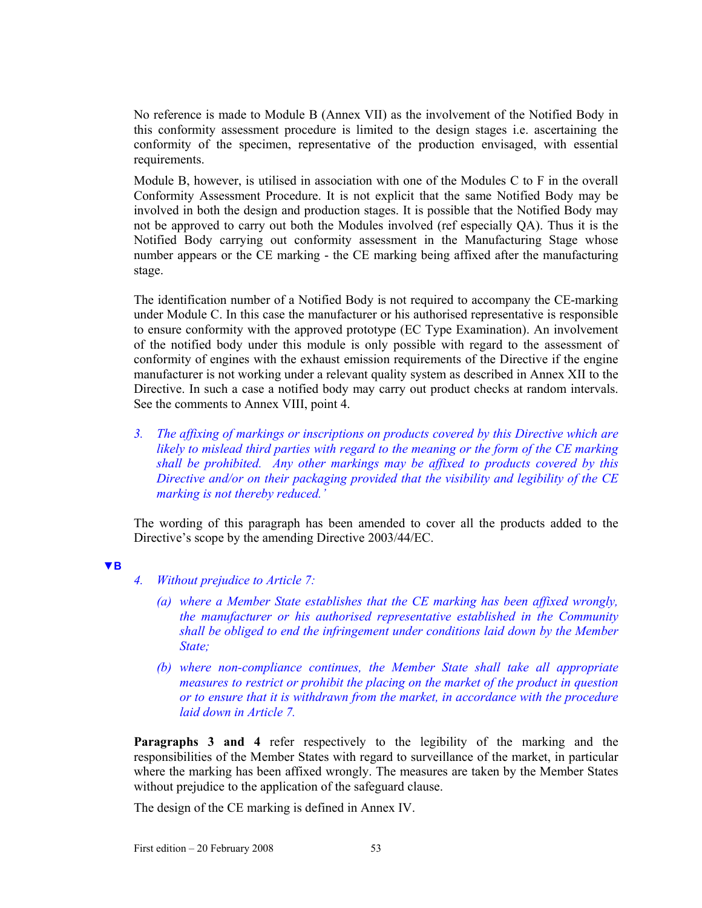No reference is made to Module B (Annex VII) as the involvement of the Notified Body in this conformity assessment procedure is limited to the design stages i.e. ascertaining the conformity of the specimen, representative of the production envisaged, with essential requirements.

Module B, however, is utilised in association with one of the Modules C to F in the overall Conformity Assessment Procedure. It is not explicit that the same Notified Body may be involved in both the design and production stages. It is possible that the Notified Body may not be approved to carry out both the Modules involved (ref especially QA). Thus it is the Notified Body carrying out conformity assessment in the Manufacturing Stage whose number appears or the CE marking - the CE marking being affixed after the manufacturing stage.

The identification number of a Notified Body is not required to accompany the CE-marking under Module C. In this case the manufacturer or his authorised representative is responsible to ensure conformity with the approved prototype (EC Type Examination). An involvement of the notified body under this module is only possible with regard to the assessment of conformity of engines with the exhaust emission requirements of the Directive if the engine manufacturer is not working under a relevant quality system as described in Annex XII to the Directive. In such a case a notified body may carry out product checks at random intervals. See the comments to Annex VIII, point 4.

*3. The affixing of markings or inscriptions on products covered by this Directive which are likely to mislead third parties with regard to the meaning or the form of the CE marking shall be prohibited. Any other markings may be affixed to products covered by this Directive and/or on their packaging provided that the visibility and legibility of the CE marking is not thereby reduced.'* 

The wording of this paragraph has been amended to cover all the products added to the Directive's scope by the amending Directive 2003/44/EC.

**▼B**

- *4. Without prejudice to Article 7:* 
	- *(a) where a Member State establishes that the CE marking has been affixed wrongly, the manufacturer or his authorised representative established in the Community shall be obliged to end the infringement under conditions laid down by the Member State;*
	- *(b) where non-compliance continues, the Member State shall take all appropriate measures to restrict or prohibit the placing on the market of the product in question or to ensure that it is withdrawn from the market, in accordance with the procedure laid down in Article 7.*

**Paragraphs 3 and 4** refer respectively to the legibility of the marking and the responsibilities of the Member States with regard to surveillance of the market, in particular where the marking has been affixed wrongly. The measures are taken by the Member States without prejudice to the application of the safeguard clause.

The design of the CE marking is defined in Annex IV.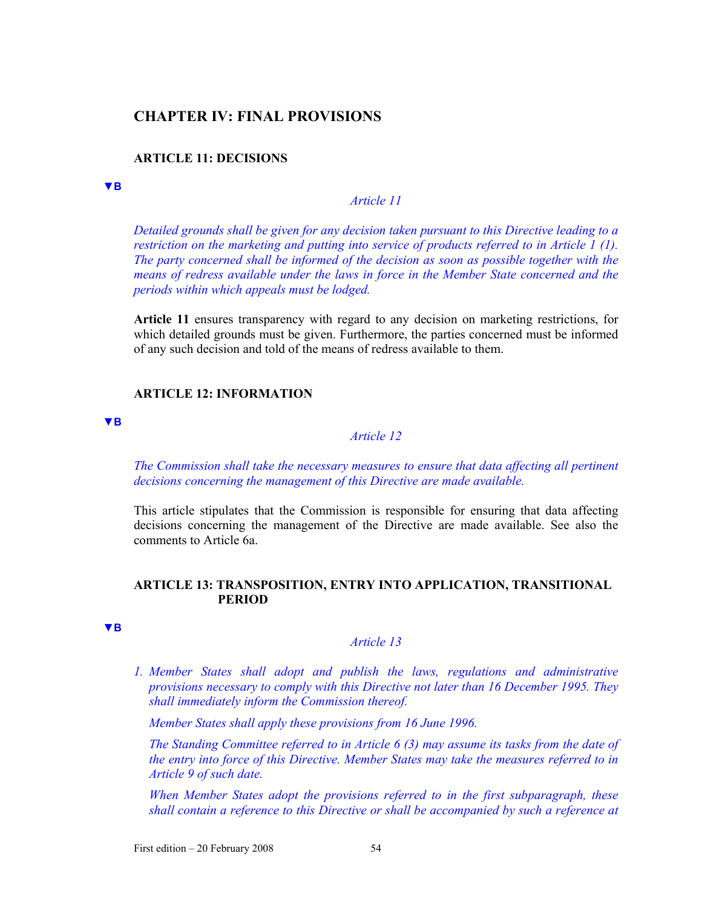## **CHAPTER IV: FINAL PROVISIONS**

#### **ARTICLE 11: DECISIONS**

#### **▼B**

*Article 11* 

*Detailed grounds shall be given for any decision taken pursuant to this Directive leading to a restriction on the marketing and putting into service of products referred to in Article 1 (1). The party concerned shall be informed of the decision as soon as possible together with the means of redress available under the laws in force in the Member State concerned and the periods within which appeals must be lodged.* 

**Article 11** ensures transparency with regard to any decision on marketing restrictions, for which detailed grounds must be given. Furthermore, the parties concerned must be informed of any such decision and told of the means of redress available to them.

### **ARTICLE 12: INFORMATION**

#### **▼B**

## *Article 12*

*The Commission shall take the necessary measures to ensure that data affecting all pertinent decisions concerning the management of this Directive are made available.* 

This article stipulates that the Commission is responsible for ensuring that data affecting decisions concerning the management of the Directive are made available. See also the comments to Article 6a.

#### **ARTICLE 13: TRANSPOSITION, ENTRY INTO APPLICATION, TRANSITIONAL PERIOD**

**▼B**

### *Article 13*

*1. Member States shall adopt and publish the laws, regulations and administrative provisions necessary to comply with this Directive not later than 16 December 1995. They shall immediately inform the Commission thereof.* 

*Member States shall apply these provisions from 16 June 1996.* 

*The Standing Committee referred to in Article 6 (3) may assume its tasks from the date of the entry into force of this Directive. Member States may take the measures referred to in Article 9 of such date.* 

*When Member States adopt the provisions referred to in the first subparagraph, these shall contain a reference to this Directive or shall be accompanied by such a reference at*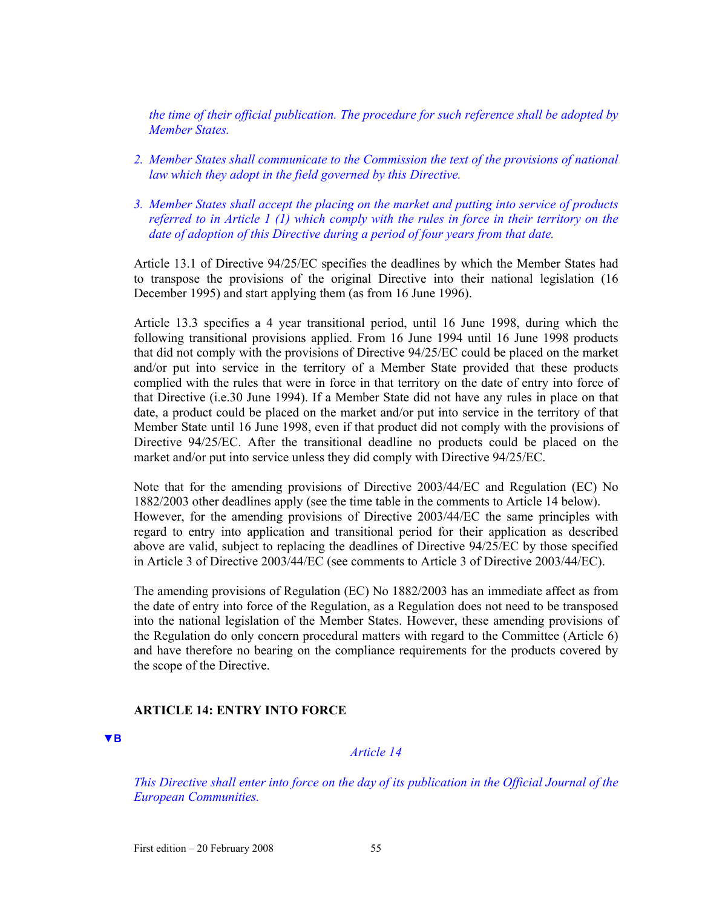*the time of their official publication. The procedure for such reference shall be adopted by Member States.* 

- *2. Member States shall communicate to the Commission the text of the provisions of national law which they adopt in the field governed by this Directive.*
- *3. Member States shall accept the placing on the market and putting into service of products referred to in Article 1 (1) which comply with the rules in force in their territory on the date of adoption of this Directive during a period of four years from that date.*

Article 13.1 of Directive 94/25/EC specifies the deadlines by which the Member States had to transpose the provisions of the original Directive into their national legislation (16 December 1995) and start applying them (as from 16 June 1996).

Article 13.3 specifies a 4 year transitional period, until 16 June 1998, during which the following transitional provisions applied. From 16 June 1994 until 16 June 1998 products that did not comply with the provisions of Directive 94/25/EC could be placed on the market and/or put into service in the territory of a Member State provided that these products complied with the rules that were in force in that territory on the date of entry into force of that Directive (i.e.30 June 1994). If a Member State did not have any rules in place on that date, a product could be placed on the market and/or put into service in the territory of that Member State until 16 June 1998, even if that product did not comply with the provisions of Directive 94/25/EC. After the transitional deadline no products could be placed on the market and/or put into service unless they did comply with Directive 94/25/EC.

Note that for the amending provisions of Directive 2003/44/EC and Regulation (EC) No 1882/2003 other deadlines apply (see the time table in the comments to Article 14 below). However, for the amending provisions of Directive 2003/44/EC the same principles with regard to entry into application and transitional period for their application as described above are valid, subject to replacing the deadlines of Directive 94/25/EC by those specified in Article 3 of Directive 2003/44/EC (see comments to Article 3 of Directive 2003/44/EC).

The amending provisions of Regulation (EC) No 1882/2003 has an immediate affect as from the date of entry into force of the Regulation, as a Regulation does not need to be transposed into the national legislation of the Member States. However, these amending provisions of the Regulation do only concern procedural matters with regard to the Committee (Article 6) and have therefore no bearing on the compliance requirements for the products covered by the scope of the Directive.

### **ARTICLE 14: ENTRY INTO FORCE**

**▼B**

### *Article 14*

*This Directive shall enter into force on the day of its publication in the Official Journal of the European Communities.*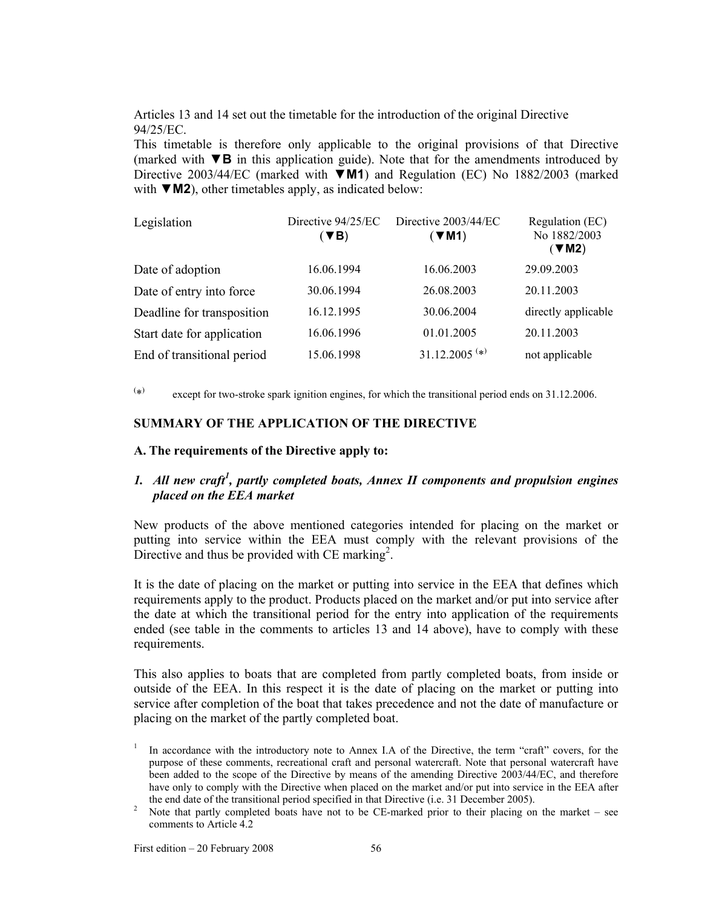Articles 13 and 14 set out the timetable for the introduction of the original Directive 94/25/EC.

This timetable is therefore only applicable to the original provisions of that Directive (marked with ▼**B** in this application guide). Note that for the amendments introduced by Directive 2003/44/EC (marked with ▼**M1**) and Regulation (EC) No 1882/2003 (marked with ▼M2), other timetables apply, as indicated below:

| Legislation                | Directive 94/25/EC<br>$(\blacktriangledown$ B) | Directive 2003/44/EC<br>$(\blacktriangledown M1)$ | Regulation (EC)<br>No 1882/2003<br>$($ VM2) |
|----------------------------|------------------------------------------------|---------------------------------------------------|---------------------------------------------|
| Date of adoption           | 16.06.1994                                     | 16.06.2003                                        | 29.09.2003                                  |
| Date of entry into force   | 30.06.1994                                     | 26.08.2003                                        | 20.11.2003                                  |
| Deadline for transposition | 16.12.1995                                     | 30.06.2004                                        | directly applicable                         |
| Start date for application | 16.06.1996                                     | 01.01.2005                                        | 20.11.2003                                  |
| End of transitional period | 15.06.1998                                     | $31.12.2005$ <sup>(*)</sup>                       | not applicable                              |

 $(*)$ except for two-stroke spark ignition engines, for which the transitional period ends on 31.12.2006.

### **SUMMARY OF THE APPLICATION OF THE DIRECTIVE**

#### **A. The requirements of the Directive apply to:**

## *1. All new craft<sup>1</sup> , partly completed boats, Annex II components and propulsion engines placed on the EEA market*

New products of the above mentioned categories intended for placing on the market or putting into service within the EEA must comply with the relevant provisions of the Directive and thus be provided with CE marking<sup>2</sup>.

It is the date of placing on the market or putting into service in the EEA that defines which requirements apply to the product. Products placed on the market and/or put into service after the date at which the transitional period for the entry into application of the requirements ended (see table in the comments to articles 13 and 14 above), have to comply with these requirements.

This also applies to boats that are completed from partly completed boats, from inside or outside of the EEA. In this respect it is the date of placing on the market or putting into service after completion of the boat that takes precedence and not the date of manufacture or placing on the market of the partly completed boat.

<sup>1</sup> In accordance with the introductory note to Annex I.A of the Directive, the term "craft" covers, for the purpose of these comments, recreational craft and personal watercraft. Note that personal watercraft have been added to the scope of the Directive by means of the amending Directive 2003/44/EC, and therefore have only to comply with the Directive when placed on the market and/or put into service in the EEA after the end date of the transitional period specified in that Directive (i.e. 31 December 2005).<br><sup>2</sup> Note that partly completed boats have not to be CE marked prior to their placing on

Note that partly completed boats have not to be CE-marked prior to their placing on the market – see comments to Article 4.2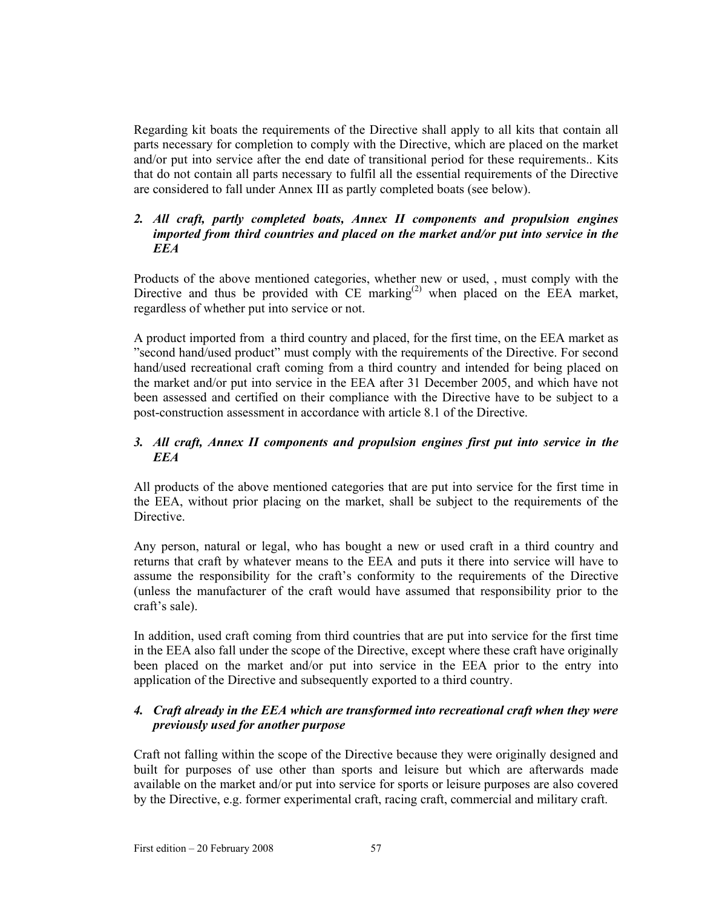Regarding kit boats the requirements of the Directive shall apply to all kits that contain all parts necessary for completion to comply with the Directive, which are placed on the market and/or put into service after the end date of transitional period for these requirements.. Kits that do not contain all parts necessary to fulfil all the essential requirements of the Directive are considered to fall under Annex III as partly completed boats (see below).

## *2. All craft, partly completed boats, Annex II components and propulsion engines imported from third countries and placed on the market and/or put into service in the EEA*

Products of the above mentioned categories, whether new or used, , must comply with the Directive and thus be provided with  $CE$  marking<sup>(2)</sup> when placed on the EEA market, regardless of whether put into service or not.

A product imported from a third country and placed, for the first time, on the EEA market as "second hand/used product" must comply with the requirements of the Directive. For second hand/used recreational craft coming from a third country and intended for being placed on the market and/or put into service in the EEA after 31 December 2005, and which have not been assessed and certified on their compliance with the Directive have to be subject to a post-construction assessment in accordance with article 8.1 of the Directive.

## *3. All craft, Annex II components and propulsion engines first put into service in the EEA*

All products of the above mentioned categories that are put into service for the first time in the EEA, without prior placing on the market, shall be subject to the requirements of the Directive.

Any person, natural or legal, who has bought a new or used craft in a third country and returns that craft by whatever means to the EEA and puts it there into service will have to assume the responsibility for the craft's conformity to the requirements of the Directive (unless the manufacturer of the craft would have assumed that responsibility prior to the craft's sale).

In addition, used craft coming from third countries that are put into service for the first time in the EEA also fall under the scope of the Directive, except where these craft have originally been placed on the market and/or put into service in the EEA prior to the entry into application of the Directive and subsequently exported to a third country.

## *4. Craft already in the EEA which are transformed into recreational craft when they were previously used for another purpose*

Craft not falling within the scope of the Directive because they were originally designed and built for purposes of use other than sports and leisure but which are afterwards made available on the market and/or put into service for sports or leisure purposes are also covered by the Directive, e.g. former experimental craft, racing craft, commercial and military craft.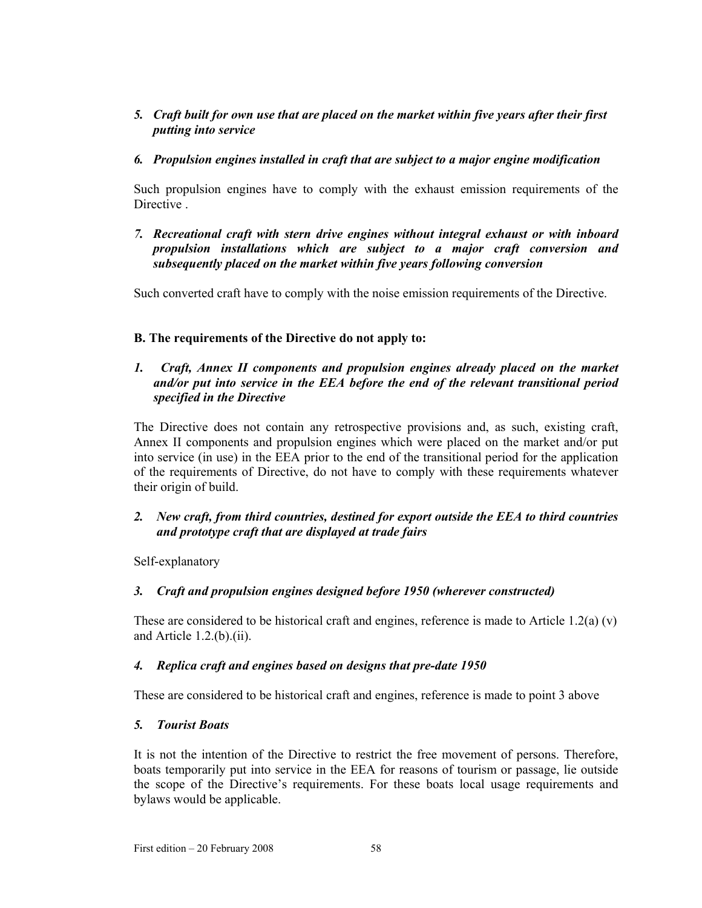## *5. Craft built for own use that are placed on the market within five years after their first putting into service*

## *6. Propulsion engines installed in craft that are subject to a major engine modification*

Such propulsion engines have to comply with the exhaust emission requirements of the Directive .

*7. Recreational craft with stern drive engines without integral exhaust or with inboard propulsion installations which are subject to a major craft conversion and subsequently placed on the market within five years following conversion* 

Such converted craft have to comply with the noise emission requirements of the Directive.

## **B. The requirements of the Directive do not apply to:**

## *1. Craft, Annex II components and propulsion engines already placed on the market and/or put into service in the EEA before the end of the relevant transitional period specified in the Directive*

The Directive does not contain any retrospective provisions and, as such, existing craft, Annex II components and propulsion engines which were placed on the market and/or put into service (in use) in the EEA prior to the end of the transitional period for the application of the requirements of Directive, do not have to comply with these requirements whatever their origin of build.

## *2. New craft, from third countries, destined for export outside the EEA to third countries and prototype craft that are displayed at trade fairs*

Self-explanatory

## *3. Craft and propulsion engines designed before 1950 (wherever constructed)*

These are considered to be historical craft and engines, reference is made to Article 1.2(a) (v) and Article 1.2.(b).(ii).

## *4. Replica craft and engines based on designs that pre-date 1950*

These are considered to be historical craft and engines, reference is made to point 3 above

## *5. Tourist Boats*

It is not the intention of the Directive to restrict the free movement of persons. Therefore, boats temporarily put into service in the EEA for reasons of tourism or passage, lie outside the scope of the Directive's requirements. For these boats local usage requirements and bylaws would be applicable.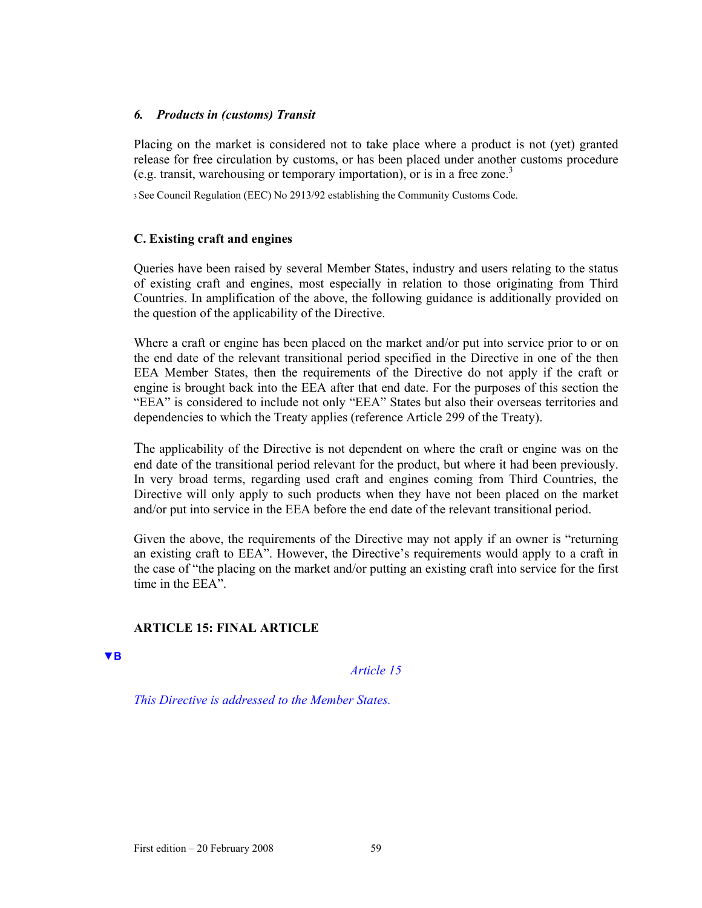### *6. Products in (customs) Transit*

Placing on the market is considered not to take place where a product is not (yet) granted release for free circulation by customs, or has been placed under another customs procedure (e.g. transit, warehousing or temporary importation), or is in a free zone.<sup>3</sup>

3 See Council Regulation (EEC) No 2913/92 establishing the Community Customs Code.

## **C. Existing craft and engines**

Queries have been raised by several Member States, industry and users relating to the status of existing craft and engines, most especially in relation to those originating from Third Countries. In amplification of the above, the following guidance is additionally provided on the question of the applicability of the Directive.

Where a craft or engine has been placed on the market and/or put into service prior to or on the end date of the relevant transitional period specified in the Directive in one of the then EEA Member States, then the requirements of the Directive do not apply if the craft or engine is brought back into the EEA after that end date. For the purposes of this section the "EEA" is considered to include not only "EEA" States but also their overseas territories and dependencies to which the Treaty applies (reference Article 299 of the Treaty).

The applicability of the Directive is not dependent on where the craft or engine was on the end date of the transitional period relevant for the product, but where it had been previously. In very broad terms, regarding used craft and engines coming from Third Countries, the Directive will only apply to such products when they have not been placed on the market and/or put into service in the EEA before the end date of the relevant transitional period.

Given the above, the requirements of the Directive may not apply if an owner is "returning an existing craft to EEA". However, the Directive's requirements would apply to a craft in the case of "the placing on the market and/or putting an existing craft into service for the first time in the EEA".

## **ARTICLE 15: FINAL ARTICLE**

**▼B**

*Article 15* 

*This Directive is addressed to the Member States.*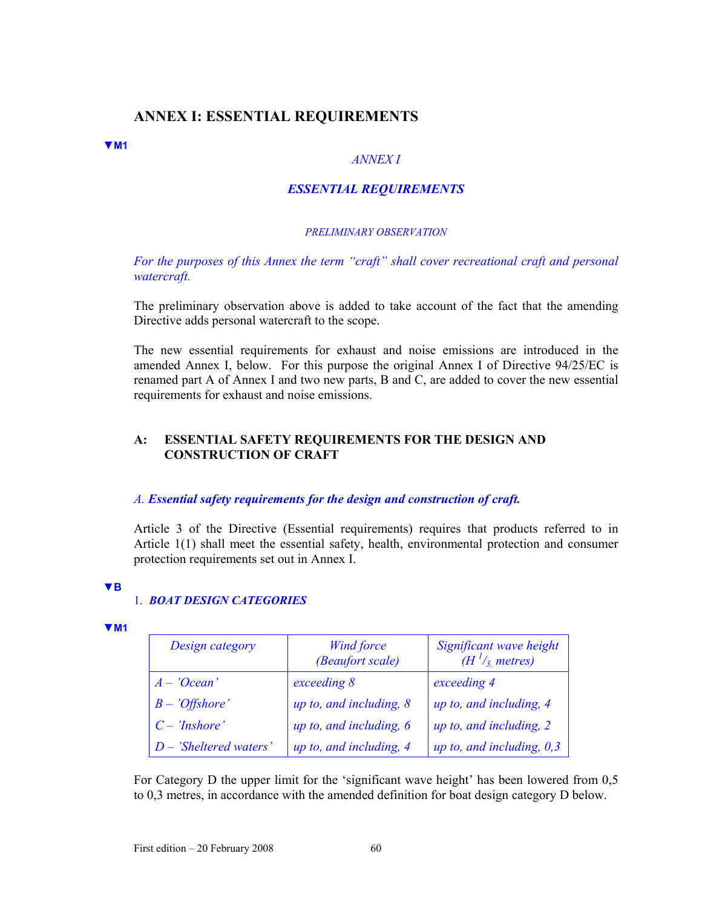## **ANNEX I: ESSENTIAL REQUIREMENTS**

#### **▼M1**

### *ANNEX I*

### *ESSENTIAL REQUIREMENTS*

#### *PRELIMINARY OBSERVATION*

*For the purposes of this Annex the term "craft" shall cover recreational craft and personal watercraft.* 

The preliminary observation above is added to take account of the fact that the amending Directive adds personal watercraft to the scope.

The new essential requirements for exhaust and noise emissions are introduced in the amended Annex I, below. For this purpose the original Annex I of Directive 94/25/EC is renamed part A of Annex I and two new parts, B and C, are added to cover the new essential requirements for exhaust and noise emissions.

### **A: ESSENTIAL SAFETY REQUIREMENTS FOR THE DESIGN AND CONSTRUCTION OF CRAFT**

#### *A. Essential safety requirements for the design and construction of craft.*

Article 3 of the Directive (Essential requirements) requires that products referred to in Article 1(1) shall meet the essential safety, health, environmental protection and consumer protection requirements set out in Annex I.

**▼B**

#### 1. *BOAT DESIGN CATEGORIES*

| z |  |
|---|--|
|   |  |

| Design category          | <b>Wind force</b><br>(Beaufort scale) | Significant wave height<br>$(H^{1}/_{3})$ metres) |
|--------------------------|---------------------------------------|---------------------------------------------------|
| $A - 'Ocean'$            | exceeding 8                           | exceeding 4                                       |
| $B - 'Offshore'$         | up to, and including, $8$             | up to, and including, 4                           |
| $C - 'Inshore'$          | up to, and including, $6$             | up to, and including, 2                           |
| $D$ – 'Sheltered waters' | up to, and including, 4               | up to, and including, $0,3$                       |

For Category D the upper limit for the 'significant wave height' has been lowered from 0,5 to 0,3 metres, in accordance with the amended definition for boat design category D below.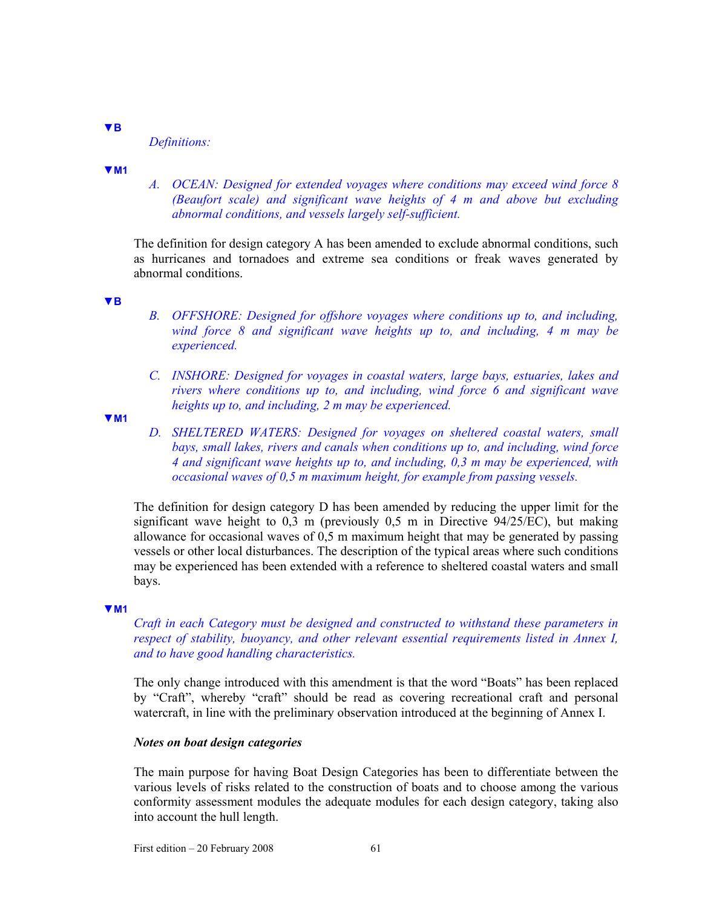#### **▼B**

*Definitions:* 

#### **▼M1**

*A. OCEAN: Designed for extended voyages where conditions may exceed wind force 8 (Beaufort scale) and significant wave heights of 4 m and above but excluding abnormal conditions, and vessels largely self-sufficient.* 

The definition for design category A has been amended to exclude abnormal conditions, such as hurricanes and tornadoes and extreme sea conditions or freak waves generated by abnormal conditions.

#### **▼B**

- *B. OFFSHORE: Designed for offshore voyages where conditions up to, and including, wind force 8 and significant wave heights up to, and including, 4 m may be experienced.*
- *C. INSHORE: Designed for voyages in coastal waters, large bays, estuaries, lakes and rivers where conditions up to, and including, wind force 6 and significant wave heights up to, and including, 2 m may be experienced.*

**▼M1**

*D. SHELTERED WATERS: Designed for voyages on sheltered coastal waters, small bays, small lakes, rivers and canals when conditions up to, and including, wind force 4 and significant wave heights up to, and including, 0,3 m may be experienced, with occasional waves of 0,5 m maximum height, for example from passing vessels.* 

The definition for design category D has been amended by reducing the upper limit for the significant wave height to  $0.3 \text{ m}$  (previously  $0.5 \text{ m}$  in Directive  $94/25$ /EC), but making allowance for occasional waves of 0,5 m maximum height that may be generated by passing vessels or other local disturbances. The description of the typical areas where such conditions may be experienced has been extended with a reference to sheltered coastal waters and small bays.

#### **▼M1**

*Craft in each Category must be designed and constructed to withstand these parameters in respect of stability, buoyancy, and other relevant essential requirements listed in Annex I, and to have good handling characteristics.* 

The only change introduced with this amendment is that the word "Boats" has been replaced by "Craft", whereby "craft" should be read as covering recreational craft and personal watercraft, in line with the preliminary observation introduced at the beginning of Annex I.

#### *Notes on boat design categories*

The main purpose for having Boat Design Categories has been to differentiate between the various levels of risks related to the construction of boats and to choose among the various conformity assessment modules the adequate modules for each design category, taking also into account the hull length.

First edition  $-20$  February 2008 61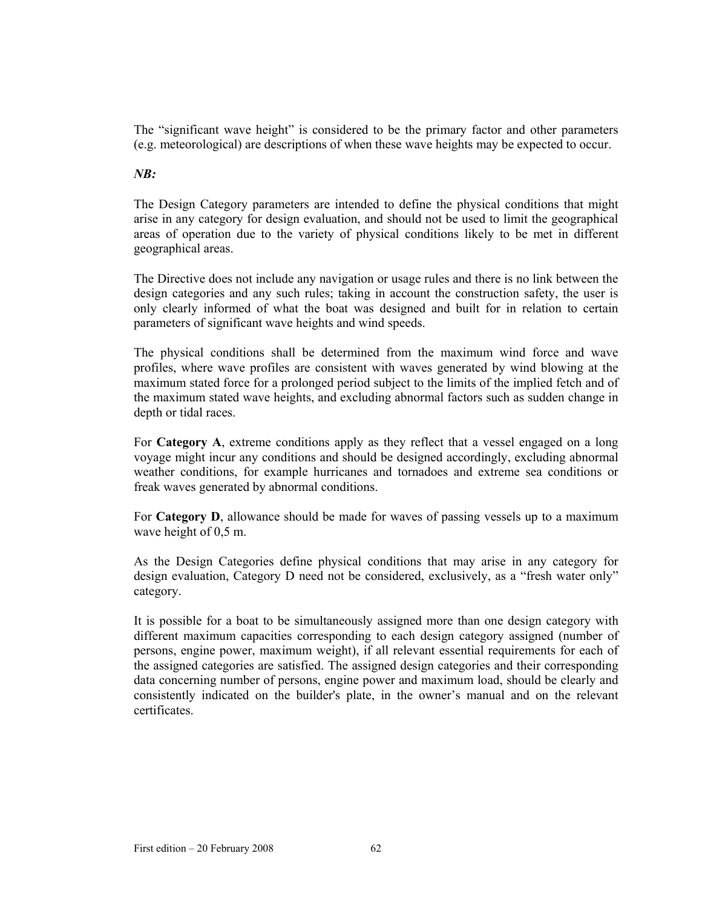The "significant wave height" is considered to be the primary factor and other parameters (e.g. meteorological) are descriptions of when these wave heights may be expected to occur.

## *NB:*

The Design Category parameters are intended to define the physical conditions that might arise in any category for design evaluation, and should not be used to limit the geographical areas of operation due to the variety of physical conditions likely to be met in different geographical areas.

The Directive does not include any navigation or usage rules and there is no link between the design categories and any such rules; taking in account the construction safety, the user is only clearly informed of what the boat was designed and built for in relation to certain parameters of significant wave heights and wind speeds.

The physical conditions shall be determined from the maximum wind force and wave profiles, where wave profiles are consistent with waves generated by wind blowing at the maximum stated force for a prolonged period subject to the limits of the implied fetch and of the maximum stated wave heights, and excluding abnormal factors such as sudden change in depth or tidal races.

For **Category A**, extreme conditions apply as they reflect that a vessel engaged on a long voyage might incur any conditions and should be designed accordingly, excluding abnormal weather conditions, for example hurricanes and tornadoes and extreme sea conditions or freak waves generated by abnormal conditions.

For **Category D**, allowance should be made for waves of passing vessels up to a maximum wave height of 0,5 m.

As the Design Categories define physical conditions that may arise in any category for design evaluation, Category D need not be considered, exclusively, as a "fresh water only" category.

It is possible for a boat to be simultaneously assigned more than one design category with different maximum capacities corresponding to each design category assigned (number of persons, engine power, maximum weight), if all relevant essential requirements for each of the assigned categories are satisfied. The assigned design categories and their corresponding data concerning number of persons, engine power and maximum load, should be clearly and consistently indicated on the builder's plate, in the owner's manual and on the relevant certificates.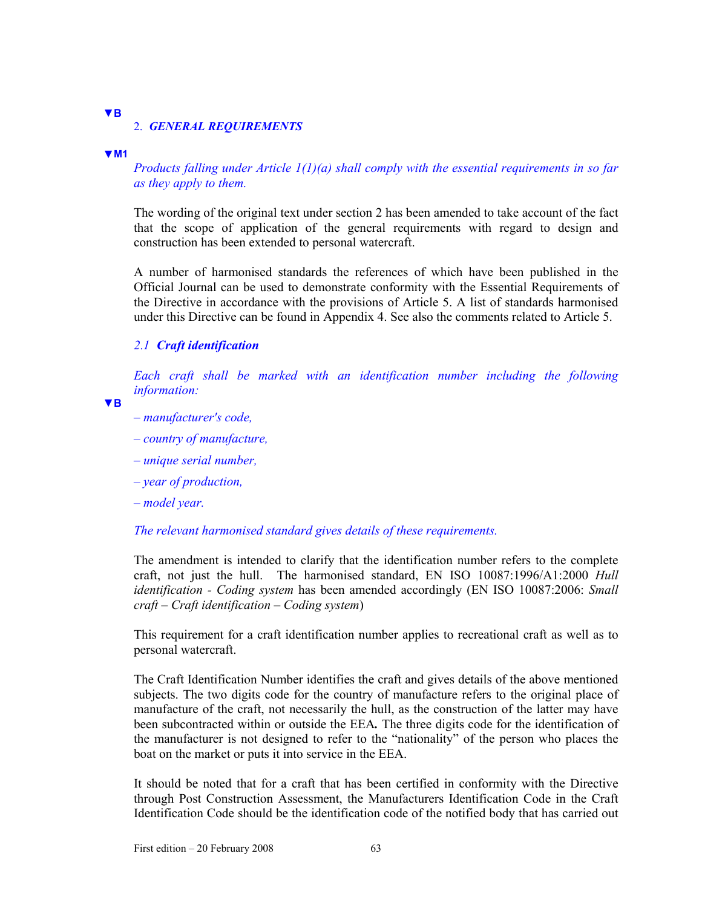## **▼B**

### 2. *GENERAL REQUIREMENTS*

#### **▼M1**

*Products falling under Article 1(1)(a) shall comply with the essential requirements in so far as they apply to them.* 

The wording of the original text under section 2 has been amended to take account of the fact that the scope of application of the general requirements with regard to design and construction has been extended to personal watercraft.

A number of harmonised standards the references of which have been published in the Official Journal can be used to demonstrate conformity with the Essential Requirements of the Directive in accordance with the provisions of Article 5. A list of standards harmonised under this Directive can be found in Appendix 4. See also the comments related to Article 5.

#### *2*.*1 Craft identification*

*Each craft shall be marked with an identification number including the following information:* 

**▼B**

- *manufacturer's code,*
- *country of manufacture,*
- *unique serial number,*
- *year of production,*
- *model year.*

### *The relevant harmonised standard gives details of these requirements.*

The amendment is intended to clarify that the identification number refers to the complete craft, not just the hull. The harmonised standard, EN ISO 10087:1996/A1:2000 *Hull identification - Coding system* has been amended accordingly (EN ISO 10087:2006: *Small craft – Craft identification – Coding system*)

This requirement for a craft identification number applies to recreational craft as well as to personal watercraft.

The Craft Identification Number identifies the craft and gives details of the above mentioned subjects. The two digits code for the country of manufacture refers to the original place of manufacture of the craft, not necessarily the hull, as the construction of the latter may have been subcontracted within or outside the EEA*.* The three digits code for the identification of the manufacturer is not designed to refer to the "nationality" of the person who places the boat on the market or puts it into service in the EEA.

It should be noted that for a craft that has been certified in conformity with the Directive through Post Construction Assessment, the Manufacturers Identification Code in the Craft Identification Code should be the identification code of the notified body that has carried out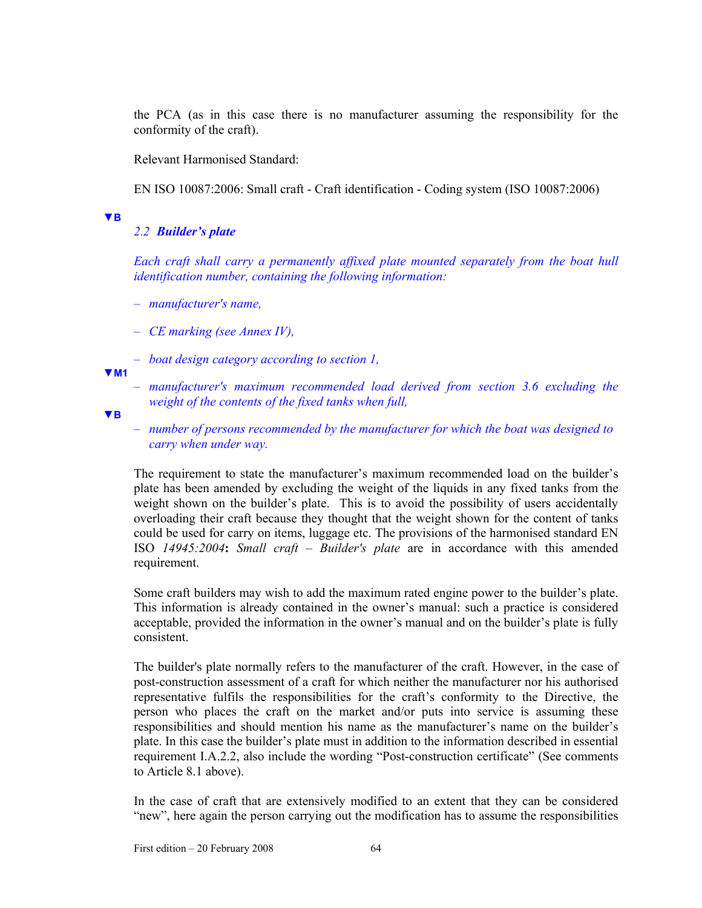the PCA (as in this case there is no manufacturer assuming the responsibility for the conformity of the craft).

Relevant Harmonised Standard:

EN ISO 10087:2006: Small craft - Craft identification - Coding system (ISO 10087:2006)

#### **▼B**

### *2*.*2 Builder's plate*

*Each craft shall carry a permanently affixed plate mounted separately from the boat hull identification number, containing the following information:* 

- *manufacturer's name,*
- *CE marking (see Annex IV),*
- *boat design category according to section 1,*

**▼M1**

– *manufacturer's maximum recommended load derived from section 3.6 excluding the weight of the contents of the fixed tanks when full,* 

**▼B**

– *number of persons recommended by the manufacturer for which the boat was designed to carry when under way.* 

The requirement to state the manufacturer's maximum recommended load on the builder's plate has been amended by excluding the weight of the liquids in any fixed tanks from the weight shown on the builder's plate. This is to avoid the possibility of users accidentally overloading their craft because they thought that the weight shown for the content of tanks could be used for carry on items, luggage etc. The provisions of the harmonised standard EN ISO *14945:2004***:** *Small craft – Builder's plate* are in accordance with this amended requirement.

Some craft builders may wish to add the maximum rated engine power to the builder's plate. This information is already contained in the owner's manual: such a practice is considered acceptable, provided the information in the owner's manual and on the builder's plate is fully consistent.

The builder's plate normally refers to the manufacturer of the craft. However, in the case of post-construction assessment of a craft for which neither the manufacturer nor his authorised representative fulfils the responsibilities for the craft's conformity to the Directive, the person who places the craft on the market and/or puts into service is assuming these responsibilities and should mention his name as the manufacturer's name on the builder's plate. In this case the builder's plate must in addition to the information described in essential requirement I.A.2.2, also include the wording "Post-construction certificate" (See comments to Article 8.1 above).

In the case of craft that are extensively modified to an extent that they can be considered "new", here again the person carrying out the modification has to assume the responsibilities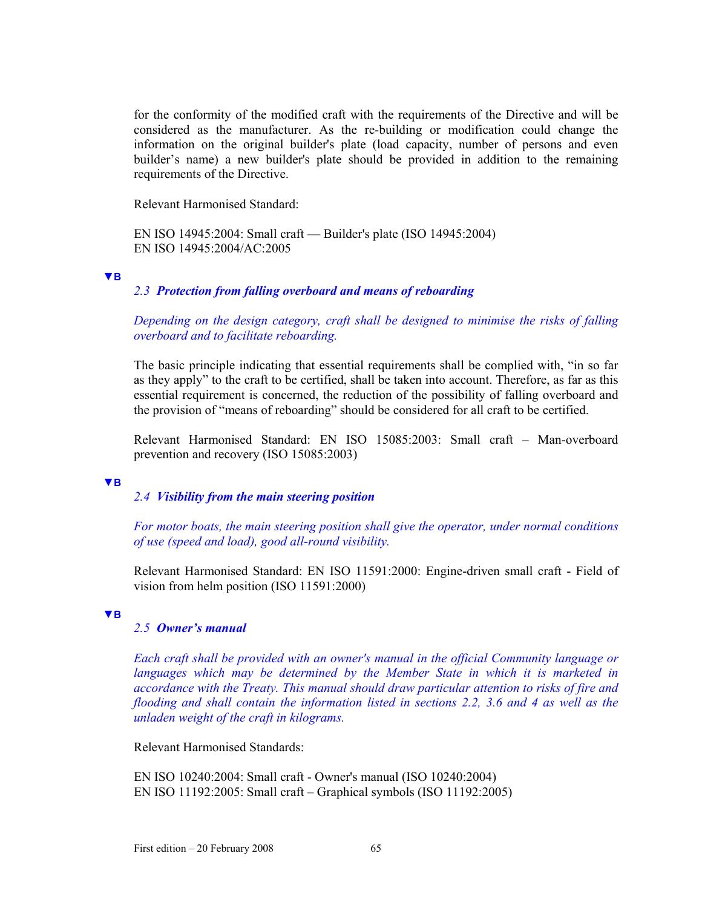for the conformity of the modified craft with the requirements of the Directive and will be considered as the manufacturer. As the re-building or modification could change the information on the original builder's plate (load capacity, number of persons and even builder's name) a new builder's plate should be provided in addition to the remaining requirements of the Directive.

Relevant Harmonised Standard:

EN ISO 14945:2004: Small craft — Builder's plate (ISO 14945:2004) EN ISO 14945:2004/AC:2005

#### **▼B**

## *2.3 Protection from falling overboard and means of reboarding*

### *Depending on the design category, craft shall be designed to minimise the risks of falling overboard and to facilitate reboarding.*

The basic principle indicating that essential requirements shall be complied with, "in so far as they apply" to the craft to be certified, shall be taken into account. Therefore, as far as this essential requirement is concerned, the reduction of the possibility of falling overboard and the provision of "means of reboarding" should be considered for all craft to be certified.

Relevant Harmonised Standard: EN ISO 15085:2003: Small craft – Man-overboard prevention and recovery (ISO 15085:2003)

#### **▼B**

## *2.4 Visibility from the main steering position*

*For motor boats, the main steering position shall give the operator, under normal conditions of use (speed and load), good all-round visibility.* 

Relevant Harmonised Standard: EN ISO 11591:2000: Engine-driven small craft - Field of vision from helm position (ISO 11591:2000)

#### **▼B**

#### *2.5 Owner's manual*

*Each craft shall be provided with an owner's manual in the official Community language or languages which may be determined by the Member State in which it is marketed in accordance with the Treaty. This manual should draw particular attention to risks of fire and flooding and shall contain the information listed in sections 2.2, 3.6 and 4 as well as the unladen weight of the craft in kilograms.* 

Relevant Harmonised Standards:

EN ISO 10240:2004: Small craft - Owner's manual (ISO 10240:2004) EN ISO 11192:2005: Small craft – Graphical symbols (ISO 11192:2005)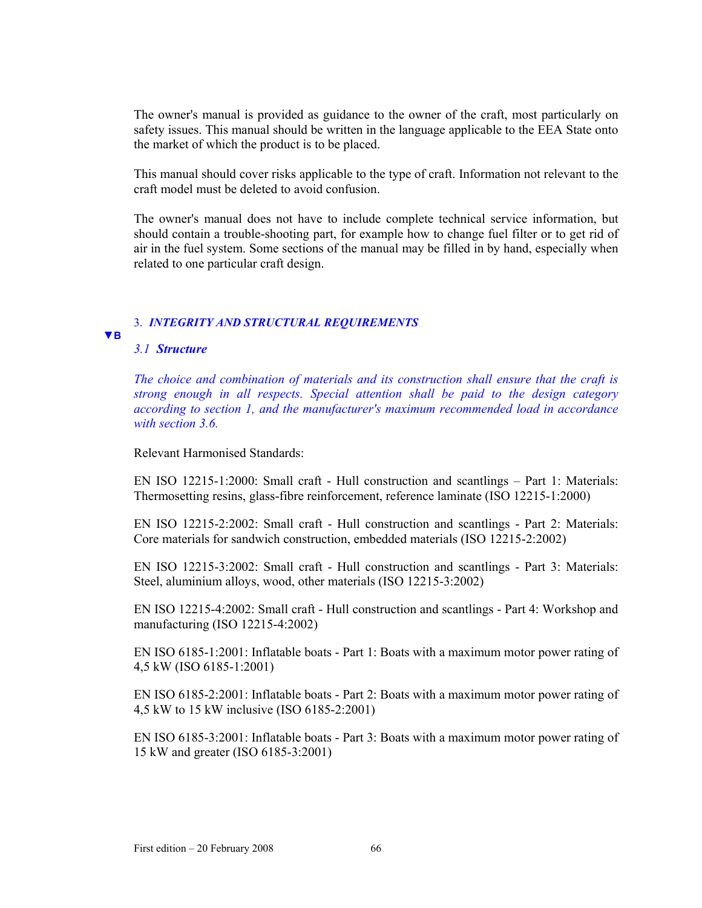The owner's manual is provided as guidance to the owner of the craft, most particularly on safety issues. This manual should be written in the language applicable to the EEA State onto the market of which the product is to be placed.

This manual should cover risks applicable to the type of craft. Information not relevant to the craft model must be deleted to avoid confusion.

The owner's manual does not have to include complete technical service information, but should contain a trouble-shooting part, for example how to change fuel filter or to get rid of air in the fuel system. Some sections of the manual may be filled in by hand, especially when related to one particular craft design.

#### 3. *INTEGRITY AND STRUCTURAL REQUIREMENTS* **▼B**

### *3.1 Structure*

*The choice and combination of materials and its construction shall ensure that the craft is strong enough in all respects. Special attention shall be paid to the design category according to section 1, and the manufacturer's maximum recommended load in accordance with section 3.6.* 

Relevant Harmonised Standards:

EN ISO 12215-1:2000: Small craft - Hull construction and scantlings – Part 1: Materials: Thermosetting resins, glass-fibre reinforcement, reference laminate (ISO 12215-1:2000)

EN ISO 12215-2:2002: Small craft - Hull construction and scantlings - Part 2: Materials: Core materials for sandwich construction, embedded materials (ISO 12215-2:2002)

EN ISO 12215-3:2002: Small craft - Hull construction and scantlings - Part 3: Materials: Steel, aluminium alloys, wood, other materials (ISO 12215-3:2002)

EN ISO 12215-4:2002: Small craft - Hull construction and scantlings - Part 4: Workshop and manufacturing (ISO 12215-4:2002)

EN ISO 6185-1:2001: Inflatable boats - Part 1: Boats with a maximum motor power rating of 4,5 kW (ISO 6185-1:2001)

EN ISO 6185-2:2001: Inflatable boats - Part 2: Boats with a maximum motor power rating of 4,5 kW to 15 kW inclusive (ISO 6185-2:2001)

EN ISO 6185-3:2001: Inflatable boats - Part 3: Boats with a maximum motor power rating of 15 kW and greater (ISO 6185-3:2001)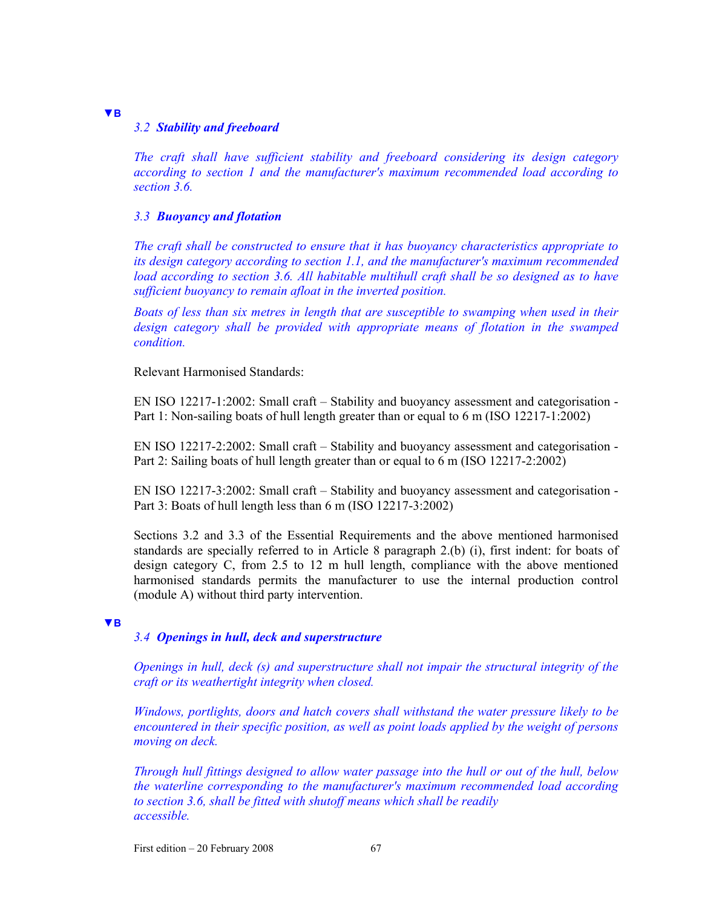## *3.2 Stability and freeboard*

**▼B**

*The craft shall have sufficient stability and freeboard considering its design category according to section 1 and the manufacturer's maximum recommended load according to section 3.6.* 

### *3.3 Buoyancy and flotation*

*The craft shall be constructed to ensure that it has buoyancy characteristics appropriate to its design category according to section 1.1, and the manufacturer's maximum recommended load according to section 3.6. All habitable multihull craft shall be so designed as to have sufficient buoyancy to remain afloat in the inverted position.* 

*Boats of less than six metres in length that are susceptible to swamping when used in their*  design category shall be provided with appropriate means of flotation in the swamped *condition.* 

Relevant Harmonised Standards:

EN ISO 12217-1:2002: Small craft – Stability and buoyancy assessment and categorisation - Part 1: Non-sailing boats of hull length greater than or equal to 6 m (ISO 12217-1:2002)

EN ISO 12217-2:2002: Small craft – Stability and buoyancy assessment and categorisation - Part 2: Sailing boats of hull length greater than or equal to 6 m (ISO 12217-2:2002)

EN ISO 12217-3:2002: Small craft – Stability and buoyancy assessment and categorisation - Part 3: Boats of hull length less than 6 m (ISO 12217-3:2002)

Sections 3.2 and 3.3 of the Essential Requirements and the above mentioned harmonised standards are specially referred to in Article 8 paragraph 2.(b) (i), first indent: for boats of design category C, from 2.5 to 12 m hull length, compliance with the above mentioned harmonised standards permits the manufacturer to use the internal production control (module A) without third party intervention.

#### **▼B**

### *3.4 Openings in hull, deck and superstructure*

*Openings in hull, deck (s) and superstructure shall not impair the structural integrity of the craft or its weathertight integrity when closed.* 

*Windows, portlights, doors and hatch covers shall withstand the water pressure likely to be encountered in their specific position, as well as point loads applied by the weight of persons moving on deck.* 

*Through hull fittings designed to allow water passage into the hull or out of the hull, below the waterline corresponding to the manufacturer's maximum recommended load according to section 3.6, shall be fitted with shutoff means which shall be readily accessible.* 

First edition  $-20$  February 2008 67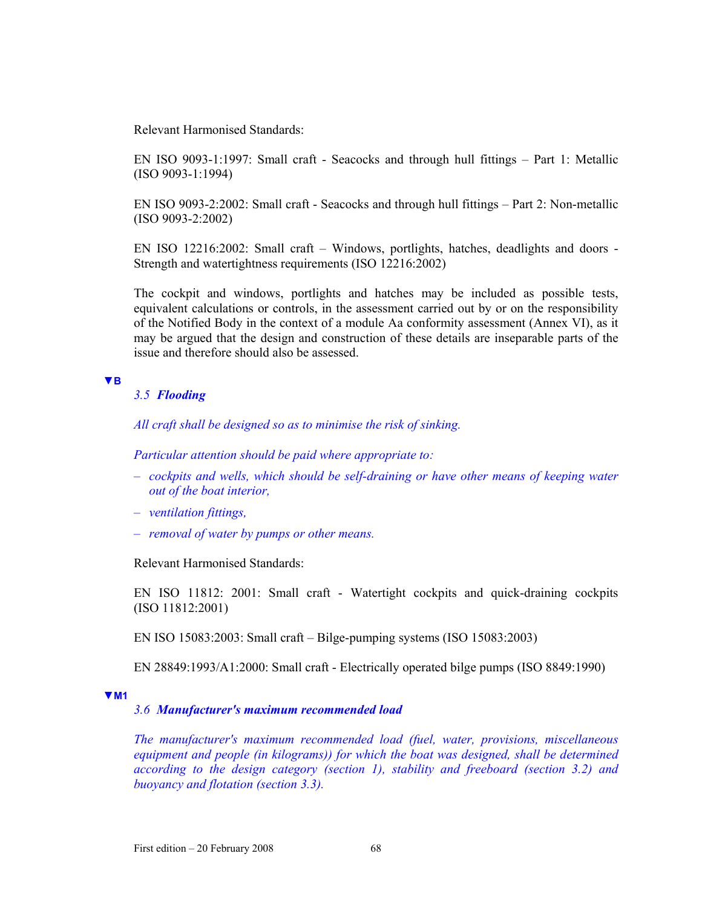Relevant Harmonised Standards:

EN ISO 9093-1:1997: Small craft - Seacocks and through hull fittings – Part 1: Metallic (ISO 9093-1:1994)

EN ISO 9093-2:2002: Small craft - Seacocks and through hull fittings – Part 2: Non-metallic (ISO 9093-2:2002)

EN ISO 12216:2002: Small craft – Windows, portlights, hatches, deadlights and doors - Strength and watertightness requirements (ISO 12216:2002)

The cockpit and windows, portlights and hatches may be included as possible tests, equivalent calculations or controls, in the assessment carried out by or on the responsibility of the Notified Body in the context of a module Aa conformity assessment (Annex VI), as it may be argued that the design and construction of these details are inseparable parts of the issue and therefore should also be assessed.

#### **▼B**

#### *3.5 Flooding*

*All craft shall be designed so as to minimise the risk of sinking.* 

*Particular attention should be paid where appropriate to:* 

- *cockpits and wells, which should be self-draining or have other means of keeping water out of the boat interior,*
- *ventilation fittings,*
- *removal of water by pumps or other means.*

Relevant Harmonised Standards:

EN ISO 11812: 2001: Small craft - Watertight cockpits and quick-draining cockpits (ISO 11812:2001)

EN ISO 15083:2003: Small craft – Bilge-pumping systems (ISO 15083:2003)

EN 28849:1993/A1:2000: Small craft - Electrically operated bilge pumps (ISO 8849:1990)

#### **▼M1**

## *3.6 Manufacturer's maximum recommended load*

*The manufacturer's maximum recommended load (fuel, water, provisions, miscellaneous equipment and people (in kilograms)) for which the boat was designed, shall be determined according to the design category (section 1), stability and freeboard (section 3.2) and buoyancy and flotation (section 3.3).*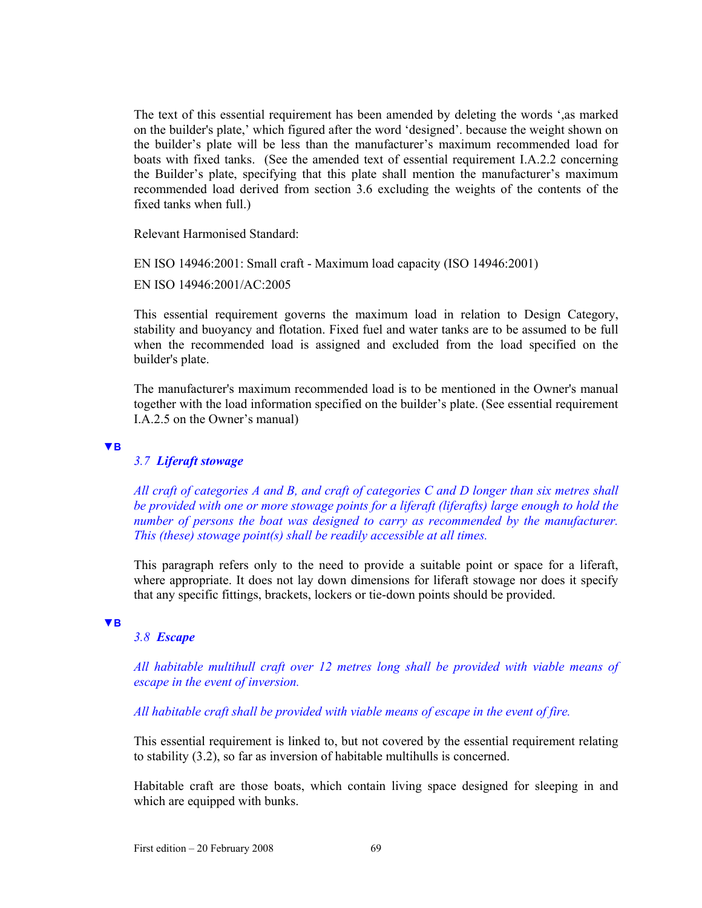The text of this essential requirement has been amended by deleting the words ',as marked on the builder's plate,' which figured after the word 'designed'. because the weight shown on the builder's plate will be less than the manufacturer's maximum recommended load for boats with fixed tanks. (See the amended text of essential requirement I.A.2.2 concerning the Builder's plate, specifying that this plate shall mention the manufacturer's maximum recommended load derived from section 3.6 excluding the weights of the contents of the fixed tanks when full.)

Relevant Harmonised Standard:

EN ISO 14946:2001: Small craft - Maximum load capacity (ISO 14946:2001)

EN ISO 14946:2001/AC:2005

This essential requirement governs the maximum load in relation to Design Category, stability and buoyancy and flotation. Fixed fuel and water tanks are to be assumed to be full when the recommended load is assigned and excluded from the load specified on the builder's plate.

The manufacturer's maximum recommended load is to be mentioned in the Owner's manual together with the load information specified on the builder's plate. (See essential requirement I.A.2.5 on the Owner's manual)

#### **▼B**

## *3.7 Liferaft stowage*

*All craft of categories A and B, and craft of categories C and D longer than six metres shall be provided with one or more stowage points for a liferaft (liferafts) large enough to hold the number of persons the boat was designed to carry as recommended by the manufacturer. This (these) stowage point(s) shall be readily accessible at all times.* 

This paragraph refers only to the need to provide a suitable point or space for a liferaft, where appropriate. It does not lay down dimensions for liferaft stowage nor does it specify that any specific fittings, brackets, lockers or tie-down points should be provided.

#### **▼B**

## *3.8 Escape*

*All habitable multihull craft over 12 metres long shall be provided with viable means of escape in the event of inversion.* 

*All habitable craft shall be provided with viable means of escape in the event of fire.* 

This essential requirement is linked to, but not covered by the essential requirement relating to stability (3.2), so far as inversion of habitable multihulls is concerned.

Habitable craft are those boats, which contain living space designed for sleeping in and which are equipped with bunks.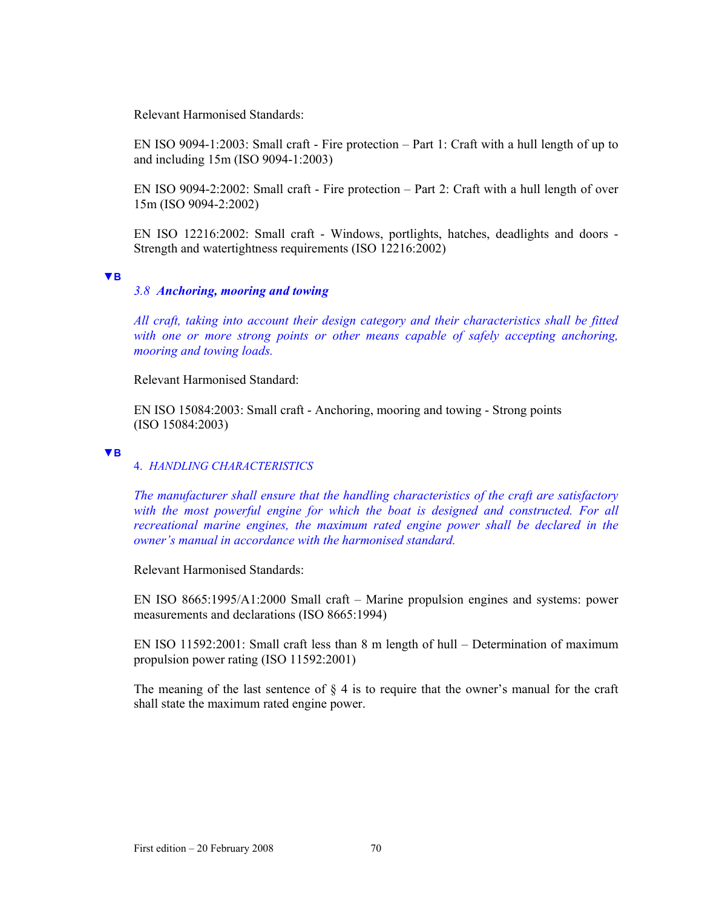Relevant Harmonised Standards:

EN ISO 9094-1:2003: Small craft - Fire protection – Part 1: Craft with a hull length of up to and including 15m (ISO 9094-1:2003)

EN ISO 9094-2:2002: Small craft - Fire protection – Part 2: Craft with a hull length of over 15m (ISO 9094-2:2002)

EN ISO 12216:2002: Small craft - Windows, portlights, hatches, deadlights and doors - Strength and watertightness requirements (ISO 12216:2002)

#### **▼B**

### *3.8 Anchoring, mooring and towing*

*All craft, taking into account their design category and their characteristics shall be fitted with one or more strong points or other means capable of safely accepting anchoring, mooring and towing loads.* 

Relevant Harmonised Standard:

EN ISO 15084:2003: Small craft - Anchoring, mooring and towing - Strong points (ISO 15084:2003)

#### **▼B**

### 4. *HANDLING CHARACTERISTICS*

*The manufacturer shall ensure that the handling characteristics of the craft are satisfactory*  with the most powerful engine for which the boat is designed and constructed. For all *recreational marine engines, the maximum rated engine power shall be declared in the owner's manual in accordance with the harmonised standard.* 

Relevant Harmonised Standards:

EN ISO 8665:1995/A1:2000 Small craft – Marine propulsion engines and systems: power measurements and declarations (ISO 8665:1994)

EN ISO 11592:2001: Small craft less than 8 m length of hull – Determination of maximum propulsion power rating (ISO 11592:2001)

The meaning of the last sentence of  $\S 4$  is to require that the owner's manual for the craft shall state the maximum rated engine power.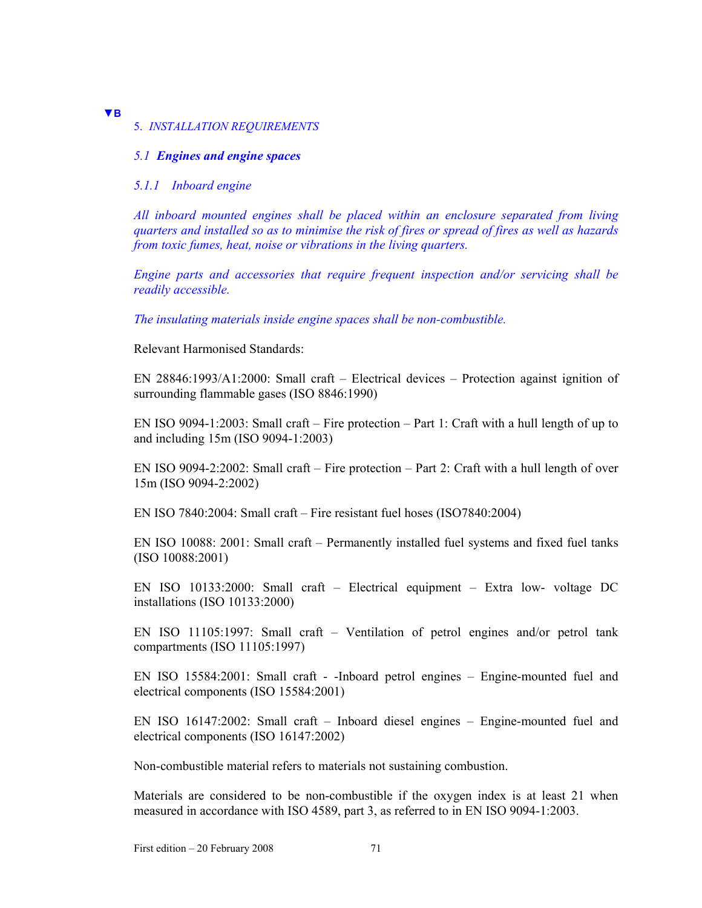## 5. *INSTALLATION REQUIREMENTS*

#### *5.1 Engines and engine spaces*

#### *5.1.1 Inboard engine*

**▼B**

*All inboard mounted engines shall be placed within an enclosure separated from living quarters and installed so as to minimise the risk of fires or spread of fires as well as hazards from toxic fumes, heat, noise or vibrations in the living quarters.* 

*Engine parts and accessories that require frequent inspection and/or servicing shall be readily accessible.* 

*The insulating materials inside engine spaces shall be non-combustible.* 

Relevant Harmonised Standards:

EN 28846:1993/A1:2000: Small craft – Electrical devices – Protection against ignition of surrounding flammable gases (ISO 8846:1990)

EN ISO 9094-1:2003: Small craft – Fire protection – Part 1: Craft with a hull length of up to and including 15m (ISO 9094-1:2003)

EN ISO 9094-2:2002: Small craft – Fire protection – Part 2: Craft with a hull length of over 15m (ISO 9094-2:2002)

EN ISO 7840:2004: Small craft – Fire resistant fuel hoses (ISO7840:2004)

EN ISO 10088: 2001: Small craft – Permanently installed fuel systems and fixed fuel tanks (ISO 10088:2001)

EN ISO 10133:2000: Small craft – Electrical equipment – Extra low- voltage DC installations (ISO 10133:2000)

EN ISO 11105:1997: Small craft – Ventilation of petrol engines and/or petrol tank compartments (ISO 11105:1997)

EN ISO 15584:2001: Small craft - -Inboard petrol engines – Engine-mounted fuel and electrical components (ISO 15584:2001)

EN ISO 16147:2002: Small craft – Inboard diesel engines – Engine-mounted fuel and electrical components (ISO 16147:2002)

Non-combustible material refers to materials not sustaining combustion.

Materials are considered to be non-combustible if the oxygen index is at least 21 when measured in accordance with ISO 4589, part 3, as referred to in EN ISO 9094-1:2003.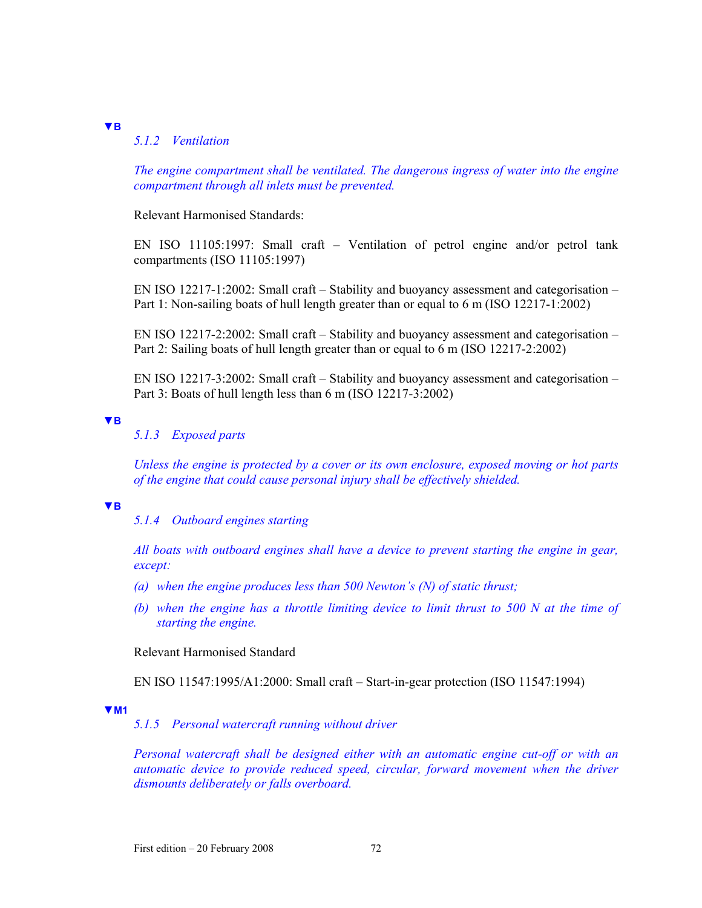# *5.1.2 Ventilation*

*The engine compartment shall be ventilated. The dangerous ingress of water into the engine compartment through all inlets must be prevented.* 

Relevant Harmonised Standards:

EN ISO 11105:1997: Small craft – Ventilation of petrol engine and/or petrol tank compartments (ISO 11105:1997)

EN ISO 12217-1:2002: Small craft – Stability and buoyancy assessment and categorisation – Part 1: Non-sailing boats of hull length greater than or equal to 6 m (ISO 12217-1:2002)

EN ISO 12217-2:2002: Small craft – Stability and buoyancy assessment and categorisation – Part 2: Sailing boats of hull length greater than or equal to 6 m (ISO 12217-2:2002)

EN ISO 12217-3:2002: Small craft – Stability and buoyancy assessment and categorisation – Part 3: Boats of hull length less than 6 m (ISO 12217-3:2002)

**▼B**

**▼B**

# *5.1.3 Exposed parts*

*Unless the engine is protected by a cover or its own enclosure, exposed moving or hot parts of the engine that could cause personal injury shall be effectively shielded.* 

**▼B**

*5.1.4 Outboard engines starting* 

*All boats with outboard engines shall have a device to prevent starting the engine in gear, except:* 

- *(a) when the engine produces less than 500 Newton's (N) of static thrust;*
- *(b) when the engine has a throttle limiting device to limit thrust to 500 N at the time of starting the engine.*

Relevant Harmonised Standard

EN ISO 11547:1995/A1:2000: Small craft – Start-in-gear protection (ISO 11547:1994)

#### **▼M1**

*5.1.5 Personal watercraft running without driver* 

*Personal watercraft shall be designed either with an automatic engine cut-off or with an automatic device to provide reduced speed, circular, forward movement when the driver dismounts deliberately or falls overboard.*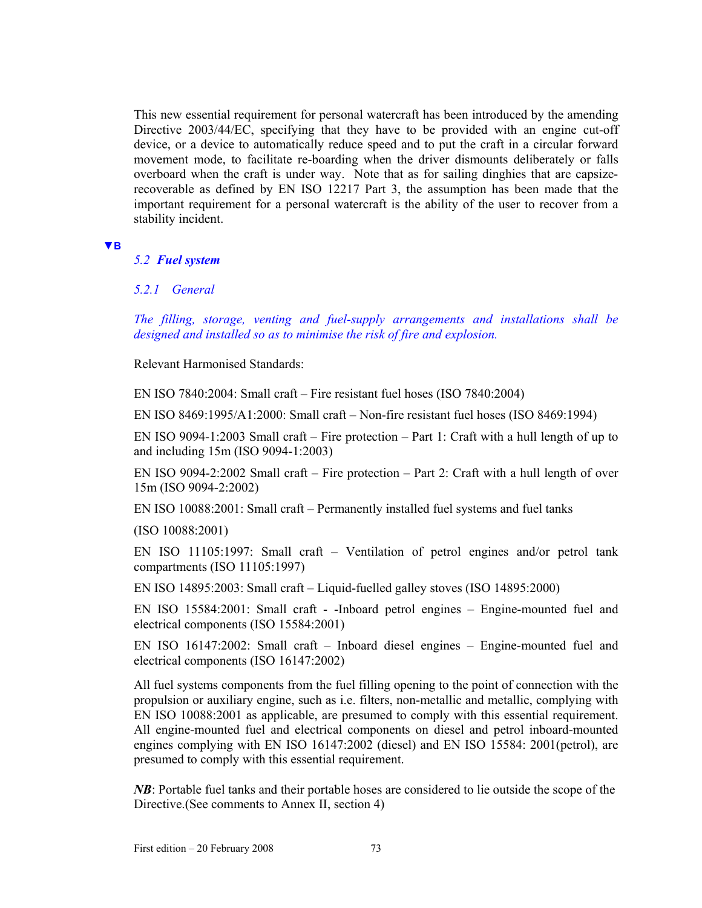This new essential requirement for personal watercraft has been introduced by the amending Directive 2003/44/EC, specifying that they have to be provided with an engine cut-off device, or a device to automatically reduce speed and to put the craft in a circular forward movement mode, to facilitate re-boarding when the driver dismounts deliberately or falls overboard when the craft is under way. Note that as for sailing dinghies that are capsizerecoverable as defined by EN ISO 12217 Part 3, the assumption has been made that the important requirement for a personal watercraft is the ability of the user to recover from a stability incident.

#### **▼B**

## *5.2 Fuel system*

## *5.2.1 General*

*The filling, storage, venting and fuel-supply arrangements and installations shall be designed and installed so as to minimise the risk of fire and explosion.* 

Relevant Harmonised Standards:

EN ISO 7840:2004: Small craft – Fire resistant fuel hoses (ISO 7840:2004)

EN ISO 8469:1995/A1:2000: Small craft – Non-fire resistant fuel hoses (ISO 8469:1994)

EN ISO 9094-1:2003 Small craft – Fire protection – Part 1: Craft with a hull length of up to and including 15m (ISO 9094-1:2003)

EN ISO 9094-2:2002 Small craft – Fire protection – Part 2: Craft with a hull length of over 15m (ISO 9094-2:2002)

EN ISO 10088:2001: Small craft – Permanently installed fuel systems and fuel tanks

(ISO 10088:2001)

EN ISO 11105:1997: Small craft – Ventilation of petrol engines and/or petrol tank compartments (ISO 11105:1997)

EN ISO 14895:2003: Small craft – Liquid-fuelled galley stoves (ISO 14895:2000)

EN ISO 15584:2001: Small craft - -Inboard petrol engines – Engine-mounted fuel and electrical components (ISO 15584:2001)

EN ISO 16147:2002: Small craft – Inboard diesel engines – Engine-mounted fuel and electrical components (ISO 16147:2002)

All fuel systems components from the fuel filling opening to the point of connection with the propulsion or auxiliary engine, such as i.e. filters, non-metallic and metallic, complying with EN ISO 10088:2001 as applicable, are presumed to comply with this essential requirement. All engine-mounted fuel and electrical components on diesel and petrol inboard-mounted engines complying with EN ISO 16147:2002 (diesel) and EN ISO 15584: 2001(petrol), are presumed to comply with this essential requirement.

*NB*: Portable fuel tanks and their portable hoses are considered to lie outside the scope of the Directive.(See comments to Annex II, section 4)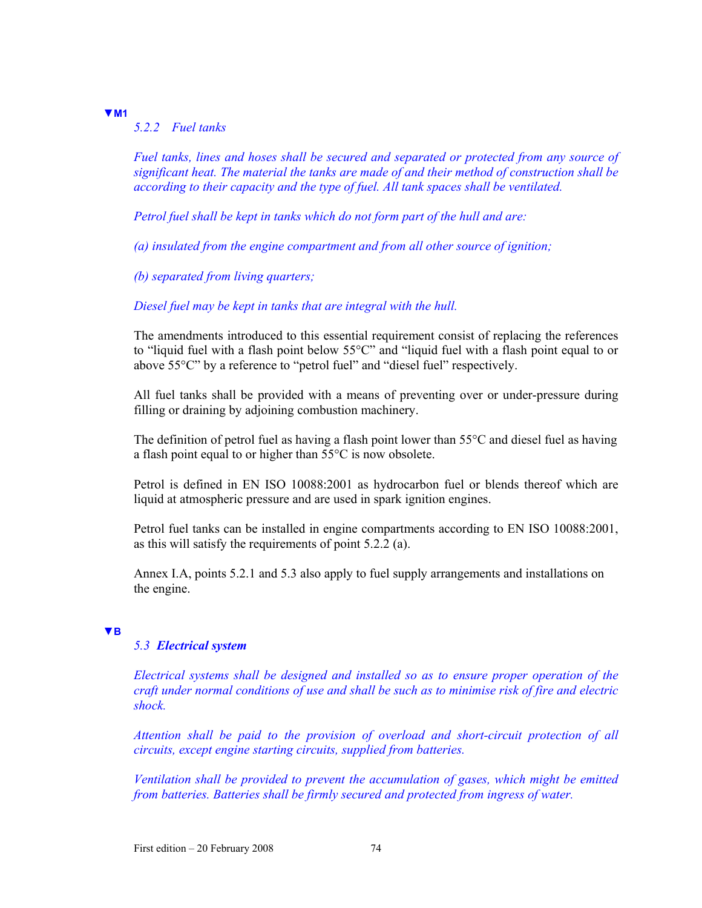# **▼M1**

# *5.2.2 Fuel tanks*

*Fuel tanks, lines and hoses shall be secured and separated or protected from any source of significant heat. The material the tanks are made of and their method of construction shall be according to their capacity and the type of fuel. All tank spaces shall be ventilated.* 

*Petrol fuel shall be kept in tanks which do not form part of the hull and are:* 

*(a) insulated from the engine compartment and from all other source of ignition;* 

*(b) separated from living quarters;* 

## *Diesel fuel may be kept in tanks that are integral with the hull.*

The amendments introduced to this essential requirement consist of replacing the references to "liquid fuel with a flash point below 55°C" and "liquid fuel with a flash point equal to or above 55°C" by a reference to "petrol fuel" and "diesel fuel" respectively.

All fuel tanks shall be provided with a means of preventing over or under-pressure during filling or draining by adjoining combustion machinery.

The definition of petrol fuel as having a flash point lower than 55°C and diesel fuel as having a flash point equal to or higher than 55°C is now obsolete.

Petrol is defined in EN ISO 10088:2001 as hydrocarbon fuel or blends thereof which are liquid at atmospheric pressure and are used in spark ignition engines.

Petrol fuel tanks can be installed in engine compartments according to EN ISO 10088:2001, as this will satisfy the requirements of point 5.2.2 (a).

Annex I.A, points 5.2.1 and 5.3 also apply to fuel supply arrangements and installations on the engine.

#### **▼B**

## *5.3 Electrical system*

*Electrical systems shall be designed and installed so as to ensure proper operation of the craft under normal conditions of use and shall be such as to minimise risk of fire and electric shock.* 

*Attention shall be paid to the provision of overload and short-circuit protection of all circuits, except engine starting circuits, supplied from batteries.* 

*Ventilation shall be provided to prevent the accumulation of gases, which might be emitted from batteries. Batteries shall be firmly secured and protected from ingress of water.*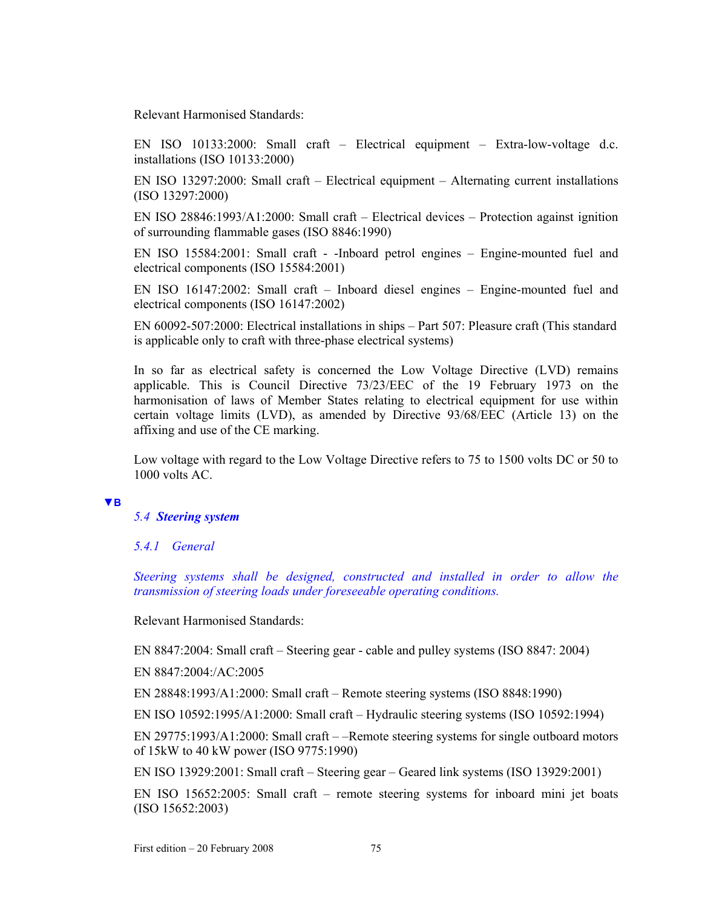Relevant Harmonised Standards:

EN ISO 10133:2000: Small craft – Electrical equipment – Extra-low-voltage d.c. installations (ISO 10133:2000)

EN ISO 13297:2000: Small craft – Electrical equipment – Alternating current installations (ISO 13297:2000)

EN ISO 28846:1993/A1:2000: Small craft – Electrical devices – Protection against ignition of surrounding flammable gases (ISO 8846:1990)

EN ISO 15584:2001: Small craft - -Inboard petrol engines – Engine-mounted fuel and electrical components (ISO 15584:2001)

EN ISO 16147:2002: Small craft – Inboard diesel engines – Engine-mounted fuel and electrical components (ISO 16147:2002)

EN 60092-507:2000: Electrical installations in ships – Part 507: Pleasure craft (This standard is applicable only to craft with three-phase electrical systems)

In so far as electrical safety is concerned the Low Voltage Directive (LVD) remains applicable. This is Council Directive 73/23/EEC of the 19 February 1973 on the harmonisation of laws of Member States relating to electrical equipment for use within certain voltage limits (LVD), as amended by Directive 93/68/EEC (Article 13) on the affixing and use of the CE marking.

Low voltage with regard to the Low Voltage Directive refers to 75 to 1500 volts DC or 50 to 1000 volts AC.

### **▼B**

### *5.4 Steering system*

# *5.4.1 General*

*Steering systems shall be designed, constructed and installed in order to allow the transmission of steering loads under foreseeable operating conditions.* 

Relevant Harmonised Standards:

EN 8847:2004: Small craft – Steering gear - cable and pulley systems (ISO 8847: 2004)

EN 8847:2004:/AC:2005

EN 28848:1993/A1:2000: Small craft – Remote steering systems (ISO 8848:1990)

EN ISO 10592:1995/A1:2000: Small craft – Hydraulic steering systems (ISO 10592:1994)

EN 29775:1993/A1:2000: Small craft – –Remote steering systems for single outboard motors of 15kW to 40 kW power (ISO 9775:1990)

EN ISO 13929:2001: Small craft – Steering gear – Geared link systems (ISO 13929:2001)

EN ISO 15652:2005: Small craft – remote steering systems for inboard mini jet boats (ISO 15652:2003)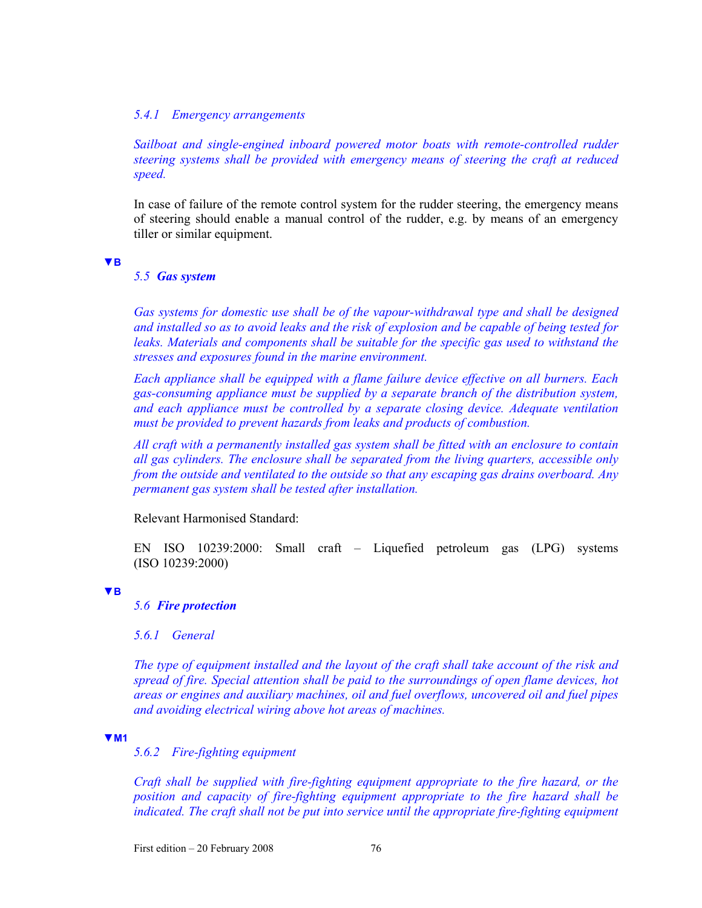## *5.4.1 Emergency arrangements*

Sailboat and single-engined inboard powered motor boats with remote-controlled rudder *steering systems shall be provided with emergency means of steering the craft at reduced speed.* 

In case of failure of the remote control system for the rudder steering, the emergency means of steering should enable a manual control of the rudder, e.g. by means of an emergency tiller or similar equipment.

#### **▼B**

## *5.5 Gas system*

Gas systems for domestic use shall be of the vapour-withdrawal type and shall be designed *and installed so as to avoid leaks and the risk of explosion and be capable of being tested for leaks. Materials and components shall be suitable for the specific gas used to withstand the stresses and exposures found in the marine environment.* 

*Each appliance shall be equipped with a flame failure device effective on all burners. Each gas-consuming appliance must be supplied by a separate branch of the distribution system, and each appliance must be controlled by a separate closing device. Adequate ventilation must be provided to prevent hazards from leaks and products of combustion.* 

*All craft with a permanently installed gas system shall be fitted with an enclosure to contain all gas cylinders. The enclosure shall be separated from the living quarters, accessible only from the outside and ventilated to the outside so that any escaping gas drains overboard. Any permanent gas system shall be tested after installation.* 

Relevant Harmonised Standard:

EN ISO 10239:2000: Small craft – Liquefied petroleum gas (LPG) systems (ISO 10239:2000)

### **▼B**

# *5.6 Fire protection*

*5.6.1 General* 

*The type of equipment installed and the layout of the craft shall take account of the risk and spread of fire. Special attention shall be paid to the surroundings of open flame devices, hot areas or engines and auxiliary machines, oil and fuel overflows, uncovered oil and fuel pipes and avoiding electrical wiring above hot areas of machines.* 

### **▼M1**

*5.6.2 Fire-fighting equipment* 

*Craft shall be supplied with fire-fighting equipment appropriate to the fire hazard, or the position and capacity of fire-fighting equipment appropriate to the fire hazard shall be indicated. The craft shall not be put into service until the appropriate fire-fighting equipment*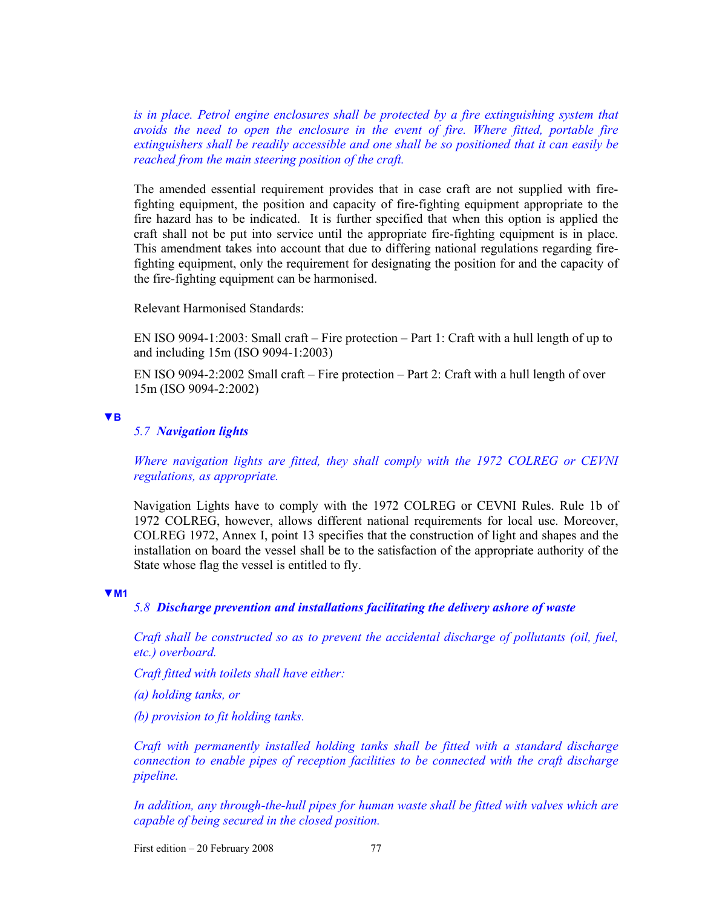is in place. Petrol engine enclosures shall be protected by a fire extinguishing system that *avoids the need to open the enclosure in the event of fire. Where fitted, portable fire extinguishers shall be readily accessible and one shall be so positioned that it can easily be reached from the main steering position of the craft.* 

The amended essential requirement provides that in case craft are not supplied with firefighting equipment, the position and capacity of fire-fighting equipment appropriate to the fire hazard has to be indicated. It is further specified that when this option is applied the craft shall not be put into service until the appropriate fire-fighting equipment is in place. This amendment takes into account that due to differing national regulations regarding firefighting equipment, only the requirement for designating the position for and the capacity of the fire-fighting equipment can be harmonised.

Relevant Harmonised Standards:

EN ISO 9094-1:2003: Small craft – Fire protection – Part 1: Craft with a hull length of up to and including 15m (ISO 9094-1:2003)

EN ISO 9094-2:2002 Small craft – Fire protection – Part 2: Craft with a hull length of over 15m (ISO 9094-2:2002)

#### **▼B**

# *5.7 Navigation lights*

*Where navigation lights are fitted, they shall comply with the 1972 COLREG or CEVNI regulations, as appropriate.* 

Navigation Lights have to comply with the 1972 COLREG or CEVNI Rules. Rule 1b of 1972 COLREG, however, allows different national requirements for local use. Moreover, COLREG 1972, Annex I, point 13 specifies that the construction of light and shapes and the installation on board the vessel shall be to the satisfaction of the appropriate authority of the State whose flag the vessel is entitled to fly.

#### **▼M1**

# *5.8 Discharge prevention and installations facilitating the delivery ashore of waste*

*Craft shall be constructed so as to prevent the accidental discharge of pollutants (oil, fuel, etc.) overboard.* 

*Craft fitted with toilets shall have either:* 

*(a) holding tanks, or* 

*(b) provision to fit holding tanks.* 

*Craft with permanently installed holding tanks shall be fitted with a standard discharge connection to enable pipes of reception facilities to be connected with the craft discharge pipeline.* 

*In addition, any through-the-hull pipes for human waste shall be fitted with valves which are capable of being secured in the closed position.* 

First edition  $-20$  February 2008 77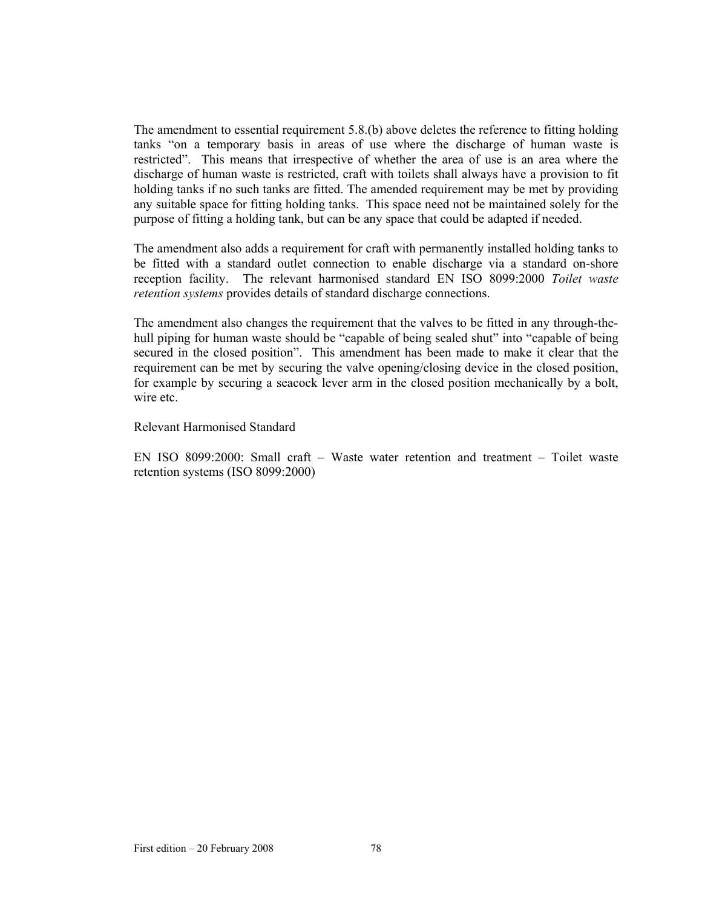The amendment to essential requirement 5.8.(b) above deletes the reference to fitting holding tanks "on a temporary basis in areas of use where the discharge of human waste is restricted". This means that irrespective of whether the area of use is an area where the discharge of human waste is restricted, craft with toilets shall always have a provision to fit holding tanks if no such tanks are fitted. The amended requirement may be met by providing any suitable space for fitting holding tanks. This space need not be maintained solely for the purpose of fitting a holding tank, but can be any space that could be adapted if needed.

The amendment also adds a requirement for craft with permanently installed holding tanks to be fitted with a standard outlet connection to enable discharge via a standard on-shore reception facility. The relevant harmonised standard EN ISO 8099:2000 *Toilet waste retention systems* provides details of standard discharge connections.

The amendment also changes the requirement that the valves to be fitted in any through-thehull piping for human waste should be "capable of being sealed shut" into "capable of being secured in the closed position". This amendment has been made to make it clear that the requirement can be met by securing the valve opening/closing device in the closed position, for example by securing a seacock lever arm in the closed position mechanically by a bolt, wire etc.

Relevant Harmonised Standard

EN ISO 8099:2000: Small craft – Waste water retention and treatment – Toilet waste retention systems (ISO 8099:2000)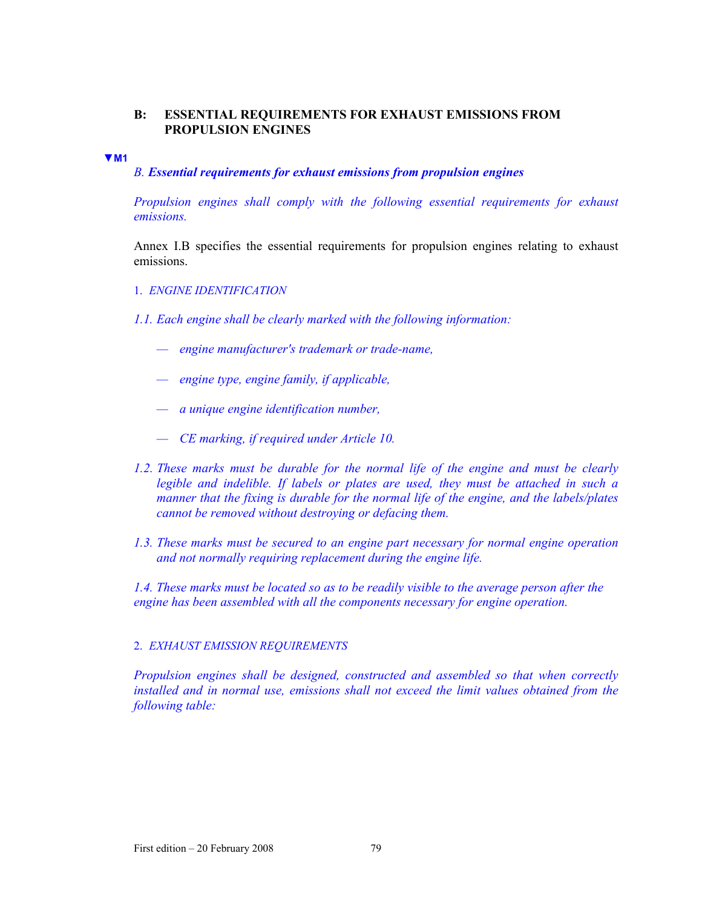# **B: ESSENTIAL REQUIREMENTS FOR EXHAUST EMISSIONS FROM PROPULSION ENGINES**

#### **▼M1**

# *B. Essential requirements for exhaust emissions from propulsion engines*

*Propulsion engines shall comply with the following essential requirements for exhaust emissions.* 

Annex I.B specifies the essential requirements for propulsion engines relating to exhaust emissions.

- 1. *ENGINE IDENTIFICATION*
- *1.1. Each engine shall be clearly marked with the following information:* 
	- *engine manufacturer's trademark or trade-name,*
	- *engine type, engine family, if applicable,*
	- *a unique engine identification number,*
	- *CE marking, if required under Article 10.*
- *1.2. These marks must be durable for the normal life of the engine and must be clearly legible and indelible. If labels or plates are used, they must be attached in such a manner that the fixing is durable for the normal life of the engine, and the labels/plates cannot be removed without destroying or defacing them.*
- *1.3. These marks must be secured to an engine part necessary for normal engine operation and not normally requiring replacement during the engine life.*

*1.4. These marks must be located so as to be readily visible to the average person after the engine has been assembled with all the components necessary for engine operation.* 

### 2. *EXHAUST EMISSION REQUIREMENTS*

*Propulsion engines shall be designed, constructed and assembled so that when correctly installed and in normal use, emissions shall not exceed the limit values obtained from the following table:*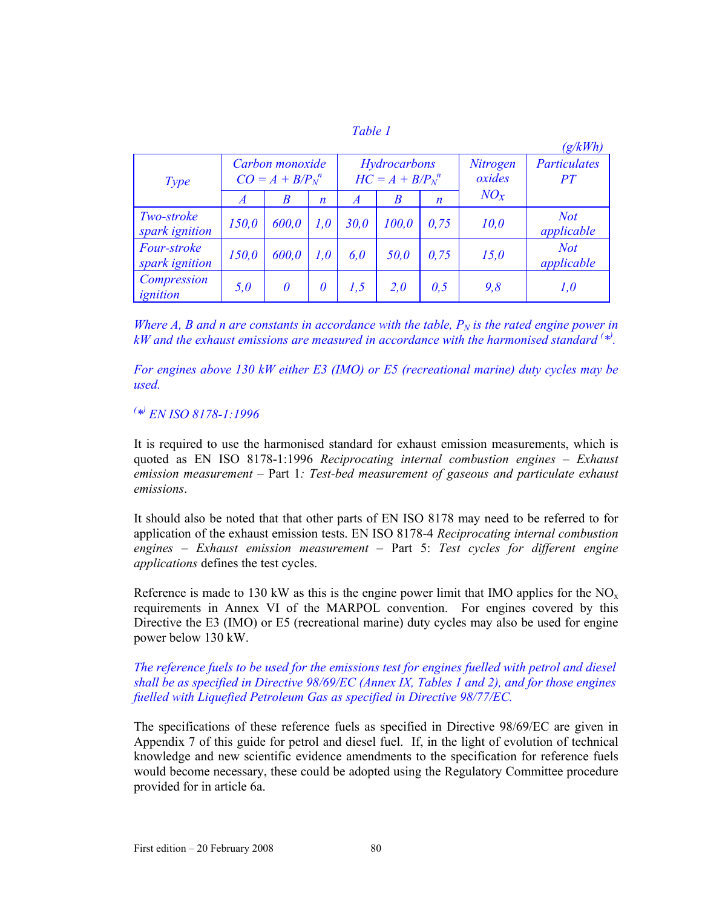|  | ۲. |  |  |
|--|----|--|--|
|  |    |  |  |

|                                      |                |                                                                                     |                  |                  |                    |                    |        | (g/kWh)                  |
|--------------------------------------|----------------|-------------------------------------------------------------------------------------|------------------|------------------|--------------------|--------------------|--------|--------------------------|
| Type                                 |                | Hydrocarbons<br>Carbon monoxide<br>$HC = A + B/P_N^{\ n}$<br>$CO = A + B/P_N^{\ n}$ |                  |                  | Nitrogen<br>oxides | Particulates<br>PT |        |                          |
|                                      | $\overline{A}$ | B                                                                                   | $\boldsymbol{n}$ | $\boldsymbol{A}$ | B                  | $\boldsymbol{n}$   | $NO_x$ |                          |
| Two-stroke<br>spark ignition         | 150,0          | 600,0                                                                               | 1,0              | 30,0             | 100.0              | 0.75               | 10,0   | <b>Not</b><br>applicable |
| <i>Four-stroke</i><br>spark ignition | 150,0          | 600,0                                                                               | 1,0              | 6,0              | 50,0               | 0,75               | 15,0   | <b>Not</b><br>applicable |
| Compression<br>ignition              | 5,0            | 0                                                                                   | 0                | 1,5              | 2.0                | 0,5                | 9,8    | 1,0                      |

*Where A, B and n are constants in accordance with the table,*  $P_N$  *is the rated engine power in kW* and the exhaust emissions are measured in accordance with the harmonised standard <sup>(\*)</sup>.

*For engines above 130 kW either E3 (IMO) or E5 (recreational marine) duty cycles may be used.* 

*( \*) EN ISO 8178-1:1996* 

It is required to use the harmonised standard for exhaust emission measurements, which is quoted as EN ISO 8178-1:1996 *Reciprocating internal combustion engines – Exhaust emission measurement* – Part 1*: Test-bed measurement of gaseous and particulate exhaust emissions*.

It should also be noted that that other parts of EN ISO 8178 may need to be referred to for application of the exhaust emission tests. EN ISO 8178-4 *Reciprocating internal combustion engines – Exhaust emission measurement* – Part 5: *Test cycles for different engine applications* defines the test cycles.

Reference is made to 130 kW as this is the engine power limit that IMO applies for the  $NO<sub>x</sub>$ requirements in Annex VI of the MARPOL convention. For engines covered by this Directive the E3 (IMO) or E5 (recreational marine) duty cycles may also be used for engine power below 130 kW.

# *The reference fuels to be used for the emissions test for engines fuelled with petrol and diesel shall be as specified in Directive 98/69/EC (Annex IX, Tables 1 and 2), and for those engines fuelled with Liquefied Petroleum Gas as specified in Directive 98/77/EC.*

The specifications of these reference fuels as specified in Directive 98/69/EC are given in Appendix 7 of this guide for petrol and diesel fuel. If, in the light of evolution of technical knowledge and new scientific evidence amendments to the specification for reference fuels would become necessary, these could be adopted using the Regulatory Committee procedure provided for in article 6a.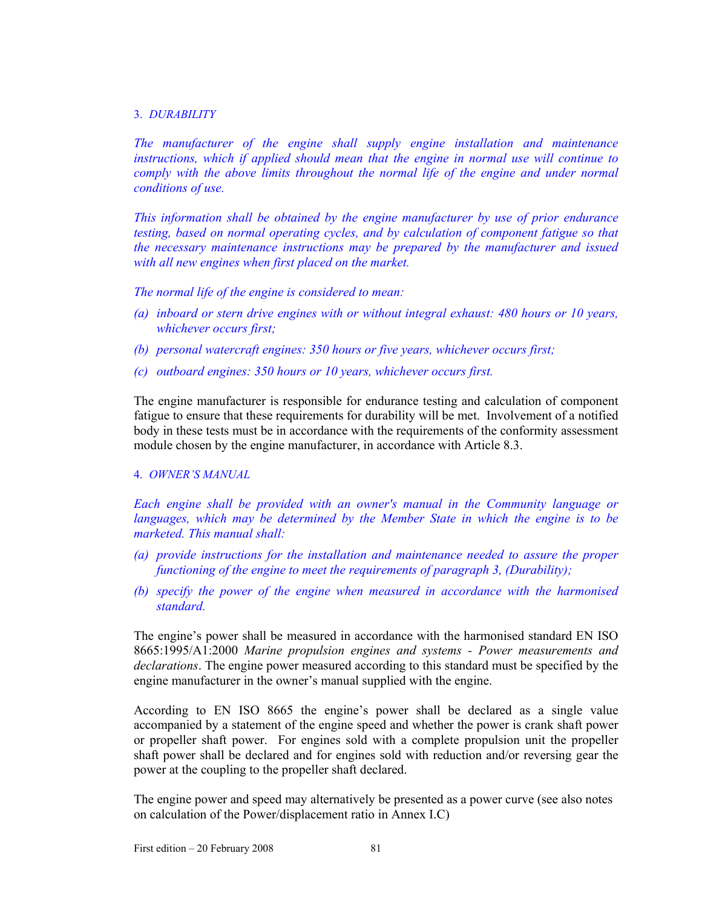### 3. *DURABILITY*

*The manufacturer of the engine shall supply engine installation and maintenance instructions, which if applied should mean that the engine in normal use will continue to comply with the above limits throughout the normal life of the engine and under normal conditions of use.* 

*This information shall be obtained by the engine manufacturer by use of prior endurance testing, based on normal operating cycles, and by calculation of component fatigue so that the necessary maintenance instructions may be prepared by the manufacturer and issued with all new engines when first placed on the market.* 

*The normal life of the engine is considered to mean:* 

- *(a) inboard or stern drive engines with or without integral exhaust: 480 hours or 10 years, whichever occurs first;*
- *(b) personal watercraft engines: 350 hours or five years, whichever occurs first;*
- *(c) outboard engines: 350 hours or 10 years, whichever occurs first.*

The engine manufacturer is responsible for endurance testing and calculation of component fatigue to ensure that these requirements for durability will be met. Involvement of a notified body in these tests must be in accordance with the requirements of the conformity assessment module chosen by the engine manufacturer, in accordance with Article 8.3.

## 4. *OWNER'S MANUAL*

*Each engine shall be provided with an owner's manual in the Community language or languages, which may be determined by the Member State in which the engine is to be marketed. This manual shall:* 

- *(a) provide instructions for the installation and maintenance needed to assure the proper functioning of the engine to meet the requirements of paragraph 3, (Durability);*
- *(b) specify the power of the engine when measured in accordance with the harmonised standard.*

The engine's power shall be measured in accordance with the harmonised standard EN ISO 8665:1995/A1:2000 *Marine propulsion engines and systems - Power measurements and declarations*. The engine power measured according to this standard must be specified by the engine manufacturer in the owner's manual supplied with the engine.

According to EN ISO 8665 the engine's power shall be declared as a single value accompanied by a statement of the engine speed and whether the power is crank shaft power or propeller shaft power. For engines sold with a complete propulsion unit the propeller shaft power shall be declared and for engines sold with reduction and/or reversing gear the power at the coupling to the propeller shaft declared.

The engine power and speed may alternatively be presented as a power curve (see also notes on calculation of the Power/displacement ratio in Annex I.C)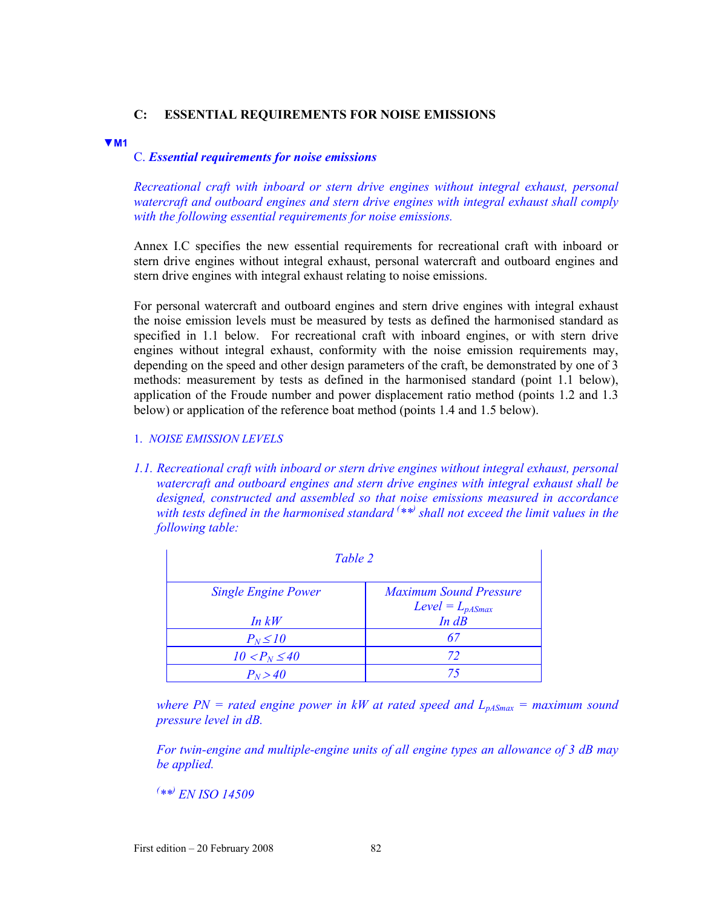# **C: ESSENTIAL REQUIREMENTS FOR NOISE EMISSIONS**

#### **▼M1**

## C. *Essential requirements for noise emissions*

*Recreational craft with inboard or stern drive engines without integral exhaust, personal watercraft and outboard engines and stern drive engines with integral exhaust shall comply with the following essential requirements for noise emissions.* 

Annex I.C specifies the new essential requirements for recreational craft with inboard or stern drive engines without integral exhaust, personal watercraft and outboard engines and stern drive engines with integral exhaust relating to noise emissions.

For personal watercraft and outboard engines and stern drive engines with integral exhaust the noise emission levels must be measured by tests as defined the harmonised standard as specified in 1.1 below. For recreational craft with inboard engines, or with stern drive engines without integral exhaust, conformity with the noise emission requirements may, depending on the speed and other design parameters of the craft, be demonstrated by one of 3 methods: measurement by tests as defined in the harmonised standard (point 1.1 below), application of the Froude number and power displacement ratio method (points 1.2 and 1.3 below) or application of the reference boat method (points 1.4 and 1.5 below).

- 1. *NOISE EMISSION LEVELS*
- *1.1. Recreational craft with inboard or stern drive engines without integral exhaust, personal watercraft and outboard engines and stern drive engines with integral exhaust shall be designed, constructed and assembled so that noise emissions measured in accordance with tests defined in the harmonised standard ( \*\*) shall not exceed the limit values in the following table:*

| Table 2                    |                                                       |  |  |  |
|----------------------------|-------------------------------------------------------|--|--|--|
| <b>Single Engine Power</b> | <b>Maximum Sound Pressure</b><br>$Level = L_{pASmax}$ |  |  |  |
| In kW                      | $In$ $dB$                                             |  |  |  |
| $P_N \leq 10$              | 67                                                    |  |  |  |
| $10 < P_N \leq 40$         | 72                                                    |  |  |  |
| $P_N > 40$                 | 75                                                    |  |  |  |

where  $PN$  = rated engine power in kW at rated speed and  $L_{pASmax}$  = maximum sound *pressure level in dB.* 

*For twin-engine and multiple-engine units of all engine types an allowance of 3 dB may be applied.* 

*( \*\*) EN ISO 14509*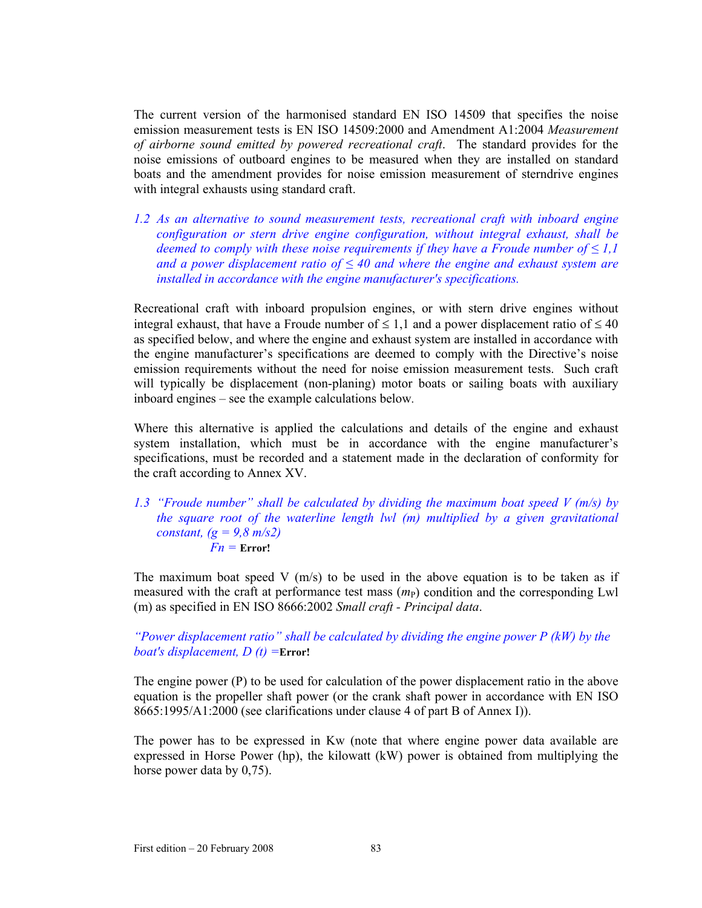The current version of the harmonised standard EN ISO 14509 that specifies the noise emission measurement tests is EN ISO 14509:2000 and Amendment A1:2004 *Measurement of airborne sound emitted by powered recreational craft*. The standard provides for the noise emissions of outboard engines to be measured when they are installed on standard boats and the amendment provides for noise emission measurement of sterndrive engines with integral exhausts using standard craft.

*1.2 As an alternative to sound measurement tests, recreational craft with inboard engine configuration or stern drive engine configuration, without integral exhaust, shall be deemed to comply with these noise requirements if they have a Froude number of*  $\leq 1,1$ *and a power displacement ratio of ≤ 40 and where the engine and exhaust system are installed in accordance with the engine manufacturer's specifications.* 

Recreational craft with inboard propulsion engines, or with stern drive engines without integral exhaust, that have a Froude number of  $\leq 1,1$  and a power displacement ratio of  $\leq 40$ as specified below, and where the engine and exhaust system are installed in accordance with the engine manufacturer's specifications are deemed to comply with the Directive's noise emission requirements without the need for noise emission measurement tests. Such craft will typically be displacement (non-planing) motor boats or sailing boats with auxiliary inboard engines – see the example calculations below*.* 

Where this alternative is applied the calculations and details of the engine and exhaust system installation, which must be in accordance with the engine manufacturer's specifications, must be recorded and a statement made in the declaration of conformity for the craft according to Annex XV.

## *1.3 "Froude number" shall be calculated by dividing the maximum boat speed V (m/s) by the square root of the waterline length lwl (m) multiplied by a given gravitational constant, (g = 9,8 m/s2)*   $Fn = Error!$

The maximum boat speed V  $(m/s)$  to be used in the above equation is to be taken as if measured with the craft at performance test mass  $(m<sub>P</sub>)$  condition and the corresponding Lwl (m) as specified in EN ISO 8666:2002 *Small craft - Principal data*.

*"Power displacement ratio" shall be calculated by dividing the engine power P (kW) by the boat's displacement, D (t) =***Error!**

The engine power (P) to be used for calculation of the power displacement ratio in the above equation is the propeller shaft power (or the crank shaft power in accordance with EN ISO 8665:1995/A1:2000 (see clarifications under clause 4 of part B of Annex I)).

The power has to be expressed in Kw (note that where engine power data available are expressed in Horse Power (hp), the kilowatt (kW) power is obtained from multiplying the horse power data by 0,75).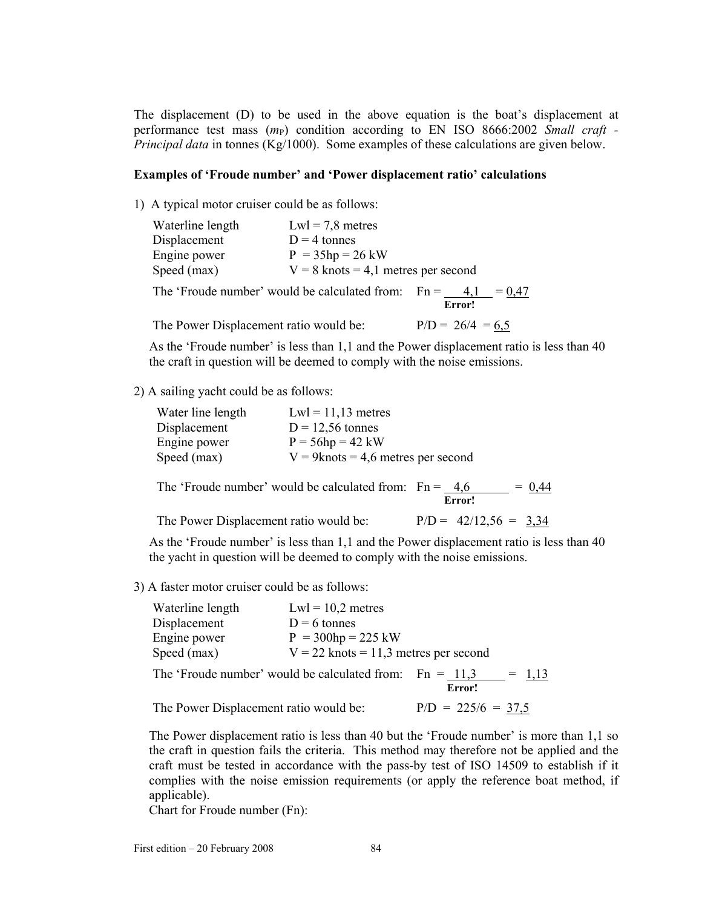The displacement (D) to be used in the above equation is the boat's displacement at performance test mass (*m*P) condition according to EN ISO 8666:2002 *Small craft - Principal data* in tonnes (Kg/1000). Some examples of these calculations are given below.

### **Examples of 'Froude number' and 'Power displacement ratio' calculations**

1) A typical motor cruiser could be as follows:

| Waterline length          | $Lwl = 7.8$ metres                                                                                                                                                                                                                                                                                                                        |
|---------------------------|-------------------------------------------------------------------------------------------------------------------------------------------------------------------------------------------------------------------------------------------------------------------------------------------------------------------------------------------|
| Displacement              | $D = 4$ tonnes                                                                                                                                                                                                                                                                                                                            |
| Engine power              | $P = 35hp = 26 kW$                                                                                                                                                                                                                                                                                                                        |
| Speed (max)               | $V = 8$ knots = 4,1 metres per second                                                                                                                                                                                                                                                                                                     |
| $\mathbf{m}$ $\mathbf{m}$ | $\mathbf{1}$ , $\mathbf{1}$ , $\mathbf{1}$ , $\mathbf{1}$ , $\mathbf{1}$ , $\mathbf{1}$ , $\mathbf{1}$ , $\mathbf{1}$ , $\mathbf{1}$ , $\mathbf{1}$ , $\mathbf{1}$ , $\mathbf{1}$ , $\mathbf{1}$ , $\mathbf{1}$ , $\mathbf{1}$ , $\mathbf{1}$ , $\mathbf{1}$ , $\mathbf{1}$ , $\mathbf{1}$ , $\mathbf{1}$ , $\mathbf{1}$ , $\mathbf{1}$ , |

The 'Froude number' would be calculated from:  $Fn = \frac{4,1}{\text{Error}!} = \frac{0,47}{1,67}$ 

The Power Displacement ratio would be:  $P/D = 26/4 = 6.5$ 

As the 'Froude number' is less than 1,1 and the Power displacement ratio is less than 40 the craft in question will be deemed to comply with the noise emissions.

2) A sailing yacht could be as follows:

| Water line length | $Lwl = 11,13$ metres                  |
|-------------------|---------------------------------------|
| Displacement      | $D = 12,56$ tonnes                    |
| Engine power      | $P = 56hp = 42 kW$                    |
| Speed (max)       | $V = 9$ knots = 4,6 metres per second |

The 'Froude number' would be calculated from:  $Fn = \frac{4.6}{\text{Error!}} = 0.44$ 

The Power Displacement ratio would be:  $P/D = 42/12,56 = 3.34$ 

As the 'Froude number' is less than 1,1 and the Power displacement ratio is less than 40 the yacht in question will be deemed to comply with the noise emissions.

3) A faster motor cruiser could be as follows:

| Waterline length                                          | $Lwl = 10,2$ metres                     |        |         |
|-----------------------------------------------------------|-----------------------------------------|--------|---------|
| Displacement                                              | $D = 6$ tonnes                          |        |         |
| Engine power                                              | $P = 300hp = 225 kW$                    |        |         |
| Speed (max)                                               | $V = 22$ knots = 11,3 metres per second |        |         |
| The 'Froude number' would be calculated from: $Fn = 11.3$ |                                         |        | $= 113$ |
|                                                           |                                         | Error! |         |

| The Power Displacement ratio would be: | $P/D = 225/6 = 37.5$ |
|----------------------------------------|----------------------|
|----------------------------------------|----------------------|

The Power displacement ratio is less than 40 but the 'Froude number' is more than 1,1 so the craft in question fails the criteria. This method may therefore not be applied and the craft must be tested in accordance with the pass-by test of ISO 14509 to establish if it complies with the noise emission requirements (or apply the reference boat method, if applicable).

Chart for Froude number (Fn):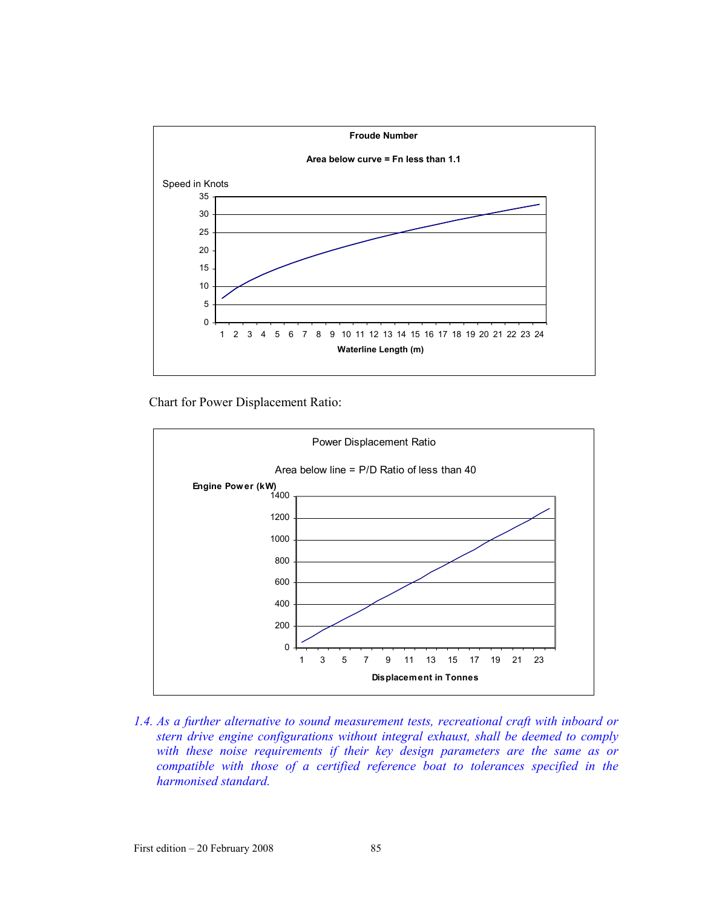

Chart for Power Displacement Ratio:



*1.4. As a further alternative to sound measurement tests, recreational craft with inboard or stern drive engine configurations without integral exhaust, shall be deemed to comply with these noise requirements if their key design parameters are the same as or compatible with those of a certified reference boat to tolerances specified in the harmonised standard.*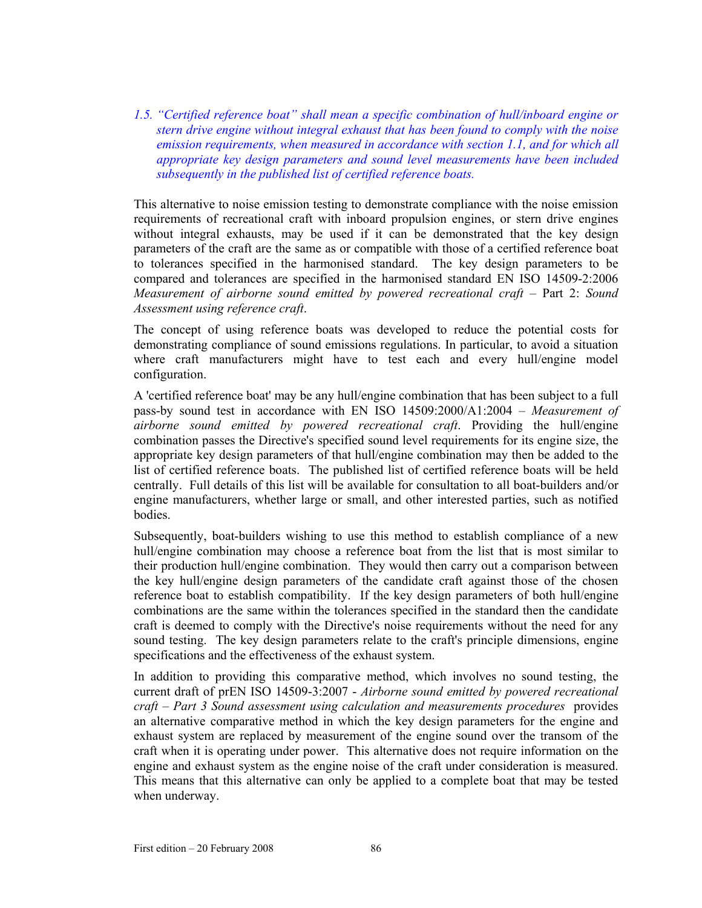*1.5. "Certified reference boat" shall mean a specific combination of hull/inboard engine or stern drive engine without integral exhaust that has been found to comply with the noise emission requirements, when measured in accordance with section 1.1, and for which all appropriate key design parameters and sound level measurements have been included subsequently in the published list of certified reference boats.* 

This alternative to noise emission testing to demonstrate compliance with the noise emission requirements of recreational craft with inboard propulsion engines, or stern drive engines without integral exhausts, may be used if it can be demonstrated that the key design parameters of the craft are the same as or compatible with those of a certified reference boat to tolerances specified in the harmonised standard. The key design parameters to be compared and tolerances are specified in the harmonised standard EN ISO 14509-2:2006 *Measurement of airborne sound emitted by powered recreational craft* – Part 2: *Sound Assessment using reference craft*.

The concept of using reference boats was developed to reduce the potential costs for demonstrating compliance of sound emissions regulations. In particular, to avoid a situation where craft manufacturers might have to test each and every hull/engine model configuration.

A 'certified reference boat' may be any hull/engine combination that has been subject to a full pass-by sound test in accordance with EN ISO 14509:2000/A1:2004 – *Measurement of airborne sound emitted by powered recreational craft*. Providing the hull/engine combination passes the Directive's specified sound level requirements for its engine size, the appropriate key design parameters of that hull/engine combination may then be added to the list of certified reference boats. The published list of certified reference boats will be held centrally. Full details of this list will be available for consultation to all boat-builders and/or engine manufacturers, whether large or small, and other interested parties, such as notified bodies.

Subsequently, boat-builders wishing to use this method to establish compliance of a new hull/engine combination may choose a reference boat from the list that is most similar to their production hull/engine combination. They would then carry out a comparison between the key hull/engine design parameters of the candidate craft against those of the chosen reference boat to establish compatibility. If the key design parameters of both hull/engine combinations are the same within the tolerances specified in the standard then the candidate craft is deemed to comply with the Directive's noise requirements without the need for any sound testing. The key design parameters relate to the craft's principle dimensions, engine specifications and the effectiveness of the exhaust system.

In addition to providing this comparative method, which involves no sound testing, the current draft of prEN ISO 14509-3:2007 - *Airborne sound emitted by powered recreational craft – Part 3 Sound assessment using calculation and measurements procedures* provides an alternative comparative method in which the key design parameters for the engine and exhaust system are replaced by measurement of the engine sound over the transom of the craft when it is operating under power. This alternative does not require information on the engine and exhaust system as the engine noise of the craft under consideration is measured. This means that this alternative can only be applied to a complete boat that may be tested when underway.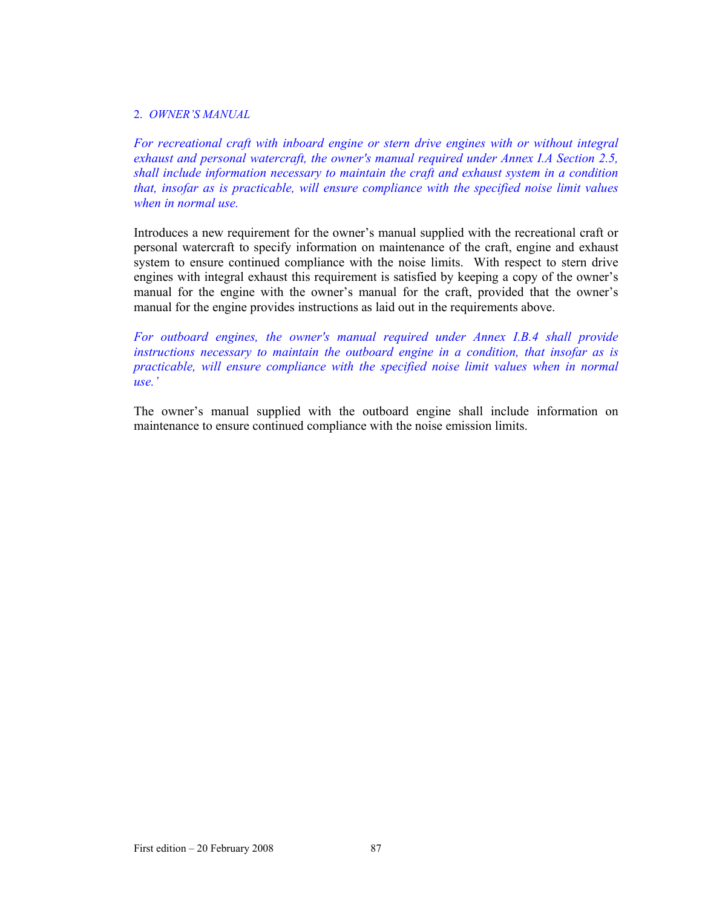## 2. *OWNER'S MANUAL*

*For recreational craft with inboard engine or stern drive engines with or without integral exhaust and personal watercraft, the owner's manual required under Annex I.A Section 2.5, shall include information necessary to maintain the craft and exhaust system in a condition that, insofar as is practicable, will ensure compliance with the specified noise limit values when in normal use.* 

Introduces a new requirement for the owner's manual supplied with the recreational craft or personal watercraft to specify information on maintenance of the craft, engine and exhaust system to ensure continued compliance with the noise limits. With respect to stern drive engines with integral exhaust this requirement is satisfied by keeping a copy of the owner's manual for the engine with the owner's manual for the craft, provided that the owner's manual for the engine provides instructions as laid out in the requirements above.

*For outboard engines, the owner's manual required under Annex I.B.4 shall provide instructions necessary to maintain the outboard engine in a condition, that insofar as is practicable, will ensure compliance with the specified noise limit values when in normal use.'* 

The owner's manual supplied with the outboard engine shall include information on maintenance to ensure continued compliance with the noise emission limits.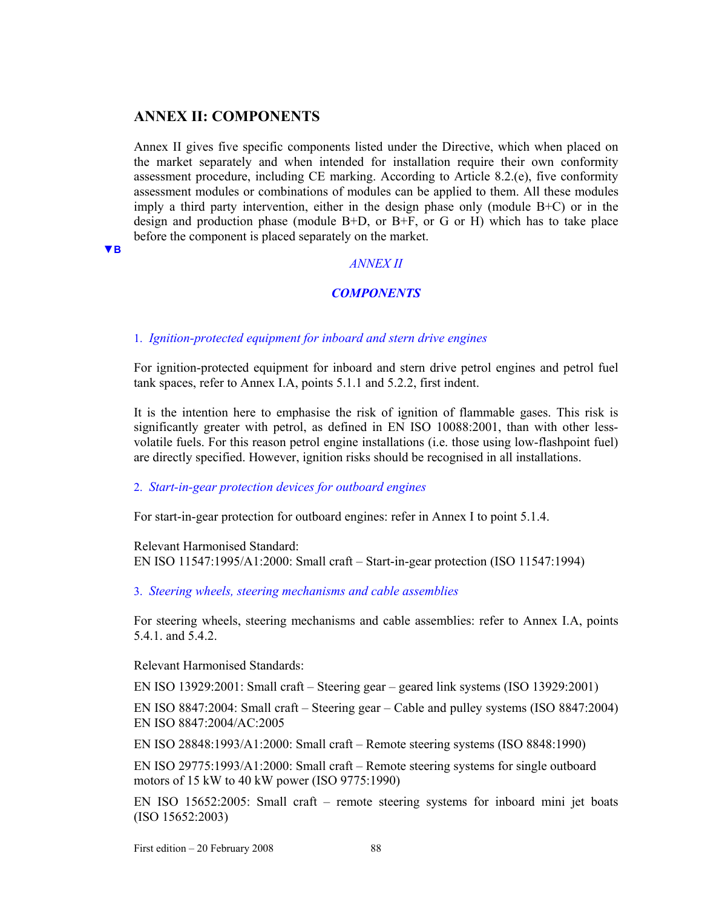# **ANNEX II: COMPONENTS**

Annex II gives five specific components listed under the Directive, which when placed on the market separately and when intended for installation require their own conformity assessment procedure, including CE marking. According to Article 8.2.(e), five conformity assessment modules or combinations of modules can be applied to them. All these modules imply a third party intervention, either in the design phase only (module B+C) or in the design and production phase (module B+D, or B+F, or G or H) which has to take place before the component is placed separately on the market.

**▼B**

## *ANNEX II*

# *COMPONENTS*

1. *Ignition-protected equipment for inboard and stern drive engines*

For ignition-protected equipment for inboard and stern drive petrol engines and petrol fuel tank spaces, refer to Annex I.A, points 5.1.1 and 5.2.2, first indent.

It is the intention here to emphasise the risk of ignition of flammable gases. This risk is significantly greater with petrol, as defined in EN ISO 10088:2001, than with other lessvolatile fuels. For this reason petrol engine installations (i.e. those using low-flashpoint fuel) are directly specified. However, ignition risks should be recognised in all installations.

### 2. *Start-in-gear protection devices for outboard engines*

For start-in-gear protection for outboard engines: refer in Annex I to point 5.1.4.

Relevant Harmonised Standard: EN ISO 11547:1995/A1:2000: Small craft – Start-in-gear protection (ISO 11547:1994)

3. *Steering wheels, steering mechanisms and cable assemblies*

For steering wheels, steering mechanisms and cable assemblies: refer to Annex I.A, points 5.4.1. and 5.4.2.

Relevant Harmonised Standards:

EN ISO 13929:2001: Small craft – Steering gear – geared link systems (ISO 13929:2001)

EN ISO 8847:2004: Small craft – Steering gear – Cable and pulley systems (ISO 8847:2004) EN ISO 8847:2004/AC:2005

EN ISO 28848:1993/A1:2000: Small craft – Remote steering systems (ISO 8848:1990)

EN ISO 29775:1993/A1:2000: Small craft – Remote steering systems for single outboard motors of 15 kW to 40 kW power (ISO 9775:1990)

EN ISO 15652:2005: Small craft – remote steering systems for inboard mini jet boats (ISO 15652:2003)

First edition – 20 February 2008 88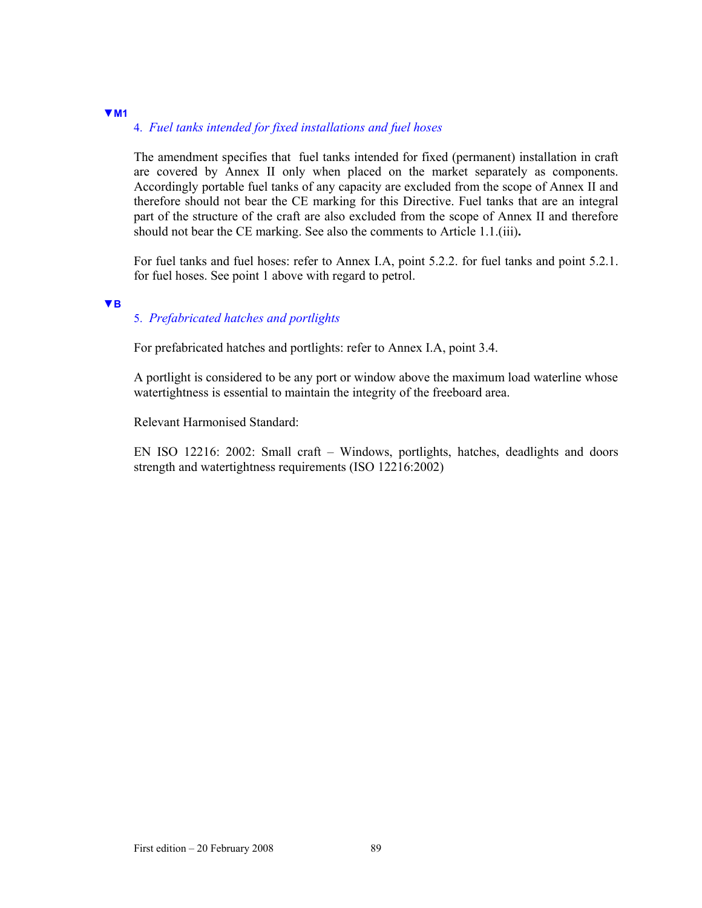# **▼M1**

## 4. *Fuel tanks intended for fixed installations and fuel hoses*

The amendment specifies that fuel tanks intended for fixed (permanent) installation in craft are covered by Annex II only when placed on the market separately as components. Accordingly portable fuel tanks of any capacity are excluded from the scope of Annex II and therefore should not bear the CE marking for this Directive. Fuel tanks that are an integral part of the structure of the craft are also excluded from the scope of Annex II and therefore should not bear the CE marking. See also the comments to Article 1.1.(iii)**.**

For fuel tanks and fuel hoses: refer to Annex I.A, point 5.2.2. for fuel tanks and point 5.2.1. for fuel hoses. See point 1 above with regard to petrol.

#### **▼B**

# 5. *Prefabricated hatches and portlights*

For prefabricated hatches and portlights: refer to Annex I.A, point 3.4.

A portlight is considered to be any port or window above the maximum load waterline whose watertightness is essential to maintain the integrity of the freeboard area.

Relevant Harmonised Standard:

EN ISO 12216: 2002: Small craft – Windows, portlights, hatches, deadlights and doors strength and watertightness requirements (ISO 12216:2002)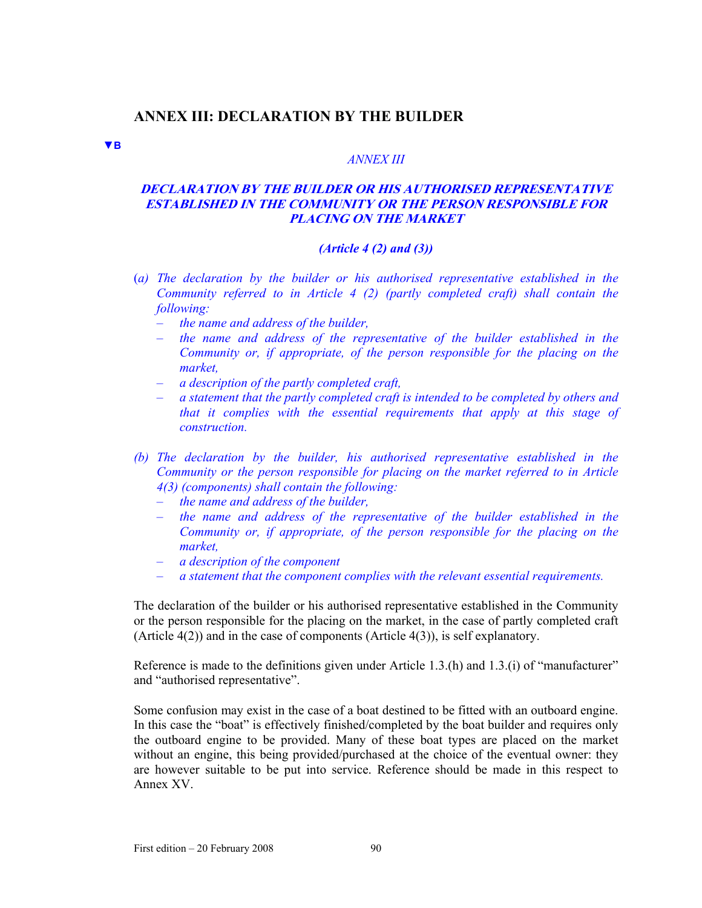# **ANNEX III: DECLARATION BY THE BUILDER**

**▼B**

#### *ANNEX III*

# **DECLARATION BY THE BUILDER OR HIS AUTHORISED REPRESENTATIVE ESTABLISHED IN THE COMMUNITY OR THE PERSON RESPONSIBLE FOR PLACING ON THE MARKET**

#### *(Article 4 (2) and (3))*

- (*a) The declaration by the builder or his authorised representative established in the Community referred to in Article 4 (2) (partly completed craft) shall contain the following:* 
	- *the name and address of the builder,*
	- *the name and address of the representative of the builder established in the Community or, if appropriate, of the person responsible for the placing on the market,*
	- *a description of the partly completed craft,*
	- *a statement that the partly completed craft is intended to be completed by others and that it complies with the essential requirements that apply at this stage of construction.*
- *(b) The declaration by the builder, his authorised representative established in the Community or the person responsible for placing on the market referred to in Article 4(3) (components) shall contain the following:* 
	- *the name and address of the builder,*
	- *the name and address of the representative of the builder established in the Community or, if appropriate, of the person responsible for the placing on the market,*
	- *a description of the component*
	- *a statement that the component complies with the relevant essential requirements.*

The declaration of the builder or his authorised representative established in the Community or the person responsible for the placing on the market, in the case of partly completed craft (Article 4(2)) and in the case of components (Article 4(3)), is self explanatory.

Reference is made to the definitions given under Article 1.3.(h) and 1.3.(i) of "manufacturer" and "authorised representative".

Some confusion may exist in the case of a boat destined to be fitted with an outboard engine. In this case the "boat" is effectively finished/completed by the boat builder and requires only the outboard engine to be provided. Many of these boat types are placed on the market without an engine, this being provided/purchased at the choice of the eventual owner: they are however suitable to be put into service. Reference should be made in this respect to Annex XV.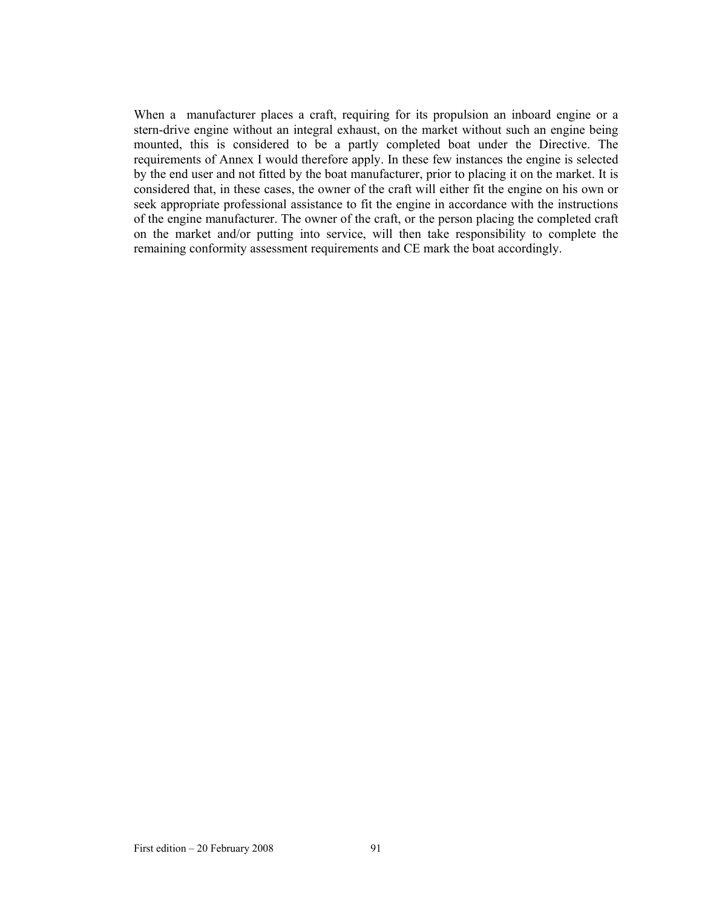When a manufacturer places a craft, requiring for its propulsion an inboard engine or a stern-drive engine without an integral exhaust, on the market without such an engine being mounted, this is considered to be a partly completed boat under the Directive. The requirements of Annex I would therefore apply. In these few instances the engine is selected by the end user and not fitted by the boat manufacturer, prior to placing it on the market. It is considered that, in these cases, the owner of the craft will either fit the engine on his own or seek appropriate professional assistance to fit the engine in accordance with the instructions of the engine manufacturer. The owner of the craft, or the person placing the completed craft on the market and/or putting into service, will then take responsibility to complete the remaining conformity assessment requirements and CE mark the boat accordingly.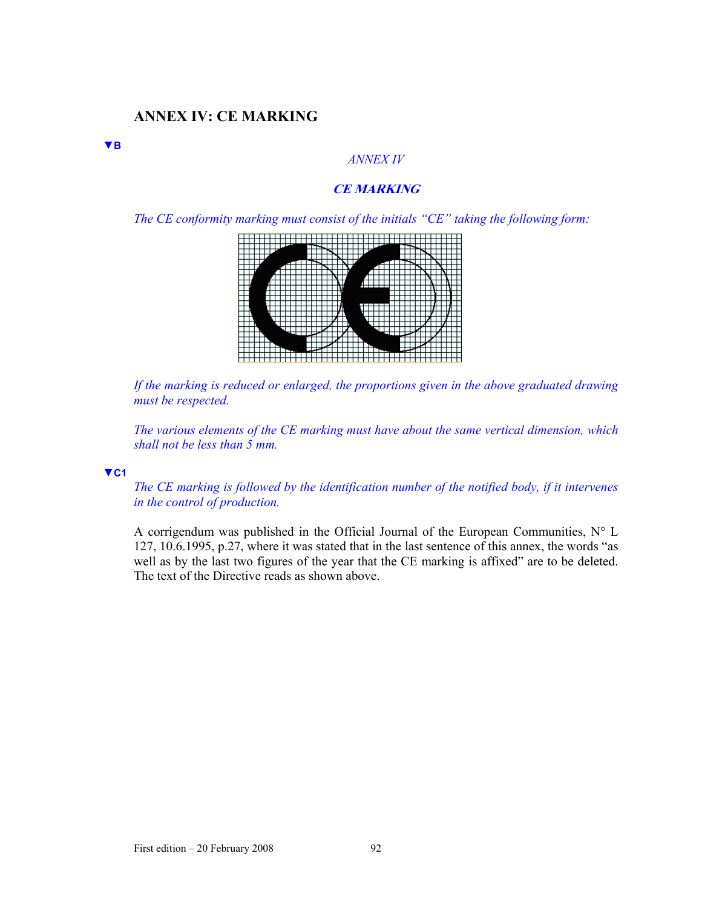# **ANNEX IV: CE MARKING**

### *ANNEX IV*

# **CE MARKING**

*The CE conformity marking must consist of the initials "CE" taking the following form:* 



*If the marking is reduced or enlarged, the proportions given in the above graduated drawing must be respected.* 

*The various elements of the CE marking must have about the same vertical dimension, which shall not be less than 5 mm.* 

### **▼C1**

**▼B**

*The CE marking is followed by the identification number of the notified body, if it intervenes in the control of production.* 

A corrigendum was published in the Official Journal of the European Communities, N° L 127, 10.6.1995, p.27, where it was stated that in the last sentence of this annex, the words "as well as by the last two figures of the year that the CE marking is affixed" are to be deleted. The text of the Directive reads as shown above.

First edition – 20 February 2008 92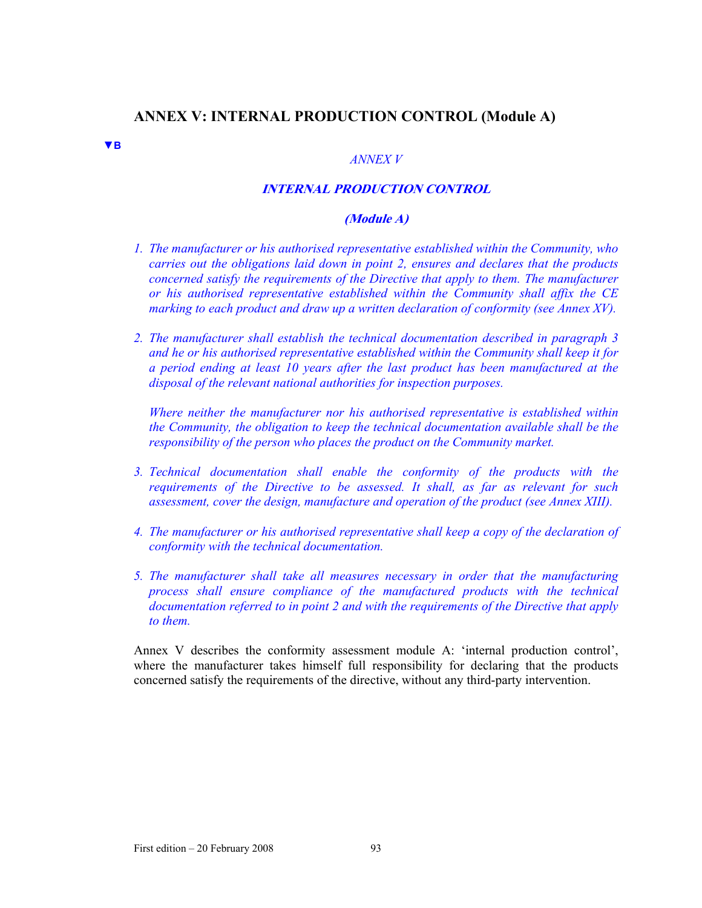# **ANNEX V: INTERNAL PRODUCTION CONTROL (Module A)**

**▼B**

### *ANNEX V*

# **INTERNAL PRODUCTION CONTROL**

### **(Module A)**

- *1. The manufacturer or his authorised representative established within the Community, who carries out the obligations laid down in point 2, ensures and declares that the products concerned satisfy the requirements of the Directive that apply to them. The manufacturer or his authorised representative established within the Community shall affix the CE marking to each product and draw up a written declaration of conformity (see Annex XV).*
- *2. The manufacturer shall establish the technical documentation described in paragraph 3 and he or his authorised representative established within the Community shall keep it for a period ending at least 10 years after the last product has been manufactured at the disposal of the relevant national authorities for inspection purposes.*

*Where neither the manufacturer nor his authorised representative is established within the Community, the obligation to keep the technical documentation available shall be the responsibility of the person who places the product on the Community market.* 

- *3. Technical documentation shall enable the conformity of the products with the requirements of the Directive to be assessed. It shall, as far as relevant for such assessment, cover the design, manufacture and operation of the product (see Annex XIII).*
- *4. The manufacturer or his authorised representative shall keep a copy of the declaration of conformity with the technical documentation.*
- *5. The manufacturer shall take all measures necessary in order that the manufacturing process shall ensure compliance of the manufactured products with the technical documentation referred to in point 2 and with the requirements of the Directive that apply to them.*

Annex V describes the conformity assessment module A: 'internal production control', where the manufacturer takes himself full responsibility for declaring that the products concerned satisfy the requirements of the directive, without any third-party intervention.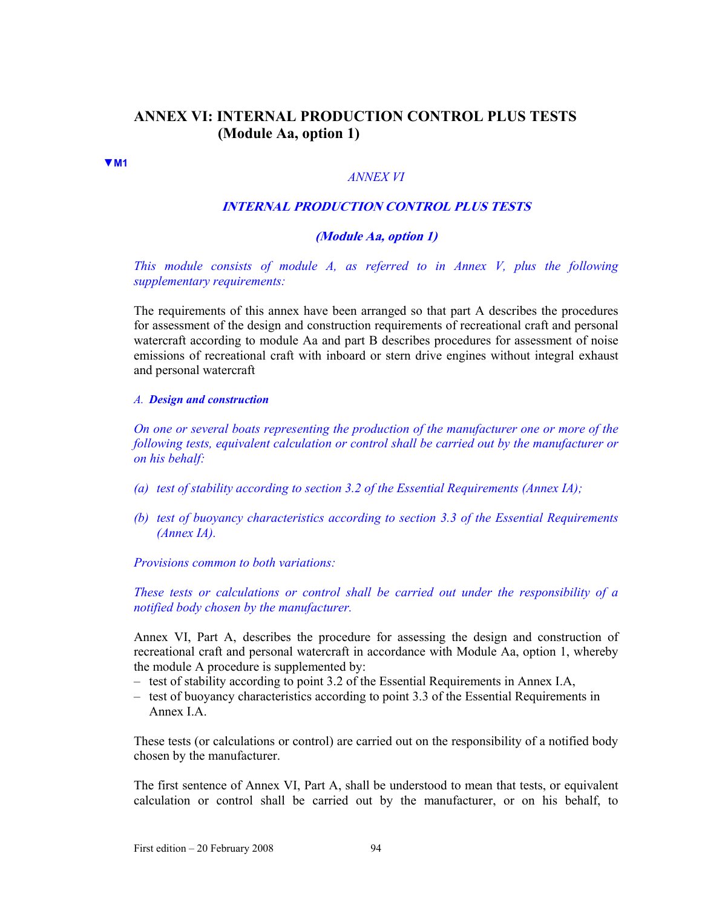# **ANNEX VI: INTERNAL PRODUCTION CONTROL PLUS TESTS (Module Aa, option 1)**

#### **▼M1**

## *ANNEX VI*

#### **INTERNAL PRODUCTION CONTROL PLUS TESTS**

### **(Module Aa, option 1)**

*This module consists of module A, as referred to in Annex V, plus the following supplementary requirements:* 

The requirements of this annex have been arranged so that part A describes the procedures for assessment of the design and construction requirements of recreational craft and personal watercraft according to module Aa and part B describes procedures for assessment of noise emissions of recreational craft with inboard or stern drive engines without integral exhaust and personal watercraft

#### *A. Design and construction*

*On one or several boats representing the production of the manufacturer one or more of the following tests, equivalent calculation or control shall be carried out by the manufacturer or on his behalf:* 

- *(a) test of stability according to section 3.2 of the Essential Requirements (Annex IA);*
- *(b) test of buoyancy characteristics according to section 3.3 of the Essential Requirements (Annex IA).*

*Provisions common to both variations:* 

*These tests or calculations or control shall be carried out under the responsibility of a notified body chosen by the manufacturer.* 

Annex VI, Part A, describes the procedure for assessing the design and construction of recreational craft and personal watercraft in accordance with Module Aa, option 1, whereby the module A procedure is supplemented by:

- test of stability according to point 3.2 of the Essential Requirements in Annex I.A,
- test of buoyancy characteristics according to point 3.3 of the Essential Requirements in Annex I.A.

These tests (or calculations or control) are carried out on the responsibility of a notified body chosen by the manufacturer.

The first sentence of Annex VI, Part A, shall be understood to mean that tests, or equivalent calculation or control shall be carried out by the manufacturer, or on his behalf, to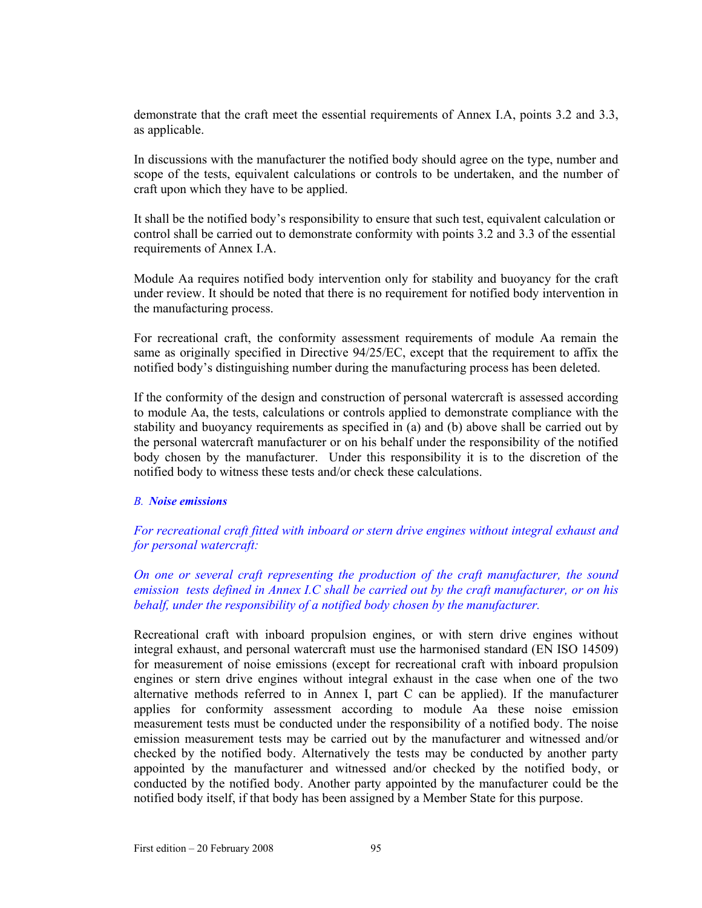demonstrate that the craft meet the essential requirements of Annex I.A, points 3.2 and 3.3, as applicable.

In discussions with the manufacturer the notified body should agree on the type, number and scope of the tests, equivalent calculations or controls to be undertaken, and the number of craft upon which they have to be applied.

It shall be the notified body's responsibility to ensure that such test, equivalent calculation or control shall be carried out to demonstrate conformity with points 3.2 and 3.3 of the essential requirements of Annex I.A.

Module Aa requires notified body intervention only for stability and buoyancy for the craft under review. It should be noted that there is no requirement for notified body intervention in the manufacturing process.

For recreational craft, the conformity assessment requirements of module Aa remain the same as originally specified in Directive 94/25/EC, except that the requirement to affix the notified body's distinguishing number during the manufacturing process has been deleted.

If the conformity of the design and construction of personal watercraft is assessed according to module Aa, the tests, calculations or controls applied to demonstrate compliance with the stability and buoyancy requirements as specified in (a) and (b) above shall be carried out by the personal watercraft manufacturer or on his behalf under the responsibility of the notified body chosen by the manufacturer. Under this responsibility it is to the discretion of the notified body to witness these tests and/or check these calculations.

### *B. Noise emissions*

*For recreational craft fitted with inboard or stern drive engines without integral exhaust and for personal watercraft:* 

*On one or several craft representing the production of the craft manufacturer, the sound emission tests defined in Annex I.C shall be carried out by the craft manufacturer, or on his behalf, under the responsibility of a notified body chosen by the manufacturer.* 

Recreational craft with inboard propulsion engines, or with stern drive engines without integral exhaust, and personal watercraft must use the harmonised standard (EN ISO 14509) for measurement of noise emissions (except for recreational craft with inboard propulsion engines or stern drive engines without integral exhaust in the case when one of the two alternative methods referred to in Annex I, part C can be applied). If the manufacturer applies for conformity assessment according to module Aa these noise emission measurement tests must be conducted under the responsibility of a notified body. The noise emission measurement tests may be carried out by the manufacturer and witnessed and/or checked by the notified body. Alternatively the tests may be conducted by another party appointed by the manufacturer and witnessed and/or checked by the notified body, or conducted by the notified body. Another party appointed by the manufacturer could be the notified body itself, if that body has been assigned by a Member State for this purpose.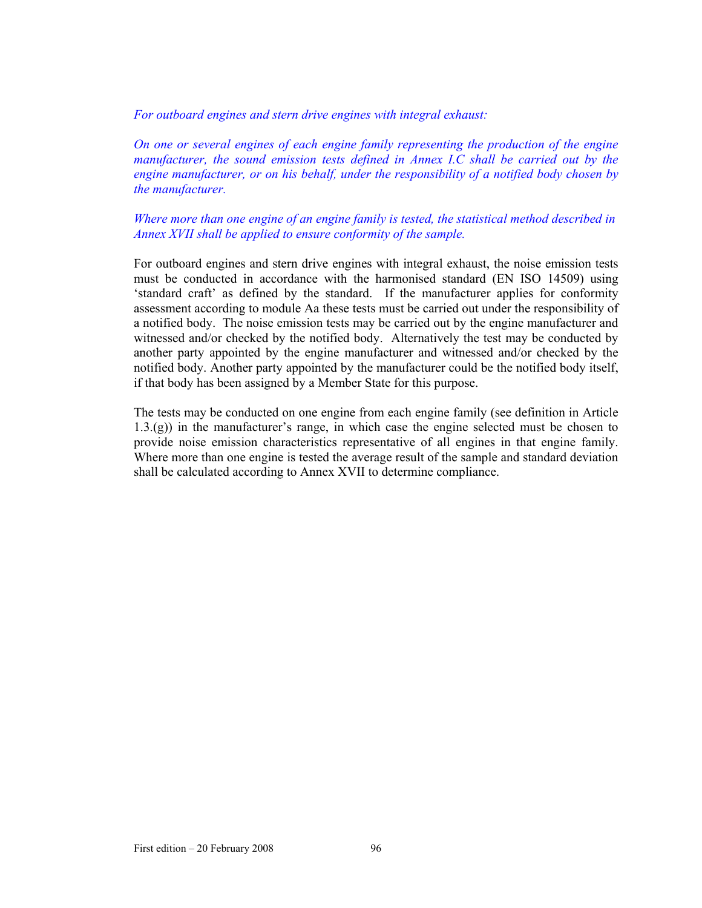*For outboard engines and stern drive engines with integral exhaust:* 

*On one or several engines of each engine family representing the production of the engine manufacturer, the sound emission tests defined in Annex I.C shall be carried out by the engine manufacturer, or on his behalf, under the responsibility of a notified body chosen by the manufacturer.* 

*Where more than one engine of an engine family is tested, the statistical method described in Annex XVII shall be applied to ensure conformity of the sample.* 

For outboard engines and stern drive engines with integral exhaust, the noise emission tests must be conducted in accordance with the harmonised standard (EN ISO 14509) using 'standard craft' as defined by the standard. If the manufacturer applies for conformity assessment according to module Aa these tests must be carried out under the responsibility of a notified body. The noise emission tests may be carried out by the engine manufacturer and witnessed and/or checked by the notified body. Alternatively the test may be conducted by another party appointed by the engine manufacturer and witnessed and/or checked by the notified body. Another party appointed by the manufacturer could be the notified body itself, if that body has been assigned by a Member State for this purpose.

The tests may be conducted on one engine from each engine family (see definition in Article 1.3.(g)) in the manufacturer's range, in which case the engine selected must be chosen to provide noise emission characteristics representative of all engines in that engine family. Where more than one engine is tested the average result of the sample and standard deviation shall be calculated according to Annex XVII to determine compliance.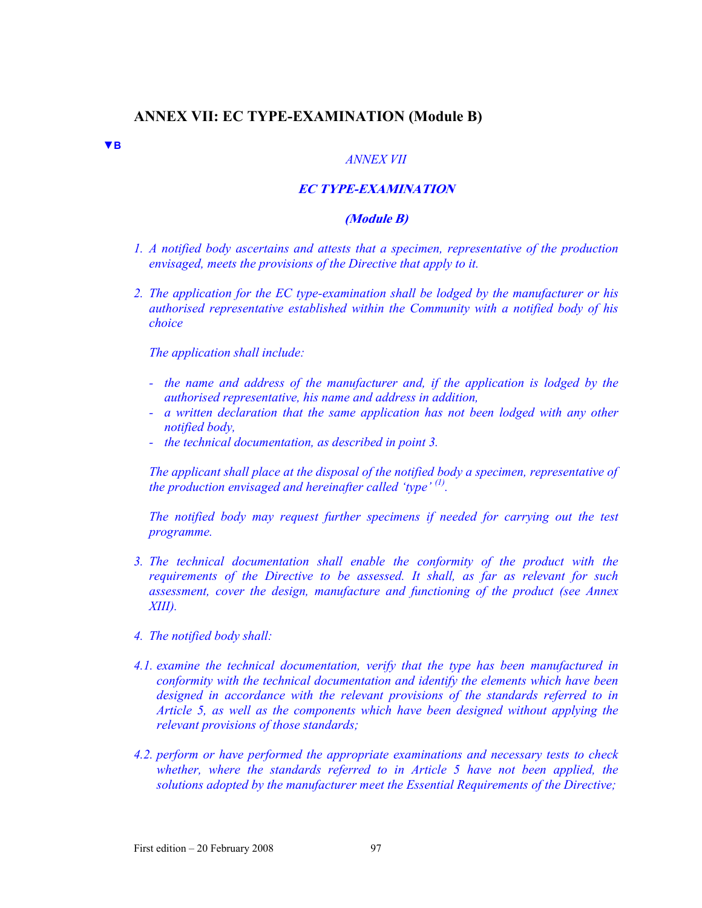# **ANNEX VII: EC TYPE-EXAMINATION (Module B)**

#### *ANNEX VII*

## **EC TYPE-EXAMINATION**

### **(Module B)**

- *1. A notified body ascertains and attests that a specimen, representative of the production envisaged, meets the provisions of the Directive that apply to it.*
- *2. The application for the EC type-examination shall be lodged by the manufacturer or his authorised representative established within the Community with a notified body of his choice*

*The application shall include:* 

**▼B**

- *the name and address of the manufacturer and, if the application is lodged by the authorised representative, his name and address in addition,*
- *a written declaration that the same application has not been lodged with any other notified body,*
- *the technical documentation, as described in point 3.*

*The applicant shall place at the disposal of the notified body a specimen, representative of the production envisaged and hereinafter called 'type' (1).* 

*The notified body may request further specimens if needed for carrying out the test programme.* 

- *3. The technical documentation shall enable the conformity of the product with the requirements of the Directive to be assessed. It shall, as far as relevant for such assessment, cover the design, manufacture and functioning of the product (see Annex XIII).*
- *4. The notified body shall:*
- *4.1. examine the technical documentation, verify that the type has been manufactured in conformity with the technical documentation and identify the elements which have been designed in accordance with the relevant provisions of the standards referred to in Article 5, as well as the components which have been designed without applying the relevant provisions of those standards;*
- *4.2. perform or have performed the appropriate examinations and necessary tests to check*  whether, where the standards referred to in Article 5 have not been applied, the *solutions adopted by the manufacturer meet the Essential Requirements of the Directive;*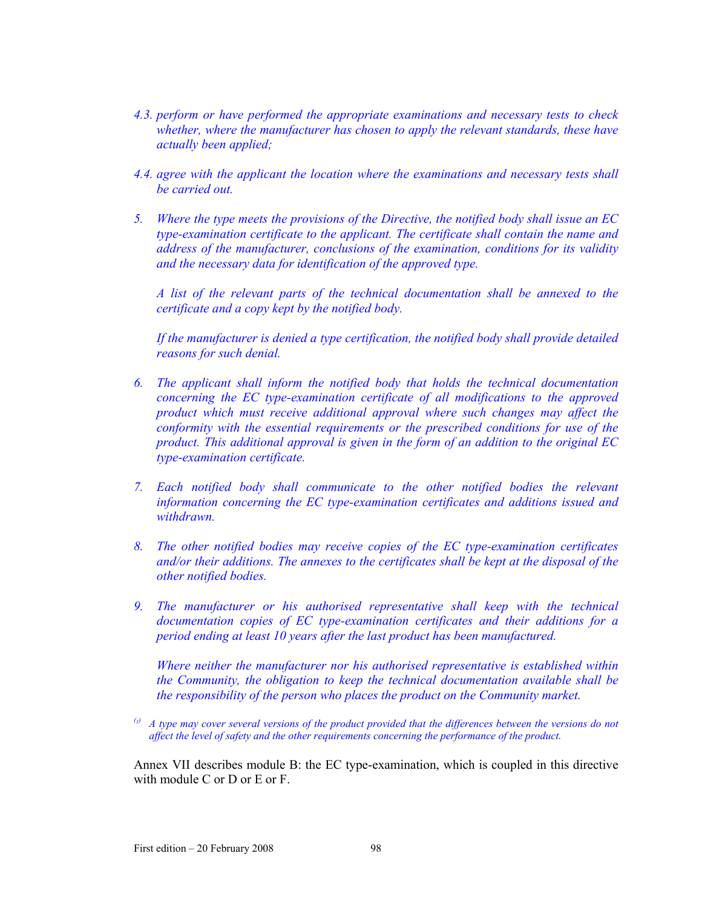- *4.3. perform or have performed the appropriate examinations and necessary tests to check whether, where the manufacturer has chosen to apply the relevant standards, these have actually been applied;*
- *4.4. agree with the applicant the location where the examinations and necessary tests shall be carried out.*
- *5. Where the type meets the provisions of the Directive, the notified body shall issue an EC type-examination certificate to the applicant. The certificate shall contain the name and address of the manufacturer, conclusions of the examination, conditions for its validity and the necessary data for identification of the approved type.*

*A list of the relevant parts of the technical documentation shall be annexed to the certificate and a copy kept by the notified body.* 

*If the manufacturer is denied a type certification, the notified body shall provide detailed reasons for such denial.* 

- *6. The applicant shall inform the notified body that holds the technical documentation concerning the EC type-examination certificate of all modifications to the approved product which must receive additional approval where such changes may affect the conformity with the essential requirements or the prescribed conditions for use of the product. This additional approval is given in the form of an addition to the original EC type-examination certificate.*
- *7. Each notified body shall communicate to the other notified bodies the relevant information concerning the EC type-examination certificates and additions issued and withdrawn.*
- *8. The other notified bodies may receive copies of the EC type-examination certificates and/or their additions. The annexes to the certificates shall be kept at the disposal of the other notified bodies.*
- *9. The manufacturer or his authorised representative shall keep with the technical documentation copies of EC type-examination certificates and their additions for a period ending at least 10 years after the last product has been manufactured.*

*Where neither the manufacturer nor his authorised representative is established within the Community, the obligation to keep the technical documentation available shall be the responsibility of the person who places the product on the Community market.* 

 $\alpha$ <sup>(i)</sup> A type may cover several versions of the product provided that the differences between the versions do not *affect the level of safety and the other requirements concerning the performance of the product.* 

Annex VII describes module B: the EC type-examination, which is coupled in this directive with module C or D or E or F.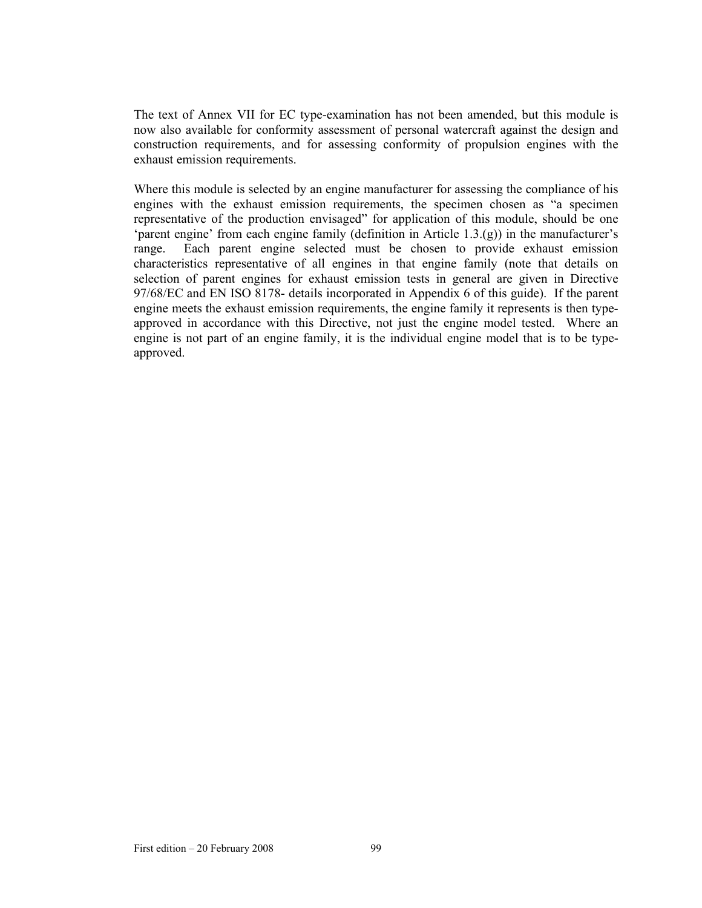The text of Annex VII for EC type-examination has not been amended, but this module is now also available for conformity assessment of personal watercraft against the design and construction requirements, and for assessing conformity of propulsion engines with the exhaust emission requirements.

Where this module is selected by an engine manufacturer for assessing the compliance of his engines with the exhaust emission requirements, the specimen chosen as "a specimen representative of the production envisaged" for application of this module, should be one 'parent engine' from each engine family (definition in Article 1.3.(g)) in the manufacturer's range. Each parent engine selected must be chosen to provide exhaust emission characteristics representative of all engines in that engine family (note that details on selection of parent engines for exhaust emission tests in general are given in Directive 97/68/EC and EN ISO 8178- details incorporated in Appendix 6 of this guide). If the parent engine meets the exhaust emission requirements, the engine family it represents is then typeapproved in accordance with this Directive, not just the engine model tested. Where an engine is not part of an engine family, it is the individual engine model that is to be typeapproved.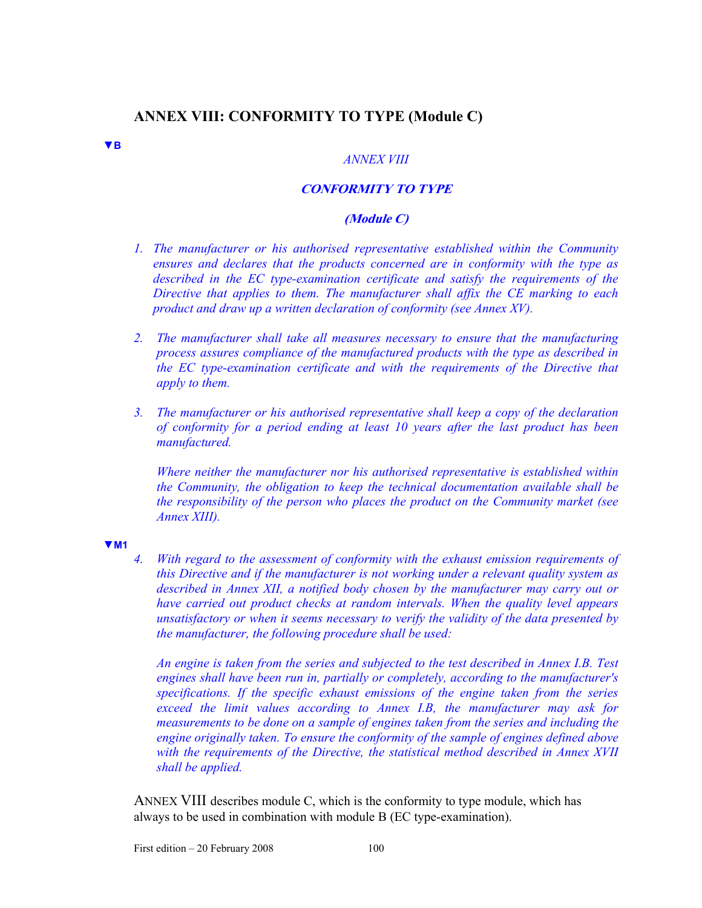# **ANNEX VIII: CONFORMITY TO TYPE (Module C)**

### **▼B**

#### *ANNEX VIII*

# **CONFORMITY TO TYPE**

### **(Module C)**

- *1. The manufacturer or his authorised representative established within the Community ensures and declares that the products concerned are in conformity with the type as described in the EC type-examination certificate and satisfy the requirements of the Directive that applies to them. The manufacturer shall affix the CE marking to each product and draw up a written declaration of conformity (see Annex XV).*
- *2. The manufacturer shall take all measures necessary to ensure that the manufacturing process assures compliance of the manufactured products with the type as described in the EC type-examination certificate and with the requirements of the Directive that apply to them.*
- *3. The manufacturer or his authorised representative shall keep a copy of the declaration of conformity for a period ending at least 10 years after the last product has been manufactured.*

*Where neither the manufacturer nor his authorised representative is established within the Community, the obligation to keep the technical documentation available shall be the responsibility of the person who places the product on the Community market (see Annex XIII).* 

#### **▼M1**

*4. With regard to the assessment of conformity with the exhaust emission requirements of this Directive and if the manufacturer is not working under a relevant quality system as described in Annex XII, a notified body chosen by the manufacturer may carry out or have carried out product checks at random intervals. When the quality level appears unsatisfactory or when it seems necessary to verify the validity of the data presented by the manufacturer, the following procedure shall be used:* 

*An engine is taken from the series and subjected to the test described in Annex I.B. Test engines shall have been run in, partially or completely, according to the manufacturer's specifications. If the specific exhaust emissions of the engine taken from the series exceed the limit values according to Annex I.B, the manufacturer may ask for measurements to be done on a sample of engines taken from the series and including the engine originally taken. To ensure the conformity of the sample of engines defined above with the requirements of the Directive, the statistical method described in Annex XVII shall be applied.* 

ANNEX VIII describes module C, which is the conformity to type module, which has always to be used in combination with module B (EC type-examination).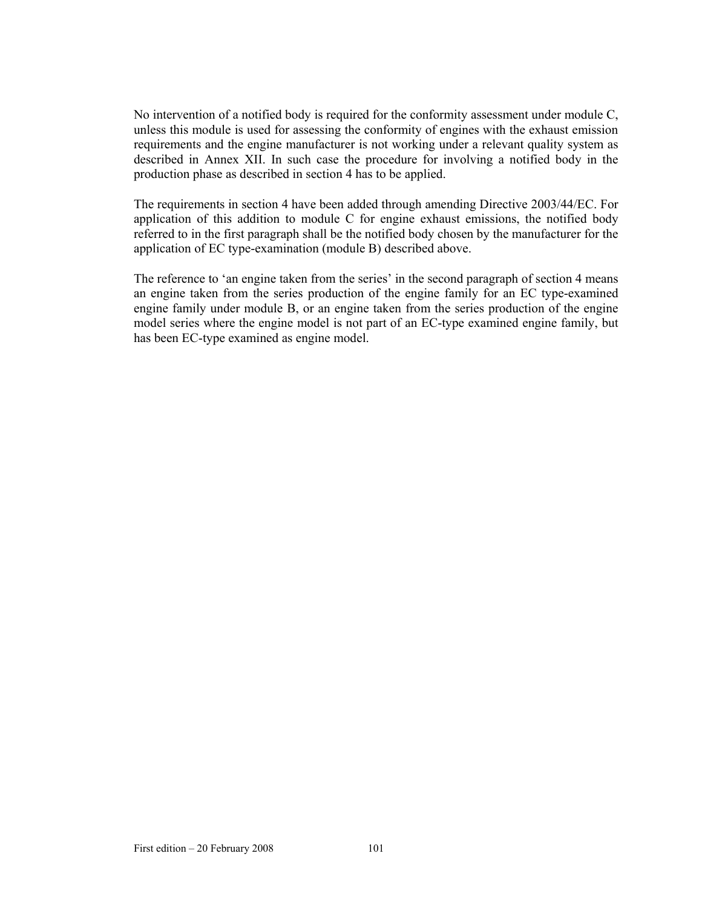No intervention of a notified body is required for the conformity assessment under module C, unless this module is used for assessing the conformity of engines with the exhaust emission requirements and the engine manufacturer is not working under a relevant quality system as described in Annex XII. In such case the procedure for involving a notified body in the production phase as described in section 4 has to be applied.

The requirements in section 4 have been added through amending Directive 2003/44/EC. For application of this addition to module C for engine exhaust emissions, the notified body referred to in the first paragraph shall be the notified body chosen by the manufacturer for the application of EC type-examination (module B) described above.

The reference to 'an engine taken from the series' in the second paragraph of section 4 means an engine taken from the series production of the engine family for an EC type-examined engine family under module B, or an engine taken from the series production of the engine model series where the engine model is not part of an EC-type examined engine family, but has been EC-type examined as engine model.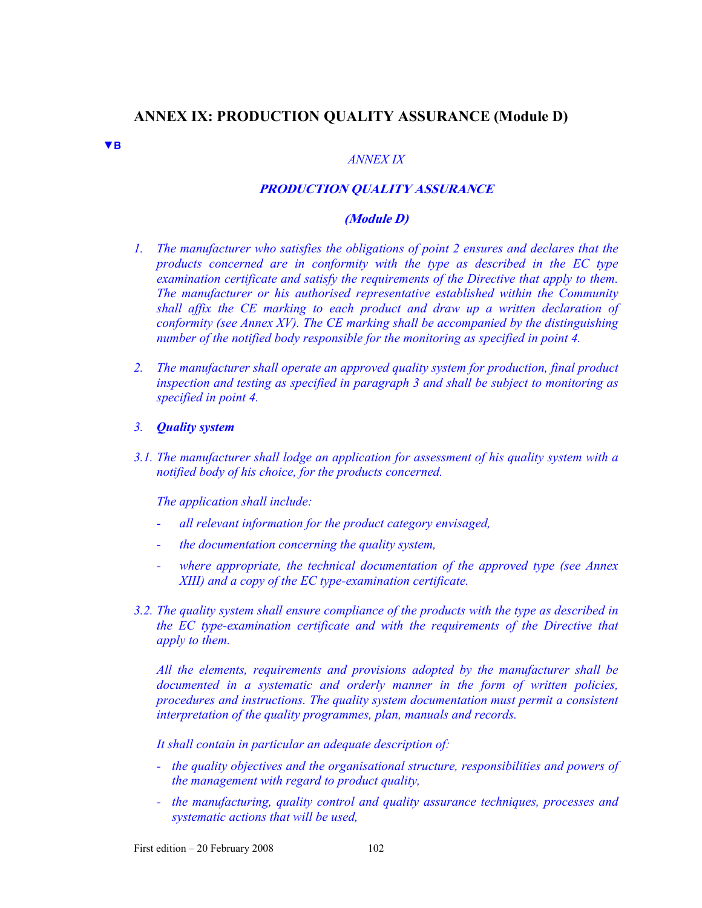# **ANNEX IX: PRODUCTION QUALITY ASSURANCE (Module D)**

**▼B**

### *ANNEX IX*

# **PRODUCTION QUALITY ASSURANCE**

### **(Module D)**

- *1. The manufacturer who satisfies the obligations of point 2 ensures and declares that the products concerned are in conformity with the type as described in the EC type examination certificate and satisfy the requirements of the Directive that apply to them. The manufacturer or his authorised representative established within the Community shall affix the CE marking to each product and draw up a written declaration of conformity (see Annex XV). The CE marking shall be accompanied by the distinguishing number of the notified body responsible for the monitoring as specified in point 4.*
- *2. The manufacturer shall operate an approved quality system for production, final product inspection and testing as specified in paragraph 3 and shall be subject to monitoring as specified in point 4.*
- *3. Quality system*
- *3.1. The manufacturer shall lodge an application for assessment of his quality system with a notified body of his choice, for the products concerned.*

*The application shall include:* 

- *all relevant information for the product category envisaged,*
- *the documentation concerning the quality system,*
- *where appropriate, the technical documentation of the approved type (see Annex XIII) and a copy of the EC type-examination certificate.*
- *3.2. The quality system shall ensure compliance of the products with the type as described in the EC type-examination certificate and with the requirements of the Directive that apply to them.*

*All the elements, requirements and provisions adopted by the manufacturer shall be documented in a systematic and orderly manner in the form of written policies, procedures and instructions. The quality system documentation must permit a consistent interpretation of the quality programmes, plan, manuals and records.* 

*It shall contain in particular an adequate description of:* 

- *the quality objectives and the organisational structure, responsibilities and powers of the management with regard to product quality,*
- *the manufacturing, quality control and quality assurance techniques, processes and systematic actions that will be used,*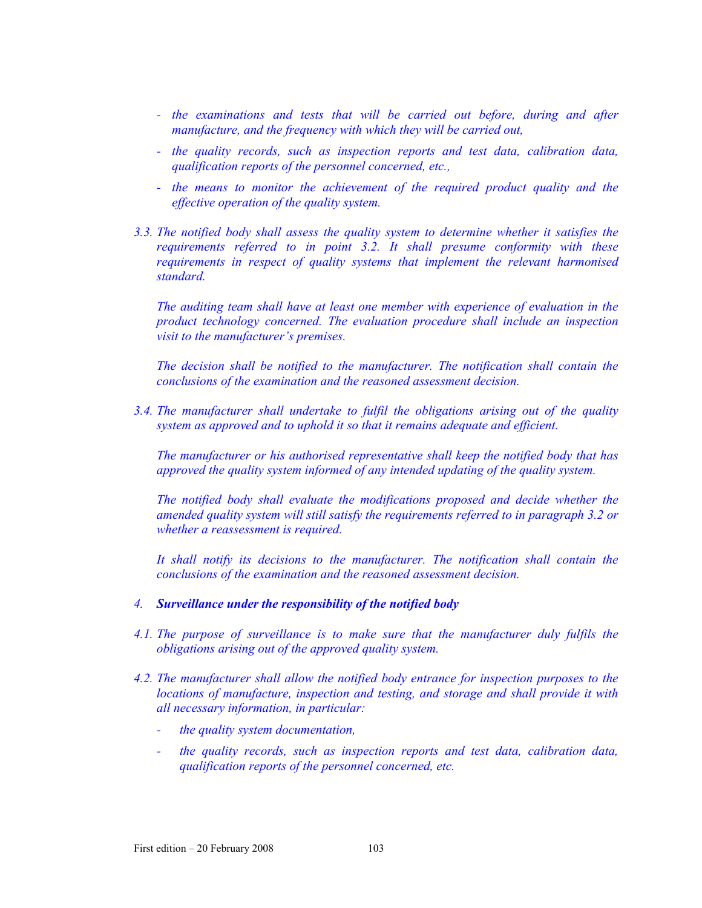- *the examinations and tests that will be carried out before, during and after manufacture, and the frequency with which they will be carried out,*
- *the quality records, such as inspection reports and test data, calibration data, qualification reports of the personnel concerned, etc.,*
- the means to monitor the achievement of the required product quality and the *effective operation of the quality system.*
- *3.3. The notified body shall assess the quality system to determine whether it satisfies the requirements referred to in point 3.2. It shall presume conformity with these requirements in respect of quality systems that implement the relevant harmonised standard.*

*The auditing team shall have at least one member with experience of evaluation in the product technology concerned. The evaluation procedure shall include an inspection visit to the manufacturer's premises.* 

*The decision shall be notified to the manufacturer. The notification shall contain the conclusions of the examination and the reasoned assessment decision.* 

*3.4. The manufacturer shall undertake to fulfil the obligations arising out of the quality system as approved and to uphold it so that it remains adequate and efficient.* 

*The manufacturer or his authorised representative shall keep the notified body that has approved the quality system informed of any intended updating of the quality system.* 

*The notified body shall evaluate the modifications proposed and decide whether the amended quality system will still satisfy the requirements referred to in paragraph 3.2 or whether a reassessment is required.* 

It shall notify its decisions to the manufacturer. The notification shall contain the *conclusions of the examination and the reasoned assessment decision.* 

- *4. Surveillance under the responsibility of the notified body*
- *4.1. The purpose of surveillance is to make sure that the manufacturer duly fulfils the obligations arising out of the approved quality system.*
- *4.2. The manufacturer shall allow the notified body entrance for inspection purposes to the locations of manufacture, inspection and testing, and storage and shall provide it with all necessary information, in particular:* 
	- *the quality system documentation,*
	- *the quality records, such as inspection reports and test data, calibration data, qualification reports of the personnel concerned, etc.*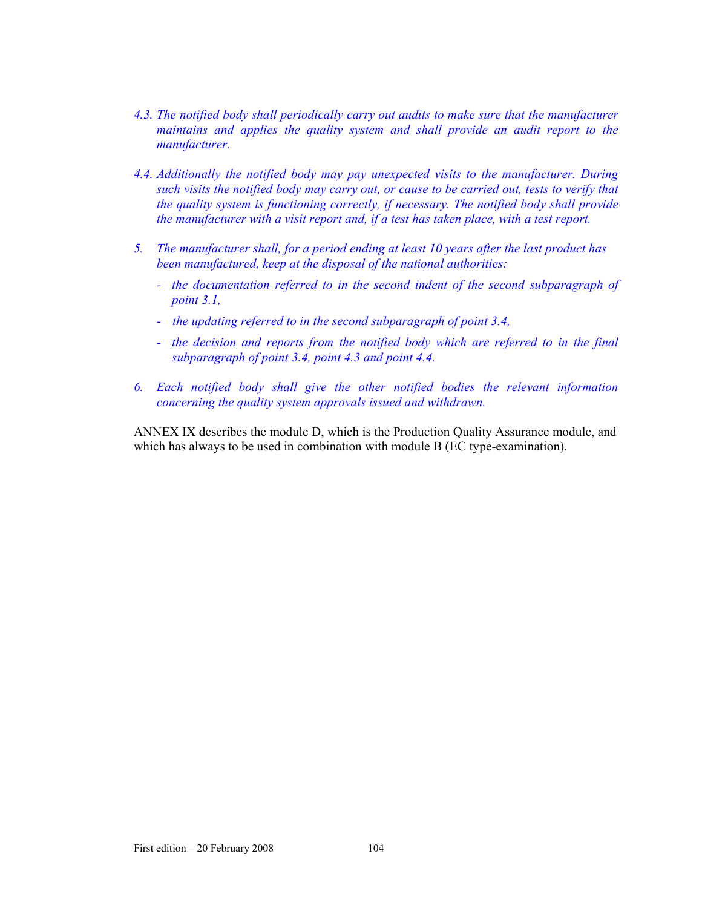- *4.3. The notified body shall periodically carry out audits to make sure that the manufacturer maintains and applies the quality system and shall provide an audit report to the manufacturer.*
- *4.4. Additionally the notified body may pay unexpected visits to the manufacturer. During such visits the notified body may carry out, or cause to be carried out, tests to verify that the quality system is functioning correctly, if necessary. The notified body shall provide the manufacturer with a visit report and, if a test has taken place, with a test report.*
- *5. The manufacturer shall, for a period ending at least 10 years after the last product has been manufactured, keep at the disposal of the national authorities:* 
	- *the documentation referred to in the second indent of the second subparagraph of point 3.1,*
	- *the updating referred to in the second subparagraph of point 3.4,*
	- *the decision and reports from the notified body which are referred to in the final subparagraph of point 3.4, point 4.3 and point 4.4.*
- *6. Each notified body shall give the other notified bodies the relevant information concerning the quality system approvals issued and withdrawn.*

ANNEX IX describes the module D, which is the Production Quality Assurance module, and which has always to be used in combination with module B (EC type-examination).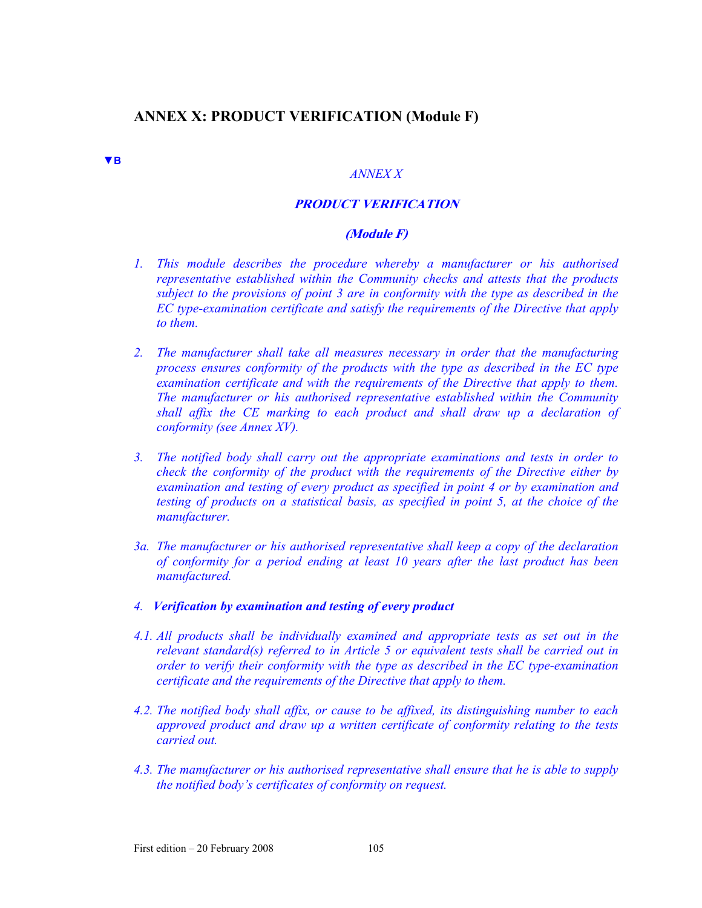# **ANNEX X: PRODUCT VERIFICATION (Module F)**

**▼B**

#### *ANNEX X*

### **PRODUCT VERIFICATION**

# **(Module F)**

- *1. This module describes the procedure whereby a manufacturer or his authorised representative established within the Community checks and attests that the products subject to the provisions of point 3 are in conformity with the type as described in the EC type-examination certificate and satisfy the requirements of the Directive that apply to them.*
- *2. The manufacturer shall take all measures necessary in order that the manufacturing process ensures conformity of the products with the type as described in the EC type examination certificate and with the requirements of the Directive that apply to them. The manufacturer or his authorised representative established within the Community shall affix the CE marking to each product and shall draw up a declaration of conformity (see Annex XV).*
- *3. The notified body shall carry out the appropriate examinations and tests in order to check the conformity of the product with the requirements of the Directive either by examination and testing of every product as specified in point 4 or by examination and testing of products on a statistical basis, as specified in point 5, at the choice of the manufacturer.*
- *3a. The manufacturer or his authorised representative shall keep a copy of the declaration of conformity for a period ending at least 10 years after the last product has been manufactured.*
- *4. Verification by examination and testing of every product*
- *4.1. All products shall be individually examined and appropriate tests as set out in the relevant standard(s) referred to in Article 5 or equivalent tests shall be carried out in order to verify their conformity with the type as described in the EC type-examination certificate and the requirements of the Directive that apply to them.*
- *4.2. The notified body shall affix, or cause to be affixed, its distinguishing number to each approved product and draw up a written certificate of conformity relating to the tests carried out.*
- *4.3. The manufacturer or his authorised representative shall ensure that he is able to supply the notified body's certificates of conformity on request.*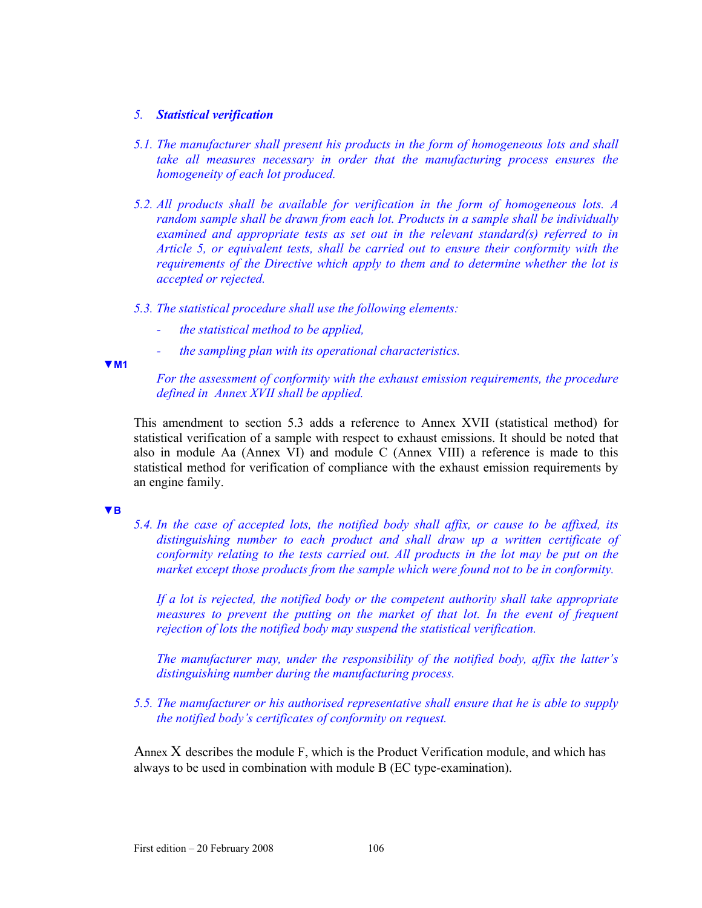## *5. Statistical verification*

- *5.1. The manufacturer shall present his products in the form of homogeneous lots and shall take all measures necessary in order that the manufacturing process ensures the homogeneity of each lot produced.*
- *5.2. All products shall be available for verification in the form of homogeneous lots. A random sample shall be drawn from each lot. Products in a sample shall be individually examined and appropriate tests as set out in the relevant standard(s) referred to in Article 5, or equivalent tests, shall be carried out to ensure their conformity with the requirements of the Directive which apply to them and to determine whether the lot is accepted or rejected.*
- *5.3. The statistical procedure shall use the following elements:* 
	- *the statistical method to be applied,*
	- *the sampling plan with its operational characteristics.*

**▼M1**

# *For the assessment of conformity with the exhaust emission requirements, the procedure defined in Annex XVII shall be applied.*

This amendment to section 5.3 adds a reference to Annex XVII (statistical method) for statistical verification of a sample with respect to exhaust emissions. It should be noted that also in module Aa (Annex VI) and module C (Annex VIII) a reference is made to this statistical method for verification of compliance with the exhaust emission requirements by an engine family.

### **▼B**

*5.4. In the case of accepted lots, the notified body shall affix, or cause to be affixed, its distinguishing number to each product and shall draw up a written certificate of conformity relating to the tests carried out. All products in the lot may be put on the market except those products from the sample which were found not to be in conformity.* 

*If a lot is rejected, the notified body or the competent authority shall take appropriate measures to prevent the putting on the market of that lot. In the event of frequent rejection of lots the notified body may suspend the statistical verification.* 

*The manufacturer may, under the responsibility of the notified body, affix the latter's distinguishing number during the manufacturing process.* 

*5.5. The manufacturer or his authorised representative shall ensure that he is able to supply the notified body's certificates of conformity on request.* 

Annex  $X$  describes the module  $F$ , which is the Product Verification module, and which has always to be used in combination with module B (EC type-examination).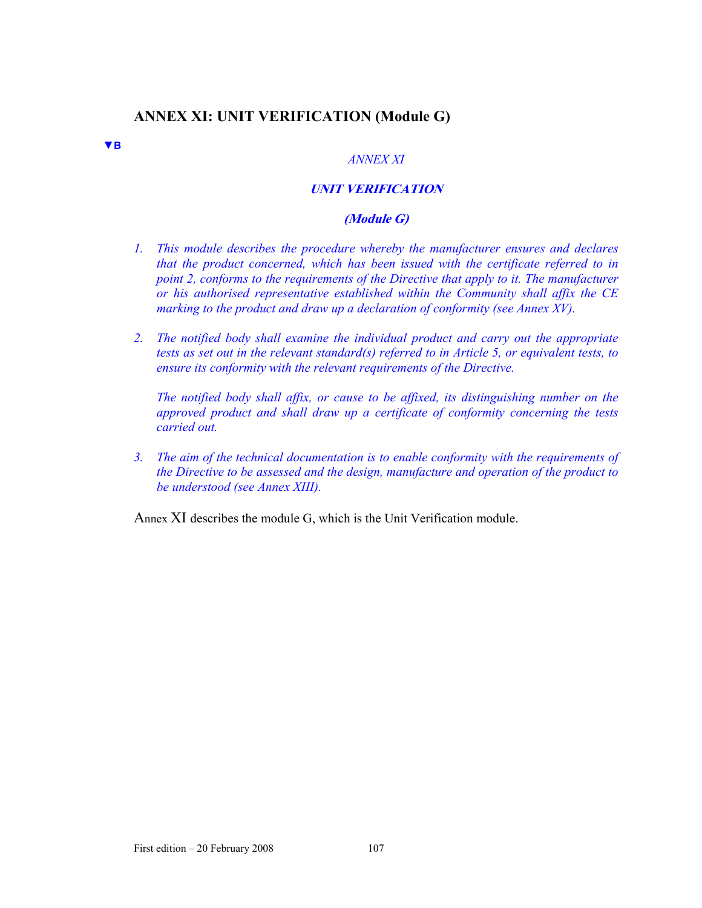# **ANNEX XI: UNIT VERIFICATION (Module G)**

**▼B**

## *ANNEX XI*

## **UNIT VERIFICATION**

### **(Module G)**

- *1. This module describes the procedure whereby the manufacturer ensures and declares that the product concerned, which has been issued with the certificate referred to in point 2, conforms to the requirements of the Directive that apply to it. The manufacturer or his authorised representative established within the Community shall affix the CE marking to the product and draw up a declaration of conformity (see Annex XV).*
- *2. The notified body shall examine the individual product and carry out the appropriate tests as set out in the relevant standard(s) referred to in Article 5, or equivalent tests, to ensure its conformity with the relevant requirements of the Directive.*

*The notified body shall affix, or cause to be affixed, its distinguishing number on the approved product and shall draw up a certificate of conformity concerning the tests carried out.* 

*3. The aim of the technical documentation is to enable conformity with the requirements of the Directive to be assessed and the design, manufacture and operation of the product to be understood (see Annex XIII).* 

Annex XI describes the module G, which is the Unit Verification module.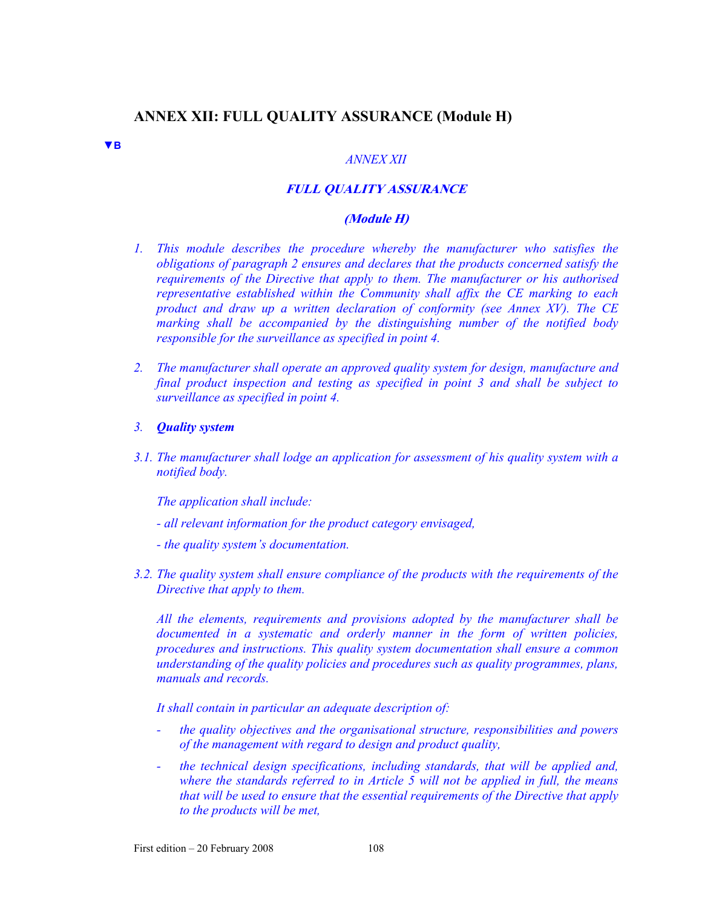# **ANNEX XII: FULL QUALITY ASSURANCE (Module H)**

**▼B**

#### *ANNEX XII*

# **FULL QUALITY ASSURANCE**

#### **(Module H)**

- *1. This module describes the procedure whereby the manufacturer who satisfies the obligations of paragraph 2 ensures and declares that the products concerned satisfy the requirements of the Directive that apply to them. The manufacturer or his authorised representative established within the Community shall affix the CE marking to each product and draw up a written declaration of conformity (see Annex XV). The CE marking shall be accompanied by the distinguishing number of the notified body responsible for the surveillance as specified in point 4.*
- *2. The manufacturer shall operate an approved quality system for design, manufacture and final product inspection and testing as specified in point 3 and shall be subject to surveillance as specified in point 4.*
- *3. Quality system*
- *3.1. The manufacturer shall lodge an application for assessment of his quality system with a notified body.*

*The application shall include:* 

- *all relevant information for the product category envisaged,*
- *the quality system's documentation.*
- *3.2. The quality system shall ensure compliance of the products with the requirements of the Directive that apply to them.*

*All the elements, requirements and provisions adopted by the manufacturer shall be documented in a systematic and orderly manner in the form of written policies, procedures and instructions. This quality system documentation shall ensure a common understanding of the quality policies and procedures such as quality programmes, plans, manuals and records.* 

*It shall contain in particular an adequate description of:* 

- *the quality objectives and the organisational structure, responsibilities and powers of the management with regard to design and product quality,*
- *the technical design specifications, including standards, that will be applied and, where the standards referred to in Article 5 will not be applied in full, the means that will be used to ensure that the essential requirements of the Directive that apply to the products will be met,*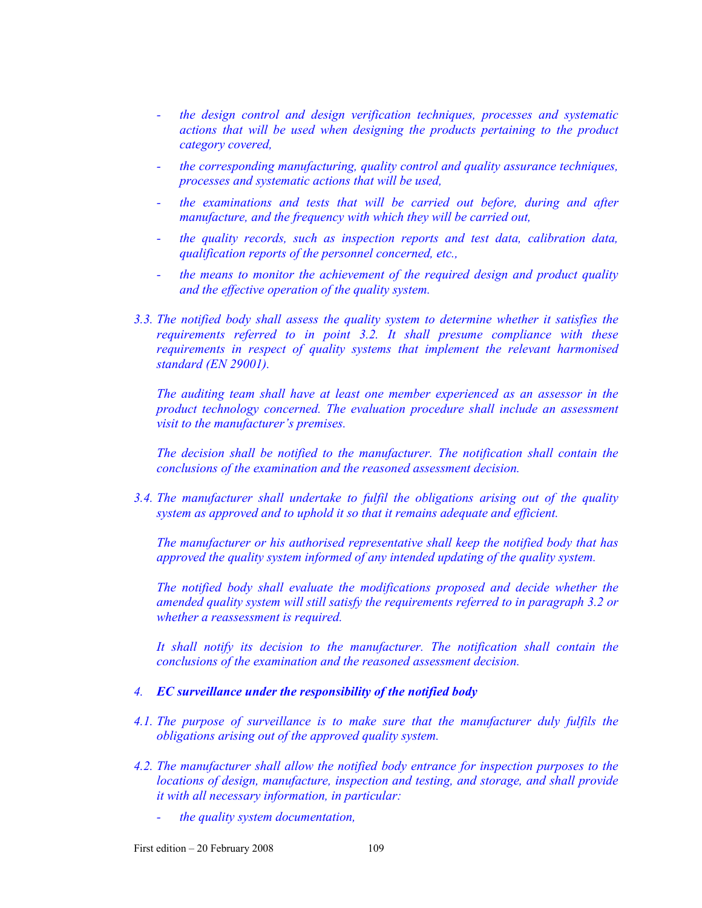- *the design control and design verification techniques, processes and systematic actions that will be used when designing the products pertaining to the product category covered,*
- *the corresponding manufacturing, quality control and quality assurance techniques, processes and systematic actions that will be used,*
- *the examinations and tests that will be carried out before, during and after manufacture, and the frequency with which they will be carried out,*
- *the quality records, such as inspection reports and test data, calibration data, qualification reports of the personnel concerned, etc.,*
- *the means to monitor the achievement of the required design and product quality and the effective operation of the quality system.*
- *3.3. The notified body shall assess the quality system to determine whether it satisfies the requirements referred to in point 3.2. It shall presume compliance with these requirements in respect of quality systems that implement the relevant harmonised standard (EN 29001).*

*The auditing team shall have at least one member experienced as an assessor in the product technology concerned. The evaluation procedure shall include an assessment visit to the manufacturer's premises.* 

*The decision shall be notified to the manufacturer. The notification shall contain the conclusions of the examination and the reasoned assessment decision.* 

*3.4. The manufacturer shall undertake to fulfil the obligations arising out of the quality system as approved and to uphold it so that it remains adequate and efficient.* 

*The manufacturer or his authorised representative shall keep the notified body that has approved the quality system informed of any intended updating of the quality system.* 

*The notified body shall evaluate the modifications proposed and decide whether the amended quality system will still satisfy the requirements referred to in paragraph 3.2 or whether a reassessment is required.* 

*It shall notify its decision to the manufacturer. The notification shall contain the conclusions of the examination and the reasoned assessment decision.* 

#### *4. EC surveillance under the responsibility of the notified body*

- *4.1. The purpose of surveillance is to make sure that the manufacturer duly fulfils the obligations arising out of the approved quality system.*
- *4.2. The manufacturer shall allow the notified body entrance for inspection purposes to the locations of design, manufacture, inspection and testing, and storage, and shall provide it with all necessary information, in particular:* 
	- *the quality system documentation,*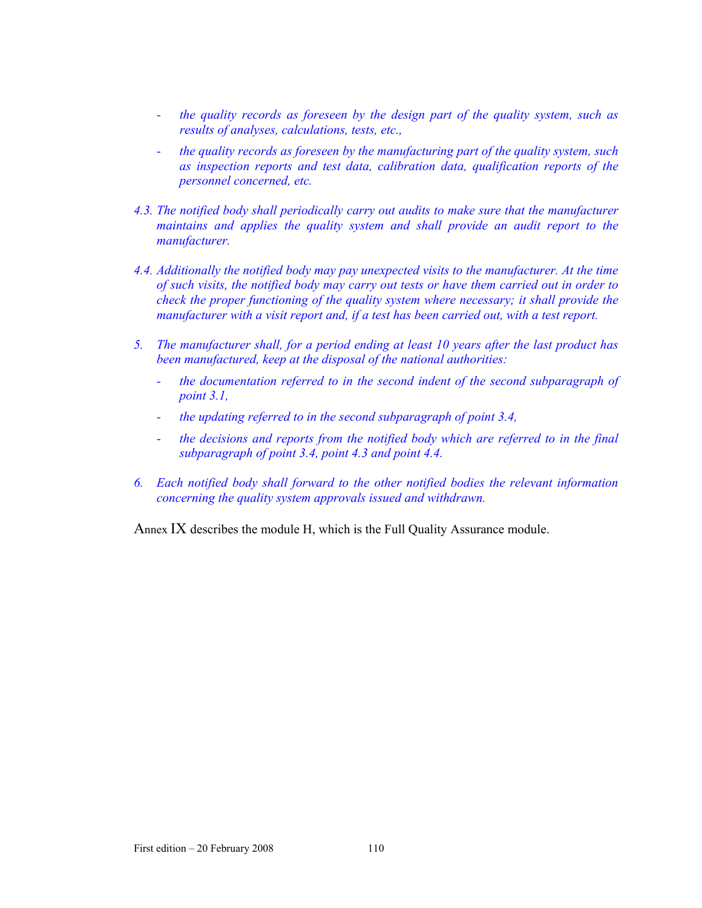- *the quality records as foreseen by the design part of the quality system, such as results of analyses, calculations, tests, etc.,*
- *the quality records as foreseen by the manufacturing part of the quality system, such as inspection reports and test data, calibration data, qualification reports of the personnel concerned, etc.*
- *4.3. The notified body shall periodically carry out audits to make sure that the manufacturer maintains and applies the quality system and shall provide an audit report to the manufacturer.*
- *4.4. Additionally the notified body may pay unexpected visits to the manufacturer. At the time of such visits, the notified body may carry out tests or have them carried out in order to check the proper functioning of the quality system where necessary; it shall provide the manufacturer with a visit report and, if a test has been carried out, with a test report.*
- *5. The manufacturer shall, for a period ending at least 10 years after the last product has been manufactured, keep at the disposal of the national authorities:* 
	- *the documentation referred to in the second indent of the second subparagraph of point 3.1,*
	- *the updating referred to in the second subparagraph of point 3.4,*
	- *the decisions and reports from the notified body which are referred to in the final subparagraph of point 3.4, point 4.3 and point 4.4.*
- *6. Each notified body shall forward to the other notified bodies the relevant information concerning the quality system approvals issued and withdrawn.*

Annex IX describes the module H, which is the Full Quality Assurance module.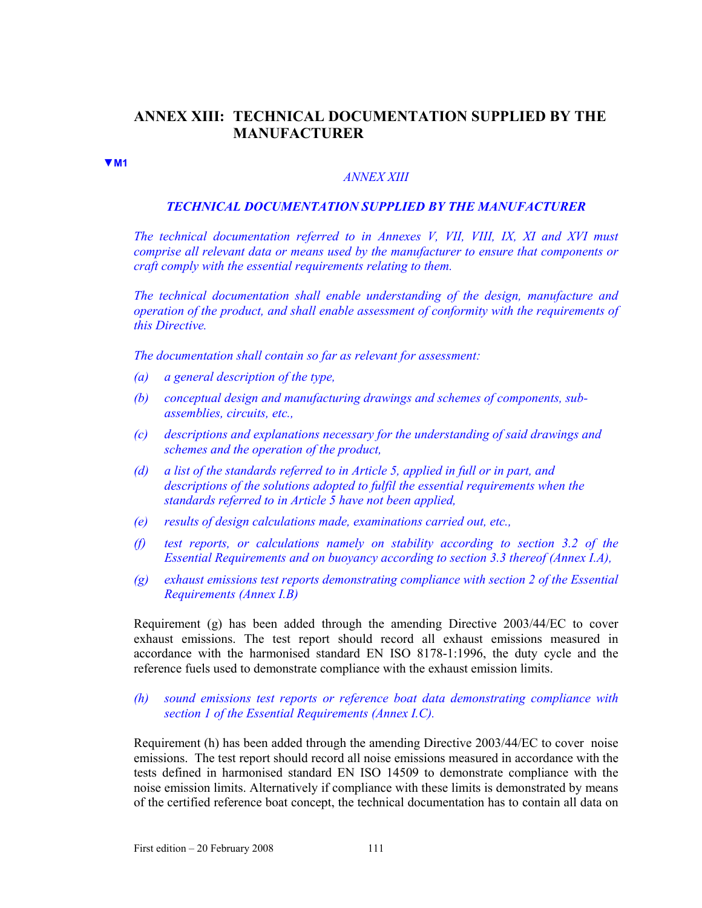# **ANNEX XIII: TECHNICAL DOCUMENTATION SUPPLIED BY THE MANUFACTURER**

**▼M1**

#### *ANNEX XIII*

#### *TECHNICAL DOCUMENTATION SUPPLIED BY THE MANUFACTURER*

*The technical documentation referred to in Annexes V, VII, VIII, IX, XI and XVI must comprise all relevant data or means used by the manufacturer to ensure that components or craft comply with the essential requirements relating to them.* 

*The technical documentation shall enable understanding of the design, manufacture and operation of the product, and shall enable assessment of conformity with the requirements of this Directive.* 

*The documentation shall contain so far as relevant for assessment:* 

- *(a) a general description of the type,*
- *(b) conceptual design and manufacturing drawings and schemes of components, subassemblies, circuits, etc.,*
- *(c) descriptions and explanations necessary for the understanding of said drawings and schemes and the operation of the product,*
- *(d) a list of the standards referred to in Article 5, applied in full or in part, and descriptions of the solutions adopted to fulfil the essential requirements when the standards referred to in Article 5 have not been applied,*
- *(e) results of design calculations made, examinations carried out, etc.,*
- *(f) test reports, or calculations namely on stability according to section 3.2 of the Essential Requirements and on buoyancy according to section 3.3 thereof (Annex I.A),*
- *(g) exhaust emissions test reports demonstrating compliance with section 2 of the Essential Requirements (Annex I.B)*

Requirement (g) has been added through the amending Directive 2003/44/EC to cover exhaust emissions. The test report should record all exhaust emissions measured in accordance with the harmonised standard EN ISO 8178-1:1996, the duty cycle and the reference fuels used to demonstrate compliance with the exhaust emission limits.

## *(h) sound emissions test reports or reference boat data demonstrating compliance with section 1 of the Essential Requirements (Annex I.C).*

Requirement (h) has been added through the amending Directive 2003/44/EC to cover noise emissions. The test report should record all noise emissions measured in accordance with the tests defined in harmonised standard EN ISO 14509 to demonstrate compliance with the noise emission limits. Alternatively if compliance with these limits is demonstrated by means of the certified reference boat concept, the technical documentation has to contain all data on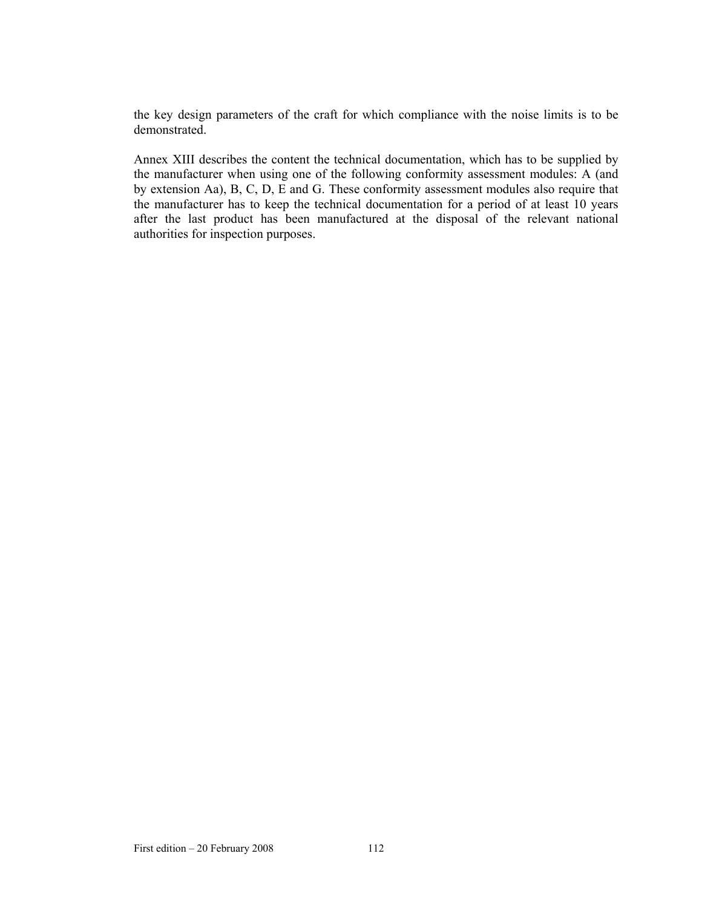the key design parameters of the craft for which compliance with the noise limits is to be demonstrated.

Annex XIII describes the content the technical documentation, which has to be supplied by the manufacturer when using one of the following conformity assessment modules: A (and by extension Aa), B, C, D, E and G. These conformity assessment modules also require that the manufacturer has to keep the technical documentation for a period of at least 10 years after the last product has been manufactured at the disposal of the relevant national authorities for inspection purposes.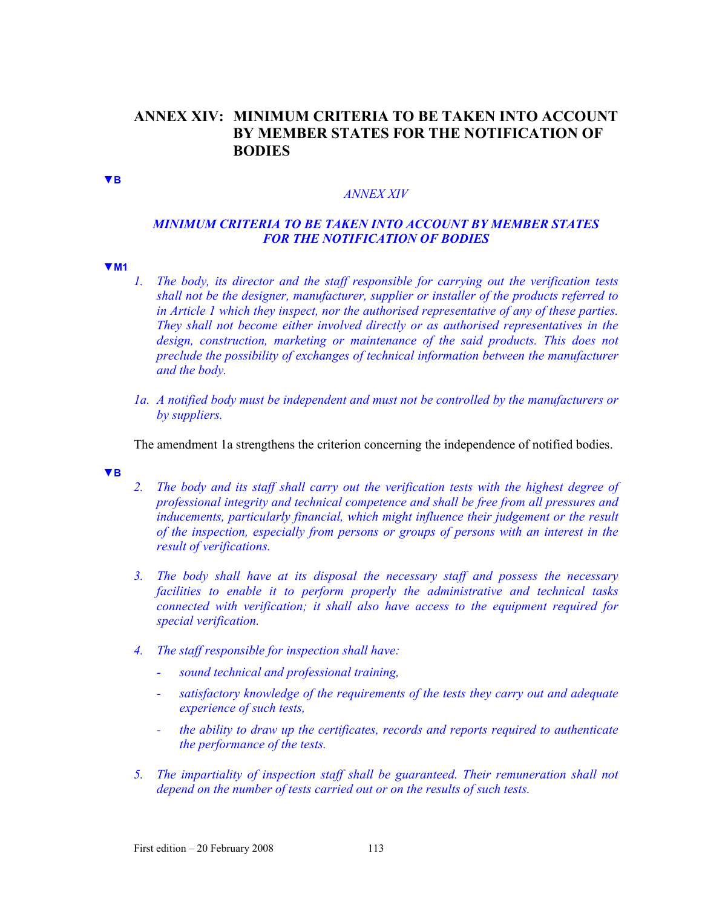# **ANNEX XIV: MINIMUM CRITERIA TO BE TAKEN INTO ACCOUNT BY MEMBER STATES FOR THE NOTIFICATION OF BODIES**

**▼B**

#### *ANNEX XIV*

# *MINIMUM CRITERIA TO BE TAKEN INTO ACCOUNT BY MEMBER STATES FOR THE NOTIFICATION OF BODIES*

#### **▼M1**

- *1. The body, its director and the staff responsible for carrying out the verification tests shall not be the designer, manufacturer, supplier or installer of the products referred to in Article 1 which they inspect, nor the authorised representative of any of these parties. They shall not become either involved directly or as authorised representatives in the*  design, construction, marketing or maintenance of the said products. This does not *preclude the possibility of exchanges of technical information between the manufacturer and the body.*
- *1a. A notified body must be independent and must not be controlled by the manufacturers or by suppliers.*

The amendment 1a strengthens the criterion concerning the independence of notified bodies.

#### **▼B**

- *2. The body and its staff shall carry out the verification tests with the highest degree of professional integrity and technical competence and shall be free from all pressures and inducements, particularly financial, which might influence their judgement or the result of the inspection, especially from persons or groups of persons with an interest in the result of verifications.*
- *3. The body shall have at its disposal the necessary staff and possess the necessary facilities to enable it to perform properly the administrative and technical tasks connected with verification; it shall also have access to the equipment required for special verification.*
- *4. The staff responsible for inspection shall have:* 
	- *sound technical and professional training,*
	- *satisfactory knowledge of the requirements of the tests they carry out and adequate experience of such tests,*
	- *the ability to draw up the certificates, records and reports required to authenticate the performance of the tests.*
- *5. The impartiality of inspection staff shall be guaranteed. Their remuneration shall not depend on the number of tests carried out or on the results of such tests.*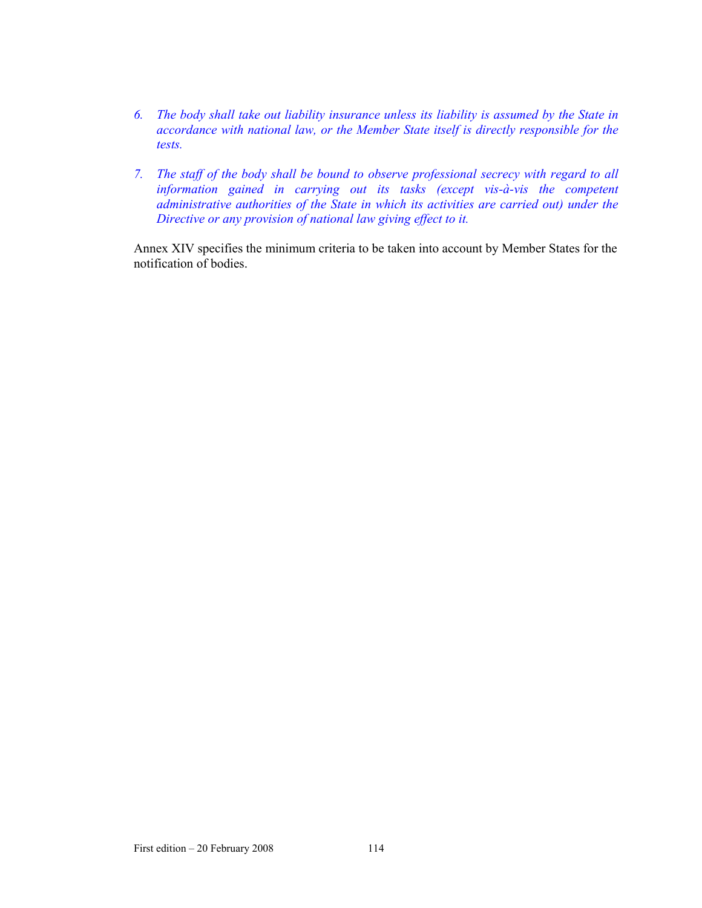- *6. The body shall take out liability insurance unless its liability is assumed by the State in accordance with national law, or the Member State itself is directly responsible for the tests.*
- *7. The staff of the body shall be bound to observe professional secrecy with regard to all information gained in carrying out its tasks (except vis-à-vis the competent administrative authorities of the State in which its activities are carried out) under the Directive or any provision of national law giving effect to it.*

Annex XIV specifies the minimum criteria to be taken into account by Member States for the notification of bodies.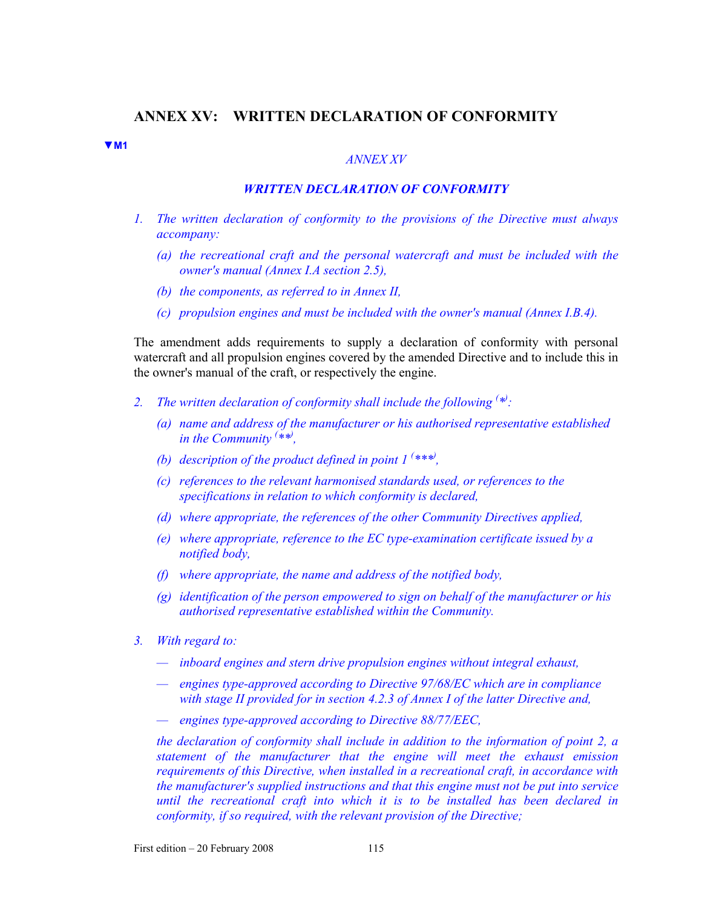### **ANNEX XV: WRITTEN DECLARATION OF CONFORMITY**

**▼M1**

#### *ANNEX XV*

## *WRITTEN DECLARATION OF CONFORMITY*

- *1. The written declaration of conformity to the provisions of the Directive must always accompany:* 
	- *(a) the recreational craft and the personal watercraft and must be included with the owner's manual (Annex I.A section 2.5),*
	- *(b) the components, as referred to in Annex II,*
	- *(c) propulsion engines and must be included with the owner's manual (Annex I.B.4).*

The amendment adds requirements to supply a declaration of conformity with personal watercraft and all propulsion engines covered by the amended Directive and to include this in the owner's manual of the craft, or respectively the engine.

- 2. The written declaration of conformity shall include the following  $(*)$ .
	- *(a) name and address of the manufacturer or his authorised representative established in the Community ( \*\*) ,*
	- *(b)* description of the product defined in point  $1^{(***)}$ ,
	- *(c) references to the relevant harmonised standards used, or references to the specifications in relation to which conformity is declared,*
	- *(d) where appropriate, the references of the other Community Directives applied,*
	- *(e) where appropriate, reference to the EC type-examination certificate issued by a notified body,*
	- *(f) where appropriate, the name and address of the notified body,*
	- *(g) identification of the person empowered to sign on behalf of the manufacturer or his authorised representative established within the Community.*
- *3. With regard to:* 
	- *inboard engines and stern drive propulsion engines without integral exhaust,*
	- *engines type-approved according to Directive 97/68/EC which are in compliance with stage II provided for in section 4.2.3 of Annex I of the latter Directive and,*
	- *engines type-approved according to Directive 88/77/EEC,*

*the declaration of conformity shall include in addition to the information of point 2, a statement of the manufacturer that the engine will meet the exhaust emission requirements of this Directive, when installed in a recreational craft, in accordance with the manufacturer's supplied instructions and that this engine must not be put into service until the recreational craft into which it is to be installed has been declared in conformity, if so required, with the relevant provision of the Directive;*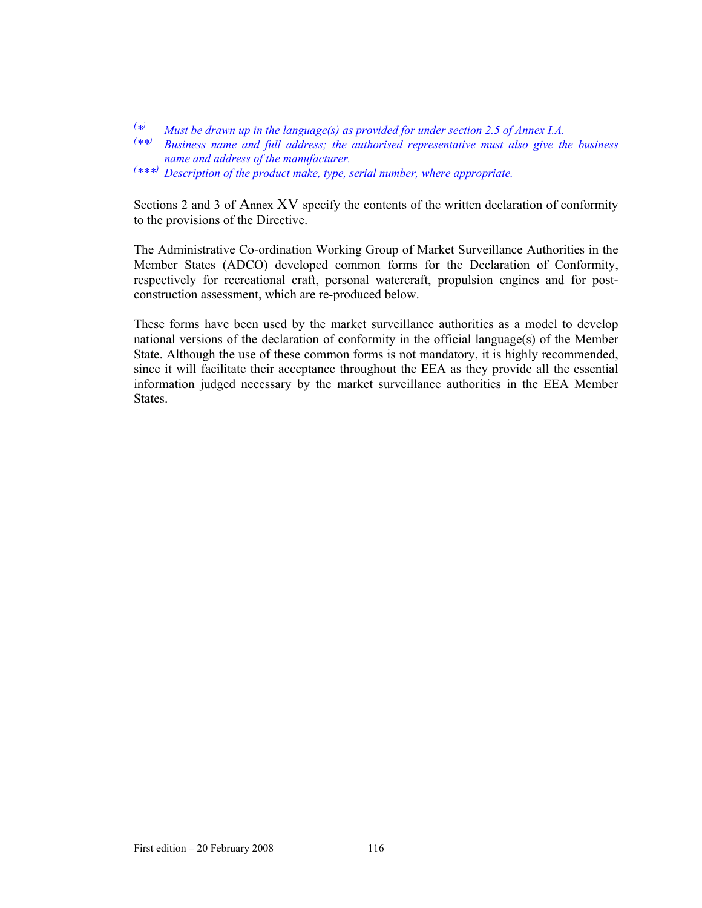*( \*) Must be drawn up in the language(s) as provided for under section 2.5 of Annex I.A.*

- *( \*\*) Business name and full address; the authorised representative must also give the business name and address of the manufacturer.*
- *( \*\*\*) Description of the product make, type, serial number, where appropriate.*

Sections 2 and 3 of Annex XV specify the contents of the written declaration of conformity to the provisions of the Directive.

The Administrative Co-ordination Working Group of Market Surveillance Authorities in the Member States (ADCO) developed common forms for the Declaration of Conformity, respectively for recreational craft, personal watercraft, propulsion engines and for postconstruction assessment, which are re-produced below.

These forms have been used by the market surveillance authorities as a model to develop national versions of the declaration of conformity in the official language(s) of the Member State. Although the use of these common forms is not mandatory, it is highly recommended, since it will facilitate their acceptance throughout the EEA as they provide all the essential information judged necessary by the market surveillance authorities in the EEA Member States.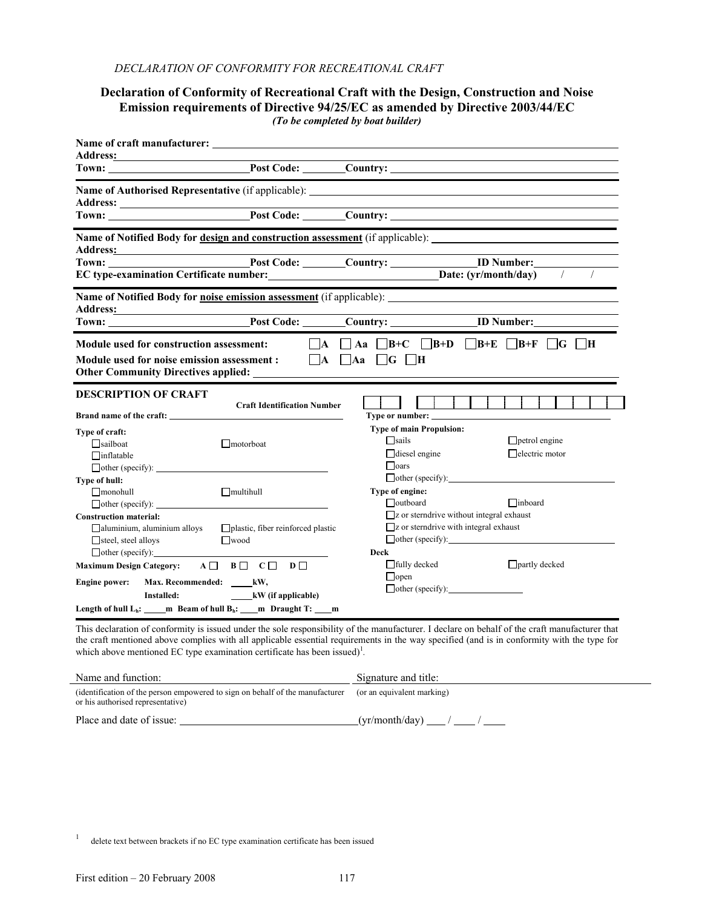#### **Declaration of Conformity of Recreational Craft with the Design, Construction and Noise Emission requirements of Directive 94/25/EC as amended by Directive 2003/44/EC**  *(To be completed by boat builder)*

|                                                                                                                                       | <b>Name of Authorised Representative</b> (if applicable):                                           |                                                                                        |                                                                                    |
|---------------------------------------------------------------------------------------------------------------------------------------|-----------------------------------------------------------------------------------------------------|----------------------------------------------------------------------------------------|------------------------------------------------------------------------------------|
|                                                                                                                                       |                                                                                                     |                                                                                        |                                                                                    |
|                                                                                                                                       |                                                                                                     |                                                                                        |                                                                                    |
|                                                                                                                                       | Town: Post Code: Country: ID Number:                                                                |                                                                                        | $\sqrt{ }$<br>$\sqrt{2}$                                                           |
|                                                                                                                                       |                                                                                                     |                                                                                        | <b>Name of Notified Body for <u>noise emission assessment</u></b> (if applicable): |
|                                                                                                                                       |                                                                                                     |                                                                                        | Address: Post Code: Country: Country: ID Number:                                   |
| Module used for construction assessment:<br>Module used for noise emission assessment :<br><b>Other Community Directives applied:</b> |                                                                                                     | $\vert$   A   A   G   H                                                                | $\Box A$ $\Box A$ a $\Box B+C$ $\Box B+D$ $\Box B+E$ $\Box B+F$ $\Box G$ $\Box H$  |
| <b>DESCRIPTION OF CRAFT</b><br>Brand name of the craft:                                                                               | <b>Craft Identification Number</b>                                                                  | Type or number:                                                                        |                                                                                    |
| Type of craft:<br>$\Box$ sailboat<br>$\Box$ inflatable                                                                                | $\Box$ motorboat<br>$\Box$ other (specify): $\Box$                                                  | <b>Type of main Propulsion:</b><br>$\Box$ sails<br>$\Box$ diesel engine<br>$\Box$ oars | $\Box$ petrol engine<br>$\Box$ electric motor                                      |
| Type of hull:<br>$\Box$ monohull                                                                                                      | $\Box$ multihull<br>$\Box$ other (specify):                                                         | Type of engine:<br>$\Box$ outboard                                                     | $\Box$ inboard<br>□z or sterndrive without integral exhaust                        |
| <b>Construction material:</b><br>$\Box$ aluminium, aluminium alloys<br>$\Box$ steel, steel alloys                                     | $\Box$ plastic, fiber reinforced plastic<br>$\Box$ wood                                             | $\Box$ z or sterndrive with integral exhaust                                           | $\Box$ other (specify): $\Box$                                                     |
| $\Box$ other (specify):<br>Maximum Design Category: $A \Box B \Box C \Box D \Box$                                                     |                                                                                                     | <b>Deck</b><br>$\Box$ fully decked<br>$\Box$ open                                      | $\Box$ partly decked                                                               |
| Engine power: Max. Recommended: _____ kW,<br>Installed:                                                                               | kW (if applicable)<br>Length of hull $L_h$ : ______ m Beam of hull $B_h$ : ____ m Draught T: ____ m |                                                                                        |                                                                                    |

This declaration of conformity is issued under the sole responsibility of the manufacturer. I declare on behalf of the craft manufacturer that the craft mentioned above complies with all applicable essential requirements in the way specified (and is in conformity with the type for which above mentioned EC type examination certificate has been issued)<sup>1</sup>.

| Name and function:                                                                                                 | Signature and title:       |
|--------------------------------------------------------------------------------------------------------------------|----------------------------|
| (identification of the person empowered to sign on behalf of the manufacturer<br>or his authorised representative) | (or an equivalent marking) |
| Place and date of issue:                                                                                           | $(vr/month/day)$ / /       |

1 delete text between brackets if no EC type examination certificate has been issued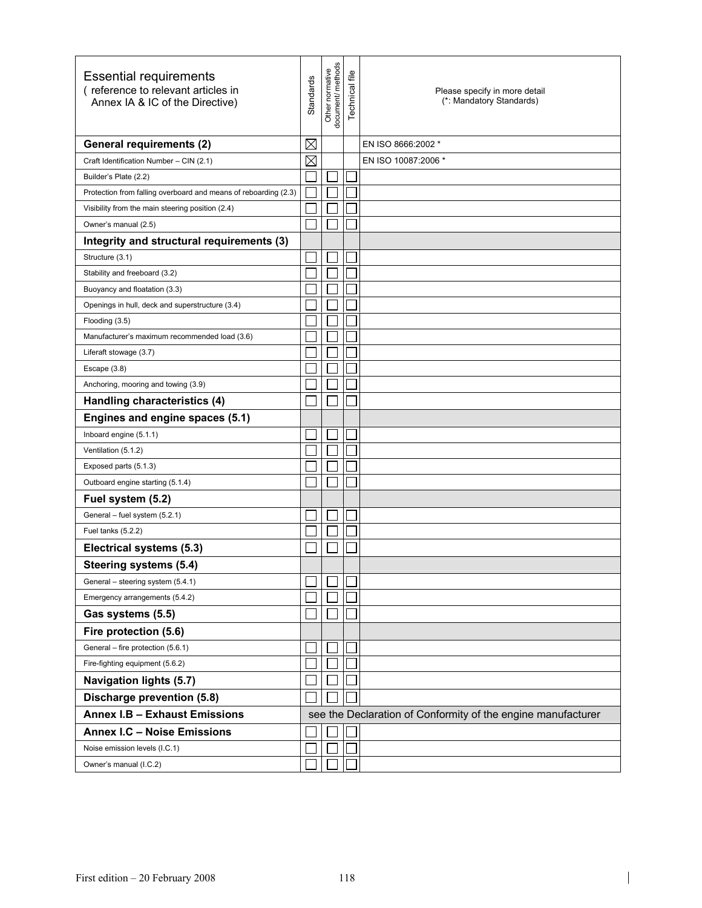| <b>Essential requirements</b><br>(reference to relevant articles in<br>Annex IA & IC of the Directive) | <b>Standards</b> | Other normative<br>document/ methods | Technical file | Please specify in more detail<br>(*: Mandatory Standards)    |
|--------------------------------------------------------------------------------------------------------|------------------|--------------------------------------|----------------|--------------------------------------------------------------|
| <b>General requirements (2)</b>                                                                        | $\boxtimes$      |                                      |                | EN ISO 8666:2002 *                                           |
| Craft Identification Number - CIN (2.1)                                                                | $\boxtimes$      |                                      |                | EN ISO 10087:2006 *                                          |
| Builder's Plate (2.2)                                                                                  |                  |                                      |                |                                                              |
| Protection from falling overboard and means of reboarding (2.3)                                        |                  |                                      |                |                                                              |
| Visibility from the main steering position (2.4)                                                       |                  |                                      |                |                                                              |
| Owner's manual (2.5)                                                                                   |                  |                                      |                |                                                              |
| Integrity and structural requirements (3)                                                              |                  |                                      |                |                                                              |
| Structure (3.1)                                                                                        |                  |                                      |                |                                                              |
| Stability and freeboard (3.2)                                                                          |                  |                                      |                |                                                              |
| Buoyancy and floatation (3.3)                                                                          |                  |                                      |                |                                                              |
| Openings in hull, deck and superstructure (3.4)                                                        |                  |                                      |                |                                                              |
| Flooding (3.5)                                                                                         |                  |                                      |                |                                                              |
| Manufacturer's maximum recommended load (3.6)                                                          |                  |                                      |                |                                                              |
| Liferaft stowage (3.7)                                                                                 |                  |                                      |                |                                                              |
| Escape (3.8)                                                                                           |                  |                                      |                |                                                              |
| Anchoring, mooring and towing (3.9)                                                                    |                  |                                      |                |                                                              |
| Handling characteristics (4)                                                                           |                  |                                      |                |                                                              |
| Engines and engine spaces (5.1)                                                                        |                  |                                      |                |                                                              |
| Inboard engine (5.1.1)                                                                                 |                  |                                      |                |                                                              |
| Ventilation (5.1.2)                                                                                    |                  |                                      |                |                                                              |
| Exposed parts (5.1.3)                                                                                  |                  |                                      |                |                                                              |
| Outboard engine starting (5.1.4)                                                                       |                  |                                      |                |                                                              |
| Fuel system (5.2)                                                                                      |                  |                                      |                |                                                              |
| General - fuel system (5.2.1)                                                                          |                  |                                      |                |                                                              |
| Fuel tanks (5.2.2)                                                                                     |                  |                                      |                |                                                              |
| Electrical systems (5.3)                                                                               |                  |                                      |                |                                                              |
| Steering systems (5.4)                                                                                 |                  |                                      |                |                                                              |
| General - steering system (5.4.1)                                                                      |                  |                                      |                |                                                              |
| Emergency arrangements (5.4.2)                                                                         |                  |                                      |                |                                                              |
| Gas systems (5.5)                                                                                      |                  |                                      |                |                                                              |
| Fire protection (5.6)                                                                                  |                  |                                      |                |                                                              |
| General - fire protection (5.6.1)                                                                      |                  |                                      |                |                                                              |
| Fire-fighting equipment (5.6.2)                                                                        |                  |                                      |                |                                                              |
| <b>Navigation lights (5.7)</b>                                                                         |                  |                                      |                |                                                              |
| Discharge prevention (5.8)                                                                             |                  |                                      |                |                                                              |
| Annex I.B - Exhaust Emissions                                                                          |                  |                                      |                | see the Declaration of Conformity of the engine manufacturer |
| <b>Annex I.C - Noise Emissions</b>                                                                     |                  |                                      |                |                                                              |
| Noise emission levels (I.C.1)                                                                          |                  |                                      |                |                                                              |
| Owner's manual (I.C.2)                                                                                 |                  |                                      |                |                                                              |

 $\begin{array}{c} \rule{0pt}{2ex} \rule{0pt}{2ex} \rule{0pt}{2ex} \rule{0pt}{2ex} \rule{0pt}{2ex} \rule{0pt}{2ex} \rule{0pt}{2ex} \rule{0pt}{2ex} \rule{0pt}{2ex} \rule{0pt}{2ex} \rule{0pt}{2ex} \rule{0pt}{2ex} \rule{0pt}{2ex} \rule{0pt}{2ex} \rule{0pt}{2ex} \rule{0pt}{2ex} \rule{0pt}{2ex} \rule{0pt}{2ex} \rule{0pt}{2ex} \rule{0pt}{2ex} \rule{0pt}{2ex} \rule{0pt}{2ex} \rule{0pt}{2ex} \rule{0pt}{$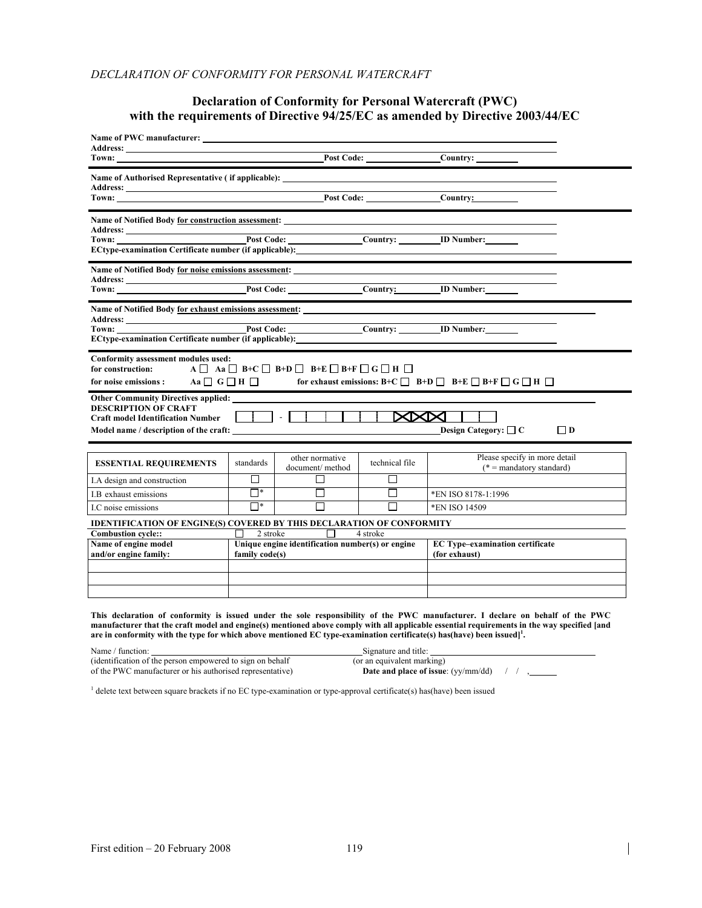#### *DECLARATION OF CONFORMITY FOR PERSONAL WATERCRAFT*

## **Declaration of Conformity for Personal Watercraft (PWC) with the requirements of Directive 94/25/EC as amended by Directive 2003/44/EC**

| <b>Address:</b>                                                                                                   |                                                                                                                                                                                                                                                                                           |                                    |                |                                                             |  |  |  |
|-------------------------------------------------------------------------------------------------------------------|-------------------------------------------------------------------------------------------------------------------------------------------------------------------------------------------------------------------------------------------------------------------------------------------|------------------------------------|----------------|-------------------------------------------------------------|--|--|--|
|                                                                                                                   |                                                                                                                                                                                                                                                                                           |                                    |                |                                                             |  |  |  |
|                                                                                                                   |                                                                                                                                                                                                                                                                                           |                                    |                |                                                             |  |  |  |
|                                                                                                                   |                                                                                                                                                                                                                                                                                           |                                    |                |                                                             |  |  |  |
| ECtype-examination Certificate number (if applicable): __________________________                                 |                                                                                                                                                                                                                                                                                           |                                    |                |                                                             |  |  |  |
|                                                                                                                   |                                                                                                                                                                                                                                                                                           |                                    |                |                                                             |  |  |  |
| Name of Notified Body for exhaust emissions assessment:<br>ECtype-examination Certificate number (if applicable): |                                                                                                                                                                                                                                                                                           |                                    |                |                                                             |  |  |  |
| for construction:                                                                                                 | Conformity assessment modules used:<br>$A \square$ Aa $\square$ B+C $\square$ B+D $\square$ B+E $\square$ B+F $\square$ G $\square$ H $\square$<br>for noise emissions : Aa $\Box$ G $\Box$ H $\Box$ for exhaust emissions: B+C $\Box$ B+D $\Box$ B+E $\Box$ B+F $\Box$ G $\Box$ H $\Box$ |                                    |                |                                                             |  |  |  |
| <b>DESCRIPTION OF CRAFT</b><br><b>Craft model Identification Number</b>                                           | <b>Other Community Directives applied:</b><br><b>XXXII</b><br><b>Design Category:</b> $\Box$ C<br>$\Box$ D<br>Model name / description of the craft:                                                                                                                                      |                                    |                |                                                             |  |  |  |
| <b>ESSENTIAL REQUIREMENTS</b>                                                                                     | standards                                                                                                                                                                                                                                                                                 | other normative<br>document/method | technical file | Please specify in more detail<br>$(* =$ mandatory standard) |  |  |  |
| I.A design and construction                                                                                       | П                                                                                                                                                                                                                                                                                         | П                                  | П              |                                                             |  |  |  |
| I.B exhaust emissions                                                                                             | $\Box^*$                                                                                                                                                                                                                                                                                  | П                                  | П              | *EN ISO 8178-1:1996                                         |  |  |  |
| I.C noise emissions                                                                                               | $\Box^*$                                                                                                                                                                                                                                                                                  | $\Box$                             | П              | *EN ISO 14509                                               |  |  |  |
| <b>IDENTIFICATION OF ENGINE(S) COVERED BY THIS DECLARATION OF CONFORMITY</b>                                      |                                                                                                                                                                                                                                                                                           |                                    |                |                                                             |  |  |  |
| <b>Combustion cycle::</b><br>Name of engine model<br>and/or engine family:                                        | $\Box$ 2 stroke $\Box$ 4 stroke<br>Unique engine identification number(s) or engine<br>family code(s)                                                                                                                                                                                     |                                    |                | <b>EC Type-examination certificate</b><br>(for exhaust)     |  |  |  |
|                                                                                                                   |                                                                                                                                                                                                                                                                                           |                                    |                |                                                             |  |  |  |

**This declaration of conformity is issued under the sole responsibility of the PWC manufacturer. I declare on behalf of the PWC manufacturer that the craft model and engine(s) mentioned above comply with all applicable essential requirements in the way specified [and**  are in conformity with the type for which above mentioned EC type-examination certificate(s) has(have) been issued]<sup>1</sup>.

| Name / function:                                          | Signature and title:                         |
|-----------------------------------------------------------|----------------------------------------------|
| (identification of the person empowered to sign on behalf | (or an equivalent marking)                   |
| of the PWC manufacturer or his authorised representative) | <b>Date and place of issue:</b> $(vv/mm/dd)$ |

<sup>1</sup> delete text between square brackets if no EC type-examination or type-approval certificate(s) has(have) been issued

 $\overline{\phantom{a}}$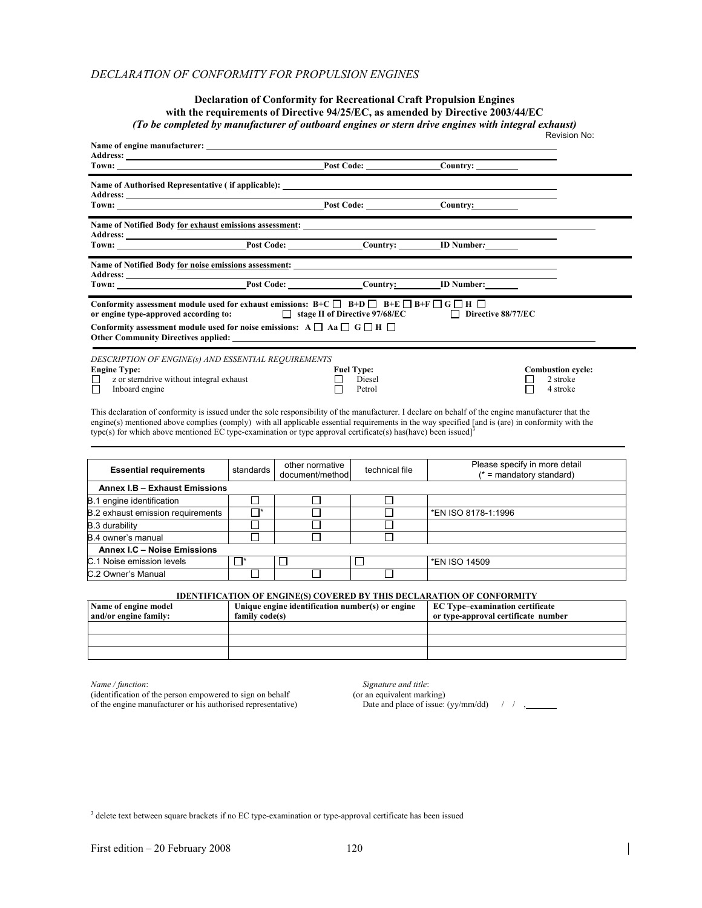#### *DECLARATION OF CONFORMITY FOR PROPULSION ENGINES*

#### **Declaration of Conformity for Recreational Craft Propulsion Engines with the requirements of Directive 94/25/EC, as amended by Directive 2003/44/EC**  *(To be completed by manufacturer of outboard engines or stern drive engines with integral exhaust)* Revision No:

| Address: <u>Address:</u> Address: <b>Address:</b> Address: <b>Address:</b> Address: <b>Address:</b> Address: <b>Address:</b> Address: <b>Address:</b> Address: <b>Address: Address: Address: Address: Address: <b>Address: Address: Address: Address: Address: A</b></b>                                                                                                                                                              |           |                                    |                                       |                                                                   |                                                             |  |
|---------------------------------------------------------------------------------------------------------------------------------------------------------------------------------------------------------------------------------------------------------------------------------------------------------------------------------------------------------------------------------------------------------------------------------------|-----------|------------------------------------|---------------------------------------|-------------------------------------------------------------------|-------------------------------------------------------------|--|
| <b>Town:</b> Town: Town: Town: Town: Town: Town: Town: Town: Town: Town: Town: Town: Town: Town: Town: Town: Town: Town: Town: Town: Town: Town: Town: Town: Town: Town: Town: Town: Town: Town: Town: Town: Town: Town: Town: Town                                                                                                                                                                                                   |           |                                    |                                       |                                                                   |                                                             |  |
|                                                                                                                                                                                                                                                                                                                                                                                                                                       |           |                                    |                                       |                                                                   |                                                             |  |
|                                                                                                                                                                                                                                                                                                                                                                                                                                       |           |                                    |                                       |                                                                   |                                                             |  |
| Name of Notified Body for noise emissions assessment:                                                                                                                                                                                                                                                                                                                                                                                 |           |                                    |                                       |                                                                   |                                                             |  |
|                                                                                                                                                                                                                                                                                                                                                                                                                                       |           |                                    |                                       |                                                                   |                                                             |  |
| Conformity assessment module used for exhaust emissions: B+C $\Box$ B+D $\Box$ B+E $\Box$ B+F $\Box$ G $\Box$ H $\Box$<br>or engine type-approved according to:<br>Conformity assessment module used for noise emissions: $A \Box Aa \Box G \Box H \Box$<br>Other Community Directives applied:                                                                                                                                       |           |                                    |                                       | <b>Solution</b> stage II of Directive 97/68/EC Directive 88/77/EC |                                                             |  |
| DESCRIPTION OF ENGINE(s) AND ESSENTIAL REQUIREMENTS<br><b>Engine Type:</b><br>z or sterndrive without integral exhaust<br>ப<br>П<br>Inboard engine                                                                                                                                                                                                                                                                                    |           |                                    | <b>Fuel Type:</b><br>Diesel<br>Petrol |                                                                   | <b>Combustion cycle:</b><br>2 stroke<br>4 stroke            |  |
| This declaration of conformity is issued under the sole responsibility of the manufacturer. I declare on behalf of the engine manufacturer that the<br>engine(s) mentioned above complies (comply) with all applicable essential requirements in the way specified [and is (are) in conformity with the<br>type(s) for which above mentioned EC type-examination or type approval certificate(s) has (have) been issued] <sup>3</sup> |           |                                    |                                       |                                                                   |                                                             |  |
| <b>Essential requirements</b>                                                                                                                                                                                                                                                                                                                                                                                                         | standards | other normative<br>document/method | technical file                        |                                                                   | Please specify in more detail<br>$(* =$ mandatory standard) |  |
| Annex I.B - Exhaust Emissions                                                                                                                                                                                                                                                                                                                                                                                                         |           |                                    |                                       |                                                                   |                                                             |  |

| B.1 engine identification         |    |  |  |                     |  |  |  |
|-----------------------------------|----|--|--|---------------------|--|--|--|
| B.2 exhaust emission requirements | ⊣∗ |  |  | *EN ISO 8178-1:1996 |  |  |  |
| B.3 durability                    |    |  |  |                     |  |  |  |
| B.4 owner's manual                |    |  |  |                     |  |  |  |
| Annex I.C - Noise Emissions       |    |  |  |                     |  |  |  |
| C.1 Noise emission levels         |    |  |  | *EN ISO 14509       |  |  |  |
| C.2 Owner's Manual                |    |  |  |                     |  |  |  |

#### **IDENTIFICATION OF ENGINE(S) COVERED BY THIS DECLARATION OF CONFORMITY**

| Name of engine model  | Unique engine identification number(s) or engine | <b>EC Type-examination certificate</b> |
|-----------------------|--------------------------------------------------|----------------------------------------|
| and/or engine family: | family code(s)                                   | or type-approval certificate number    |
|                       |                                                  |                                        |
|                       |                                                  |                                        |
|                       |                                                  |                                        |

*Name / function*: *Signature and title*:

(identification of the person empowered to sign on behalf (or an equivalent marking)

of the engine manufacturer or his authorised representative) Date and place of issue: (yy/mm/dd) / / ,

<sup>3</sup> delete text between square brackets if no EC type-examination or type-approval certificate has been issued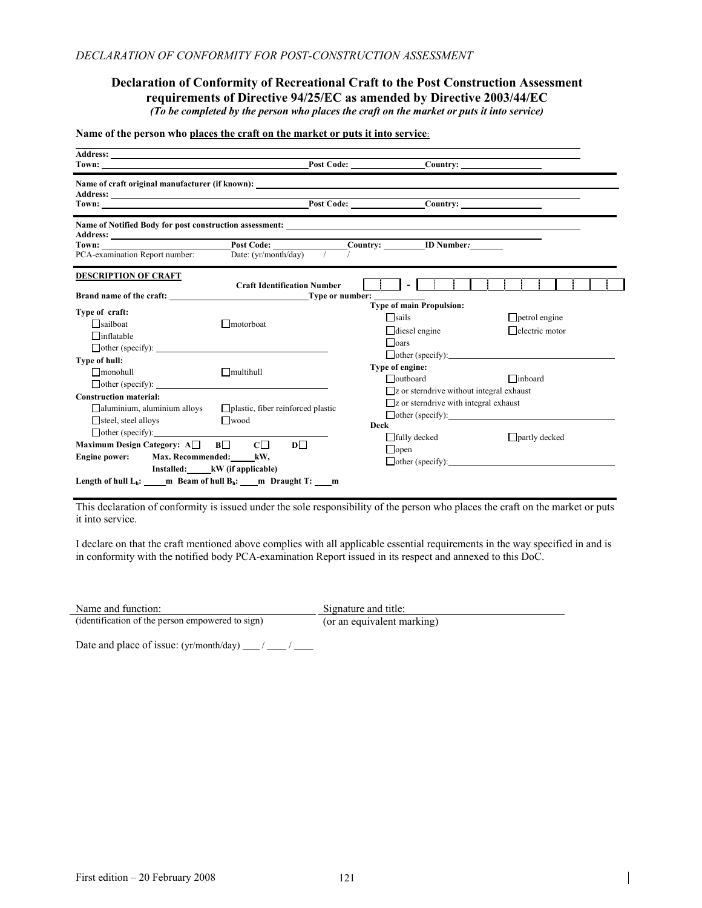#### **Declaration of Conformity of Recreational Craft to the Post Construction Assessment requirements of Directive 94/25/EC as amended by Directive 2003/44/EC**  *(To be completed by the person who places the craft on the market or puts it into service)*

#### **Name of the person who places the craft on the market or puts it into service**:

|                                                                                                                                                        | Address: No. 2016. The Committee of the Committee of the Committee of the Committee of the Committee of the Committee of the Committee of the Committee of the Committee of the Committee of the Committee of the Committee of |                                                                                                                                           |                                                 |
|--------------------------------------------------------------------------------------------------------------------------------------------------------|--------------------------------------------------------------------------------------------------------------------------------------------------------------------------------------------------------------------------------|-------------------------------------------------------------------------------------------------------------------------------------------|-------------------------------------------------|
| PCA-examination Report number:                                                                                                                         | Date: $(yr/month/day)$ /                                                                                                                                                                                                       | Post Code: ____________________Country: __________ID Number: ____________________                                                         |                                                 |
| <b>DESCRIPTION OF CRAFT</b>                                                                                                                            | <b>Craft Identification Number</b><br><b>Brand name of the craft:</b> Type or number:                                                                                                                                          |                                                                                                                                           |                                                 |
| Type of craft:<br>$\Box$ sailboat<br>$\Box$ inflatable<br>$\Box$ other (specify):                                                                      | $\Box$ motorboat                                                                                                                                                                                                               | <b>Type of main Propulsion:</b><br>□sails<br>$\Box$ diesel engine<br>$\Box$ oars                                                          | $\Box$ petrol engine<br>$\Box$ electric motor   |
| Type of hull:<br>$\Box$ monohull                                                                                                                       | $\Box$ multihull<br>$\Box$ other (specify):                                                                                                                                                                                    | Type of engine:<br>$\Box$ outboard                                                                                                        | $\Box$ other (specify):<br>$\Box$ inboard       |
| <b>Construction material:</b><br>aluminium, aluminium alloys<br>$\Box$ steel, steel alloys                                                             | plastic, fiber reinforced plastic<br>$\Box$ wood                                                                                                                                                                               | $\Box$ z or sterndrive without integral exhaust<br>$\Box$ z or sterndrive with integral exhaust<br>$\Box$ other (specify):<br><b>Deck</b> |                                                 |
| $\Box$ other (specify):<br>Maximum Design Category: $A \Box$ $B \Box$ $C \Box$<br>Engine power: Max. Recommended: kW,<br>Installed: kW (if applicable) | $D \Box$                                                                                                                                                                                                                       | $\Box$ fully decked<br>$\Box$ open                                                                                                        | $\Box$ partly decked<br>$\Box$ other (specify): |
| Length of hull $L_h$ : _____ m Beam of hull $B_h$ : ____ m Draught T: ____ m                                                                           |                                                                                                                                                                                                                                |                                                                                                                                           |                                                 |

This declaration of conformity is issued under the sole responsibility of the person who places the craft on the market or puts it into service.

I declare on that the craft mentioned above complies with all applicable essential requirements in the way specified in and is in conformity with the notified body PCA-examination Report issued in its respect and annexed to this DoC.

| Name and function: | Signature and title: |
|--------------------|----------------------|
|                    |                      |

(identification of the person empowered to sign) (or an equivalent marking)

Date and place of issue:  $(yr/month/day)$  / \_\_/ \_\_/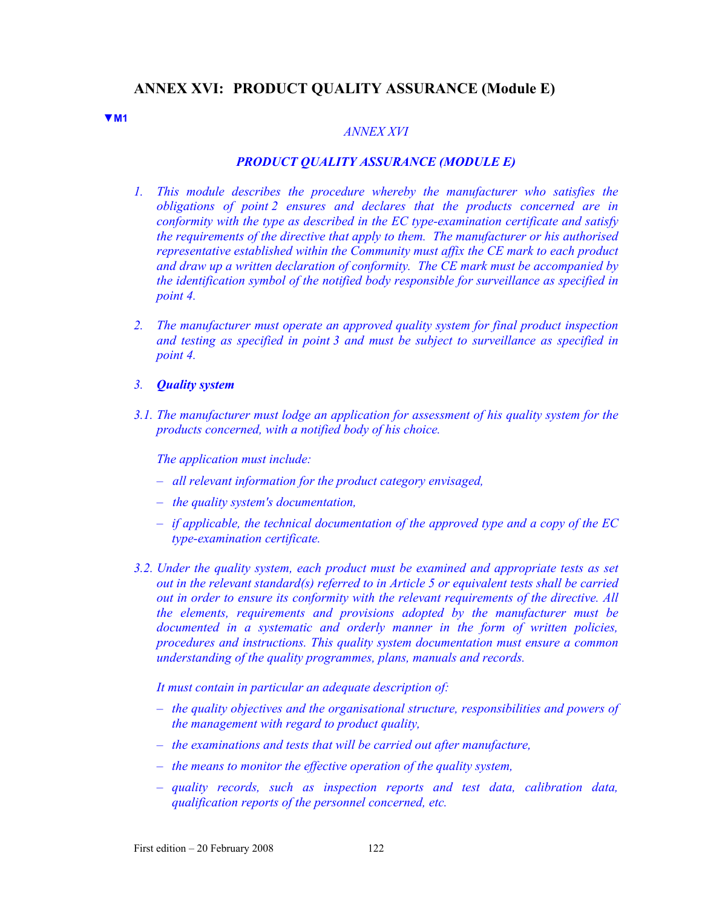# **ANNEX XVI: PRODUCT QUALITY ASSURANCE (Module E)**

#### **▼M1**

## *ANNEX XVI*

#### *PRODUCT QUALITY ASSURANCE (MODULE E)*

- *1. This module describes the procedure whereby the manufacturer who satisfies the obligations of point 2 ensures and declares that the products concerned are in conformity with the type as described in the EC type-examination certificate and satisfy the requirements of the directive that apply to them. The manufacturer or his authorised representative established within the Community must affix the CE mark to each product and draw up a written declaration of conformity. The CE mark must be accompanied by the identification symbol of the notified body responsible for surveillance as specified in point 4.*
- *2. The manufacturer must operate an approved quality system for final product inspection and testing as specified in point 3 and must be subject to surveillance as specified in point 4.*
- *3. Quality system*
- *3.1. The manufacturer must lodge an application for assessment of his quality system for the products concerned, with a notified body of his choice.*

*The application must include:* 

- *all relevant information for the product category envisaged,*
- *the quality system's documentation,*
- *if applicable, the technical documentation of the approved type and a copy of the EC type-examination certificate.*
- *3.2. Under the quality system, each product must be examined and appropriate tests as set out in the relevant standard(s) referred to in Article 5 or equivalent tests shall be carried out in order to ensure its conformity with the relevant requirements of the directive. All the elements, requirements and provisions adopted by the manufacturer must be documented in a systematic and orderly manner in the form of written policies, procedures and instructions. This quality system documentation must ensure a common understanding of the quality programmes, plans, manuals and records.*

*It must contain in particular an adequate description of:* 

- *the quality objectives and the organisational structure, responsibilities and powers of the management with regard to product quality,*
- *the examinations and tests that will be carried out after manufacture,*
- *the means to monitor the effective operation of the quality system,*
- *quality records, such as inspection reports and test data, calibration data, qualification reports of the personnel concerned, etc.*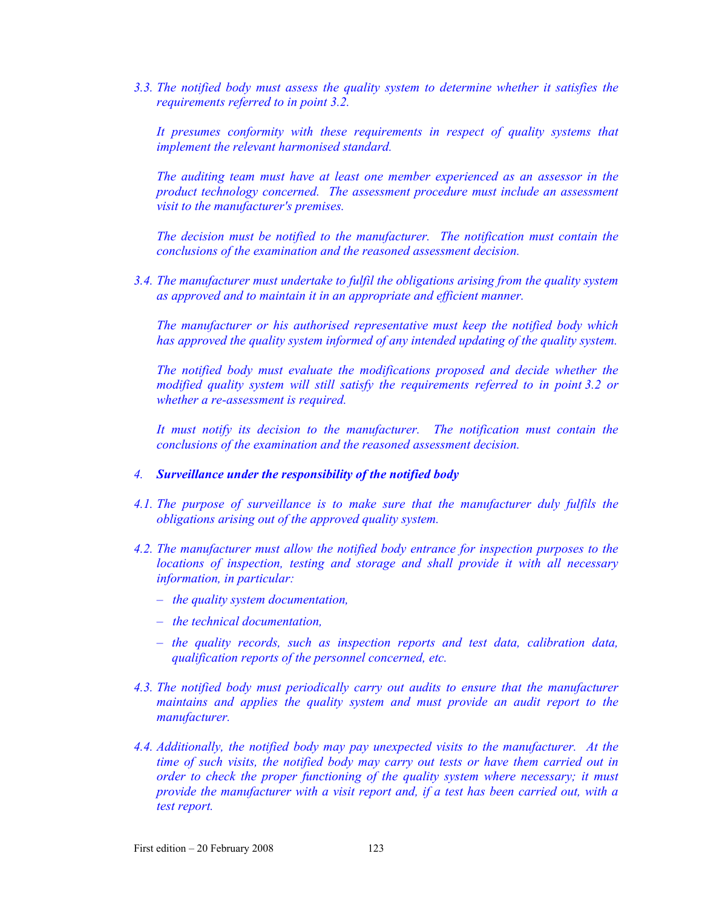*3.3. The notified body must assess the quality system to determine whether it satisfies the requirements referred to in point 3.2.* 

*It presumes conformity with these requirements in respect of quality systems that implement the relevant harmonised standard.* 

*The auditing team must have at least one member experienced as an assessor in the product technology concerned. The assessment procedure must include an assessment visit to the manufacturer's premises.* 

*The decision must be notified to the manufacturer. The notification must contain the conclusions of the examination and the reasoned assessment decision.* 

*3.4. The manufacturer must undertake to fulfil the obligations arising from the quality system as approved and to maintain it in an appropriate and efficient manner.* 

*The manufacturer or his authorised representative must keep the notified body which has approved the quality system informed of any intended updating of the quality system.* 

*The notified body must evaluate the modifications proposed and decide whether the modified quality system will still satisfy the requirements referred to in point 3.2 or whether a re-assessment is required.* 

*It must notify its decision to the manufacturer. The notification must contain the conclusions of the examination and the reasoned assessment decision.* 

- *4. Surveillance under the responsibility of the notified body*
- *4.1. The purpose of surveillance is to make sure that the manufacturer duly fulfils the obligations arising out of the approved quality system.*
- *4.2. The manufacturer must allow the notified body entrance for inspection purposes to the locations of inspection, testing and storage and shall provide it with all necessary information, in particular:* 
	- *the quality system documentation,*
	- *the technical documentation,*
	- *the quality records, such as inspection reports and test data, calibration data, qualification reports of the personnel concerned, etc.*
- *4.3. The notified body must periodically carry out audits to ensure that the manufacturer maintains and applies the quality system and must provide an audit report to the manufacturer.*
- *4.4. Additionally, the notified body may pay unexpected visits to the manufacturer. At the time of such visits, the notified body may carry out tests or have them carried out in order to check the proper functioning of the quality system where necessary; it must provide the manufacturer with a visit report and, if a test has been carried out, with a test report.*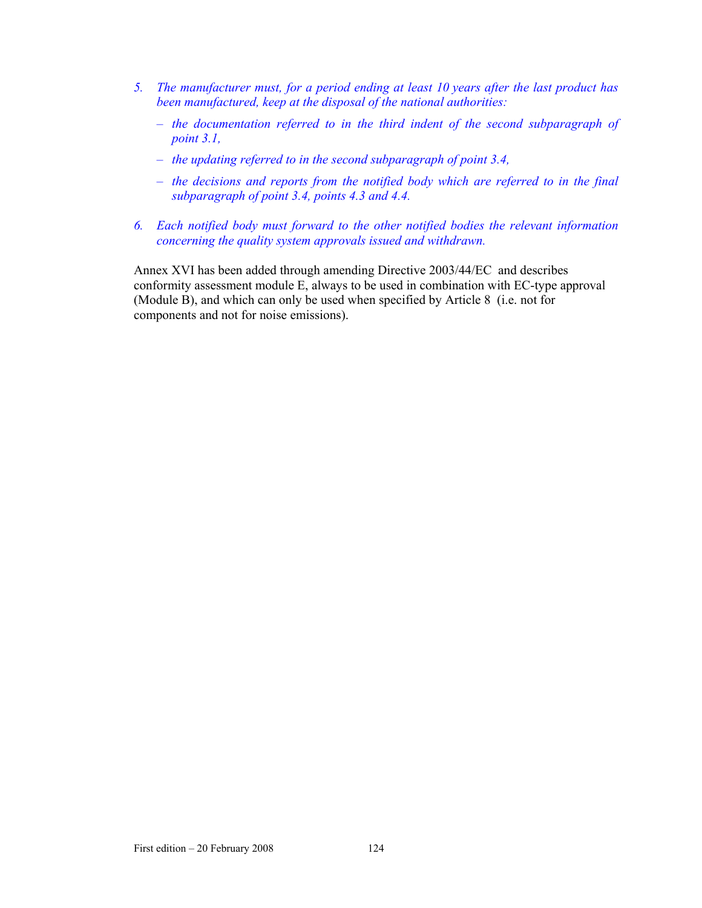- *5. The manufacturer must, for a period ending at least 10 years after the last product has been manufactured, keep at the disposal of the national authorities:* 
	- *the documentation referred to in the third indent of the second subparagraph of point 3.1,*
	- *the updating referred to in the second subparagraph of point 3.4,*
	- *the decisions and reports from the notified body which are referred to in the final subparagraph of point 3.4, points 4.3 and 4.4.*
- *6. Each notified body must forward to the other notified bodies the relevant information concerning the quality system approvals issued and withdrawn.*

Annex XVI has been added through amending Directive 2003/44/EC and describes conformity assessment module E, always to be used in combination with EC-type approval (Module B), and which can only be used when specified by Article 8 (i.e. not for components and not for noise emissions).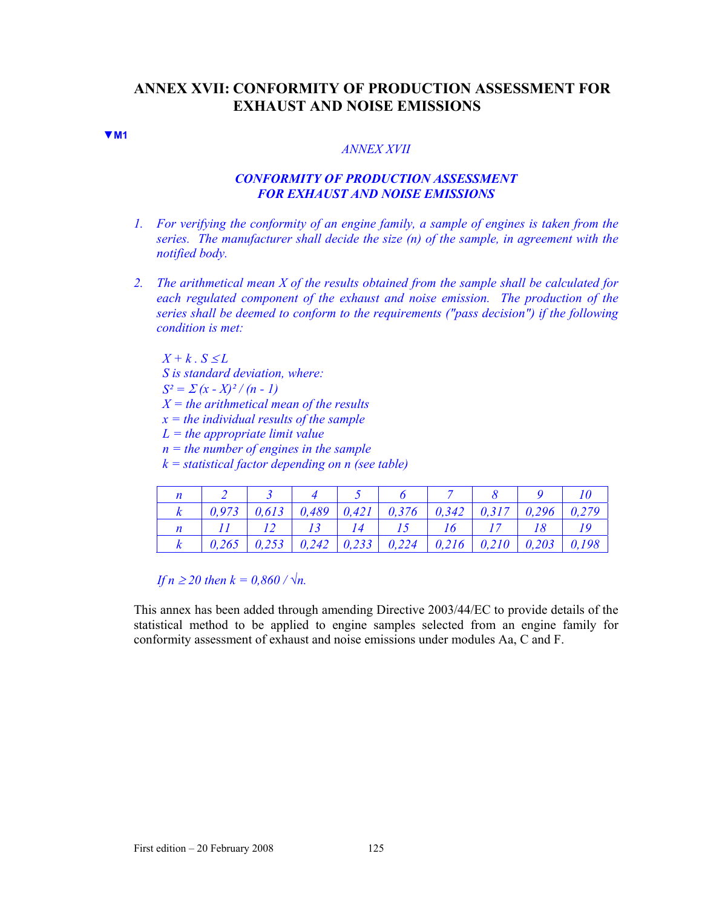# **ANNEX XVII: CONFORMITY OF PRODUCTION ASSESSMENT FOR EXHAUST AND NOISE EMISSIONS**

#### **▼M1**

#### *ANNEX XVII*

## *CONFORMITY OF PRODUCTION ASSESSMENT FOR EXHAUST AND NOISE EMISSIONS*

- *1. For verifying the conformity of an engine family, a sample of engines is taken from the series. The manufacturer shall decide the size (n) of the sample, in agreement with the notified body.*
- *2. The arithmetical mean X of the results obtained from the sample shall be calculated for each regulated component of the exhaust and noise emission. The production of the series shall be deemed to conform to the requirements ("pass decision") if the following condition is met:*

 $X + k$  *S ≤L S is standard deviation, where:*   $S^2 = \sum (x - X)^2 / (n - 1)$ *X = the arithmetical mean of the results x = the individual results of the sample L = the appropriate limit value n = the number of engines in the sample k = statistical factor depending on n (see table)* 

|  |  | 2 3 4 5 6 7 8 9                                                                                                      |  |         |
|--|--|----------------------------------------------------------------------------------------------------------------------|--|---------|
|  |  | $\mid$ 0,973 $\mid$ 0,613 $\mid$ 0,489 $\mid$ 0,421 $\mid$ 0,376 $\mid$ 0,342 $\mid$ 0,317 $\mid$ 0,296 $\mid$ 0,279 |  |         |
|  |  |                                                                                                                      |  | 18   19 |
|  |  | $0,265$   $0,253$   $0,242$   $0,233$   $0,224$   $0,216$   $0,210$   $0,203$   $0,198$                              |  |         |

*If n* ≥ 20 then  $k = 0.860 / √n$ .

This annex has been added through amending Directive 2003/44/EC to provide details of the statistical method to be applied to engine samples selected from an engine family for conformity assessment of exhaust and noise emissions under modules Aa, C and F.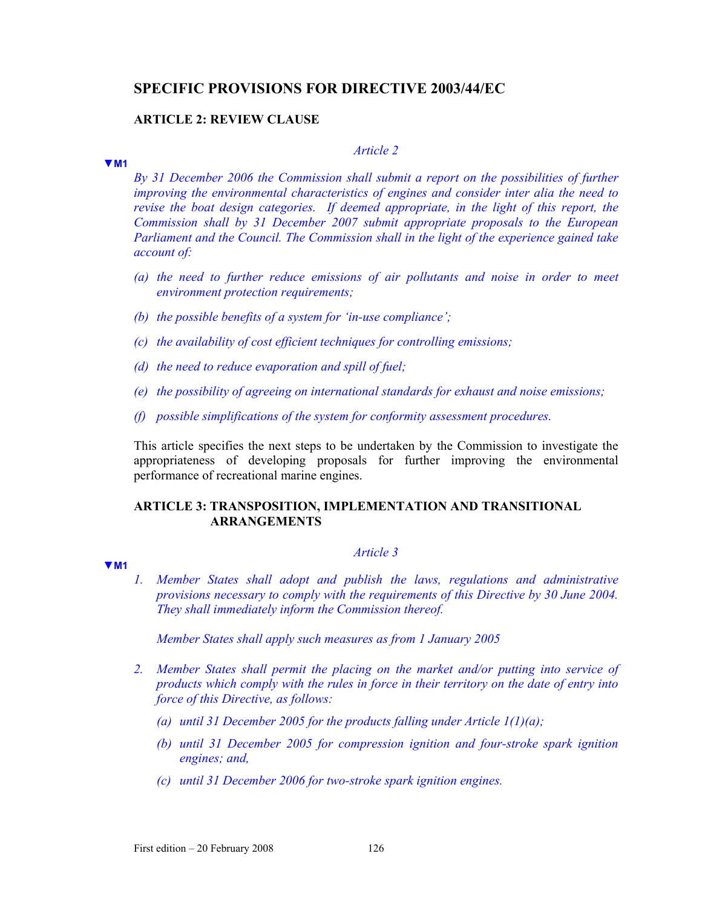# **SPECIFIC PROVISIONS FOR DIRECTIVE 2003/44/EC**

### **ARTICLE 2: REVIEW CLAUSE**

#### **▼M1**

**▼M1**

## *Article 2*

*By 31 December 2006 the Commission shall submit a report on the possibilities of further improving the environmental characteristics of engines and consider inter alia the need to revise the boat design categories. If deemed appropriate, in the light of this report, the Commission shall by 31 December 2007 submit appropriate proposals to the European Parliament and the Council. The Commission shall in the light of the experience gained take account of:* 

- *(a) the need to further reduce emissions of air pollutants and noise in order to meet environment protection requirements;*
- *(b) the possible benefits of a system for 'in-use compliance';*
- *(c) the availability of cost efficient techniques for controlling emissions;*
- *(d) the need to reduce evaporation and spill of fuel;*
- *(e) the possibility of agreeing on international standards for exhaust and noise emissions;*
- *(f) possible simplifications of the system for conformity assessment procedures.*

This article specifies the next steps to be undertaken by the Commission to investigate the appropriateness of developing proposals for further improving the environmental performance of recreational marine engines.

### **ARTICLE 3: TRANSPOSITION, IMPLEMENTATION AND TRANSITIONAL ARRANGEMENTS**

## *Article 3*

*1. Member States shall adopt and publish the laws, regulations and administrative provisions necessary to comply with the requirements of this Directive by 30 June 2004. They shall immediately inform the Commission thereof.* 

*Member States shall apply such measures as from 1 January 2005* 

- *2. Member States shall permit the placing on the market and/or putting into service of products which comply with the rules in force in their territory on the date of entry into force of this Directive, as follows:* 
	- *(a) until 31 December 2005 for the products falling under Article 1(1)(a);*
	- *(b) until 31 December 2005 for compression ignition and four-stroke spark ignition engines; and,*
	- *(c) until 31 December 2006 for two-stroke spark ignition engines.*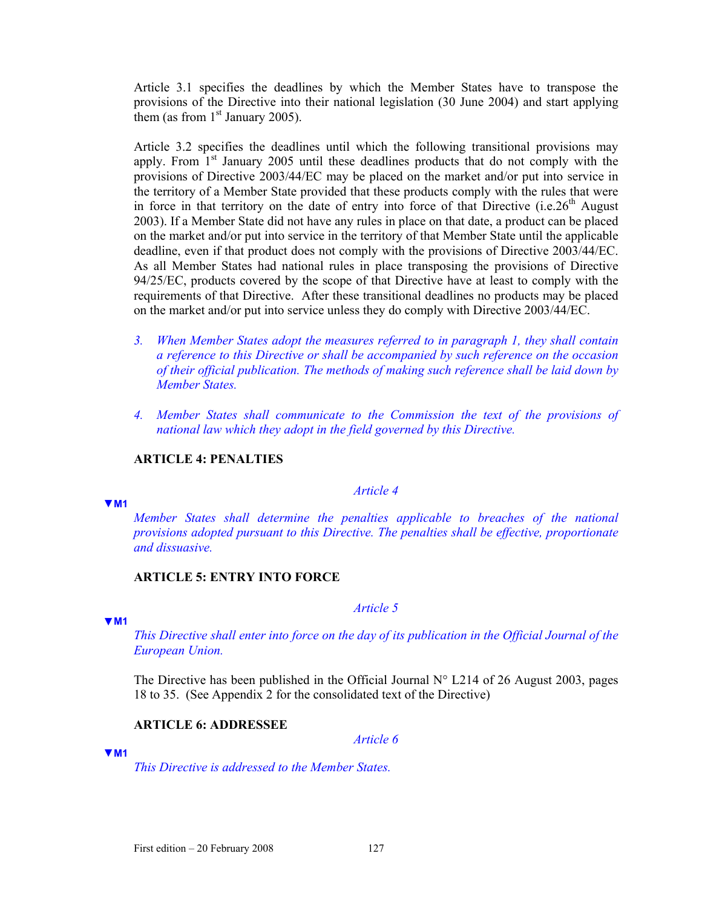Article 3.1 specifies the deadlines by which the Member States have to transpose the provisions of the Directive into their national legislation (30 June 2004) and start applying them (as from  $1<sup>st</sup>$  January 2005).

Article 3.2 specifies the deadlines until which the following transitional provisions may apply. From  $1<sup>st</sup>$  January 2005 until these deadlines products that do not comply with the provisions of Directive 2003/44/EC may be placed on the market and/or put into service in the territory of a Member State provided that these products comply with the rules that were in force in that territory on the date of entry into force of that Directive  $(i.e.26<sup>th</sup>$  August 2003). If a Member State did not have any rules in place on that date, a product can be placed on the market and/or put into service in the territory of that Member State until the applicable deadline, even if that product does not comply with the provisions of Directive 2003/44/EC. As all Member States had national rules in place transposing the provisions of Directive 94/25/EC, products covered by the scope of that Directive have at least to comply with the requirements of that Directive. After these transitional deadlines no products may be placed on the market and/or put into service unless they do comply with Directive 2003/44/EC.

- *3. When Member States adopt the measures referred to in paragraph 1, they shall contain a reference to this Directive or shall be accompanied by such reference on the occasion of their official publication. The methods of making such reference shall be laid down by Member States.*
- *4. Member States shall communicate to the Commission the text of the provisions of national law which they adopt in the field governed by this Directive.*

### **ARTICLE 4: PENALTIES**

#### *Article 4*

**▼M1**

*Member States shall determine the penalties applicable to breaches of the national provisions adopted pursuant to this Directive. The penalties shall be effective, proportionate and dissuasive.* 

# **ARTICLE 5: ENTRY INTO FORCE**

#### **▼M1**

*This Directive shall enter into force on the day of its publication in the Official Journal of the European Union.* 

*Article 5*

The Directive has been published in the Official Journal  $N^{\circ}$  L214 of 26 August 2003, pages 18 to 35. (See Appendix 2 for the consolidated text of the Directive)

## **ARTICLE 6: ADDRESSEE**

*Article 6*

#### **▼M1**

*This Directive is addressed to the Member States.*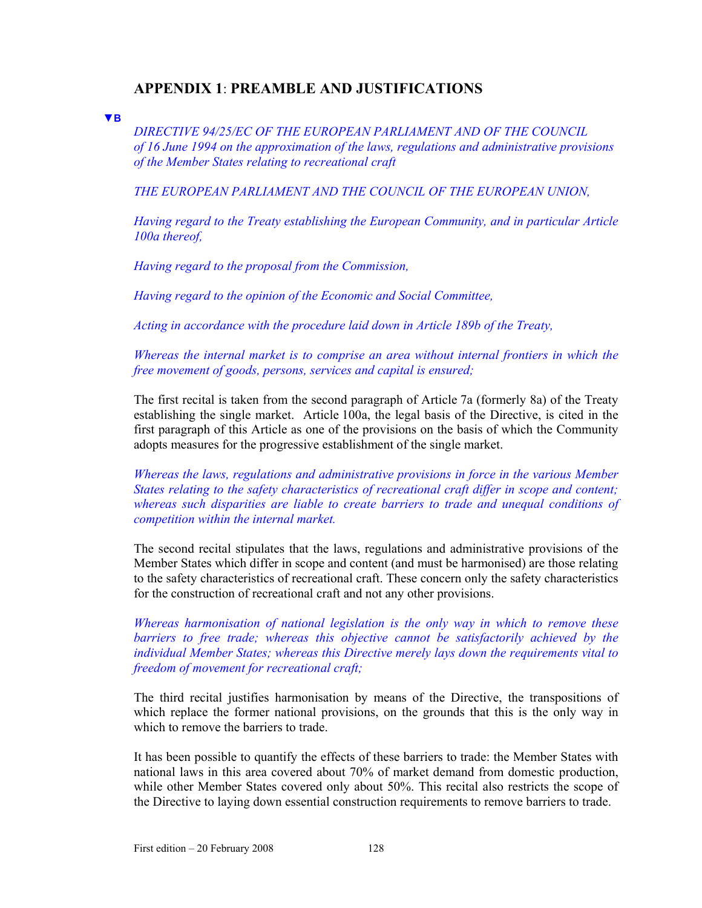# **APPENDIX 1**: **PREAMBLE AND JUSTIFICATIONS**

**▼B**

*DIRECTIVE 94/25/EC OF THE EUROPEAN PARLIAMENT AND OF THE COUNCIL of 16 June 1994 on the approximation of the laws, regulations and administrative provisions of the Member States relating to recreational craft* 

*THE EUROPEAN PARLIAMENT AND THE COUNCIL OF THE EUROPEAN UNION,* 

*Having regard to the Treaty establishing the European Community, and in particular Article 100a thereof,* 

*Having regard to the proposal from the Commission,* 

*Having regard to the opinion of the Economic and Social Committee,* 

*Acting in accordance with the procedure laid down in Article 189b of the Treaty,* 

*Whereas the internal market is to comprise an area without internal frontiers in which the free movement of goods, persons, services and capital is ensured;* 

The first recital is taken from the second paragraph of Article 7a (formerly 8a) of the Treaty establishing the single market. Article 100a, the legal basis of the Directive, is cited in the first paragraph of this Article as one of the provisions on the basis of which the Community adopts measures for the progressive establishment of the single market.

*Whereas the laws, regulations and administrative provisions in force in the various Member States relating to the safety characteristics of recreational craft differ in scope and content; whereas such disparities are liable to create barriers to trade and unequal conditions of competition within the internal market.* 

The second recital stipulates that the laws, regulations and administrative provisions of the Member States which differ in scope and content (and must be harmonised) are those relating to the safety characteristics of recreational craft. These concern only the safety characteristics for the construction of recreational craft and not any other provisions.

*Whereas harmonisation of national legislation is the only way in which to remove these barriers to free trade; whereas this objective cannot be satisfactorily achieved by the individual Member States; whereas this Directive merely lays down the requirements vital to freedom of movement for recreational craft;* 

The third recital justifies harmonisation by means of the Directive, the transpositions of which replace the former national provisions, on the grounds that this is the only way in which to remove the barriers to trade.

It has been possible to quantify the effects of these barriers to trade: the Member States with national laws in this area covered about 70% of market demand from domestic production, while other Member States covered only about 50%. This recital also restricts the scope of the Directive to laying down essential construction requirements to remove barriers to trade.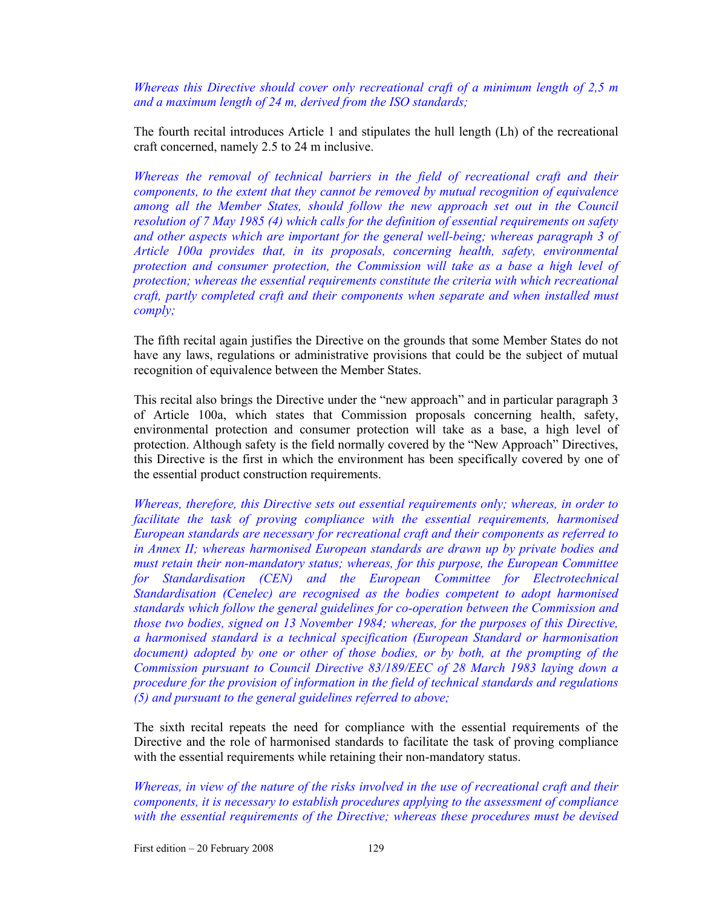*Whereas this Directive should cover only recreational craft of a minimum length of 2,5 m and a maximum length of 24 m, derived from the ISO standards;* 

The fourth recital introduces Article 1 and stipulates the hull length (Lh) of the recreational craft concerned, namely 2.5 to 24 m inclusive.

*Whereas the removal of technical barriers in the field of recreational craft and their components, to the extent that they cannot be removed by mutual recognition of equivalence*  among all the Member States, should follow the new approach set out in the Council *resolution of 7 May 1985 (4) which calls for the definition of essential requirements on safety and other aspects which are important for the general well-being; whereas paragraph 3 of Article 100a provides that, in its proposals, concerning health, safety, environmental protection and consumer protection, the Commission will take as a base a high level of protection; whereas the essential requirements constitute the criteria with which recreational craft, partly completed craft and their components when separate and when installed must comply;* 

The fifth recital again justifies the Directive on the grounds that some Member States do not have any laws, regulations or administrative provisions that could be the subject of mutual recognition of equivalence between the Member States.

This recital also brings the Directive under the "new approach" and in particular paragraph 3 of Article 100a, which states that Commission proposals concerning health, safety, environmental protection and consumer protection will take as a base, a high level of protection. Although safety is the field normally covered by the "New Approach" Directives, this Directive is the first in which the environment has been specifically covered by one of the essential product construction requirements.

*Whereas, therefore, this Directive sets out essential requirements only; whereas, in order to facilitate the task of proving compliance with the essential requirements, harmonised European standards are necessary for recreational craft and their components as referred to in Annex II; whereas harmonised European standards are drawn up by private bodies and must retain their non-mandatory status; whereas, for this purpose, the European Committee for Standardisation (CEN) and the European Committee for Electrotechnical Standardisation (Cenelec) are recognised as the bodies competent to adopt harmonised standards which follow the general guidelines for co-operation between the Commission and those two bodies, signed on 13 November 1984; whereas, for the purposes of this Directive, a harmonised standard is a technical specification (European Standard or harmonisation document) adopted by one or other of those bodies, or by both, at the prompting of the Commission pursuant to Council Directive 83/189/EEC of 28 March 1983 laying down a procedure for the provision of information in the field of technical standards and regulations (5) and pursuant to the general guidelines referred to above;* 

The sixth recital repeats the need for compliance with the essential requirements of the Directive and the role of harmonised standards to facilitate the task of proving compliance with the essential requirements while retaining their non-mandatory status.

*Whereas, in view of the nature of the risks involved in the use of recreational craft and their components, it is necessary to establish procedures applying to the assessment of compliance with the essential requirements of the Directive; whereas these procedures must be devised* 

First edition – 20 February 2008 129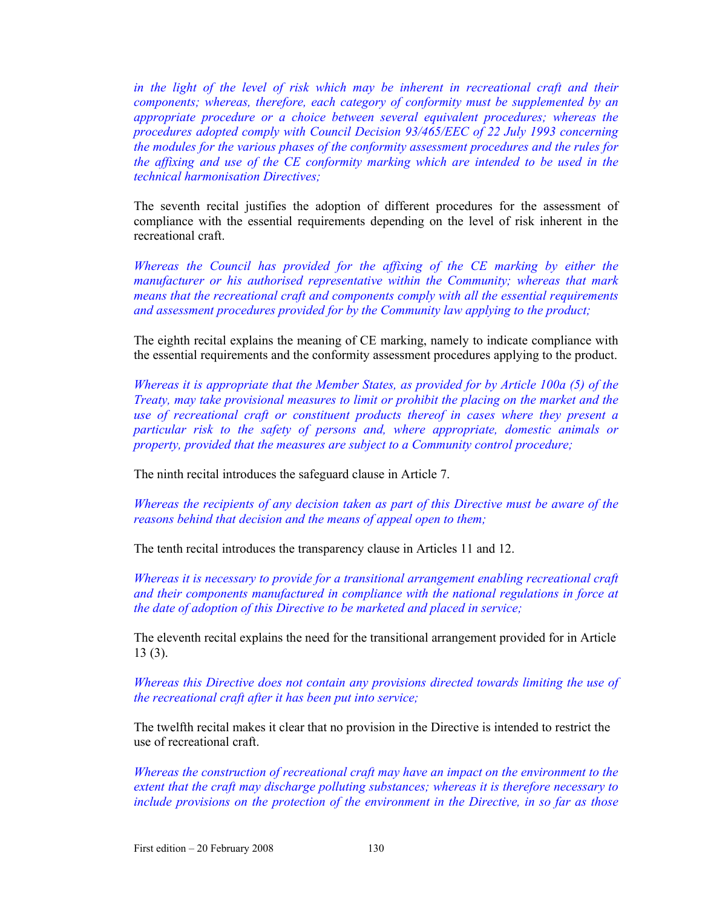*in the light of the level of risk which may be inherent in recreational craft and their components; whereas, therefore, each category of conformity must be supplemented by an appropriate procedure or a choice between several equivalent procedures; whereas the procedures adopted comply with Council Decision 93/465/EEC of 22 July 1993 concerning the modules for the various phases of the conformity assessment procedures and the rules for the affixing and use of the CE conformity marking which are intended to be used in the technical harmonisation Directives;* 

The seventh recital justifies the adoption of different procedures for the assessment of compliance with the essential requirements depending on the level of risk inherent in the recreational craft.

*Whereas the Council has provided for the affixing of the CE marking by either the manufacturer or his authorised representative within the Community; whereas that mark means that the recreational craft and components comply with all the essential requirements and assessment procedures provided for by the Community law applying to the product;* 

The eighth recital explains the meaning of CE marking, namely to indicate compliance with the essential requirements and the conformity assessment procedures applying to the product.

*Whereas it is appropriate that the Member States, as provided for by Article 100a (5) of the Treaty, may take provisional measures to limit or prohibit the placing on the market and the use of recreational craft or constituent products thereof in cases where they present a particular risk to the safety of persons and, where appropriate, domestic animals or property, provided that the measures are subject to a Community control procedure;* 

The ninth recital introduces the safeguard clause in Article 7.

*Whereas the recipients of any decision taken as part of this Directive must be aware of the reasons behind that decision and the means of appeal open to them;* 

The tenth recital introduces the transparency clause in Articles 11 and 12.

*Whereas it is necessary to provide for a transitional arrangement enabling recreational craft and their components manufactured in compliance with the national regulations in force at the date of adoption of this Directive to be marketed and placed in service;* 

The eleventh recital explains the need for the transitional arrangement provided for in Article 13 (3).

*Whereas this Directive does not contain any provisions directed towards limiting the use of the recreational craft after it has been put into service;* 

The twelfth recital makes it clear that no provision in the Directive is intended to restrict the use of recreational craft.

*Whereas the construction of recreational craft may have an impact on the environment to the extent that the craft may discharge polluting substances; whereas it is therefore necessary to include provisions on the protection of the environment in the Directive, in so far as those*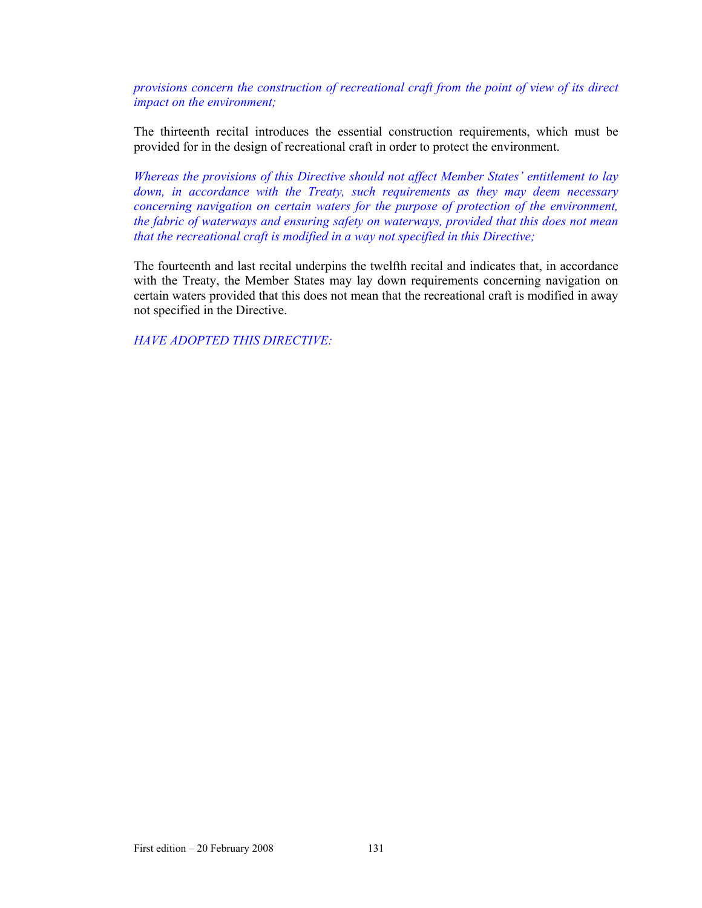*provisions concern the construction of recreational craft from the point of view of its direct impact on the environment;* 

The thirteenth recital introduces the essential construction requirements, which must be provided for in the design of recreational craft in order to protect the environment.

*Whereas the provisions of this Directive should not affect Member States' entitlement to lay down, in accordance with the Treaty, such requirements as they may deem necessary concerning navigation on certain waters for the purpose of protection of the environment, the fabric of waterways and ensuring safety on waterways, provided that this does not mean that the recreational craft is modified in a way not specified in this Directive;* 

The fourteenth and last recital underpins the twelfth recital and indicates that, in accordance with the Treaty, the Member States may lay down requirements concerning navigation on certain waters provided that this does not mean that the recreational craft is modified in away not specified in the Directive.

*HAVE ADOPTED THIS DIRECTIVE:*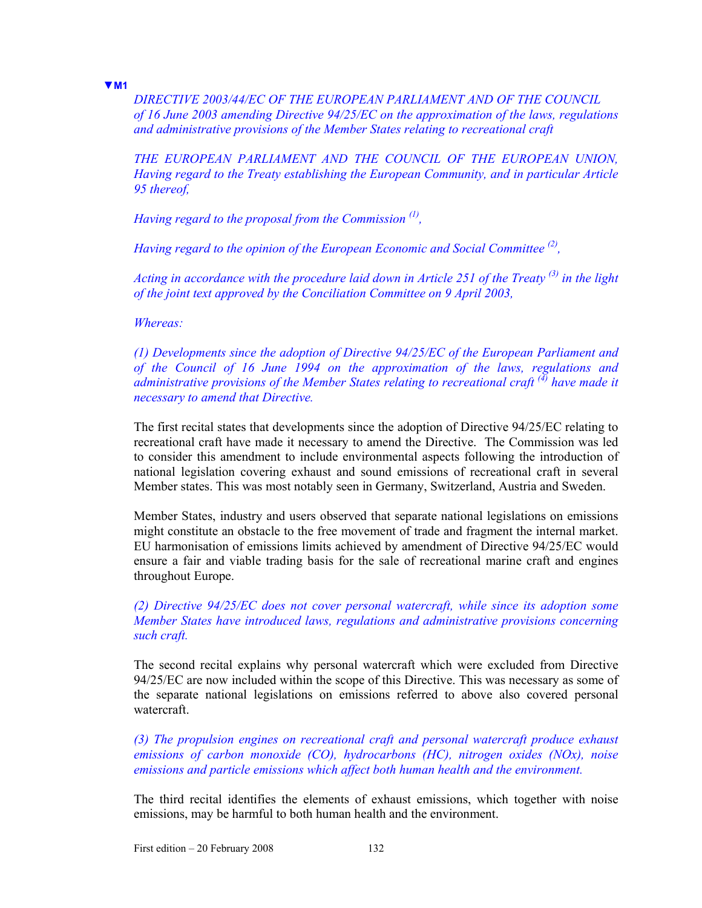**▼M1**

*DIRECTIVE 2003/44/EC OF THE EUROPEAN PARLIAMENT AND OF THE COUNCIL of 16 June 2003 amending Directive 94/25/EC on the approximation of the laws, regulations and administrative provisions of the Member States relating to recreational craft* 

*THE EUROPEAN PARLIAMENT AND THE COUNCIL OF THE EUROPEAN UNION, Having regard to the Treaty establishing the European Community, and in particular Article 95 thereof,* 

*Having regard to the proposal from the Commission (1),* 

*Having regard to the opinion of the European Economic and Social Committee (2),* 

*Acting in accordance with the procedure laid down in Article 251 of the Treaty (3) in the light of the joint text approved by the Conciliation Committee on 9 April 2003,* 

*Whereas:* 

*(1) Developments since the adoption of Directive 94/25/EC of the European Parliament and of the Council of 16 June 1994 on the approximation of the laws, regulations and administrative provisions of the Member States relating to recreational craft (4) have made it necessary to amend that Directive.* 

The first recital states that developments since the adoption of Directive 94/25/EC relating to recreational craft have made it necessary to amend the Directive. The Commission was led to consider this amendment to include environmental aspects following the introduction of national legislation covering exhaust and sound emissions of recreational craft in several Member states. This was most notably seen in Germany, Switzerland, Austria and Sweden.

Member States, industry and users observed that separate national legislations on emissions might constitute an obstacle to the free movement of trade and fragment the internal market. EU harmonisation of emissions limits achieved by amendment of Directive 94/25/EC would ensure a fair and viable trading basis for the sale of recreational marine craft and engines throughout Europe.

*(2) Directive 94/25/EC does not cover personal watercraft, while since its adoption some Member States have introduced laws, regulations and administrative provisions concerning such craft.* 

The second recital explains why personal watercraft which were excluded from Directive 94/25/EC are now included within the scope of this Directive. This was necessary as some of the separate national legislations on emissions referred to above also covered personal watercraft.

*(3) The propulsion engines on recreational craft and personal watercraft produce exhaust emissions of carbon monoxide (CO), hydrocarbons (HC), nitrogen oxides (NOx), noise emissions and particle emissions which affect both human health and the environment.* 

The third recital identifies the elements of exhaust emissions, which together with noise emissions, may be harmful to both human health and the environment.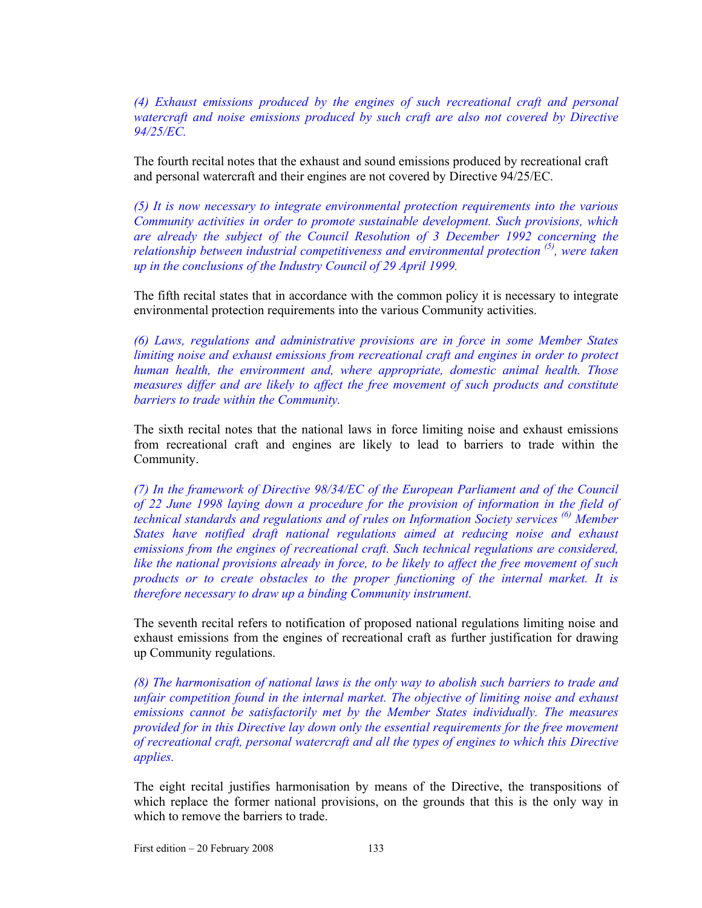*(4) Exhaust emissions produced by the engines of such recreational craft and personal watercraft and noise emissions produced by such craft are also not covered by Directive 94/25/EC.* 

The fourth recital notes that the exhaust and sound emissions produced by recreational craft and personal watercraft and their engines are not covered by Directive 94/25/EC.

*(5) It is now necessary to integrate environmental protection requirements into the various Community activities in order to promote sustainable development. Such provisions, which are already the subject of the Council Resolution of 3 December 1992 concerning the relationship between industrial competitiveness and environmental protection (5), were taken up in the conclusions of the Industry Council of 29 April 1999.* 

The fifth recital states that in accordance with the common policy it is necessary to integrate environmental protection requirements into the various Community activities.

*(6) Laws, regulations and administrative provisions are in force in some Member States limiting noise and exhaust emissions from recreational craft and engines in order to protect human health, the environment and, where appropriate, domestic animal health. Those measures differ and are likely to affect the free movement of such products and constitute barriers to trade within the Community.* 

The sixth recital notes that the national laws in force limiting noise and exhaust emissions from recreational craft and engines are likely to lead to barriers to trade within the Community.

*(7) In the framework of Directive 98/34/EC of the European Parliament and of the Council of 22 June 1998 laying down a procedure for the provision of information in the field of technical standards and regulations and of rules on Information Society services (6) Member States have notified draft national regulations aimed at reducing noise and exhaust emissions from the engines of recreational craft. Such technical regulations are considered, like the national provisions already in force, to be likely to affect the free movement of such products or to create obstacles to the proper functioning of the internal market. It is therefore necessary to draw up a binding Community instrument.* 

The seventh recital refers to notification of proposed national regulations limiting noise and exhaust emissions from the engines of recreational craft as further justification for drawing up Community regulations.

*(8) The harmonisation of national laws is the only way to abolish such barriers to trade and unfair competition found in the internal market. The objective of limiting noise and exhaust emissions cannot be satisfactorily met by the Member States individually. The measures provided for in this Directive lay down only the essential requirements for the free movement of recreational craft, personal watercraft and all the types of engines to which this Directive applies.* 

The eight recital justifies harmonisation by means of the Directive, the transpositions of which replace the former national provisions, on the grounds that this is the only way in which to remove the barriers to trade.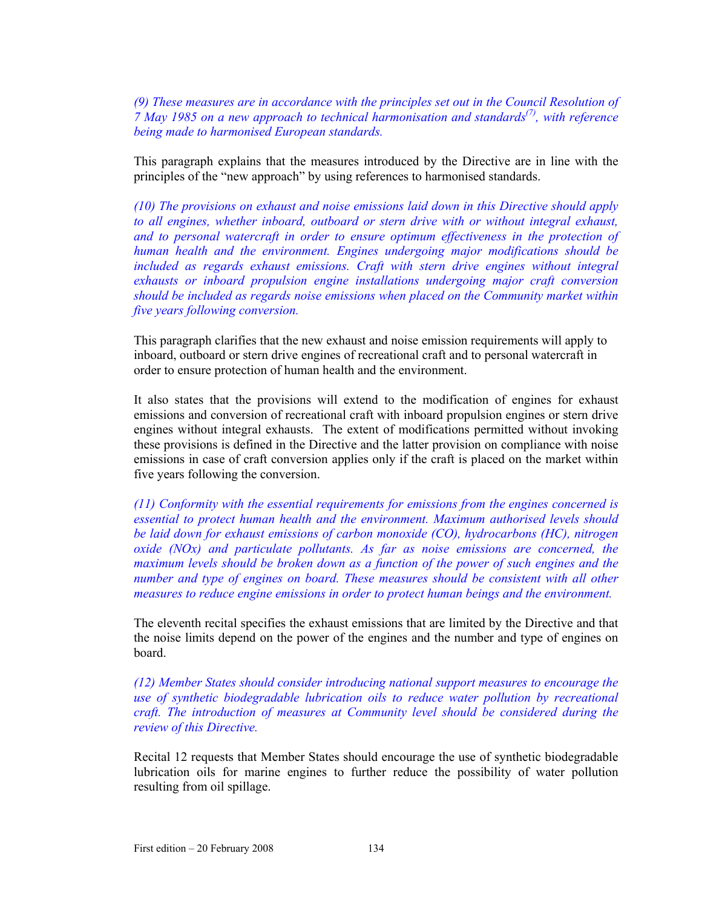*(9) These measures are in accordance with the principles set out in the Council Resolution of 7 May 1985 on a new approach to technical harmonisation and standards(7), with reference being made to harmonised European standards.* 

This paragraph explains that the measures introduced by the Directive are in line with the principles of the "new approach" by using references to harmonised standards.

*(10) The provisions on exhaust and noise emissions laid down in this Directive should apply to all engines, whether inboard, outboard or stern drive with or without integral exhaust, and to personal watercraft in order to ensure optimum effectiveness in the protection of human health and the environment. Engines undergoing major modifications should be included as regards exhaust emissions. Craft with stern drive engines without integral exhausts or inboard propulsion engine installations undergoing major craft conversion should be included as regards noise emissions when placed on the Community market within five years following conversion.* 

This paragraph clarifies that the new exhaust and noise emission requirements will apply to inboard, outboard or stern drive engines of recreational craft and to personal watercraft in order to ensure protection of human health and the environment.

It also states that the provisions will extend to the modification of engines for exhaust emissions and conversion of recreational craft with inboard propulsion engines or stern drive engines without integral exhausts. The extent of modifications permitted without invoking these provisions is defined in the Directive and the latter provision on compliance with noise emissions in case of craft conversion applies only if the craft is placed on the market within five years following the conversion.

*(11) Conformity with the essential requirements for emissions from the engines concerned is essential to protect human health and the environment. Maximum authorised levels should be laid down for exhaust emissions of carbon monoxide (CO), hydrocarbons (HC), nitrogen oxide (NOx) and particulate pollutants. As far as noise emissions are concerned, the maximum levels should be broken down as a function of the power of such engines and the number and type of engines on board. These measures should be consistent with all other measures to reduce engine emissions in order to protect human beings and the environment.* 

The eleventh recital specifies the exhaust emissions that are limited by the Directive and that the noise limits depend on the power of the engines and the number and type of engines on board.

*(12) Member States should consider introducing national support measures to encourage the use of synthetic biodegradable lubrication oils to reduce water pollution by recreational craft. The introduction of measures at Community level should be considered during the review of this Directive.* 

Recital 12 requests that Member States should encourage the use of synthetic biodegradable lubrication oils for marine engines to further reduce the possibility of water pollution resulting from oil spillage.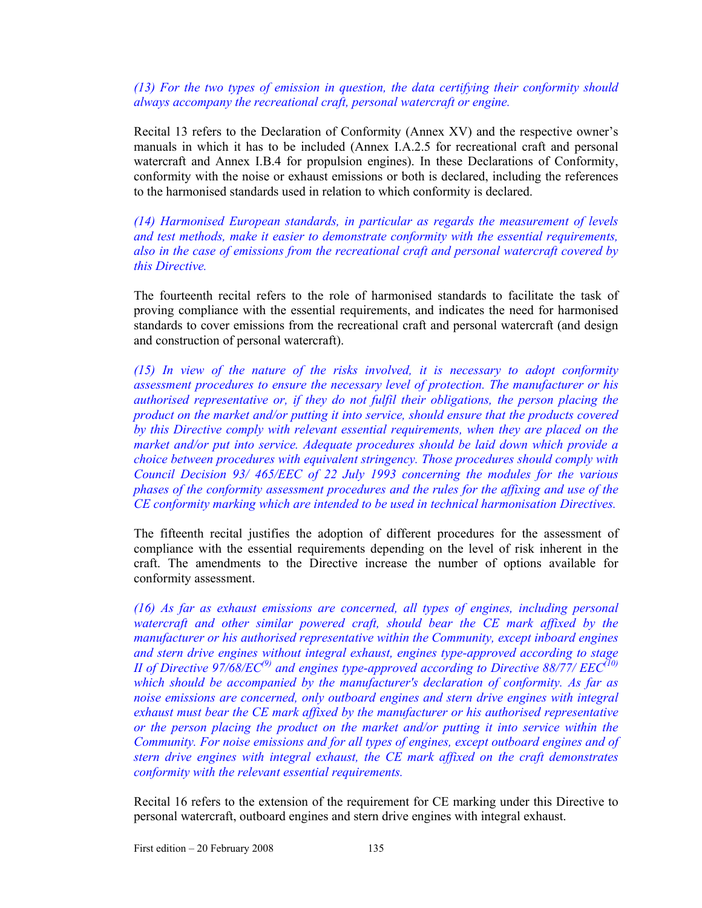*(13) For the two types of emission in question, the data certifying their conformity should always accompany the recreational craft, personal watercraft or engine.* 

Recital 13 refers to the Declaration of Conformity (Annex XV) and the respective owner's manuals in which it has to be included (Annex I.A.2.5 for recreational craft and personal watercraft and Annex I.B.4 for propulsion engines). In these Declarations of Conformity, conformity with the noise or exhaust emissions or both is declared, including the references to the harmonised standards used in relation to which conformity is declared.

*(14) Harmonised European standards, in particular as regards the measurement of levels and test methods, make it easier to demonstrate conformity with the essential requirements, also in the case of emissions from the recreational craft and personal watercraft covered by this Directive.* 

The fourteenth recital refers to the role of harmonised standards to facilitate the task of proving compliance with the essential requirements, and indicates the need for harmonised standards to cover emissions from the recreational craft and personal watercraft (and design and construction of personal watercraft).

*(15) In view of the nature of the risks involved, it is necessary to adopt conformity assessment procedures to ensure the necessary level of protection. The manufacturer or his authorised representative or, if they do not fulfil their obligations, the person placing the product on the market and/or putting it into service, should ensure that the products covered by this Directive comply with relevant essential requirements, when they are placed on the market and/or put into service. Adequate procedures should be laid down which provide a choice between procedures with equivalent stringency. Those procedures should comply with Council Decision 93/ 465/EEC of 22 July 1993 concerning the modules for the various phases of the conformity assessment procedures and the rules for the affixing and use of the CE conformity marking which are intended to be used in technical harmonisation Directives.* 

The fifteenth recital justifies the adoption of different procedures for the assessment of compliance with the essential requirements depending on the level of risk inherent in the craft. The amendments to the Directive increase the number of options available for conformity assessment.

*(16) As far as exhaust emissions are concerned, all types of engines, including personal*  watercraft and other similar powered craft, should bear the CE mark affixed by the *manufacturer or his authorised representative within the Community, except inboard engines and stern drive engines without integral exhaust, engines type-approved according to stage II of Directive 97/68/EC<sup>(9)</sup> and engines type-approved according to Directive 88/77/ EEC<sup>(10)</sup> which should be accompanied by the manufacturer's declaration of conformity. As far as noise emissions are concerned, only outboard engines and stern drive engines with integral exhaust must bear the CE mark affixed by the manufacturer or his authorised representative or the person placing the product on the market and/or putting it into service within the Community. For noise emissions and for all types of engines, except outboard engines and of stern drive engines with integral exhaust, the CE mark affixed on the craft demonstrates conformity with the relevant essential requirements.* 

Recital 16 refers to the extension of the requirement for CE marking under this Directive to personal watercraft, outboard engines and stern drive engines with integral exhaust.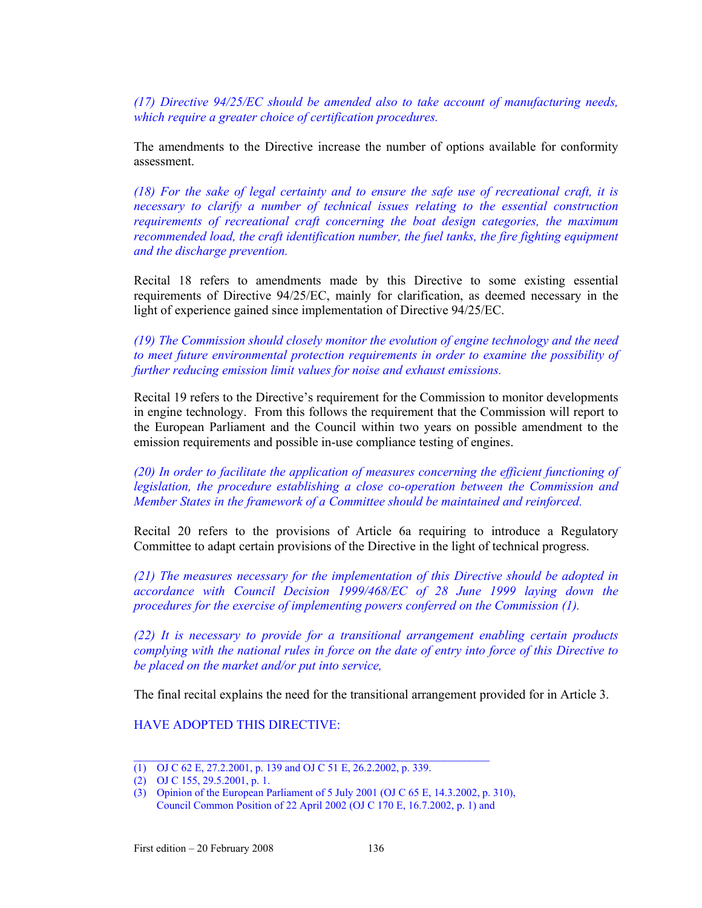*(17) Directive 94/25/EC should be amended also to take account of manufacturing needs, which require a greater choice of certification procedures.* 

The amendments to the Directive increase the number of options available for conformity assessment.

*(18) For the sake of legal certainty and to ensure the safe use of recreational craft, it is necessary to clarify a number of technical issues relating to the essential construction requirements of recreational craft concerning the boat design categories, the maximum recommended load, the craft identification number, the fuel tanks, the fire fighting equipment and the discharge prevention.* 

Recital 18 refers to amendments made by this Directive to some existing essential requirements of Directive 94/25/EC, mainly for clarification, as deemed necessary in the light of experience gained since implementation of Directive 94/25/EC.

*(19) The Commission should closely monitor the evolution of engine technology and the need to meet future environmental protection requirements in order to examine the possibility of further reducing emission limit values for noise and exhaust emissions.* 

Recital 19 refers to the Directive's requirement for the Commission to monitor developments in engine technology. From this follows the requirement that the Commission will report to the European Parliament and the Council within two years on possible amendment to the emission requirements and possible in-use compliance testing of engines.

*(20) In order to facilitate the application of measures concerning the efficient functioning of legislation, the procedure establishing a close co-operation between the Commission and Member States in the framework of a Committee should be maintained and reinforced.* 

Recital 20 refers to the provisions of Article 6a requiring to introduce a Regulatory Committee to adapt certain provisions of the Directive in the light of technical progress.

*(21) The measures necessary for the implementation of this Directive should be adopted in accordance with Council Decision 1999/468/EC of 28 June 1999 laying down the procedures for the exercise of implementing powers conferred on the Commission (1).* 

*(22) It is necessary to provide for a transitional arrangement enabling certain products complying with the national rules in force on the date of entry into force of this Directive to be placed on the market and/or put into service,* 

The final recital explains the need for the transitional arrangement provided for in Article 3.

HAVE ADOPTED THIS DIRECTIVE:

 $\mathcal{L}_\text{max}$  and the contract of the contract of the contract of the contract of the contract of the contract of the contract of the contract of the contract of the contract of the contract of the contract of the contrac

<sup>(1)</sup> OJ C 62 E, 27.2.2001, p. 139 and OJ C 51 E, 26.2.2002, p. 339.

<sup>(2)</sup> OJ C 155, 29.5.2001, p. 1.

<sup>(3)</sup> Opinion of the European Parliament of 5 July 2001 (OJ C 65 E, 14.3.2002, p. 310), Council Common Position of 22 April 2002 (OJ C 170 E, 16.7.2002, p. 1) and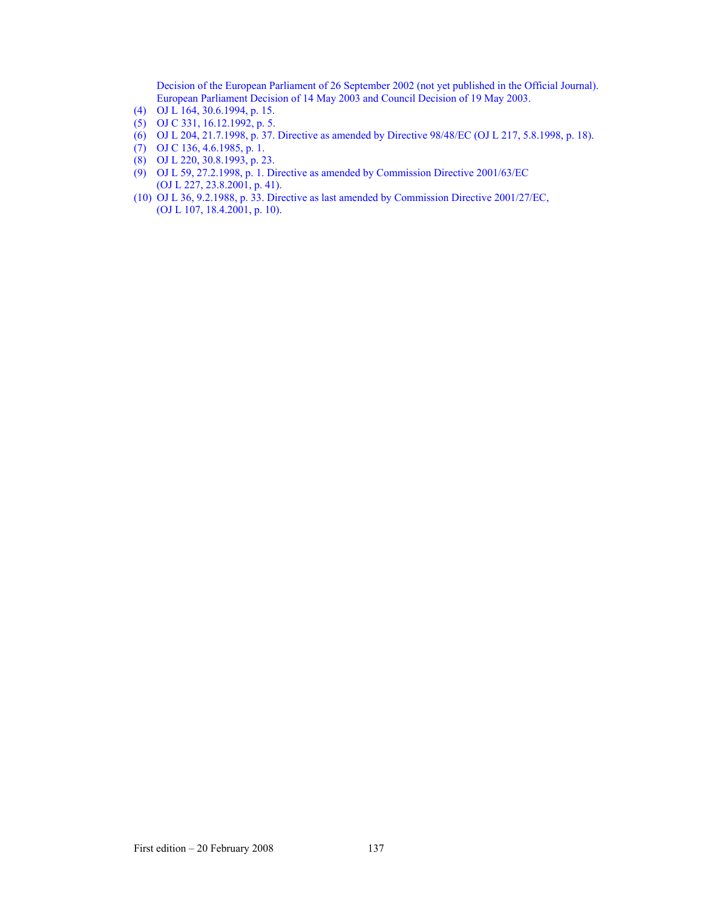Decision of the European Parliament of 26 September 2002 (not yet published in the Official Journal). European Parliament Decision of 14 May 2003 and Council Decision of 19 May 2003.

- (4) OJ L 164, 30.6.1994, p. 15.
- (5) OJ C 331, 16.12.1992, p. 5.
- (6) OJ L 204, 21.7.1998, p. 37. Directive as amended by Directive 98/48/EC (OJ L 217, 5.8.1998, p. 18).
- (7) OJ C 136, 4.6.1985, p. 1.
- (8) OJ L 220, 30.8.1993, p. 23.
- (9) OJ L 59, 27.2.1998, p. 1. Directive as amended by Commission Directive 2001/63/EC (OJ L 227, 23.8.2001, p. 41).
- (10) OJ L 36, 9.2.1988, p. 33. Directive as last amended by Commission Directive 2001/27/EC, (OJ L 107, 18.4.2001, p. 10).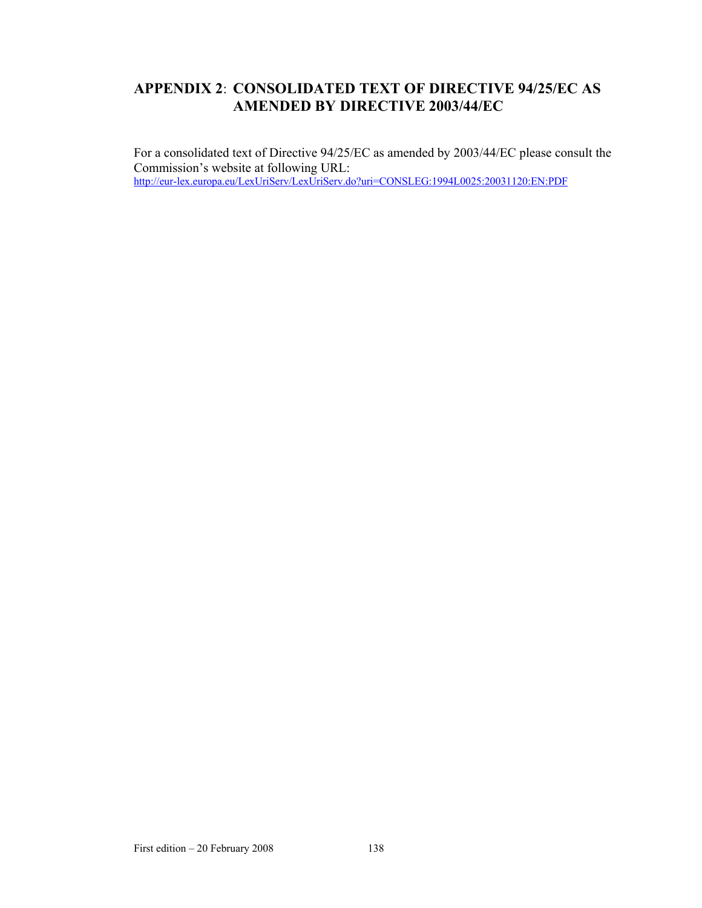# **APPENDIX 2**: **CONSOLIDATED TEXT OF DIRECTIVE 94/25/EC AS AMENDED BY DIRECTIVE 2003/44/EC**

For a consolidated text of Directive 94/25/EC as amended by 2003/44/EC please consult the Commission's website at following URL: http://eur-lex.europa.eu/LexUriServ/LexUriServ.do?uri=CONSLEG:1994L0025:20031120:EN:PDF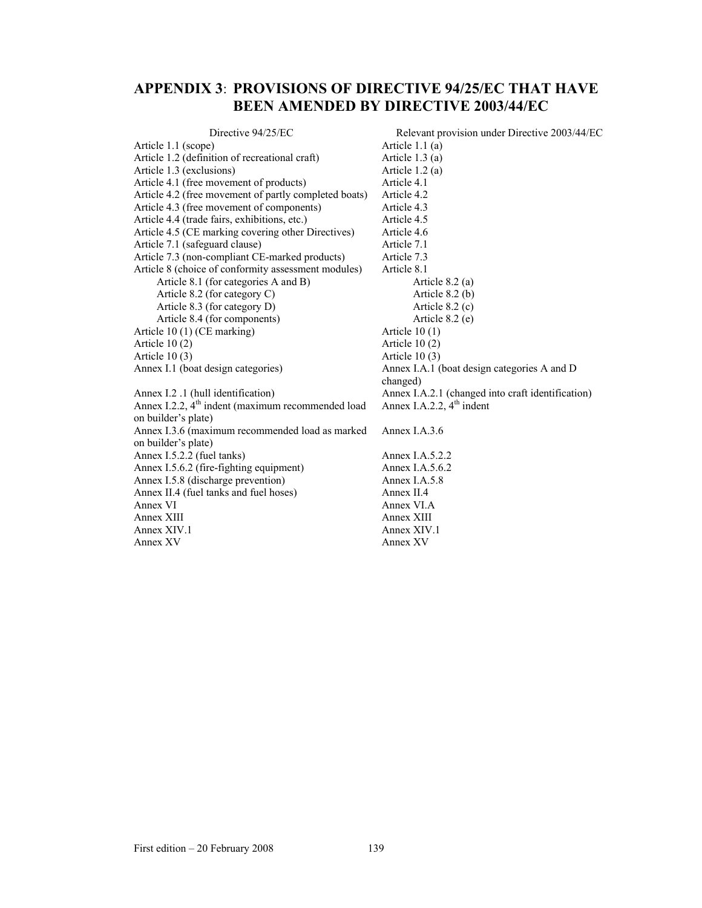# **APPENDIX 3**: **PROVISIONS OF DIRECTIVE 94/25/EC THAT HAVE BEEN AMENDED BY DIRECTIVE 2003/44/EC**

| Directive 94/25/EC                                    | Relevant provision under Directive 2003/44/EC     |
|-------------------------------------------------------|---------------------------------------------------|
| Article 1.1 (scope)                                   | Article $1.1(a)$                                  |
| Article 1.2 (definition of recreational craft)        | Article $1.3(a)$                                  |
| Article 1.3 (exclusions)                              | Article $1.2(a)$                                  |
| Article 4.1 (free movement of products)               | Article 4.1                                       |
| Article 4.2 (free movement of partly completed boats) | Article 4.2                                       |
| Article 4.3 (free movement of components)             | Article 4.3                                       |
| Article 4.4 (trade fairs, exhibitions, etc.)          | Article 4.5                                       |
| Article 4.5 (CE marking covering other Directives)    | Article 4.6                                       |
| Article 7.1 (safeguard clause)                        | Article 7.1                                       |
| Article 7.3 (non-compliant CE-marked products)        | Article 7.3                                       |
| Article 8 (choice of conformity assessment modules)   | Article 8.1                                       |
| Article 8.1 (for categories A and B)                  | Article $8.2$ (a)                                 |
| Article 8.2 (for category C)                          | Article $8.2$ (b)                                 |
| Article 8.3 (for category D)                          | Article $8.2$ (c)                                 |
| Article 8.4 (for components)                          | Article $8.2$ (e)                                 |
| Article $10(1)$ (CE marking)                          | Article $10(1)$                                   |
| Article $10(2)$                                       | Article $10(2)$                                   |
| Article $10(3)$                                       | Article $10(3)$                                   |
| Annex I.1 (boat design categories)                    | Annex I.A.1 (boat design categories A and D       |
|                                                       | changed)                                          |
| Annex I.2 .1 (hull identification)                    | Annex I.A.2.1 (changed into craft identification) |
| Annex I.2.2, $4th$ indent (maximum recommended load   | Annex I.A.2.2, $4th$ indent                       |
| on builder's plate)                                   |                                                   |
| Annex I.3.6 (maximum recommended load as marked       | Annex $I.A.3.6$                                   |
| on builder's plate)                                   |                                                   |
| Annex I.5.2.2 (fuel tanks)                            | Annex I.A.5.2.2                                   |
| Annex I.5.6.2 (fire-fighting equipment)               | Annex I.A.5.6.2                                   |
| Annex I.5.8 (discharge prevention)                    | Annex I.A.5.8                                     |
| Annex II.4 (fuel tanks and fuel hoses)                | Annex $II.4$                                      |
| Annex VI                                              | Annex VI.A                                        |
| Annex XIII                                            | Annex XIII                                        |
| Annex XIV.1                                           | Annex XIV.1                                       |
| Annex XV                                              | Annex XV                                          |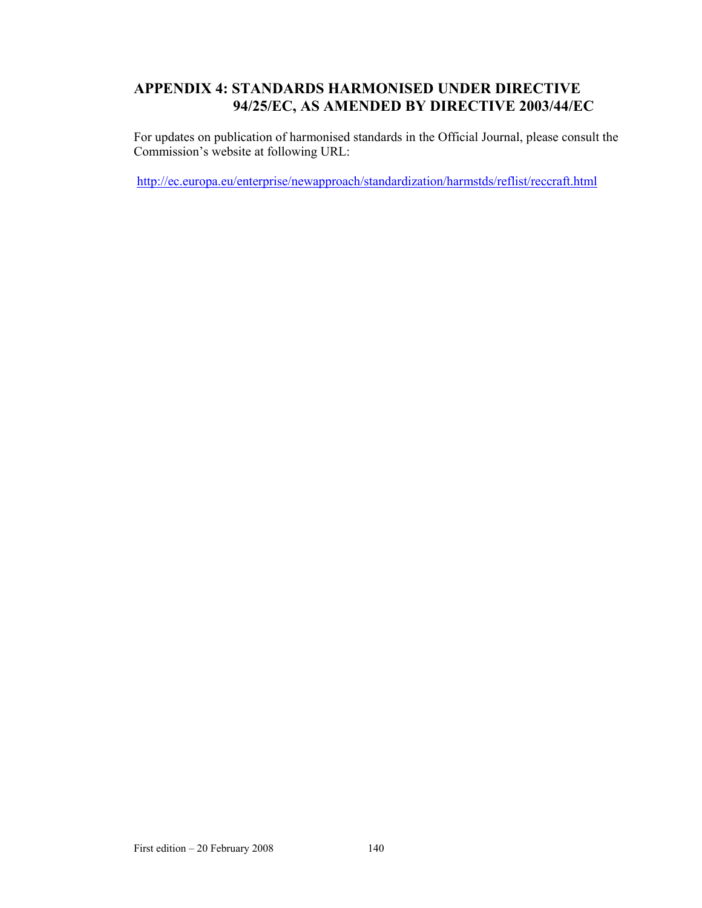# **APPENDIX 4: STANDARDS HARMONISED UNDER DIRECTIVE 94/25/EC, AS AMENDED BY DIRECTIVE 2003/44/EC**

For updates on publication of harmonised standards in the Official Journal, please consult the Commission's website at following URL:

http://ec.europa.eu/enterprise/newapproach/standardization/harmstds/reflist/reccraft.html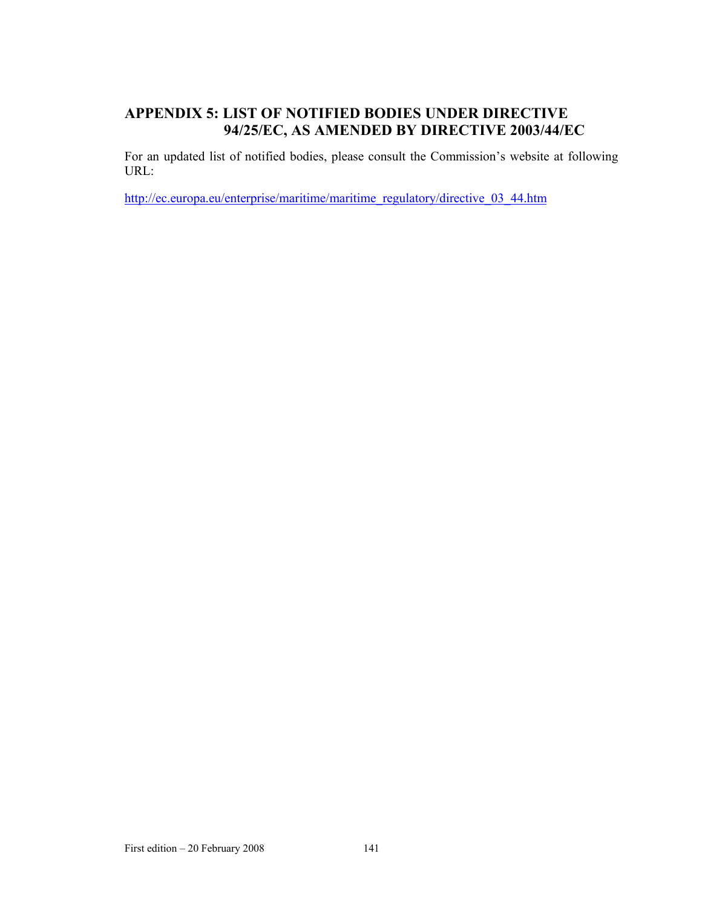# **APPENDIX 5: LIST OF NOTIFIED BODIES UNDER DIRECTIVE 94/25/EC, AS AMENDED BY DIRECTIVE 2003/44/EC**

For an updated list of notified bodies, please consult the Commission's website at following URL:

http://ec.europa.eu/enterprise/maritime/maritime\_regulatory/directive\_03\_44.htm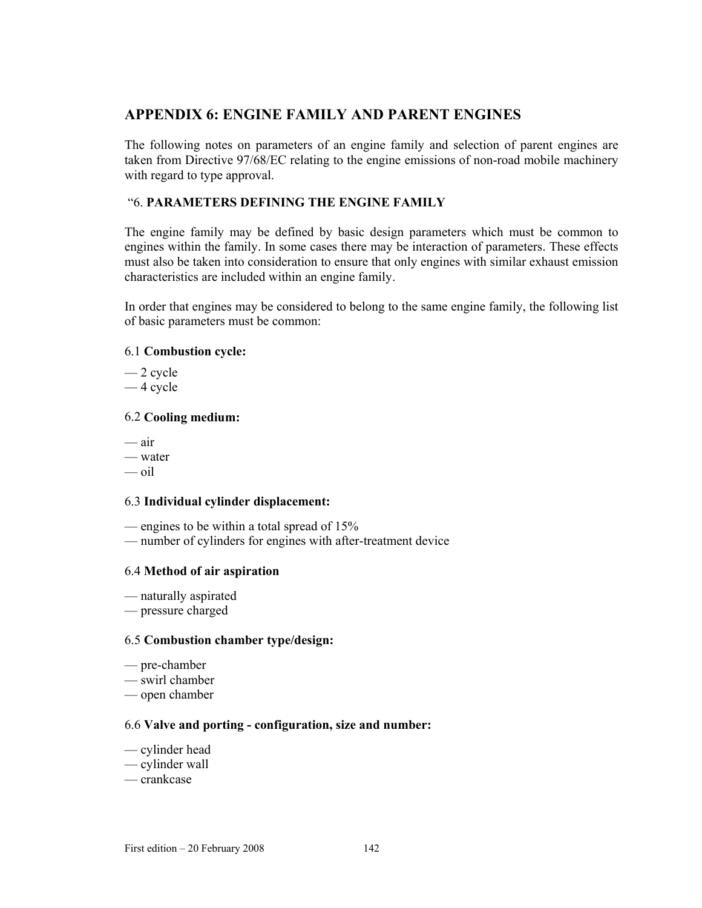# **APPENDIX 6: ENGINE FAMILY AND PARENT ENGINES**

The following notes on parameters of an engine family and selection of parent engines are taken from Directive 97/68/EC relating to the engine emissions of non-road mobile machinery with regard to type approval.

# "6. **PARAMETERS DEFINING THE ENGINE FAMILY**

The engine family may be defined by basic design parameters which must be common to engines within the family. In some cases there may be interaction of parameters. These effects must also be taken into consideration to ensure that only engines with similar exhaust emission characteristics are included within an engine family.

In order that engines may be considered to belong to the same engine family, the following list of basic parameters must be common:

## 6.1 **Combustion cycle:**

- $-2$  cycle
- 4 cycle

### 6.2 **Cooling medium:**

- air
- water
- oil

### 6.3 **Individual cylinder displacement:**

- engines to be within a total spread of 15%
- number of cylinders for engines with after-treatment device

### 6.4 **Method of air aspiration**

- naturally aspirated
- pressure charged

#### 6.5 **Combustion chamber type/design:**

- pre-chamber
- swirl chamber
- open chamber

### 6.6 **Valve and porting - configuration, size and number:**

- cylinder head
- cylinder wall
- crankcase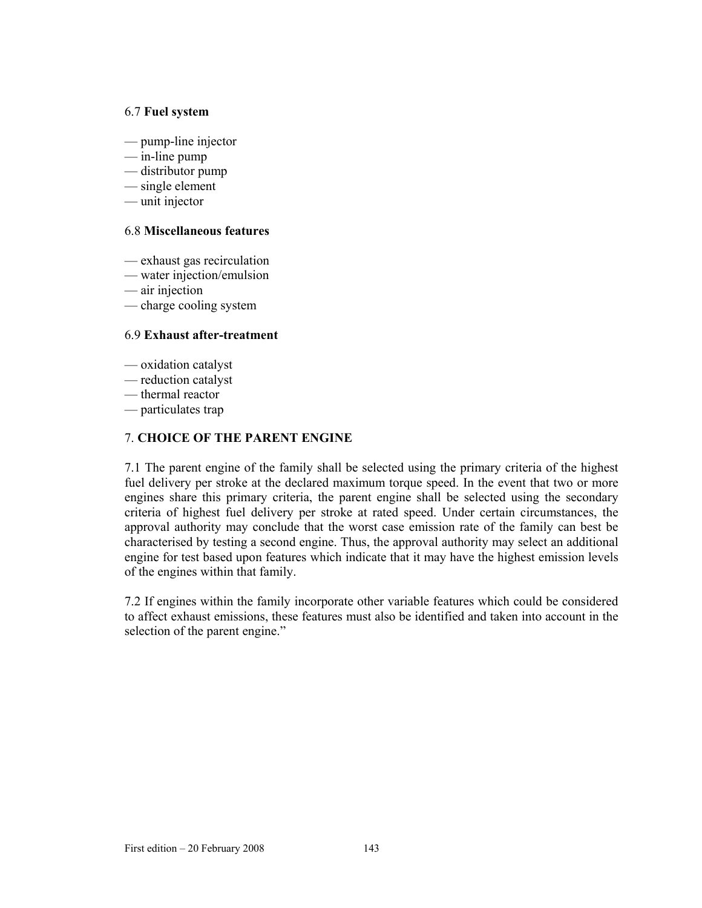#### 6.7 **Fuel system**

- pump-line injector
- in-line pump
- distributor pump
- single element
- unit injector

# 6.8 **Miscellaneous features**

- exhaust gas recirculation
- water injection/emulsion
- air injection
- charge cooling system

# 6.9 **Exhaust after-treatment**

- oxidation catalyst
- reduction catalyst
- thermal reactor
- particulates trap

## 7. **CHOICE OF THE PARENT ENGINE**

7.1 The parent engine of the family shall be selected using the primary criteria of the highest fuel delivery per stroke at the declared maximum torque speed. In the event that two or more engines share this primary criteria, the parent engine shall be selected using the secondary criteria of highest fuel delivery per stroke at rated speed. Under certain circumstances, the approval authority may conclude that the worst case emission rate of the family can best be characterised by testing a second engine. Thus, the approval authority may select an additional engine for test based upon features which indicate that it may have the highest emission levels of the engines within that family.

7.2 If engines within the family incorporate other variable features which could be considered to affect exhaust emissions, these features must also be identified and taken into account in the selection of the parent engine."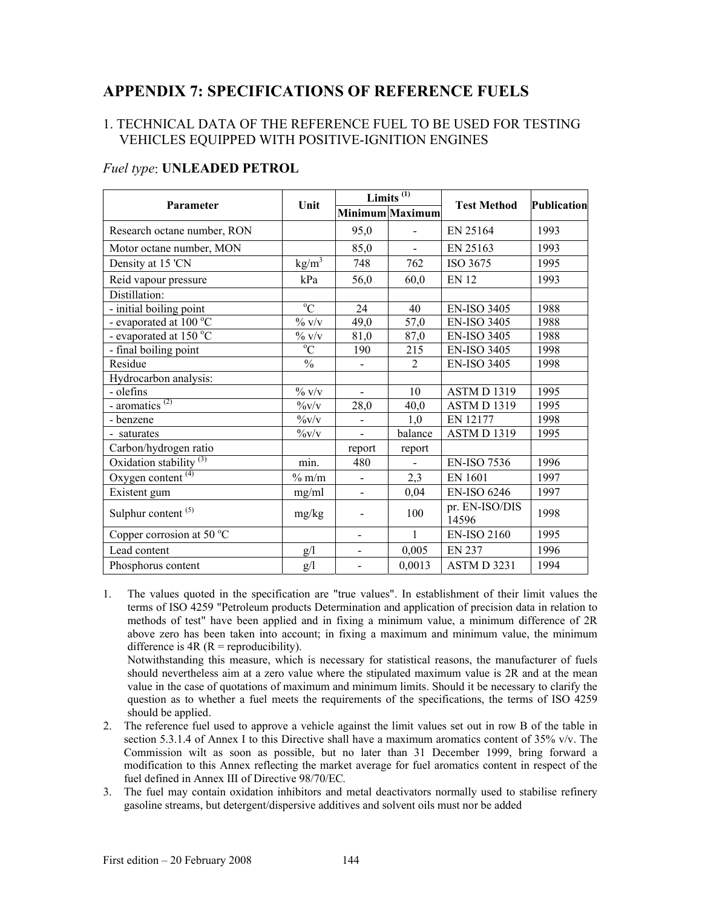# **APPENDIX 7: SPECIFICATIONS OF REFERENCE FUELS**

## 1. TECHNICAL DATA OF THE REFERENCE FUEL TO BE USED FOR TESTING VEHICLES EQUIPPED WITH POSITIVE-IGNITION ENGINES

| Parameter                                      | Unit                                | Limits $^{(1)}$          |                 |                         | Publication |
|------------------------------------------------|-------------------------------------|--------------------------|-----------------|-------------------------|-------------|
|                                                |                                     |                          | Minimum Maximum | <b>Test Method</b>      |             |
| Research octane number, RON                    |                                     | 95,0                     |                 | EN 25164                | 1993        |
| Motor octane number, MON                       |                                     | 85,0                     |                 | EN 25163                | 1993        |
| Density at 15 'CN                              | kg/m <sup>3</sup>                   | 748                      | 762             | ISO 3675                | 1995        |
| Reid vapour pressure                           | kPa                                 | 56,0                     | 60,0            | <b>EN 12</b>            | 1993        |
| Distillation:                                  |                                     |                          |                 |                         |             |
| - initial boiling point                        | $\overline{C}$                      | 24                       | 40              | <b>EN-ISO 3405</b>      | 1988        |
| - evaporated at $100^{\circ}$ C                | $\%$ v/v                            | 49,0                     | 57,0            | <b>EN-ISO 3405</b>      | 1988        |
| - evaporated at 150 °C                         | $\%$ v/v                            | 81,0                     | 87,0            | <b>EN-ISO 3405</b>      | 1988        |
| - final boiling point                          | $\overline{C}$                      | 190                      | 215             | <b>EN-ISO 3405</b>      | 1998        |
| Residue                                        | $\frac{0}{0}$                       |                          | $\overline{2}$  | <b>EN-ISO 3405</b>      | 1998        |
| Hydrocarbon analysis:                          |                                     |                          |                 |                         |             |
| - olefins                                      | $\%$ v/v                            |                          | 10              | ASTM D 1319             | 1995        |
| $\overline{\overline{\text{aromatics}}^{(2)}}$ | $\%v/v$                             | 28,0                     | 40,0            | ASTM D 1319             | 1995        |
| - benzene                                      | $\frac{9}{\text{V}}\sqrt{\text{V}}$ |                          | 1,0             | EN 12177                | 1998        |
| - saturates                                    | $\frac{9}{\text{V}}V$               |                          | balance         | ASTM D1319              | 1995        |
| Carbon/hydrogen ratio                          |                                     | report                   | report          |                         |             |
| Oxidation stability <sup>(3)</sup>             | min.                                | 480                      |                 | <b>EN-ISO 7536</b>      | 1996        |
| Oxygen content $(4)$                           | $%$ m/m                             |                          | 2,3             | <b>EN 1601</b>          | 1997        |
| Existent gum                                   | mg/ml                               | $\overline{\phantom{a}}$ | 0,04            | <b>EN-ISO 6246</b>      | 1997        |
| Sulphur content <sup>(5)</sup>                 | mg/kg                               |                          | 100             | pr. EN-ISO/DIS<br>14596 | 1998        |
| Copper corrosion at 50 $\mathrm{^{\circ}C}$    |                                     |                          | $\mathbf{1}$    | <b>EN-ISO 2160</b>      | 1995        |
| Lead content                                   | g/1                                 | $\overline{a}$           | 0,005           | <b>EN 237</b>           | 1996        |
| Phosphorus content                             | g/l                                 |                          | 0,0013          | ASTM D 3231             | 1994        |

## *Fuel type*: **UNLEADED PETROL**

1. The values quoted in the specification are "true values". In establishment of their limit values the terms of ISO 4259 "Petroleum products Determination and application of precision data in relation to methods of test" have been applied and in fixing a minimum value, a minimum difference of 2R above zero has been taken into account; in fixing a maximum and minimum value, the minimum difference is  $4R (R =$  reproducibility).

Notwithstanding this measure, which is necessary for statistical reasons, the manufacturer of fuels should nevertheless aim at a zero value where the stipulated maximum value is 2R and at the mean value in the case of quotations of maximum and minimum limits. Should it be necessary to clarify the question as to whether a fuel meets the requirements of the specifications, the terms of ISO 4259 should be applied.

- 2. The reference fuel used to approve a vehicle against the limit values set out in row B of the table in section 5.3.1.4 of Annex I to this Directive shall have a maximum aromatics content of 35% v/v. The Commission wilt as soon as possible, but no later than 31 December 1999, bring forward a modification to this Annex reflecting the market average for fuel aromatics content in respect of the fuel defined in Annex III of Directive 98/70/EC*.*
- 3. The fuel may contain oxidation inhibitors and metal deactivators normally used to stabilise refinery gasoline streams, but detergent/dispersive additives and solvent oils must nor be added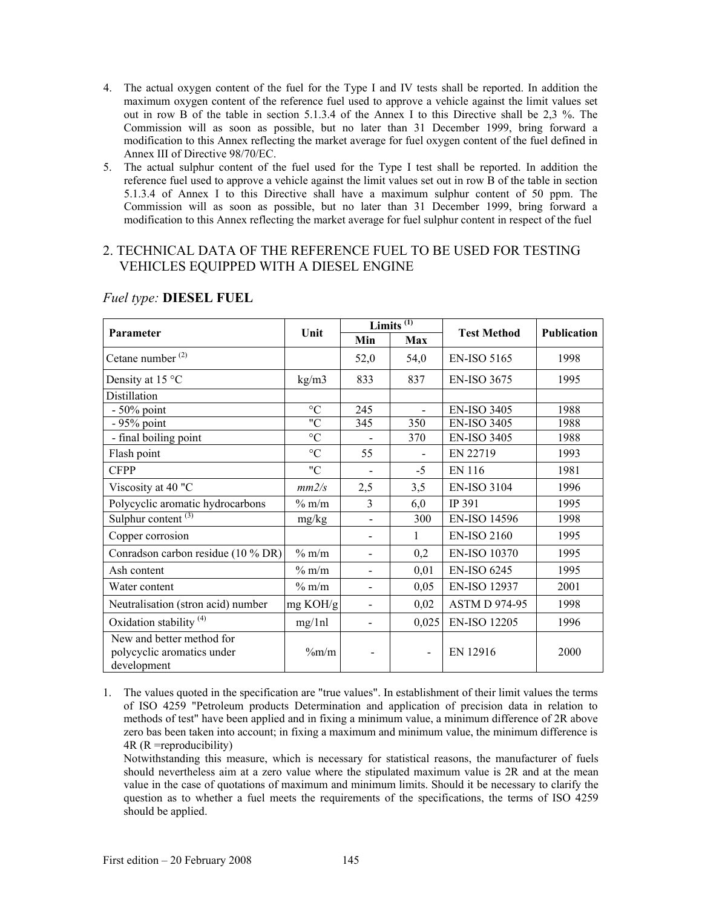- 4. The actual oxygen content of the fuel for the Type I and IV tests shall be reported. In addition the maximum oxygen content of the reference fuel used to approve a vehicle against the limit values set out in row B of the table in section 5.1.3.4 of the Annex I to this Directive shall be 2,3 %. The Commission will as soon as possible, but no later than 31 December 1999, bring forward a modification to this Annex reflecting the market average for fuel oxygen content of the fuel defined in Annex III of Directive 98/70/EC.
- 5. The actual sulphur content of the fuel used for the Type I test shall be reported. In addition the reference fuel used to approve a vehicle against the limit values set out in row B of the table in section 5.1.3.4 of Annex I to this Directive shall have a maximum sulphur content of 50 ppm. The Commission will as soon as possible, but no later than 31 December 1999, bring forward a modification to this Annex reflecting the market average for fuel sulphur content in respect of the fuel

## 2. TECHNICAL DATA OF THE REFERENCE FUEL TO BE USED FOR TESTING VEHICLES EQUIPPED WITH A DIESEL ENGINE

| Parameter                                                              | Unit            | Limits <sup><math>(1)</math></sup> |                              |                      |                    |
|------------------------------------------------------------------------|-----------------|------------------------------------|------------------------------|----------------------|--------------------|
|                                                                        |                 | Min                                | Max                          | <b>Test Method</b>   | <b>Publication</b> |
| Cetane number $(2)$                                                    |                 | 52,0                               | 54,0                         | <b>EN-ISO 5165</b>   | 1998               |
| Density at 15 °C                                                       | kg/m3           | 833                                | 837                          | <b>EN-ISO 3675</b>   | 1995               |
| Distillation                                                           |                 |                                    |                              |                      |                    |
| $-50\%$ point                                                          | $\rm ^{\circ}C$ | 245                                | $\overline{a}$               | <b>EN-ISO 3405</b>   | 1988               |
| $-95%$ point                                                           | "C              | 345                                | 350                          | <b>EN-ISO 3405</b>   | 1988               |
| - final boiling point                                                  | $\rm ^{\circ}C$ |                                    | 370                          | <b>EN-ISO 3405</b>   | 1988               |
| Flash point                                                            | $\rm ^{\circ}C$ | 55                                 |                              | EN 22719             | 1993               |
| <b>CFPP</b>                                                            | "C              |                                    | $-5$                         | EN 116               | 1981               |
| Viscosity at 40 "C                                                     | mm2/s           | 2,5                                | 3,5                          | <b>EN-ISO 3104</b>   | 1996               |
| Polycyclic aromatic hydrocarbons                                       | $\%$ m/m        | 3                                  | 6,0                          | IP 391               | 1995               |
| Sulphur content <sup>(3)</sup>                                         | mg/kg           | $\blacksquare$                     | 300                          | <b>EN-ISO 14596</b>  | 1998               |
| Copper corrosion                                                       |                 |                                    | 1                            | <b>EN-ISO 2160</b>   | 1995               |
| Conradson carbon residue (10 % DR)                                     | $%$ m/m         |                                    | 0,2                          | <b>EN-ISO 10370</b>  | 1995               |
| Ash content                                                            | $\%$ m/m        |                                    | 0,01                         | <b>EN-ISO 6245</b>   | 1995               |
| Water content                                                          | $\%$ m/m        |                                    | 0,05                         | <b>EN-ISO 12937</b>  | 2001               |
| Neutralisation (stron acid) number                                     | mg KOH/g        |                                    | 0,02                         | <b>ASTM D 974-95</b> | 1998               |
| Oxidation stability <sup>(4)</sup>                                     | mg/1nl          |                                    | 0,025                        | <b>EN-ISO 12205</b>  | 1996               |
| New and better method for<br>polycyclic aromatics under<br>development | $\%m/m$         |                                    | $\qquad \qquad \blacksquare$ | EN 12916             | 2000               |

## *Fuel type:* **DIESEL FUEL**

1. The values quoted in the specification are "true values". In establishment of their limit values the terms of ISO 4259 "Petroleum products Determination and application of precision data in relation to methods of test" have been applied and in fixing a minimum value, a minimum difference of 2R above zero bas been taken into account; in fixing a maximum and minimum value, the minimum difference is 4R (R =reproducibility)

Notwithstanding this measure, which is necessary for statistical reasons, the manufacturer of fuels should nevertheless aim at a zero value where the stipulated maximum value is 2R and at the mean value in the case of quotations of maximum and minimum limits. Should it be necessary to clarify the question as to whether a fuel meets the requirements of the specifications, the terms of ISO 4259 should be applied.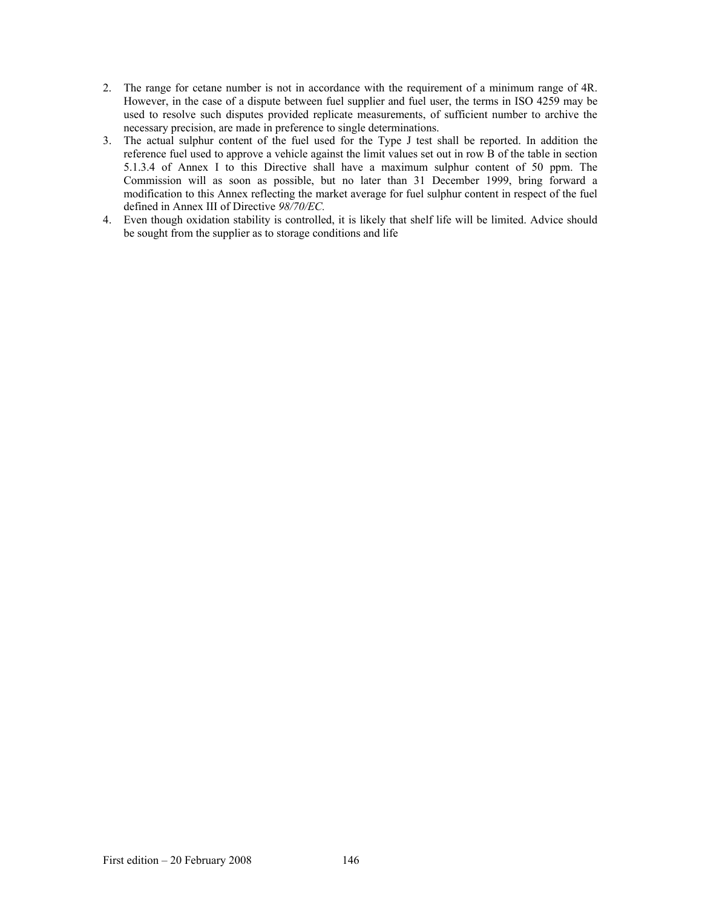- 2. The range for cetane number is not in accordance with the requirement of a minimum range of 4R. However, in the case of a dispute between fuel supplier and fuel user, the terms in ISO 4259 may be used to resolve such disputes provided replicate measurements, of sufficient number to archive the necessary precision, are made in preference to single determinations.
- 3. The actual sulphur content of the fuel used for the Type J test shall be reported. In addition the reference fuel used to approve a vehicle against the limit values set out in row B of the table in section 5.1.3.4 of Annex I to this Directive shall have a maximum sulphur content of 50 ppm. The Commission will as soon as possible, but no later than 31 December 1999, bring forward a modification to this Annex reflecting the market average for fuel sulphur content in respect of the fuel defined in Annex III of Directive *98/70/EC.*
- 4. Even though oxidation stability is controlled, it is likely that shelf life will be limited. Advice should be sought from the supplier as to storage conditions and life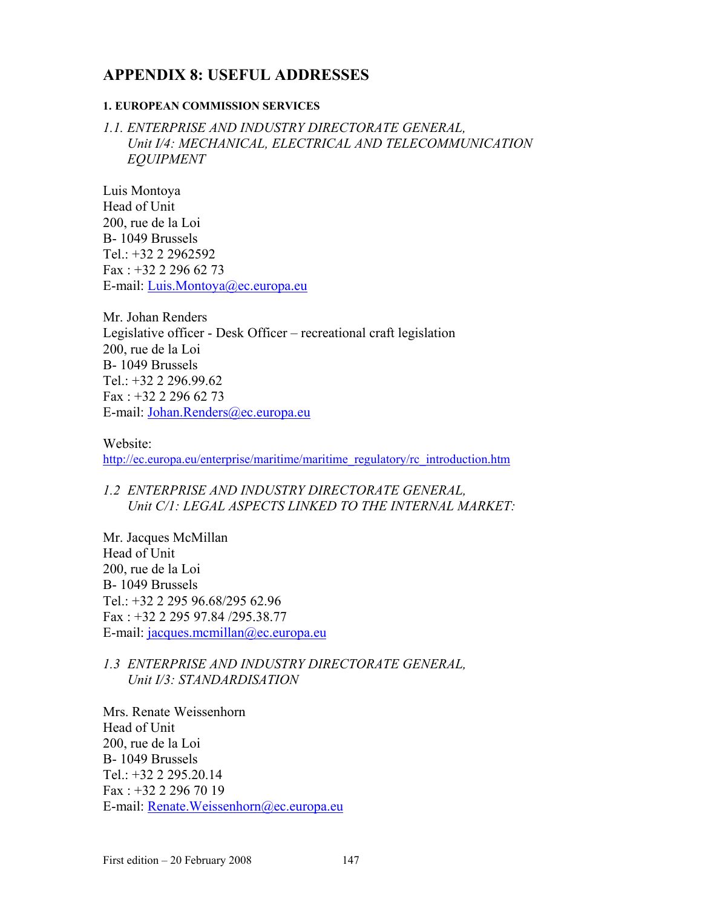# **APPENDIX 8: USEFUL ADDRESSES**

#### **1. EUROPEAN COMMISSION SERVICES**

*1.1. ENTERPRISE AND INDUSTRY DIRECTORATE GENERAL,*  Unit I/4: MECHANICAL, ELECTRICAL AND TELECOMMUNICATION *EQUIPMENT* 

Luis Montoya Head of Unit 200, rue de la Loi B- 1049 Brussels Tel.: +32 2 2962592 Fax : +32 2 296 62 73 E-mail: Luis.Montoya@ec.europa.eu

Mr. Johan Renders Legislative officer - Desk Officer – recreational craft legislation 200, rue de la Loi B- 1049 Brussels Tel.: +32 2 296.99.62 Fax : +32 2 296 62 73 E-mail: Johan.Renders@ec.europa.eu

Website: http://ec.europa.eu/enterprise/maritime/maritime\_regulatory/rc\_introduction.htm

## *1.2 ENTERPRISE AND INDUSTRY DIRECTORATE GENERAL, Unit C/1: LEGAL ASPECTS LINKED TO THE INTERNAL MARKET:*

Mr. Jacques McMillan Head of Unit 200, rue de la Loi B- 1049 Brussels Tel.: +32 2 295 96.68/295 62.96 Fax : +32 2 295 97.84 /295.38.77 E-mail: jacques.mcmillan@ec.europa.eu

## *1.3 ENTERPRISE AND INDUSTRY DIRECTORATE GENERAL, Unit I/3: STANDARDISATION*

Mrs. Renate Weissenhorn Head of Unit 200, rue de la Loi B- 1049 Brussels Tel.: +32 2 295.20.14 Fax : +32 2 296 70 19 E-mail: Renate.Weissenhorn@ec.europa.eu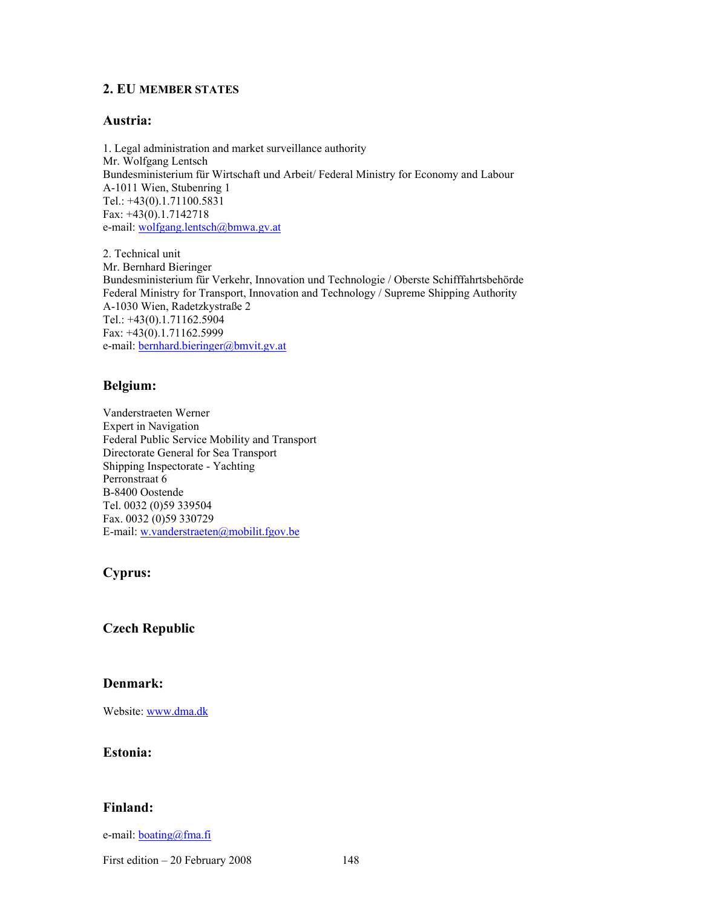#### **2. EU MEMBER STATES**

#### **Austria:**

1. Legal administration and market surveillance authority Mr. Wolfgang Lentsch Bundesministerium für Wirtschaft und Arbeit/ Federal Ministry for Economy and Labour A-1011 Wien, Stubenring 1 Tel.: +43(0).1.71100.5831 Fax: +43(0).1.7142718 e-mail: wolfgang.lentsch@bmwa.gv.at

2. Technical unit Mr. Bernhard Bieringer Bundesministerium für Verkehr, Innovation und Technologie / Oberste Schifffahrtsbehörde Federal Ministry for Transport, Innovation and Technology / Supreme Shipping Authority A-1030 Wien, Radetzkystraße 2 Tel.: +43(0).1.71162.5904 Fax: +43(0).1.71162.5999 e-mail: bernhard.bieringer@bmvit.gv.at

#### **Belgium:**

Vanderstraeten Werner Expert in Navigation Federal Public Service Mobility and Transport Directorate General for Sea Transport Shipping Inspectorate - Yachting Perronstraat 6 B-8400 Oostende Tel. 0032 (0)59 339504 Fax. 0032 (0)59 330729 E-mail: w.vanderstraeten@mobilit.fgov.be

## **Cyprus:**

## **Czech Republic**

#### **Denmark:**

Website: www.dma.dk

### **Estonia:**

#### **Finland:**

e-mail: **boating@fma.fi** 

First edition – 20 February 2008 148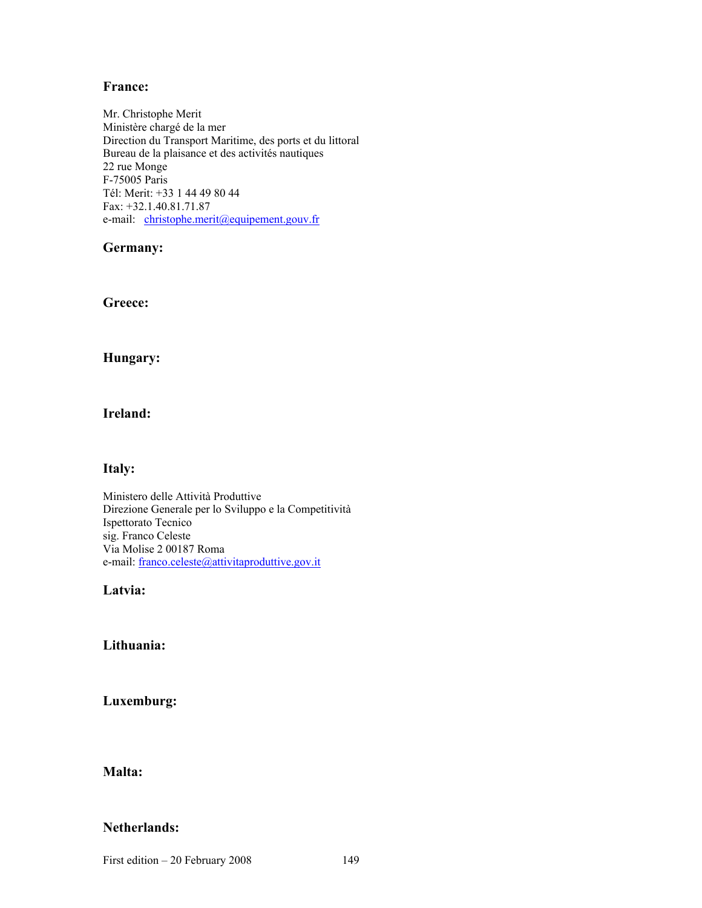#### **France:**

Mr. Christophe Merit Ministère chargé de la mer Direction du Transport Maritime, des ports et du littoral Bureau de la plaisance et des activités nautiques 22 rue Monge F-75005 Paris Tél: Merit: +33 1 44 49 80 44 Fax: +32.1.40.81.71.87 e-mail: christophe.merit@equipement.gouv.fr

#### **Germany:**

**Greece:** 

#### **Hungary:**

#### **Ireland:**

#### **Italy:**

Ministero delle Attività Produttive Direzione Generale per lo Sviluppo e la Competitività Ispettorato Tecnico sig. Franco Celeste Via Molise 2 00187 Roma e-mail: franco.celeste@attivitaproduttive.gov.it

#### **Latvia:**

#### **Lithuania:**

**Luxemburg:** 

## **Malta:**

## **Netherlands:**

First edition – 20 February 2008 149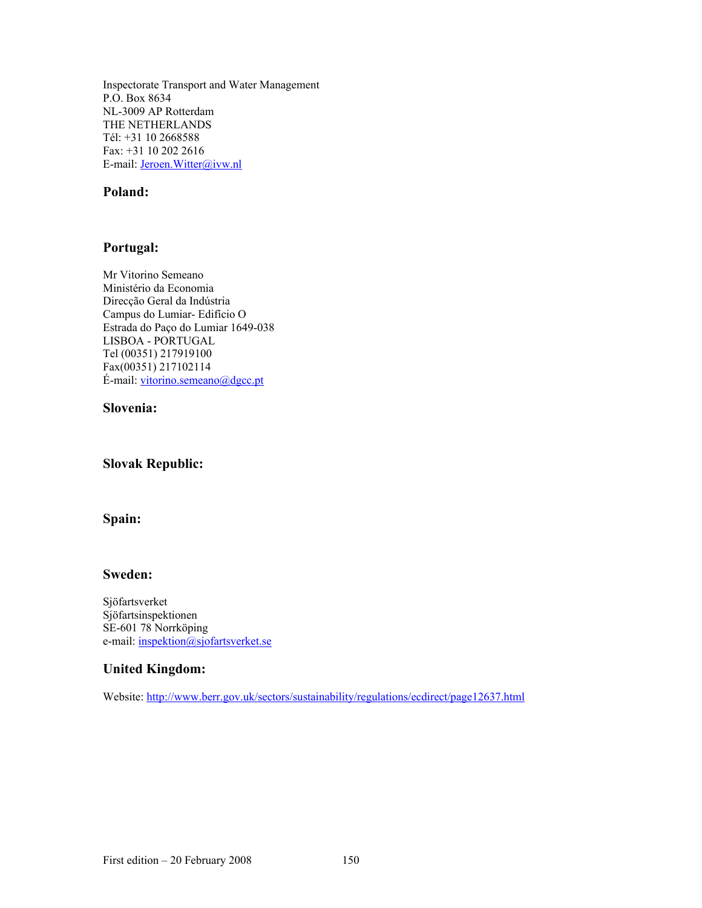Inspectorate Transport and Water Management P.O. Box 8634 NL-3009 AP Rotterdam THE NETHERLANDS Tél: +31 10 2668588 Fax: +31 10 202 2616 E-mail: Jeroen.Witter@ivw.nl

## **Poland:**

## **Portugal:**

Mr Vitorino Semeano Ministério da Economia Direcção Geral da Indústria Campus do Lumiar- Edifício O Estrada do Paço do Lumiar 1649-038 LISBOA - PORTUGAL Tel (00351) 217919100 Fax(00351) 217102114  $É-mail: [vitorino.semeano@dgec.pdf](mailto:vitorino.semeano@dgec.pdf)$ 

#### **Slovenia:**

## **Slovak Republic:**

## **Spain:**

#### **Sweden:**

Sjöfartsverket Sjöfartsinspektionen SE-601 78 Norrköping e-mail: inspektion@sjofartsverket.se

#### **United Kingdom:**

Website: http://www.berr.gov.uk/sectors/sustainability/regulations/ecdirect/page12637.html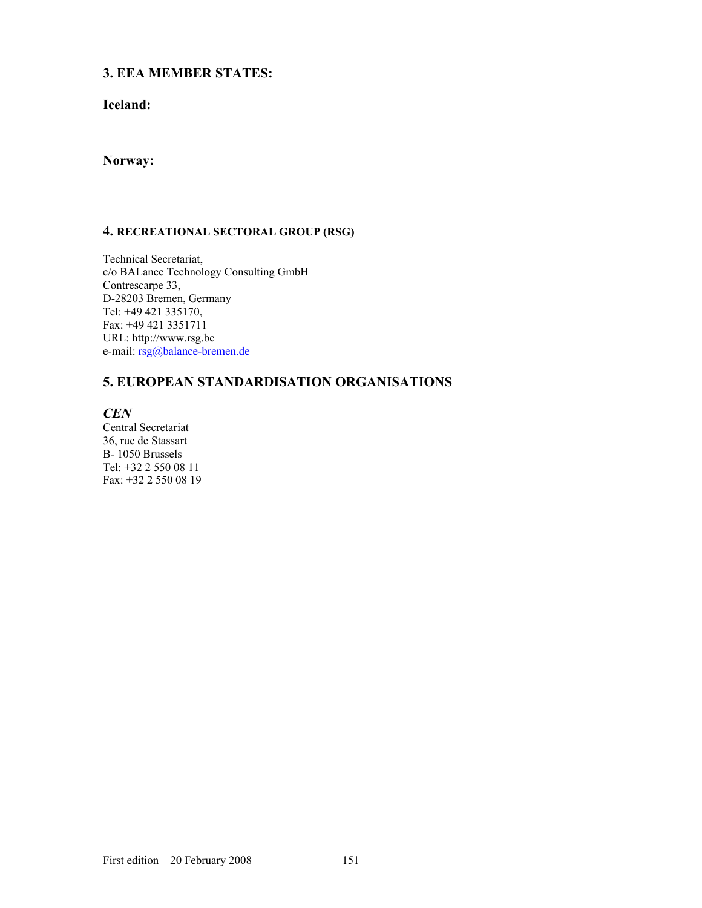## **3. EEA MEMBER STATES:**

## **Iceland:**

## **Norway:**

## **4. RECREATIONAL SECTORAL GROUP (RSG)**

Technical Secretariat, c/o BALance Technology Consulting GmbH Contrescarpe 33, D-28203 Bremen, Germany Tel: +49 421 335170, Fax: +49 421 3351711 URL: http://www.rsg.be e-mail: rsg@balance-bremen.de

## **5. EUROPEAN STANDARDISATION ORGANISATIONS**

*CEN* 

Central Secretariat 36, rue de Stassart B- 1050 Brussels Tel: +32 2 550 08 11 Fax: +32 2 550 08 19